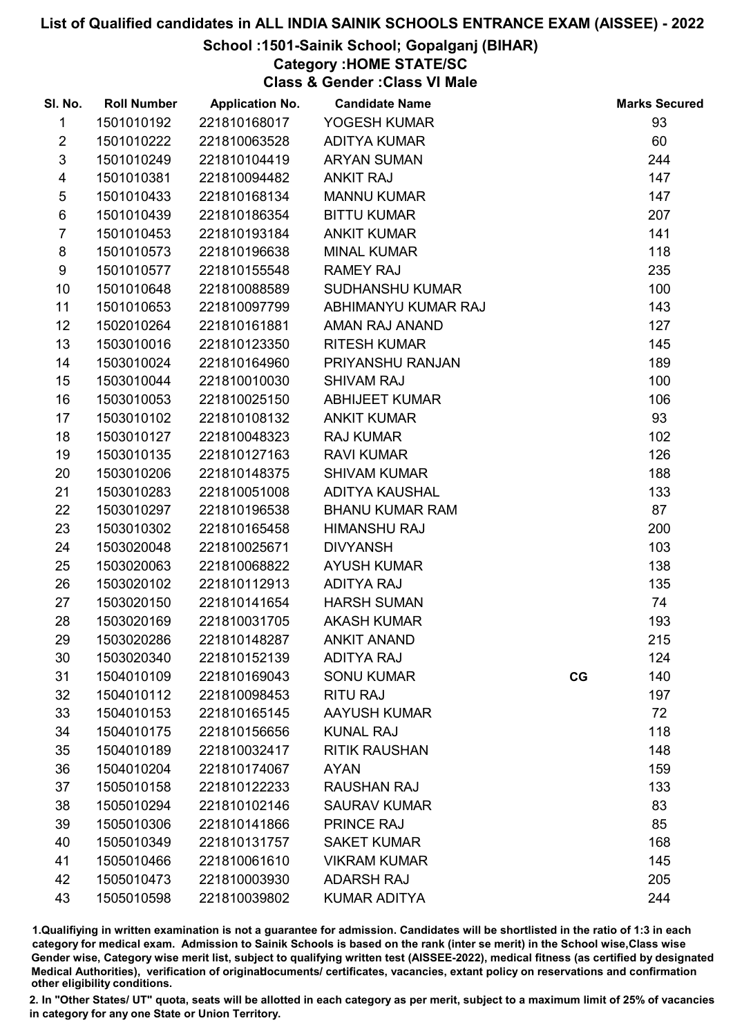### School :1501-Sainik School; Gopalganj (BIHAR)

# Category :HOME STATE/SC

Class & Gender :Class VI Male

| SI. No.        | <b>Roll Number</b> | <b>Application No.</b> | <b>Candidate Name</b>  |    | <b>Marks Secured</b> |
|----------------|--------------------|------------------------|------------------------|----|----------------------|
| 1              | 1501010192         | 221810168017           | YOGESH KUMAR           |    | 93                   |
| $\overline{2}$ | 1501010222         | 221810063528           | <b>ADITYA KUMAR</b>    |    | 60                   |
| $\mathfrak{S}$ | 1501010249         | 221810104419           | <b>ARYAN SUMAN</b>     |    | 244                  |
| 4              | 1501010381         | 221810094482           | <b>ANKIT RAJ</b>       |    | 147                  |
| $\sqrt{5}$     | 1501010433         | 221810168134           | <b>MANNU KUMAR</b>     |    | 147                  |
| $\,6$          | 1501010439         | 221810186354           | <b>BITTU KUMAR</b>     |    | 207                  |
| $\overline{7}$ | 1501010453         | 221810193184           | <b>ANKIT KUMAR</b>     |    | 141                  |
| 8              | 1501010573         | 221810196638           | <b>MINAL KUMAR</b>     |    | 118                  |
| 9              | 1501010577         | 221810155548           | <b>RAMEY RAJ</b>       |    | 235                  |
| 10             | 1501010648         | 221810088589           | <b>SUDHANSHU KUMAR</b> |    | 100                  |
| 11             | 1501010653         | 221810097799           | ABHIMANYU KUMAR RAJ    |    | 143                  |
| 12             | 1502010264         | 221810161881           | AMAN RAJ ANAND         |    | 127                  |
| 13             | 1503010016         | 221810123350           | <b>RITESH KUMAR</b>    |    | 145                  |
| 14             | 1503010024         | 221810164960           | PRIYANSHU RANJAN       |    | 189                  |
| 15             | 1503010044         | 221810010030           | <b>SHIVAM RAJ</b>      |    | 100                  |
| 16             | 1503010053         | 221810025150           | <b>ABHIJEET KUMAR</b>  |    | 106                  |
| 17             | 1503010102         | 221810108132           | <b>ANKIT KUMAR</b>     |    | 93                   |
| 18             | 1503010127         | 221810048323           | <b>RAJ KUMAR</b>       |    | 102                  |
| 19             | 1503010135         | 221810127163           | <b>RAVI KUMAR</b>      |    | 126                  |
| 20             | 1503010206         | 221810148375           | <b>SHIVAM KUMAR</b>    |    | 188                  |
| 21             | 1503010283         | 221810051008           | <b>ADITYA KAUSHAL</b>  |    | 133                  |
| 22             | 1503010297         | 221810196538           | <b>BHANU KUMAR RAM</b> |    | 87                   |
| 23             | 1503010302         | 221810165458           | <b>HIMANSHU RAJ</b>    |    | 200                  |
| 24             | 1503020048         | 221810025671           | <b>DIVYANSH</b>        |    | 103                  |
| 25             | 1503020063         | 221810068822           | <b>AYUSH KUMAR</b>     |    | 138                  |
| 26             | 1503020102         | 221810112913           | <b>ADITYA RAJ</b>      |    | 135                  |
| 27             | 1503020150         | 221810141654           | <b>HARSH SUMAN</b>     |    | 74                   |
| 28             | 1503020169         | 221810031705           | <b>AKASH KUMAR</b>     |    | 193                  |
| 29             | 1503020286         | 221810148287           | <b>ANKIT ANAND</b>     |    | 215                  |
| 30             | 1503020340         | 221810152139           | <b>ADITYA RAJ</b>      |    | 124                  |
| 31             | 1504010109         | 221810169043           | <b>SONU KUMAR</b>      | CG | 140                  |
| 32             | 1504010112         | 221810098453           | <b>RITU RAJ</b>        |    | 197                  |
| 33             | 1504010153         | 221810165145           | <b>AAYUSH KUMAR</b>    |    | 72                   |
| 34             | 1504010175         | 221810156656           | <b>KUNAL RAJ</b>       |    | 118                  |
| 35             | 1504010189         | 221810032417           | <b>RITIK RAUSHAN</b>   |    | 148                  |
| 36             | 1504010204         | 221810174067           | <b>AYAN</b>            |    | 159                  |
| 37             | 1505010158         | 221810122233           | <b>RAUSHAN RAJ</b>     |    | 133                  |
| 38             | 1505010294         | 221810102146           | <b>SAURAV KUMAR</b>    |    | 83                   |
| 39             | 1505010306         | 221810141866           | <b>PRINCE RAJ</b>      |    | 85                   |
| 40             | 1505010349         | 221810131757           | <b>SAKET KUMAR</b>     |    | 168                  |
| 41             | 1505010466         | 221810061610           | <b>VIKRAM KUMAR</b>    |    | 145                  |
| 42             | 1505010473         | 221810003930           | <b>ADARSH RAJ</b>      |    | 205                  |
| 43             | 1505010598         | 221810039802           | <b>KUMAR ADITYA</b>    |    | 244                  |

1.Qualifiying in written examination is not a guarantee for admission. Candidates will be shortlisted in the ratio of 1:3 in each category for medical exam. Admission to Sainik Schools is based on the rank (inter se merit) in the School wise,Class wise Gender wise, Category wise merit list, subject to qualifying written test (AISSEE-2022), medical fitness (as certified by designated Medical Authorities), verification of originablocuments/ certificates, vacancies, extant policy on reservations and confirmation other eligibility conditions.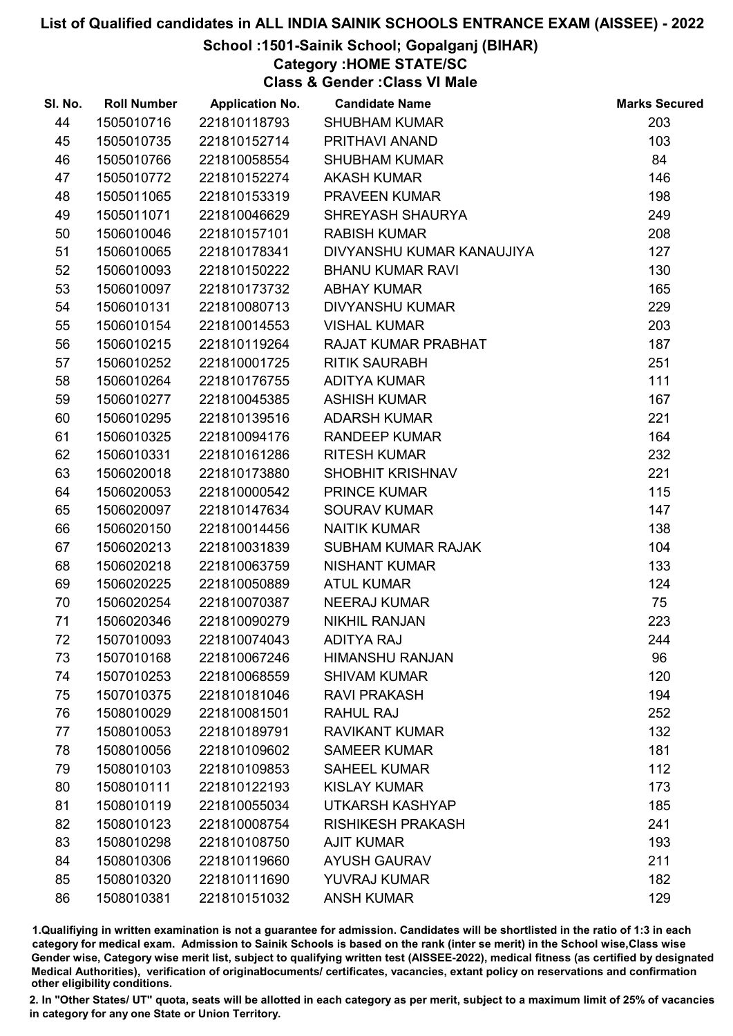School :1501-Sainik School; Gopalganj (BIHAR)

Category :HOME STATE/SC

Class & Gender :Class VI Male

| SI. No. | <b>Roll Number</b> | <b>Application No.</b> | <b>Candidate Name</b>     | <b>Marks Secured</b> |
|---------|--------------------|------------------------|---------------------------|----------------------|
| 44      | 1505010716         | 221810118793           | <b>SHUBHAM KUMAR</b>      | 203                  |
| 45      | 1505010735         | 221810152714           | PRITHAVI ANAND            | 103                  |
| 46      | 1505010766         | 221810058554           | <b>SHUBHAM KUMAR</b>      | 84                   |
| 47      | 1505010772         | 221810152274           | <b>AKASH KUMAR</b>        | 146                  |
| 48      | 1505011065         | 221810153319           | PRAVEEN KUMAR             | 198                  |
| 49      | 1505011071         | 221810046629           | SHREYASH SHAURYA          | 249                  |
| 50      | 1506010046         | 221810157101           | <b>RABISH KUMAR</b>       | 208                  |
| 51      | 1506010065         | 221810178341           | DIVYANSHU KUMAR KANAUJIYA | 127                  |
| 52      | 1506010093         | 221810150222           | <b>BHANU KUMAR RAVI</b>   | 130                  |
| 53      | 1506010097         | 221810173732           | <b>ABHAY KUMAR</b>        | 165                  |
| 54      | 1506010131         | 221810080713           | <b>DIVYANSHU KUMAR</b>    | 229                  |
| 55      | 1506010154         | 221810014553           | <b>VISHAL KUMAR</b>       | 203                  |
| 56      | 1506010215         | 221810119264           | RAJAT KUMAR PRABHAT       | 187                  |
| 57      | 1506010252         | 221810001725           | <b>RITIK SAURABH</b>      | 251                  |
| 58      | 1506010264         | 221810176755           | <b>ADITYA KUMAR</b>       | 111                  |
| 59      | 1506010277         | 221810045385           | <b>ASHISH KUMAR</b>       | 167                  |
| 60      | 1506010295         | 221810139516           | <b>ADARSH KUMAR</b>       | 221                  |
| 61      | 1506010325         | 221810094176           | <b>RANDEEP KUMAR</b>      | 164                  |
| 62      | 1506010331         | 221810161286           | <b>RITESH KUMAR</b>       | 232                  |
| 63      | 1506020018         | 221810173880           | SHOBHIT KRISHNAV          | 221                  |
| 64      | 1506020053         | 221810000542           | <b>PRINCE KUMAR</b>       | 115                  |
| 65      | 1506020097         | 221810147634           | <b>SOURAV KUMAR</b>       | 147                  |
| 66      | 1506020150         | 221810014456           | <b>NAITIK KUMAR</b>       | 138                  |
| 67      | 1506020213         | 221810031839           | SUBHAM KUMAR RAJAK        | 104                  |
| 68      | 1506020218         | 221810063759           | <b>NISHANT KUMAR</b>      | 133                  |
| 69      | 1506020225         | 221810050889           | <b>ATUL KUMAR</b>         | 124                  |
| 70      | 1506020254         | 221810070387           | <b>NEERAJ KUMAR</b>       | 75                   |
| 71      | 1506020346         | 221810090279           | <b>NIKHIL RANJAN</b>      | 223                  |
| 72      | 1507010093         | 221810074043           | <b>ADITYA RAJ</b>         | 244                  |
| 73      | 1507010168         | 221810067246           | <b>HIMANSHU RANJAN</b>    | 96                   |
| 74      | 1507010253         | 221810068559           | <b>SHIVAM KUMAR</b>       | 120                  |
| 75      | 1507010375         | 221810181046           | <b>RAVI PRAKASH</b>       | 194                  |
| 76      | 1508010029         | 221810081501           | <b>RAHUL RAJ</b>          | 252                  |
| 77      | 1508010053         | 221810189791           | <b>RAVIKANT KUMAR</b>     | 132                  |
| 78      | 1508010056         | 221810109602           | <b>SAMEER KUMAR</b>       | 181                  |
| 79      | 1508010103         | 221810109853           | <b>SAHEEL KUMAR</b>       | 112                  |
| 80      | 1508010111         | 221810122193           | <b>KISLAY KUMAR</b>       | 173                  |
| 81      | 1508010119         | 221810055034           | <b>UTKARSH KASHYAP</b>    | 185                  |
| 82      | 1508010123         | 221810008754           | <b>RISHIKESH PRAKASH</b>  | 241                  |
| 83      | 1508010298         | 221810108750           | <b>AJIT KUMAR</b>         | 193                  |
| 84      | 1508010306         | 221810119660           | <b>AYUSH GAURAV</b>       | 211                  |
| 85      | 1508010320         | 221810111690           | YUVRAJ KUMAR              | 182                  |
| 86      | 1508010381         | 221810151032           | <b>ANSH KUMAR</b>         | 129                  |

1.Qualifiying in written examination is not a guarantee for admission. Candidates will be shortlisted in the ratio of 1:3 in each category for medical exam. Admission to Sainik Schools is based on the rank (inter se merit) in the School wise,Class wise Gender wise, Category wise merit list, subject to qualifying written test (AISSEE-2022), medical fitness (as certified by designated Medical Authorities), verification of originablocuments/ certificates, vacancies, extant policy on reservations and confirmation other eligibility conditions.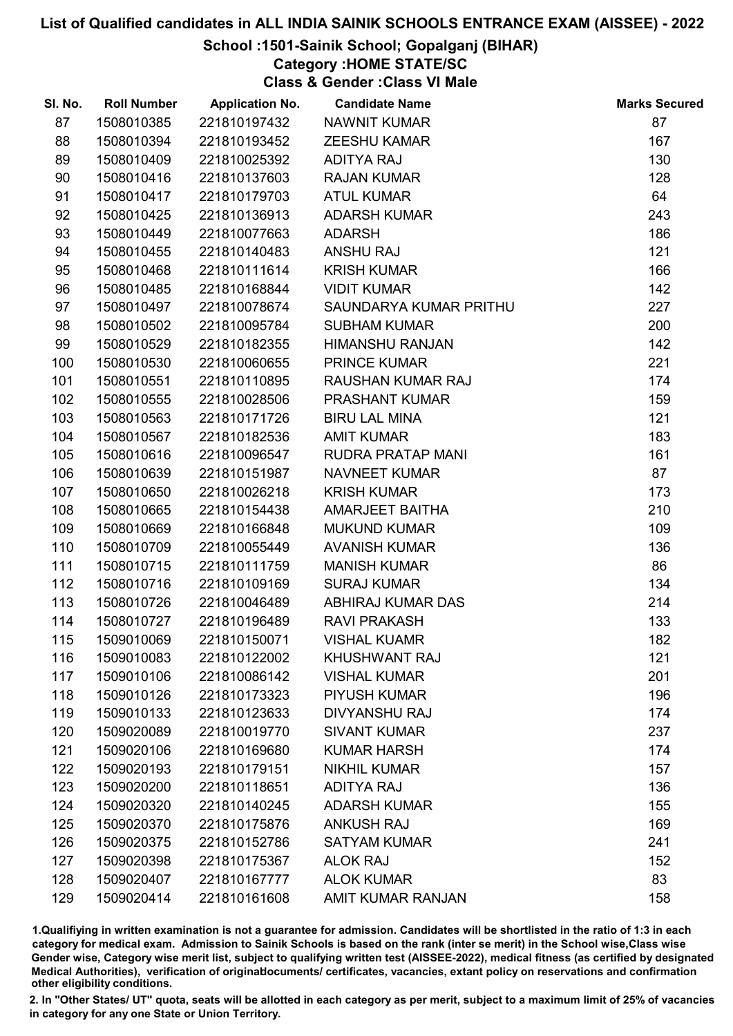### School :1501-Sainik School; Gopalganj (BIHAR)

# Category :HOME STATE/SC

Class & Gender :Class VI Male

| SI. No. | <b>Roll Number</b> | <b>Application No.</b> | <b>Candidate Name</b>    | <b>Marks Secured</b> |
|---------|--------------------|------------------------|--------------------------|----------------------|
| 87      | 1508010385         | 221810197432           | NAWNIT KUMAR             | 87                   |
| 88      | 1508010394         | 221810193452           | <b>ZEESHU KAMAR</b>      | 167                  |
| 89      | 1508010409         | 221810025392           | <b>ADITYA RAJ</b>        | 130                  |
| 90      | 1508010416         | 221810137603           | <b>RAJAN KUMAR</b>       | 128                  |
| 91      | 1508010417         | 221810179703           | <b>ATUL KUMAR</b>        | 64                   |
| 92      | 1508010425         | 221810136913           | <b>ADARSH KUMAR</b>      | 243                  |
| 93      | 1508010449         | 221810077663           | <b>ADARSH</b>            | 186                  |
| 94      | 1508010455         | 221810140483           | <b>ANSHU RAJ</b>         | 121                  |
| 95      | 1508010468         | 221810111614           | <b>KRISH KUMAR</b>       | 166                  |
| 96      | 1508010485         | 221810168844           | <b>VIDIT KUMAR</b>       | 142                  |
| 97      | 1508010497         | 221810078674           | SAUNDARYA KUMAR PRITHU   | 227                  |
| 98      | 1508010502         | 221810095784           | <b>SUBHAM KUMAR</b>      | 200                  |
| 99      | 1508010529         | 221810182355           | <b>HIMANSHU RANJAN</b>   | 142                  |
| 100     | 1508010530         | 221810060655           | <b>PRINCE KUMAR</b>      | 221                  |
| 101     | 1508010551         | 221810110895           | RAUSHAN KUMAR RAJ        | 174                  |
| 102     | 1508010555         | 221810028506           | <b>PRASHANT KUMAR</b>    | 159                  |
| 103     | 1508010563         | 221810171726           | <b>BIRU LAL MINA</b>     | 121                  |
| 104     | 1508010567         | 221810182536           | <b>AMIT KUMAR</b>        | 183                  |
| 105     | 1508010616         | 221810096547           | <b>RUDRA PRATAP MANI</b> | 161                  |
| 106     | 1508010639         | 221810151987           | <b>NAVNEET KUMAR</b>     | 87                   |
| 107     | 1508010650         | 221810026218           | <b>KRISH KUMAR</b>       | 173                  |
| 108     | 1508010665         | 221810154438           | AMARJEET BAITHA          | 210                  |
| 109     | 1508010669         | 221810166848           | <b>MUKUND KUMAR</b>      | 109                  |
| 110     | 1508010709         | 221810055449           | <b>AVANISH KUMAR</b>     | 136                  |
| 111     | 1508010715         | 221810111759           | <b>MANISH KUMAR</b>      | 86                   |
| 112     | 1508010716         | 221810109169           | <b>SURAJ KUMAR</b>       | 134                  |
| 113     | 1508010726         | 221810046489           | ABHIRAJ KUMAR DAS        | 214                  |
| 114     | 1508010727         | 221810196489           | <b>RAVI PRAKASH</b>      | 133                  |
| 115     | 1509010069         | 221810150071           | <b>VISHAL KUAMR</b>      | 182                  |
| 116     | 1509010083         | 221810122002           | KHUSHWANT RAJ            | 121                  |
| 117     | 1509010106         | 221810086142           | <b>VISHAL KUMAR</b>      | 201                  |
| 118     | 1509010126         | 221810173323           | <b>PIYUSH KUMAR</b>      | 196                  |
| 119     | 1509010133         | 221810123633           | <b>DIVYANSHU RAJ</b>     | 174                  |
| 120     | 1509020089         | 221810019770           | <b>SIVANT KUMAR</b>      | 237                  |
| 121     | 1509020106         | 221810169680           | <b>KUMAR HARSH</b>       | 174                  |
| 122     | 1509020193         | 221810179151           | <b>NIKHIL KUMAR</b>      | 157                  |
| 123     | 1509020200         | 221810118651           | <b>ADITYA RAJ</b>        | 136                  |
| 124     | 1509020320         | 221810140245           | <b>ADARSH KUMAR</b>      | 155                  |
| 125     | 1509020370         | 221810175876           | <b>ANKUSH RAJ</b>        | 169                  |
| 126     | 1509020375         | 221810152786           | <b>SATYAM KUMAR</b>      | 241                  |
| 127     | 1509020398         | 221810175367           | <b>ALOK RAJ</b>          | 152                  |
| 128     | 1509020407         | 221810167777           | <b>ALOK KUMAR</b>        | 83                   |
| 129     | 1509020414         | 221810161608           | AMIT KUMAR RANJAN        | 158                  |

1.Qualifiying in written examination is not a guarantee for admission. Candidates will be shortlisted in the ratio of 1:3 in each category for medical exam. Admission to Sainik Schools is based on the rank (inter se merit) in the School wise,Class wise Gender wise, Category wise merit list, subject to qualifying written test (AISSEE-2022), medical fitness (as certified by designated Medical Authorities), verification of originablocuments/ certificates, vacancies, extant policy on reservations and confirmation other eligibility conditions.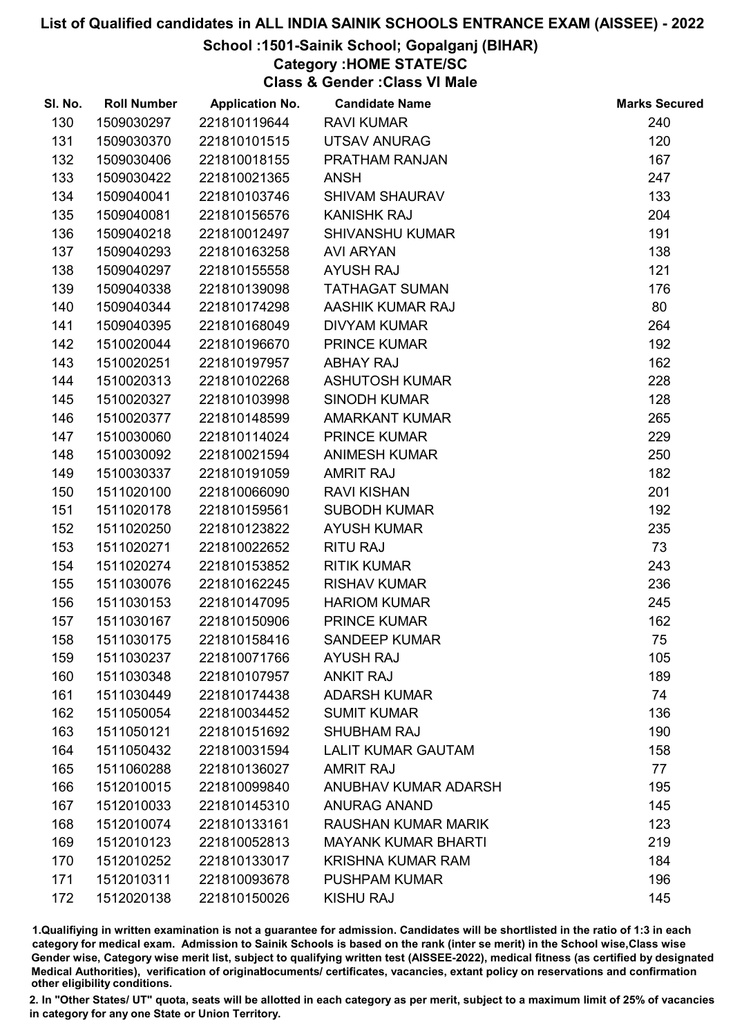### School :1501-Sainik School; Gopalganj (BIHAR)

# Category :HOME STATE/SC

Class & Gender :Class VI Male

| SI. No. | <b>Roll Number</b> | <b>Application No.</b> | <b>Candidate Name</b>      | <b>Marks Secured</b> |
|---------|--------------------|------------------------|----------------------------|----------------------|
| 130     | 1509030297         | 221810119644           | <b>RAVI KUMAR</b>          | 240                  |
| 131     | 1509030370         | 221810101515           | <b>UTSAV ANURAG</b>        | 120                  |
| 132     | 1509030406         | 221810018155           | PRATHAM RANJAN             | 167                  |
| 133     | 1509030422         | 221810021365           | <b>ANSH</b>                | 247                  |
| 134     | 1509040041         | 221810103746           | <b>SHIVAM SHAURAV</b>      | 133                  |
| 135     | 1509040081         | 221810156576           | <b>KANISHK RAJ</b>         | 204                  |
| 136     | 1509040218         | 221810012497           | <b>SHIVANSHU KUMAR</b>     | 191                  |
| 137     | 1509040293         | 221810163258           | <b>AVI ARYAN</b>           | 138                  |
| 138     | 1509040297         | 221810155558           | <b>AYUSH RAJ</b>           | 121                  |
| 139     | 1509040338         | 221810139098           | <b>TATHAGAT SUMAN</b>      | 176                  |
| 140     | 1509040344         | 221810174298           | AASHIK KUMAR RAJ           | 80                   |
| 141     | 1509040395         | 221810168049           | <b>DIVYAM KUMAR</b>        | 264                  |
| 142     | 1510020044         | 221810196670           | <b>PRINCE KUMAR</b>        | 192                  |
| 143     | 1510020251         | 221810197957           | <b>ABHAY RAJ</b>           | 162                  |
| 144     | 1510020313         | 221810102268           | <b>ASHUTOSH KUMAR</b>      | 228                  |
| 145     | 1510020327         | 221810103998           | <b>SINODH KUMAR</b>        | 128                  |
| 146     | 1510020377         | 221810148599           | <b>AMARKANT KUMAR</b>      | 265                  |
| 147     | 1510030060         | 221810114024           | PRINCE KUMAR               | 229                  |
| 148     | 1510030092         | 221810021594           | <b>ANIMESH KUMAR</b>       | 250                  |
| 149     | 1510030337         | 221810191059           | <b>AMRIT RAJ</b>           | 182                  |
| 150     | 1511020100         | 221810066090           | <b>RAVI KISHAN</b>         | 201                  |
| 151     | 1511020178         | 221810159561           | <b>SUBODH KUMAR</b>        | 192                  |
| 152     | 1511020250         | 221810123822           | <b>AYUSH KUMAR</b>         | 235                  |
| 153     | 1511020271         | 221810022652           | <b>RITU RAJ</b>            | 73                   |
| 154     | 1511020274         | 221810153852           | <b>RITIK KUMAR</b>         | 243                  |
| 155     | 1511030076         | 221810162245           | <b>RISHAV KUMAR</b>        | 236                  |
| 156     | 1511030153         | 221810147095           | <b>HARIOM KUMAR</b>        | 245                  |
| 157     | 1511030167         | 221810150906           | PRINCE KUMAR               | 162                  |
| 158     | 1511030175         | 221810158416           | <b>SANDEEP KUMAR</b>       | 75                   |
| 159     | 1511030237         | 221810071766           | <b>AYUSH RAJ</b>           | 105                  |
| 160     | 1511030348         | 221810107957           | <b>ANKIT RAJ</b>           | 189                  |
| 161     | 1511030449         | 221810174438           | <b>ADARSH KUMAR</b>        | 74                   |
| 162     | 1511050054         | 221810034452           | <b>SUMIT KUMAR</b>         | 136                  |
| 163     | 1511050121         | 221810151692           | <b>SHUBHAM RAJ</b>         | 190                  |
| 164     | 1511050432         | 221810031594           | <b>LALIT KUMAR GAUTAM</b>  | 158                  |
| 165     | 1511060288         | 221810136027           | <b>AMRIT RAJ</b>           | 77                   |
| 166     | 1512010015         | 221810099840           | ANUBHAV KUMAR ADARSH       | 195                  |
| 167     | 1512010033         | 221810145310           | <b>ANURAG ANAND</b>        | 145                  |
| 168     | 1512010074         | 221810133161           | RAUSHAN KUMAR MARIK        | 123                  |
| 169     | 1512010123         | 221810052813           | <b>MAYANK KUMAR BHARTI</b> | 219                  |
| 170     | 1512010252         | 221810133017           | <b>KRISHNA KUMAR RAM</b>   | 184                  |
| 171     | 1512010311         | 221810093678           | <b>PUSHPAM KUMAR</b>       | 196                  |
| 172     | 1512020138         | 221810150026           | KISHU RAJ                  | 145                  |

1.Qualifiying in written examination is not a guarantee for admission. Candidates will be shortlisted in the ratio of 1:3 in each category for medical exam. Admission to Sainik Schools is based on the rank (inter se merit) in the School wise,Class wise Gender wise, Category wise merit list, subject to qualifying written test (AISSEE-2022), medical fitness (as certified by designated Medical Authorities), verification of originablocuments/ certificates, vacancies, extant policy on reservations and confirmation other eligibility conditions.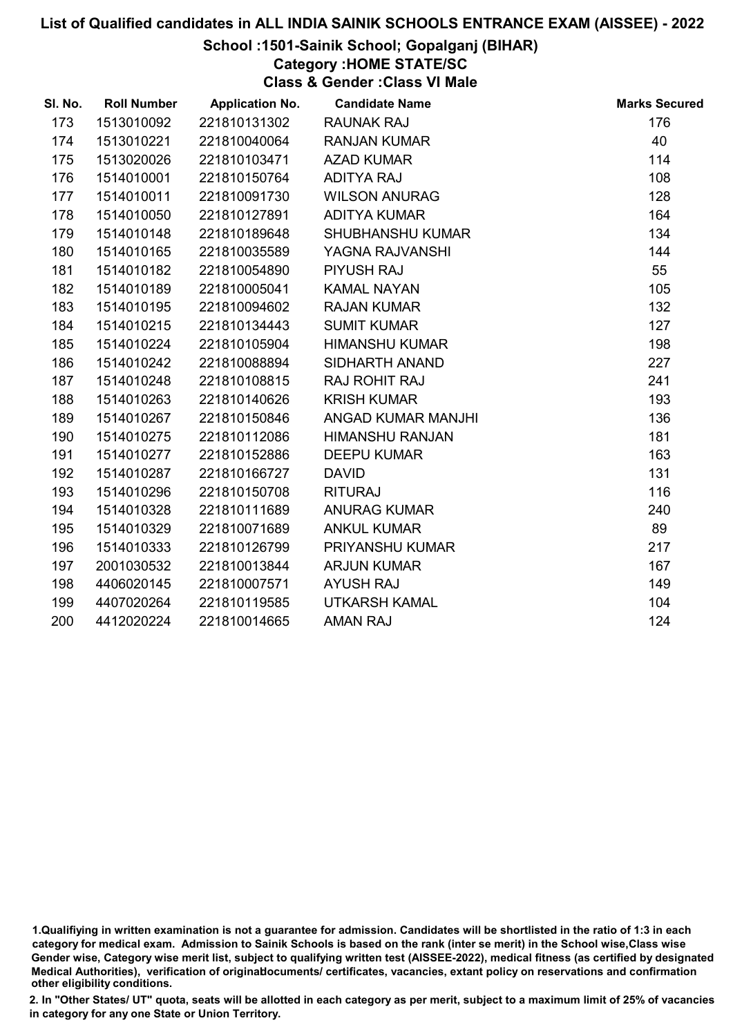### School :1501-Sainik School; Gopalganj (BIHAR)

Category :HOME STATE/SC

Class & Gender :Class VI Male

| SI. No. | <b>Roll Number</b> | <b>Application No.</b> | <b>Candidate Name</b>   | <b>Marks Secured</b> |
|---------|--------------------|------------------------|-------------------------|----------------------|
| 173     | 1513010092         | 221810131302           | <b>RAUNAK RAJ</b>       | 176                  |
| 174     | 1513010221         | 221810040064           | <b>RANJAN KUMAR</b>     | 40                   |
| 175     | 1513020026         | 221810103471           | <b>AZAD KUMAR</b>       | 114                  |
| 176     | 1514010001         | 221810150764           | <b>ADITYA RAJ</b>       | 108                  |
| 177     | 1514010011         | 221810091730           | <b>WILSON ANURAG</b>    | 128                  |
| 178     | 1514010050         | 221810127891           | <b>ADITYA KUMAR</b>     | 164                  |
| 179     | 1514010148         | 221810189648           | <b>SHUBHANSHU KUMAR</b> | 134                  |
| 180     | 1514010165         | 221810035589           | YAGNA RAJVANSHI         | 144                  |
| 181     | 1514010182         | 221810054890           | <b>PIYUSH RAJ</b>       | 55                   |
| 182     | 1514010189         | 221810005041           | <b>KAMAL NAYAN</b>      | 105                  |
| 183     | 1514010195         | 221810094602           | <b>RAJAN KUMAR</b>      | 132                  |
| 184     | 1514010215         | 221810134443           | <b>SUMIT KUMAR</b>      | 127                  |
| 185     | 1514010224         | 221810105904           | <b>HIMANSHU KUMAR</b>   | 198                  |
| 186     | 1514010242         | 221810088894           | SIDHARTH ANAND          | 227                  |
| 187     | 1514010248         | 221810108815           | RAJ ROHIT RAJ           | 241                  |
| 188     | 1514010263         | 221810140626           | <b>KRISH KUMAR</b>      | 193                  |
| 189     | 1514010267         | 221810150846           | ANGAD KUMAR MANJHI      | 136                  |
| 190     | 1514010275         | 221810112086           | <b>HIMANSHU RANJAN</b>  | 181                  |
| 191     | 1514010277         | 221810152886           | <b>DEEPU KUMAR</b>      | 163                  |
| 192     | 1514010287         | 221810166727           | <b>DAVID</b>            | 131                  |
| 193     | 1514010296         | 221810150708           | <b>RITURAJ</b>          | 116                  |
| 194     | 1514010328         | 221810111689           | <b>ANURAG KUMAR</b>     | 240                  |
| 195     | 1514010329         | 221810071689           | <b>ANKUL KUMAR</b>      | 89                   |
| 196     | 1514010333         | 221810126799           | PRIYANSHU KUMAR         | 217                  |
| 197     | 2001030532         | 221810013844           | <b>ARJUN KUMAR</b>      | 167                  |
| 198     | 4406020145         | 221810007571           | <b>AYUSH RAJ</b>        | 149                  |
| 199     | 4407020264         | 221810119585           | <b>UTKARSH KAMAL</b>    | 104                  |
| 200     | 4412020224         | 221810014665           | <b>AMAN RAJ</b>         | 124                  |

<sup>1.</sup>Qualifiying in written examination is not a guarantee for admission. Candidates will be shortlisted in the ratio of 1:3 in each category for medical exam. Admission to Sainik Schools is based on the rank (inter se merit) in the School wise,Class wise Gender wise, Category wise merit list, subject to qualifying written test (AISSEE-2022), medical fitness (as certified by designated Medical Authorities), verification of originablocuments/ certificates, vacancies, extant policy on reservations and confirmation other eligibility conditions.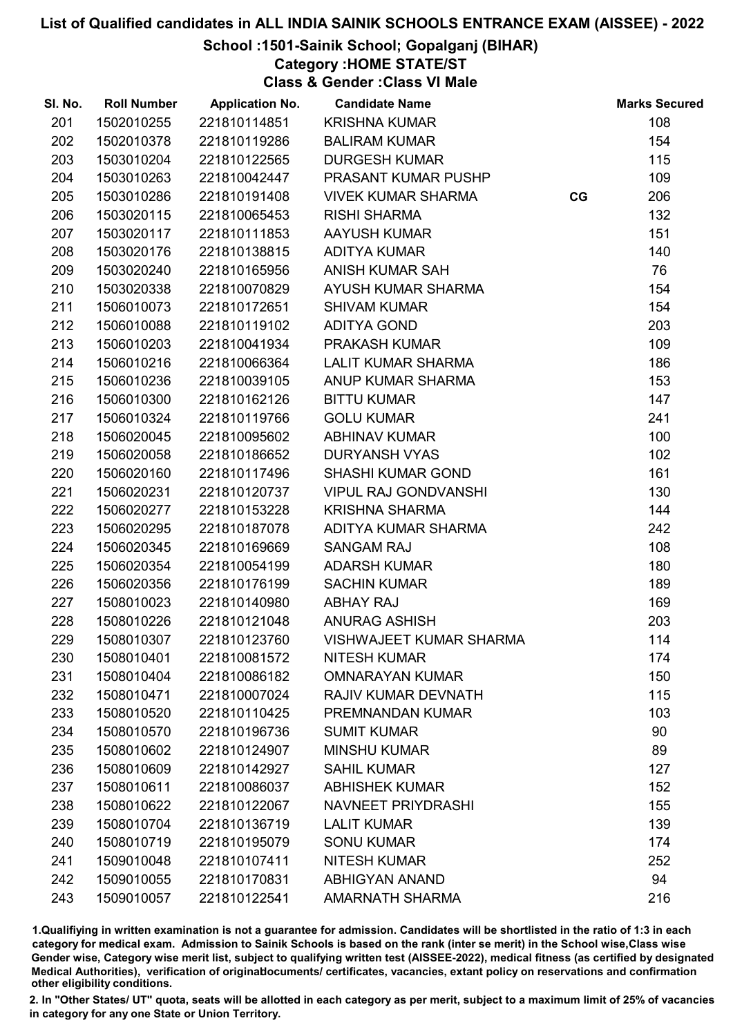School :1501-Sainik School; Gopalganj (BIHAR)

Category :HOME STATE/ST

Class & Gender :Class VI Male

| SI. No. | <b>Roll Number</b> | <b>Application No.</b> | <b>Candidate Name</b>          |    | <b>Marks Secured</b> |
|---------|--------------------|------------------------|--------------------------------|----|----------------------|
| 201     | 1502010255         | 221810114851           | <b>KRISHNA KUMAR</b>           |    | 108                  |
| 202     | 1502010378         | 221810119286           | <b>BALIRAM KUMAR</b>           |    | 154                  |
| 203     | 1503010204         | 221810122565           | <b>DURGESH KUMAR</b>           |    | 115                  |
| 204     | 1503010263         | 221810042447           | PRASANT KUMAR PUSHP            |    | 109                  |
| 205     | 1503010286         | 221810191408           | <b>VIVEK KUMAR SHARMA</b>      | CG | 206                  |
| 206     | 1503020115         | 221810065453           | <b>RISHI SHARMA</b>            |    | 132                  |
| 207     | 1503020117         | 221810111853           | <b>AAYUSH KUMAR</b>            |    | 151                  |
| 208     | 1503020176         | 221810138815           | <b>ADITYA KUMAR</b>            |    | 140                  |
| 209     | 1503020240         | 221810165956           | <b>ANISH KUMAR SAH</b>         |    | 76                   |
| 210     | 1503020338         | 221810070829           | AYUSH KUMAR SHARMA             |    | 154                  |
| 211     | 1506010073         | 221810172651           | <b>SHIVAM KUMAR</b>            |    | 154                  |
| 212     | 1506010088         | 221810119102           | <b>ADITYA GOND</b>             |    | 203                  |
| 213     | 1506010203         | 221810041934           | PRAKASH KUMAR                  |    | 109                  |
| 214     | 1506010216         | 221810066364           | <b>LALIT KUMAR SHARMA</b>      |    | 186                  |
| 215     | 1506010236         | 221810039105           | ANUP KUMAR SHARMA              |    | 153                  |
| 216     | 1506010300         | 221810162126           | <b>BITTU KUMAR</b>             |    | 147                  |
| 217     | 1506010324         | 221810119766           | <b>GOLU KUMAR</b>              |    | 241                  |
| 218     | 1506020045         | 221810095602           | <b>ABHINAV KUMAR</b>           |    | 100                  |
| 219     | 1506020058         | 221810186652           | <b>DURYANSH VYAS</b>           |    | 102                  |
| 220     | 1506020160         | 221810117496           | <b>SHASHI KUMAR GOND</b>       |    | 161                  |
| 221     | 1506020231         | 221810120737           | <b>VIPUL RAJ GONDVANSHI</b>    |    | 130                  |
| 222     | 1506020277         | 221810153228           | <b>KRISHNA SHARMA</b>          |    | 144                  |
| 223     | 1506020295         | 221810187078           | ADITYA KUMAR SHARMA            |    | 242                  |
| 224     | 1506020345         | 221810169669           | <b>SANGAM RAJ</b>              |    | 108                  |
| 225     | 1506020354         | 221810054199           | <b>ADARSH KUMAR</b>            |    | 180                  |
| 226     | 1506020356         | 221810176199           | <b>SACHIN KUMAR</b>            |    | 189                  |
| 227     | 1508010023         | 221810140980           | <b>ABHAY RAJ</b>               |    | 169                  |
| 228     | 1508010226         | 221810121048           | ANURAG ASHISH                  |    | 203                  |
| 229     | 1508010307         | 221810123760           | <b>VISHWAJEET KUMAR SHARMA</b> |    | 114                  |
| 230     | 1508010401         | 221810081572           | <b>NITESH KUMAR</b>            |    | 174                  |
| 231     | 1508010404         | 221810086182           | <b>OMNARAYAN KUMAR</b>         |    | 150                  |
| 232     | 1508010471         | 221810007024           | RAJIV KUMAR DEVNATH            |    | 115                  |
| 233     | 1508010520         | 221810110425           | PREMNANDAN KUMAR               |    | 103                  |
| 234     | 1508010570         | 221810196736           | <b>SUMIT KUMAR</b>             |    | 90                   |
| 235     | 1508010602         | 221810124907           | <b>MINSHU KUMAR</b>            |    | 89                   |
| 236     | 1508010609         | 221810142927           | <b>SAHIL KUMAR</b>             |    | 127                  |
| 237     | 1508010611         | 221810086037           | <b>ABHISHEK KUMAR</b>          |    | 152                  |
| 238     | 1508010622         | 221810122067           | <b>NAVNEET PRIYDRASHI</b>      |    | 155                  |
| 239     | 1508010704         | 221810136719           | <b>LALIT KUMAR</b>             |    | 139                  |
| 240     | 1508010719         | 221810195079           | <b>SONU KUMAR</b>              |    | 174                  |
| 241     | 1509010048         | 221810107411           | <b>NITESH KUMAR</b>            |    | 252                  |
| 242     | 1509010055         | 221810170831           | <b>ABHIGYAN ANAND</b>          |    | 94                   |
| 243     | 1509010057         | 221810122541           | <b>AMARNATH SHARMA</b>         |    | 216                  |

1.Qualifiying in written examination is not a guarantee for admission. Candidates will be shortlisted in the ratio of 1:3 in each category for medical exam. Admission to Sainik Schools is based on the rank (inter se merit) in the School wise,Class wise Gender wise, Category wise merit list, subject to qualifying written test (AISSEE-2022), medical fitness (as certified by designated Medical Authorities), verification of originablocuments/ certificates, vacancies, extant policy on reservations and confirmation other eligibility conditions.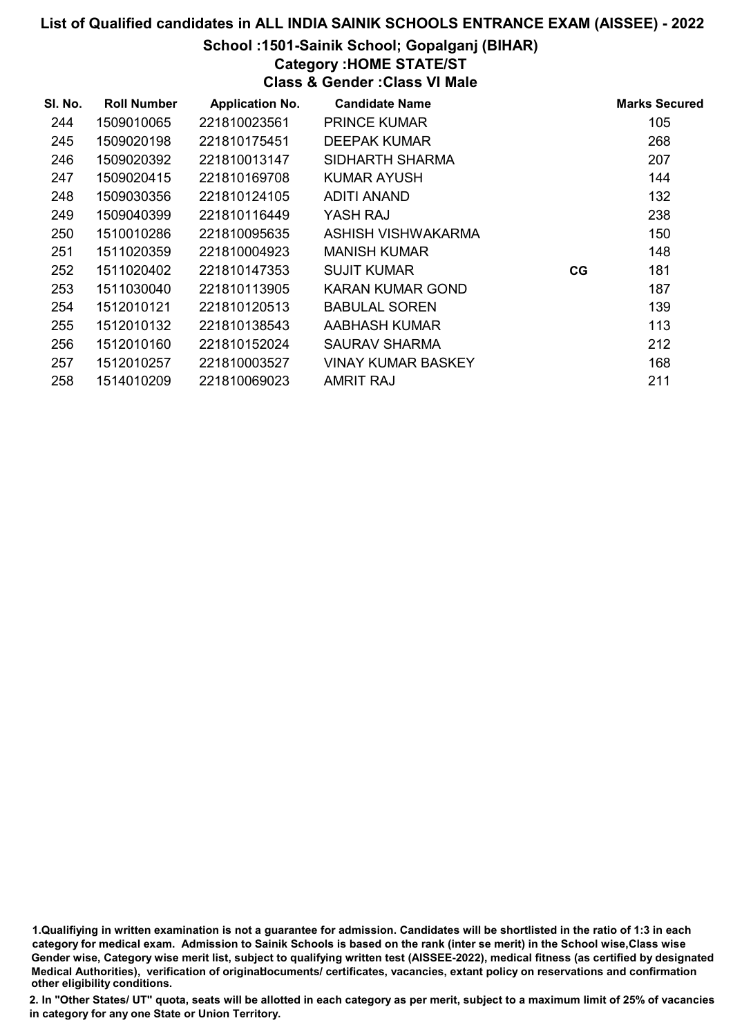### School :1501-Sainik School; Gopalganj (BIHAR)

# Category :HOME STATE/ST

Class & Gender :Class VI Male

| SI. No. | <b>Roll Number</b> | <b>Application No.</b> | <b>Candidate Name</b>     |    | <b>Marks Secured</b> |
|---------|--------------------|------------------------|---------------------------|----|----------------------|
| 244     | 1509010065         | 221810023561           | <b>PRINCE KUMAR</b>       |    | 105                  |
| 245     | 1509020198         | 221810175451           | <b>DEEPAK KUMAR</b>       |    | 268                  |
| 246     | 1509020392         | 221810013147           | SIDHARTH SHARMA           |    | 207                  |
| 247     | 1509020415         | 221810169708           | KUMAR AYUSH               |    | 144                  |
| 248     | 1509030356         | 221810124105           | <b>ADITI ANAND</b>        |    | 132                  |
| 249     | 1509040399         | 221810116449           | YASH RAJ                  |    | 238                  |
| 250     | 1510010286         | 221810095635           | ASHISH VISHWAKARMA        |    | 150                  |
| 251     | 1511020359         | 221810004923           | <b>MANISH KUMAR</b>       |    | 148                  |
| 252     | 1511020402         | 221810147353           | <b>SUJIT KUMAR</b>        | CG | 181                  |
| 253     | 1511030040         | 221810113905           | KARAN KUMAR GOND          |    | 187                  |
| 254     | 1512010121         | 221810120513           | <b>BABULAL SOREN</b>      |    | 139                  |
| 255     | 1512010132         | 221810138543           | AABHASH KUMAR             |    | 113                  |
| 256     | 1512010160         | 221810152024           | <b>SAURAV SHARMA</b>      |    | 212                  |
| 257     | 1512010257         | 221810003527           | <b>VINAY KUMAR BASKEY</b> |    | 168                  |
| 258     | 1514010209         | 221810069023           | <b>AMRIT RAJ</b>          |    | 211                  |

1.Qualifiying in written examination is not a guarantee for admission. Candidates will be shortlisted in the ratio of 1:3 in each category for medical exam. Admission to Sainik Schools is based on the rank (inter se merit) in the School wise,Class wise Gender wise, Category wise merit list, subject to qualifying written test (AISSEE-2022), medical fitness (as certified by designated Medical Authorities), verification of originablocuments/ certificates, vacancies, extant policy on reservations and confirmation other eligibility conditions.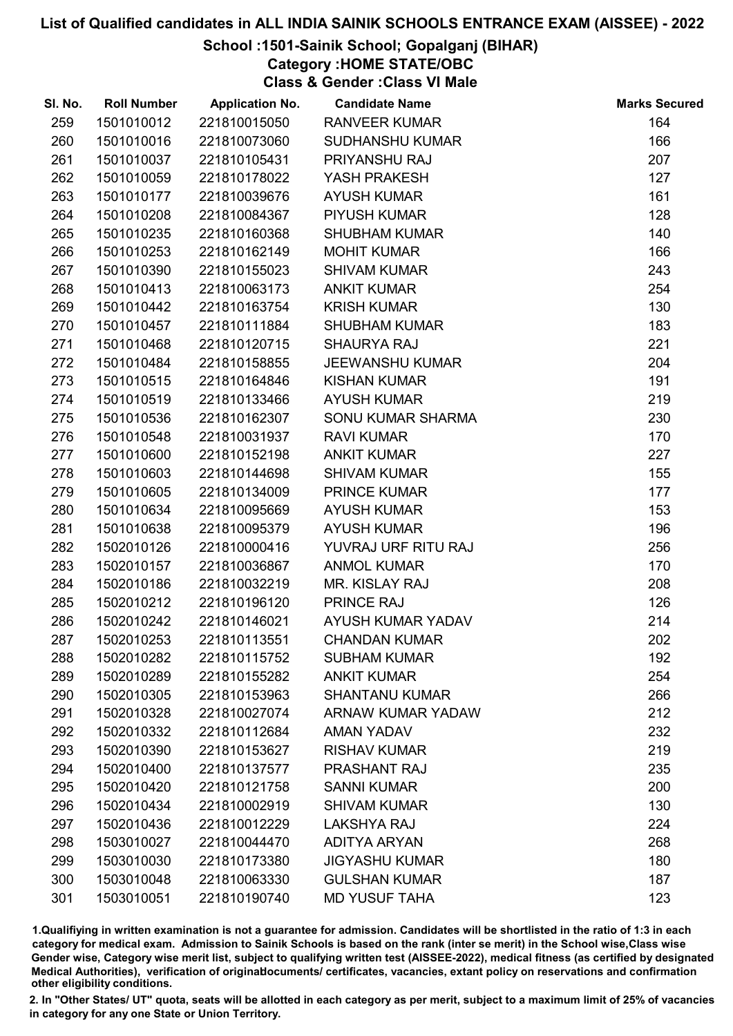# School :1501-Sainik School; Gopalganj (BIHAR)

Category :HOME STATE/OBC

Class & Gender :Class VI Male

| SI. No. | <b>Roll Number</b> | <b>Application No.</b> | <b>Candidate Name</b>  | <b>Marks Secured</b> |
|---------|--------------------|------------------------|------------------------|----------------------|
| 259     | 1501010012         | 221810015050           | <b>RANVEER KUMAR</b>   | 164                  |
| 260     | 1501010016         | 221810073060           | <b>SUDHANSHU KUMAR</b> | 166                  |
| 261     | 1501010037         | 221810105431           | PRIYANSHU RAJ          | 207                  |
| 262     | 1501010059         | 221810178022           | YASH PRAKESH           | 127                  |
| 263     | 1501010177         | 221810039676           | <b>AYUSH KUMAR</b>     | 161                  |
| 264     | 1501010208         | 221810084367           | PIYUSH KUMAR           | 128                  |
| 265     | 1501010235         | 221810160368           | <b>SHUBHAM KUMAR</b>   | 140                  |
| 266     | 1501010253         | 221810162149           | <b>MOHIT KUMAR</b>     | 166                  |
| 267     | 1501010390         | 221810155023           | <b>SHIVAM KUMAR</b>    | 243                  |
| 268     | 1501010413         | 221810063173           | <b>ANKIT KUMAR</b>     | 254                  |
| 269     | 1501010442         | 221810163754           | <b>KRISH KUMAR</b>     | 130                  |
| 270     | 1501010457         | 221810111884           | <b>SHUBHAM KUMAR</b>   | 183                  |
| 271     | 1501010468         | 221810120715           | <b>SHAURYA RAJ</b>     | 221                  |
| 272     | 1501010484         | 221810158855           | <b>JEEWANSHU KUMAR</b> | 204                  |
| 273     | 1501010515         | 221810164846           | <b>KISHAN KUMAR</b>    | 191                  |
| 274     | 1501010519         | 221810133466           | <b>AYUSH KUMAR</b>     | 219                  |
| 275     | 1501010536         | 221810162307           | SONU KUMAR SHARMA      | 230                  |
| 276     | 1501010548         | 221810031937           | <b>RAVI KUMAR</b>      | 170                  |
| 277     | 1501010600         | 221810152198           | <b>ANKIT KUMAR</b>     | 227                  |
| 278     | 1501010603         | 221810144698           | <b>SHIVAM KUMAR</b>    | 155                  |
| 279     | 1501010605         | 221810134009           | <b>PRINCE KUMAR</b>    | 177                  |
| 280     | 1501010634         | 221810095669           | <b>AYUSH KUMAR</b>     | 153                  |
| 281     | 1501010638         | 221810095379           | <b>AYUSH KUMAR</b>     | 196                  |
| 282     | 1502010126         | 221810000416           | YUVRAJ URF RITU RAJ    | 256                  |
| 283     | 1502010157         | 221810036867           | <b>ANMOL KUMAR</b>     | 170                  |
| 284     | 1502010186         | 221810032219           | MR. KISLAY RAJ         | 208                  |
| 285     | 1502010212         | 221810196120           | PRINCE RAJ             | 126                  |
| 286     | 1502010242         | 221810146021           | AYUSH KUMAR YADAV      | 214                  |
| 287     | 1502010253         | 221810113551           | <b>CHANDAN KUMAR</b>   | 202                  |
| 288     | 1502010282         | 221810115752           | <b>SUBHAM KUMAR</b>    | 192                  |
| 289     | 1502010289         | 221810155282           | <b>ANKIT KUMAR</b>     | 254                  |
| 290     | 1502010305         | 221810153963           | <b>SHANTANU KUMAR</b>  | 266                  |
| 291     | 1502010328         | 221810027074           | ARNAW KUMAR YADAW      | 212                  |
| 292     | 1502010332         | 221810112684           | <b>AMAN YADAV</b>      | 232                  |
| 293     | 1502010390         | 221810153627           | <b>RISHAV KUMAR</b>    | 219                  |
| 294     | 1502010400         | 221810137577           | <b>PRASHANT RAJ</b>    | 235                  |
| 295     | 1502010420         | 221810121758           | <b>SANNI KUMAR</b>     | 200                  |
| 296     | 1502010434         | 221810002919           | <b>SHIVAM KUMAR</b>    | 130                  |
| 297     | 1502010436         | 221810012229           | <b>LAKSHYA RAJ</b>     | 224                  |
| 298     | 1503010027         | 221810044470           | <b>ADITYA ARYAN</b>    | 268                  |
| 299     | 1503010030         | 221810173380           | <b>JIGYASHU KUMAR</b>  | 180                  |
| 300     | 1503010048         | 221810063330           | <b>GULSHAN KUMAR</b>   | 187                  |
| 301     | 1503010051         | 221810190740           | <b>MD YUSUF TAHA</b>   | 123                  |

1.Qualifiying in written examination is not a guarantee for admission. Candidates will be shortlisted in the ratio of 1:3 in each category for medical exam. Admission to Sainik Schools is based on the rank (inter se merit) in the School wise,Class wise Gender wise, Category wise merit list, subject to qualifying written test (AISSEE-2022), medical fitness (as certified by designated Medical Authorities), verification of originablocuments/ certificates, vacancies, extant policy on reservations and confirmation other eligibility conditions.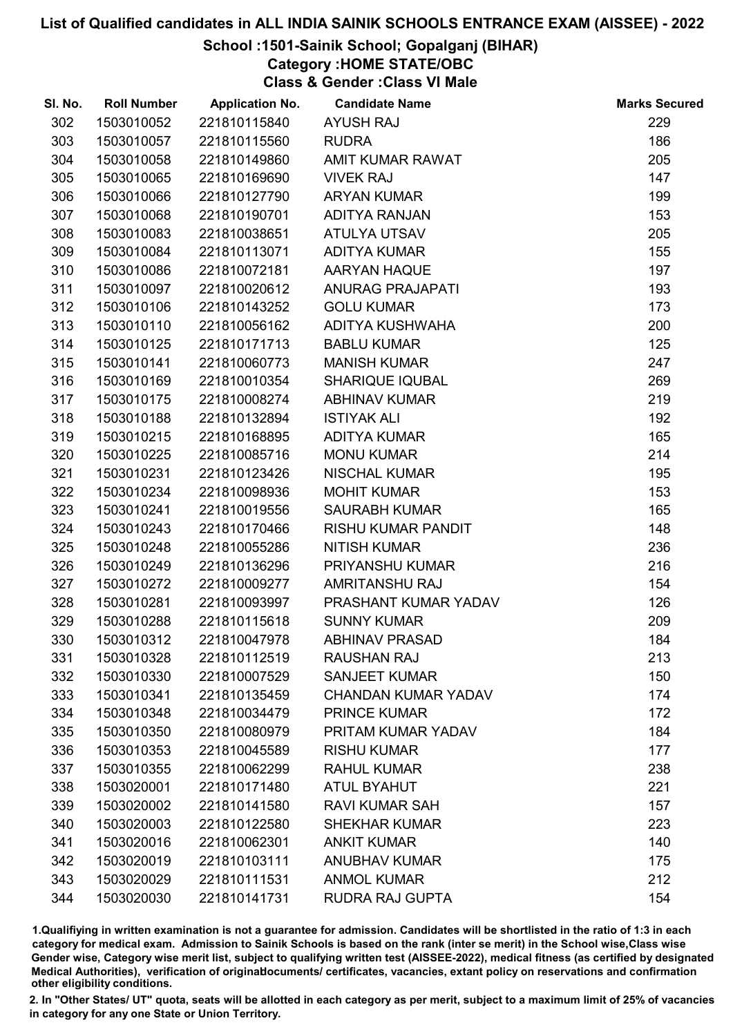### School :1501-Sainik School; Gopalganj (BIHAR)

Category :HOME STATE/OBC

Class & Gender :Class VI Male

| SI. No. | <b>Roll Number</b> | <b>Application No.</b> | <b>Candidate Name</b>      | <b>Marks Secured</b> |
|---------|--------------------|------------------------|----------------------------|----------------------|
| 302     | 1503010052         | 221810115840           | <b>AYUSH RAJ</b>           | 229                  |
| 303     | 1503010057         | 221810115560           | <b>RUDRA</b>               | 186                  |
| 304     | 1503010058         | 221810149860           | AMIT KUMAR RAWAT           | 205                  |
| 305     | 1503010065         | 221810169690           | <b>VIVEK RAJ</b>           | 147                  |
| 306     | 1503010066         | 221810127790           | <b>ARYAN KUMAR</b>         | 199                  |
| 307     | 1503010068         | 221810190701           | ADITYA RANJAN              | 153                  |
| 308     | 1503010083         | 221810038651           | ATULYA UTSAV               | 205                  |
| 309     | 1503010084         | 221810113071           | <b>ADITYA KUMAR</b>        | 155                  |
| 310     | 1503010086         | 221810072181           | AARYAN HAQUE               | 197                  |
| 311     | 1503010097         | 221810020612           | <b>ANURAG PRAJAPATI</b>    | 193                  |
| 312     | 1503010106         | 221810143252           | <b>GOLU KUMAR</b>          | 173                  |
| 313     | 1503010110         | 221810056162           | ADITYA KUSHWAHA            | 200                  |
| 314     | 1503010125         | 221810171713           | <b>BABLU KUMAR</b>         | 125                  |
| 315     | 1503010141         | 221810060773           | <b>MANISH KUMAR</b>        | 247                  |
| 316     | 1503010169         | 221810010354           | <b>SHARIQUE IQUBAL</b>     | 269                  |
| 317     | 1503010175         | 221810008274           | <b>ABHINAV KUMAR</b>       | 219                  |
| 318     | 1503010188         | 221810132894           | <b>ISTIYAK ALI</b>         | 192                  |
| 319     | 1503010215         | 221810168895           | <b>ADITYA KUMAR</b>        | 165                  |
| 320     | 1503010225         | 221810085716           | <b>MONU KUMAR</b>          | 214                  |
| 321     | 1503010231         | 221810123426           | <b>NISCHAL KUMAR</b>       | 195                  |
| 322     | 1503010234         | 221810098936           | <b>MOHIT KUMAR</b>         | 153                  |
| 323     | 1503010241         | 221810019556           | <b>SAURABH KUMAR</b>       | 165                  |
| 324     | 1503010243         | 221810170466           | <b>RISHU KUMAR PANDIT</b>  | 148                  |
| 325     | 1503010248         | 221810055286           | <b>NITISH KUMAR</b>        | 236                  |
| 326     | 1503010249         | 221810136296           | PRIYANSHU KUMAR            | 216                  |
| 327     | 1503010272         | 221810009277           | <b>AMRITANSHU RAJ</b>      | 154                  |
| 328     | 1503010281         | 221810093997           | PRASHANT KUMAR YADAV       | 126                  |
| 329     | 1503010288         | 221810115618           | <b>SUNNY KUMAR</b>         | 209                  |
| 330     | 1503010312         | 221810047978           | <b>ABHINAV PRASAD</b>      | 184                  |
| 331     | 1503010328         | 221810112519           | <b>RAUSHAN RAJ</b>         | 213                  |
| 332     | 1503010330         | 221810007529           | <b>SANJEET KUMAR</b>       | 150                  |
| 333     | 1503010341         | 221810135459           | <b>CHANDAN KUMAR YADAV</b> | 174                  |
| 334     | 1503010348         | 221810034479           | <b>PRINCE KUMAR</b>        | 172                  |
| 335     | 1503010350         | 221810080979           | PRITAM KUMAR YADAV         | 184                  |
| 336     | 1503010353         | 221810045589           | <b>RISHU KUMAR</b>         | 177                  |
| 337     | 1503010355         | 221810062299           | <b>RAHUL KUMAR</b>         | 238                  |
| 338     | 1503020001         | 221810171480           | <b>ATUL BYAHUT</b>         | 221                  |
| 339     | 1503020002         | 221810141580           | <b>RAVI KUMAR SAH</b>      | 157                  |
| 340     | 1503020003         | 221810122580           | <b>SHEKHAR KUMAR</b>       | 223                  |
| 341     | 1503020016         | 221810062301           | <b>ANKIT KUMAR</b>         | 140                  |
| 342     | 1503020019         | 221810103111           | <b>ANUBHAV KUMAR</b>       | 175                  |
| 343     | 1503020029         | 221810111531           | <b>ANMOL KUMAR</b>         | 212                  |
| 344     | 1503020030         | 221810141731           | RUDRA RAJ GUPTA            | 154                  |

1.Qualifiying in written examination is not a guarantee for admission. Candidates will be shortlisted in the ratio of 1:3 in each category for medical exam. Admission to Sainik Schools is based on the rank (inter se merit) in the School wise,Class wise Gender wise, Category wise merit list, subject to qualifying written test (AISSEE-2022), medical fitness (as certified by designated Medical Authorities), verification of originablocuments/ certificates, vacancies, extant policy on reservations and confirmation other eligibility conditions.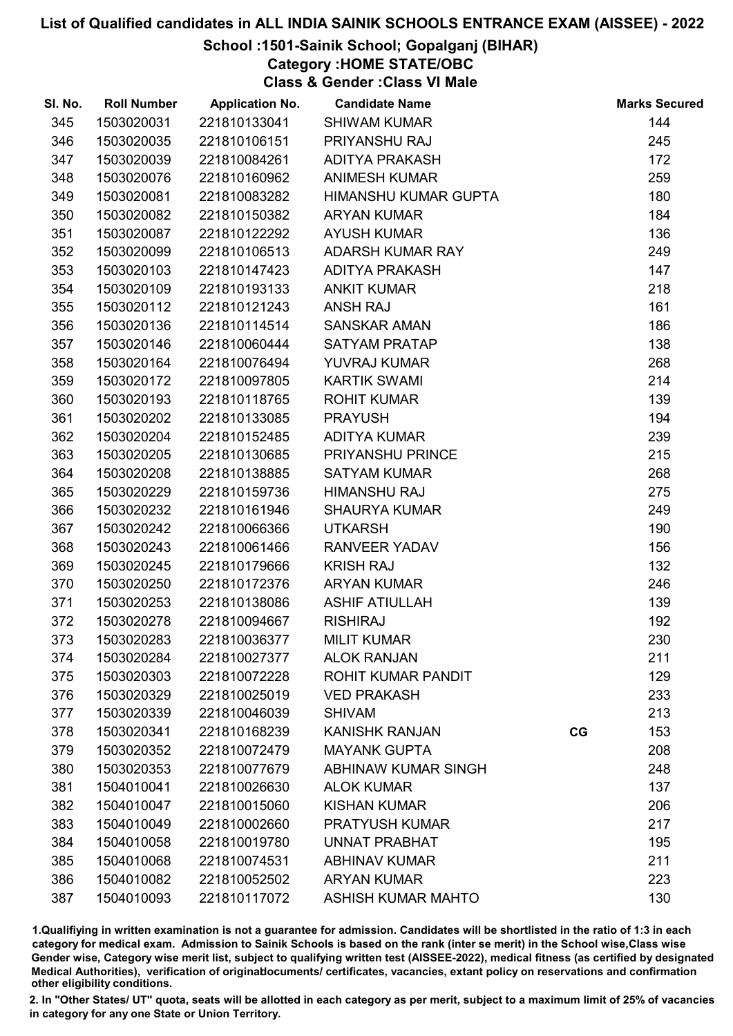# School :1501-Sainik School; Gopalganj (BIHAR)

Category :HOME STATE/OBC

Class & Gender :Class VI Male

| SI. No. | <b>Roll Number</b> | <b>Application No.</b> | <b>Candidate Name</b>       |    | <b>Marks Secured</b> |
|---------|--------------------|------------------------|-----------------------------|----|----------------------|
| 345     | 1503020031         | 221810133041           | <b>SHIWAM KUMAR</b>         |    | 144                  |
| 346     | 1503020035         | 221810106151           | PRIYANSHU RAJ               |    | 245                  |
| 347     | 1503020039         | 221810084261           | <b>ADITYA PRAKASH</b>       |    | 172                  |
| 348     | 1503020076         | 221810160962           | <b>ANIMESH KUMAR</b>        |    | 259                  |
| 349     | 1503020081         | 221810083282           | <b>HIMANSHU KUMAR GUPTA</b> |    | 180                  |
| 350     | 1503020082         | 221810150382           | <b>ARYAN KUMAR</b>          |    | 184                  |
| 351     | 1503020087         | 221810122292           | <b>AYUSH KUMAR</b>          |    | 136                  |
| 352     | 1503020099         | 221810106513           | ADARSH KUMAR RAY            |    | 249                  |
| 353     | 1503020103         | 221810147423           | <b>ADITYA PRAKASH</b>       |    | 147                  |
| 354     | 1503020109         | 221810193133           | <b>ANKIT KUMAR</b>          |    | 218                  |
| 355     | 1503020112         | 221810121243           | <b>ANSH RAJ</b>             |    | 161                  |
| 356     | 1503020136         | 221810114514           | <b>SANSKAR AMAN</b>         |    | 186                  |
| 357     | 1503020146         | 221810060444           | <b>SATYAM PRATAP</b>        |    | 138                  |
| 358     | 1503020164         | 221810076494           | YUVRAJ KUMAR                |    | 268                  |
| 359     | 1503020172         | 221810097805           | <b>KARTIK SWAMI</b>         |    | 214                  |
| 360     | 1503020193         | 221810118765           | <b>ROHIT KUMAR</b>          |    | 139                  |
| 361     | 1503020202         | 221810133085           | <b>PRAYUSH</b>              |    | 194                  |
| 362     | 1503020204         | 221810152485           | <b>ADITYA KUMAR</b>         |    | 239                  |
| 363     | 1503020205         | 221810130685           | PRIYANSHU PRINCE            |    | 215                  |
| 364     | 1503020208         | 221810138885           | <b>SATYAM KUMAR</b>         |    | 268                  |
| 365     | 1503020229         | 221810159736           | <b>HIMANSHU RAJ</b>         |    | 275                  |
| 366     | 1503020232         | 221810161946           | <b>SHAURYA KUMAR</b>        |    | 249                  |
| 367     | 1503020242         | 221810066366           | <b>UTKARSH</b>              |    | 190                  |
| 368     | 1503020243         | 221810061466           | <b>RANVEER YADAV</b>        |    | 156                  |
| 369     | 1503020245         | 221810179666           | <b>KRISH RAJ</b>            |    | 132                  |
| 370     | 1503020250         | 221810172376           | <b>ARYAN KUMAR</b>          |    | 246                  |
| 371     | 1503020253         | 221810138086           | <b>ASHIF ATIULLAH</b>       |    | 139                  |
| 372     | 1503020278         | 221810094667           | <b>RISHIRAJ</b>             |    | 192                  |
| 373     | 1503020283         | 221810036377           | <b>MILIT KUMAR</b>          |    | 230                  |
| 374     | 1503020284         | 221810027377           | <b>ALOK RANJAN</b>          |    | 211                  |
| 375     | 1503020303         | 221810072228           | ROHIT KUMAR PANDIT          |    | 129                  |
| 376     | 1503020329         | 221810025019           | <b>VED PRAKASH</b>          |    | 233                  |
| 377     | 1503020339         | 221810046039           | <b>SHIVAM</b>               |    | 213                  |
| 378     | 1503020341         | 221810168239           | <b>KANISHK RANJAN</b>       | CG | 153                  |
| 379     | 1503020352         | 221810072479           | <b>MAYANK GUPTA</b>         |    | 208                  |
| 380     | 1503020353         | 221810077679           | ABHINAW KUMAR SINGH         |    | 248                  |
| 381     | 1504010041         | 221810026630           | <b>ALOK KUMAR</b>           |    | 137                  |
| 382     | 1504010047         | 221810015060           | <b>KISHAN KUMAR</b>         |    | 206                  |
| 383     | 1504010049         | 221810002660           | <b>PRATYUSH KUMAR</b>       |    | 217                  |
| 384     | 1504010058         | 221810019780           | <b>UNNAT PRABHAT</b>        |    | 195                  |
| 385     | 1504010068         | 221810074531           | <b>ABHINAV KUMAR</b>        |    | 211                  |
| 386     | 1504010082         | 221810052502           | <b>ARYAN KUMAR</b>          |    | 223                  |
| 387     | 1504010093         | 221810117072           | <b>ASHISH KUMAR MAHTO</b>   |    | 130                  |

1.Qualifiying in written examination is not a guarantee for admission. Candidates will be shortlisted in the ratio of 1:3 in each category for medical exam. Admission to Sainik Schools is based on the rank (inter se merit) in the School wise,Class wise Gender wise, Category wise merit list, subject to qualifying written test (AISSEE-2022), medical fitness (as certified by designated Medical Authorities), verification of originablocuments/ certificates, vacancies, extant policy on reservations and confirmation other eligibility conditions.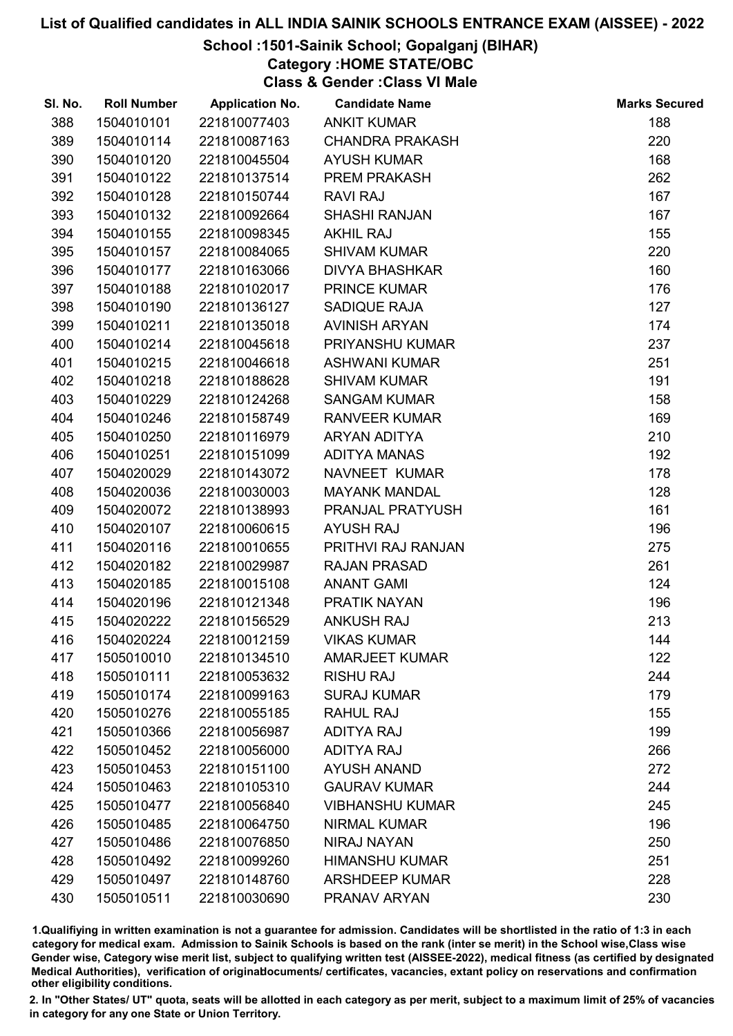### School :1501-Sainik School; Gopalganj (BIHAR)

Category :HOME STATE/OBC

Class & Gender :Class VI Male

| SI. No. | <b>Roll Number</b> | <b>Application No.</b> | <b>Candidate Name</b>  | <b>Marks Secured</b> |
|---------|--------------------|------------------------|------------------------|----------------------|
| 388     | 1504010101         | 221810077403           | <b>ANKIT KUMAR</b>     | 188                  |
| 389     | 1504010114         | 221810087163           | <b>CHANDRA PRAKASH</b> | 220                  |
| 390     | 1504010120         | 221810045504           | <b>AYUSH KUMAR</b>     | 168                  |
| 391     | 1504010122         | 221810137514           | PREM PRAKASH           | 262                  |
| 392     | 1504010128         | 221810150744           | <b>RAVI RAJ</b>        | 167                  |
| 393     | 1504010132         | 221810092664           | <b>SHASHI RANJAN</b>   | 167                  |
| 394     | 1504010155         | 221810098345           | <b>AKHIL RAJ</b>       | 155                  |
| 395     | 1504010157         | 221810084065           | <b>SHIVAM KUMAR</b>    | 220                  |
| 396     | 1504010177         | 221810163066           | <b>DIVYA BHASHKAR</b>  | 160                  |
| 397     | 1504010188         | 221810102017           | <b>PRINCE KUMAR</b>    | 176                  |
| 398     | 1504010190         | 221810136127           | SADIQUE RAJA           | 127                  |
| 399     | 1504010211         | 221810135018           | <b>AVINISH ARYAN</b>   | 174                  |
| 400     | 1504010214         | 221810045618           | PRIYANSHU KUMAR        | 237                  |
| 401     | 1504010215         | 221810046618           | <b>ASHWANI KUMAR</b>   | 251                  |
| 402     | 1504010218         | 221810188628           | <b>SHIVAM KUMAR</b>    | 191                  |
| 403     | 1504010229         | 221810124268           | <b>SANGAM KUMAR</b>    | 158                  |
| 404     | 1504010246         | 221810158749           | <b>RANVEER KUMAR</b>   | 169                  |
| 405     | 1504010250         | 221810116979           | <b>ARYAN ADITYA</b>    | 210                  |
| 406     | 1504010251         | 221810151099           | <b>ADITYA MANAS</b>    | 192                  |
| 407     | 1504020029         | 221810143072           | NAVNEET KUMAR          | 178                  |
| 408     | 1504020036         | 221810030003           | <b>MAYANK MANDAL</b>   | 128                  |
| 409     | 1504020072         | 221810138993           | PRANJAL PRATYUSH       | 161                  |
| 410     | 1504020107         | 221810060615           | <b>AYUSH RAJ</b>       | 196                  |
| 411     | 1504020116         | 221810010655           | PRITHVI RAJ RANJAN     | 275                  |
| 412     | 1504020182         | 221810029987           | <b>RAJAN PRASAD</b>    | 261                  |
| 413     | 1504020185         | 221810015108           | <b>ANANT GAMI</b>      | 124                  |
| 414     | 1504020196         | 221810121348           | PRATIK NAYAN           | 196                  |
| 415     | 1504020222         | 221810156529           | <b>ANKUSH RAJ</b>      | 213                  |
| 416     | 1504020224         | 221810012159           | <b>VIKAS KUMAR</b>     | 144                  |
| 417     | 1505010010         | 221810134510           | <b>AMARJEET KUMAR</b>  | 122                  |
| 418     | 1505010111         | 221810053632           | <b>RISHU RAJ</b>       | 244                  |
| 419     | 1505010174         | 221810099163           | <b>SURAJ KUMAR</b>     | 179                  |
| 420     | 1505010276         | 221810055185           | <b>RAHUL RAJ</b>       | 155                  |
| 421     | 1505010366         | 221810056987           | <b>ADITYA RAJ</b>      | 199                  |
| 422     | 1505010452         | 221810056000           | <b>ADITYA RAJ</b>      | 266                  |
| 423     | 1505010453         | 221810151100           | <b>AYUSH ANAND</b>     | 272                  |
| 424     | 1505010463         | 221810105310           | <b>GAURAV KUMAR</b>    | 244                  |
| 425     | 1505010477         | 221810056840           | <b>VIBHANSHU KUMAR</b> | 245                  |
| 426     | 1505010485         | 221810064750           | <b>NIRMAL KUMAR</b>    | 196                  |
| 427     | 1505010486         | 221810076850           | <b>NIRAJ NAYAN</b>     | 250                  |
| 428     | 1505010492         | 221810099260           | <b>HIMANSHU KUMAR</b>  | 251                  |
| 429     | 1505010497         | 221810148760           | <b>ARSHDEEP KUMAR</b>  | 228                  |
| 430     | 1505010511         | 221810030690           | PRANAV ARYAN           | 230                  |

1.Qualifiying in written examination is not a guarantee for admission. Candidates will be shortlisted in the ratio of 1:3 in each category for medical exam. Admission to Sainik Schools is based on the rank (inter se merit) in the School wise,Class wise Gender wise, Category wise merit list, subject to qualifying written test (AISSEE-2022), medical fitness (as certified by designated Medical Authorities), verification of originablocuments/ certificates, vacancies, extant policy on reservations and confirmation other eligibility conditions.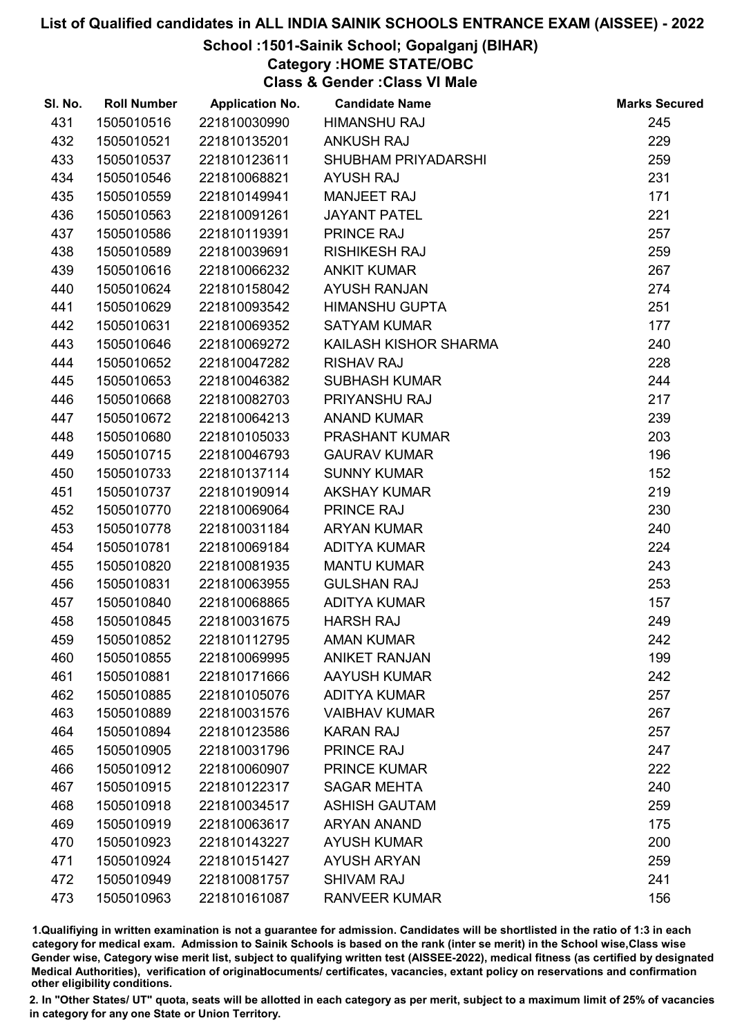# School :1501-Sainik School; Gopalganj (BIHAR)

Category :HOME STATE/OBC

Class & Gender :Class VI Male

| SI. No. | <b>Roll Number</b> | <b>Application No.</b> | <b>Candidate Name</b> | <b>Marks Secured</b> |
|---------|--------------------|------------------------|-----------------------|----------------------|
| 431     | 1505010516         | 221810030990           | <b>HIMANSHU RAJ</b>   | 245                  |
| 432     | 1505010521         | 221810135201           | <b>ANKUSH RAJ</b>     | 229                  |
| 433     | 1505010537         | 221810123611           | SHUBHAM PRIYADARSHI   | 259                  |
| 434     | 1505010546         | 221810068821           | <b>AYUSH RAJ</b>      | 231                  |
| 435     | 1505010559         | 221810149941           | <b>MANJEET RAJ</b>    | 171                  |
| 436     | 1505010563         | 221810091261           | <b>JAYANT PATEL</b>   | 221                  |
| 437     | 1505010586         | 221810119391           | <b>PRINCE RAJ</b>     | 257                  |
| 438     | 1505010589         | 221810039691           | <b>RISHIKESH RAJ</b>  | 259                  |
| 439     | 1505010616         | 221810066232           | <b>ANKIT KUMAR</b>    | 267                  |
| 440     | 1505010624         | 221810158042           | <b>AYUSH RANJAN</b>   | 274                  |
| 441     | 1505010629         | 221810093542           | <b>HIMANSHU GUPTA</b> | 251                  |
| 442     | 1505010631         | 221810069352           | <b>SATYAM KUMAR</b>   | 177                  |
| 443     | 1505010646         | 221810069272           | KAILASH KISHOR SHARMA | 240                  |
| 444     | 1505010652         | 221810047282           | <b>RISHAV RAJ</b>     | 228                  |
| 445     | 1505010653         | 221810046382           | <b>SUBHASH KUMAR</b>  | 244                  |
| 446     | 1505010668         | 221810082703           | PRIYANSHU RAJ         | 217                  |
| 447     | 1505010672         | 221810064213           | <b>ANAND KUMAR</b>    | 239                  |
| 448     | 1505010680         | 221810105033           | <b>PRASHANT KUMAR</b> | 203                  |
| 449     | 1505010715         | 221810046793           | <b>GAURAV KUMAR</b>   | 196                  |
| 450     | 1505010733         | 221810137114           | <b>SUNNY KUMAR</b>    | 152                  |
| 451     | 1505010737         | 221810190914           | <b>AKSHAY KUMAR</b>   | 219                  |
| 452     | 1505010770         | 221810069064           | PRINCE RAJ            | 230                  |
| 453     | 1505010778         | 221810031184           | <b>ARYAN KUMAR</b>    | 240                  |
| 454     | 1505010781         | 221810069184           | <b>ADITYA KUMAR</b>   | 224                  |
| 455     | 1505010820         | 221810081935           | <b>MANTU KUMAR</b>    | 243                  |
| 456     | 1505010831         | 221810063955           | <b>GULSHAN RAJ</b>    | 253                  |
| 457     | 1505010840         | 221810068865           | <b>ADITYA KUMAR</b>   | 157                  |
| 458     | 1505010845         | 221810031675           | <b>HARSH RAJ</b>      | 249                  |
| 459     | 1505010852         | 221810112795           | <b>AMAN KUMAR</b>     | 242                  |
| 460     | 1505010855         | 221810069995           | <b>ANIKET RANJAN</b>  | 199                  |
| 461     | 1505010881         | 221810171666           | <b>AAYUSH KUMAR</b>   | 242                  |
| 462     | 1505010885         | 221810105076           | <b>ADITYA KUMAR</b>   | 257                  |
| 463     | 1505010889         | 221810031576           | <b>VAIBHAV KUMAR</b>  | 267                  |
| 464     | 1505010894         | 221810123586           | <b>KARAN RAJ</b>      | 257                  |
| 465     | 1505010905         | 221810031796           | <b>PRINCE RAJ</b>     | 247                  |
| 466     | 1505010912         | 221810060907           | <b>PRINCE KUMAR</b>   | 222                  |
| 467     | 1505010915         | 221810122317           | <b>SAGAR MEHTA</b>    | 240                  |
| 468     | 1505010918         | 221810034517           | <b>ASHISH GAUTAM</b>  | 259                  |
| 469     | 1505010919         | 221810063617           | <b>ARYAN ANAND</b>    | 175                  |
| 470     | 1505010923         | 221810143227           | <b>AYUSH KUMAR</b>    | 200                  |
| 471     | 1505010924         | 221810151427           | <b>AYUSH ARYAN</b>    | 259                  |
| 472     | 1505010949         | 221810081757           | <b>SHIVAM RAJ</b>     | 241                  |
| 473     | 1505010963         | 221810161087           | <b>RANVEER KUMAR</b>  | 156                  |

1.Qualifiying in written examination is not a guarantee for admission. Candidates will be shortlisted in the ratio of 1:3 in each category for medical exam. Admission to Sainik Schools is based on the rank (inter se merit) in the School wise,Class wise Gender wise, Category wise merit list, subject to qualifying written test (AISSEE-2022), medical fitness (as certified by designated Medical Authorities), verification of originablocuments/ certificates, vacancies, extant policy on reservations and confirmation other eligibility conditions.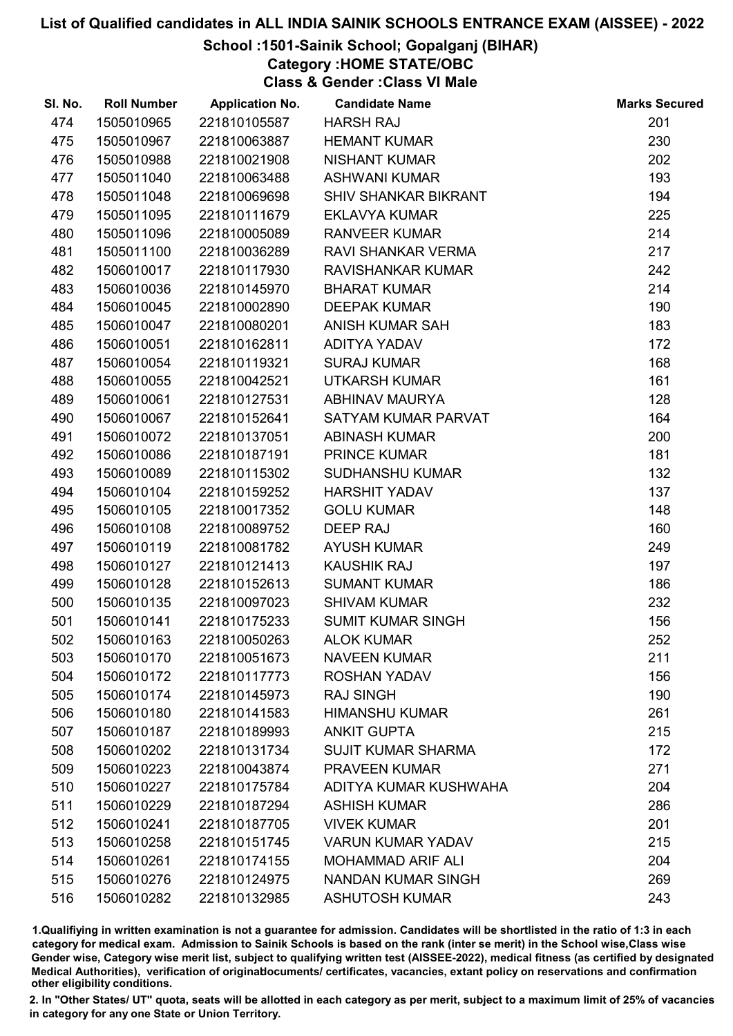## School :1501-Sainik School; Gopalganj (BIHAR)

Category :HOME STATE/OBC

Class & Gender :Class VI Male

| SI. No. | <b>Roll Number</b> | <b>Application No.</b> | <b>Candidate Name</b>       | <b>Marks Secured</b> |
|---------|--------------------|------------------------|-----------------------------|----------------------|
| 474     | 1505010965         | 221810105587           | <b>HARSH RAJ</b>            | 201                  |
| 475     | 1505010967         | 221810063887           | <b>HEMANT KUMAR</b>         | 230                  |
| 476     | 1505010988         | 221810021908           | <b>NISHANT KUMAR</b>        | 202                  |
| 477     | 1505011040         | 221810063488           | <b>ASHWANI KUMAR</b>        | 193                  |
| 478     | 1505011048         | 221810069698           | <b>SHIV SHANKAR BIKRANT</b> | 194                  |
| 479     | 1505011095         | 221810111679           | <b>EKLAVYA KUMAR</b>        | 225                  |
| 480     | 1505011096         | 221810005089           | <b>RANVEER KUMAR</b>        | 214                  |
| 481     | 1505011100         | 221810036289           | <b>RAVI SHANKAR VERMA</b>   | 217                  |
| 482     | 1506010017         | 221810117930           | RAVISHANKAR KUMAR           | 242                  |
| 483     | 1506010036         | 221810145970           | <b>BHARAT KUMAR</b>         | 214                  |
| 484     | 1506010045         | 221810002890           | <b>DEEPAK KUMAR</b>         | 190                  |
| 485     | 1506010047         | 221810080201           | ANISH KUMAR SAH             | 183                  |
| 486     | 1506010051         | 221810162811           | <b>ADITYA YADAV</b>         | 172                  |
| 487     | 1506010054         | 221810119321           | <b>SURAJ KUMAR</b>          | 168                  |
| 488     | 1506010055         | 221810042521           | <b>UTKARSH KUMAR</b>        | 161                  |
| 489     | 1506010061         | 221810127531           | <b>ABHINAV MAURYA</b>       | 128                  |
| 490     | 1506010067         | 221810152641           | SATYAM KUMAR PARVAT         | 164                  |
| 491     | 1506010072         | 221810137051           | <b>ABINASH KUMAR</b>        | 200                  |
| 492     | 1506010086         | 221810187191           | <b>PRINCE KUMAR</b>         | 181                  |
| 493     | 1506010089         | 221810115302           | <b>SUDHANSHU KUMAR</b>      | 132                  |
| 494     | 1506010104         | 221810159252           | <b>HARSHIT YADAV</b>        | 137                  |
| 495     | 1506010105         | 221810017352           | <b>GOLU KUMAR</b>           | 148                  |
| 496     | 1506010108         | 221810089752           | <b>DEEP RAJ</b>             | 160                  |
| 497     | 1506010119         | 221810081782           | <b>AYUSH KUMAR</b>          | 249                  |
| 498     | 1506010127         | 221810121413           | <b>KAUSHIK RAJ</b>          | 197                  |
| 499     | 1506010128         | 221810152613           | <b>SUMANT KUMAR</b>         | 186                  |
| 500     | 1506010135         | 221810097023           | <b>SHIVAM KUMAR</b>         | 232                  |
| 501     | 1506010141         | 221810175233           | <b>SUMIT KUMAR SINGH</b>    | 156                  |
| 502     | 1506010163         | 221810050263           | <b>ALOK KUMAR</b>           | 252                  |
| 503     | 1506010170         | 221810051673           | <b>NAVEEN KUMAR</b>         | 211                  |
| 504     | 1506010172         | 221810117773           | <b>ROSHAN YADAV</b>         | 156                  |
| 505     | 1506010174         | 221810145973           | <b>RAJ SINGH</b>            | 190                  |
| 506     | 1506010180         | 221810141583           | <b>HIMANSHU KUMAR</b>       | 261                  |
| 507     | 1506010187         | 221810189993           | <b>ANKIT GUPTA</b>          | 215                  |
| 508     | 1506010202         | 221810131734           | <b>SUJIT KUMAR SHARMA</b>   | 172                  |
| 509     | 1506010223         | 221810043874           | <b>PRAVEEN KUMAR</b>        | 271                  |
| 510     | 1506010227         | 221810175784           | ADITYA KUMAR KUSHWAHA       | 204                  |
| 511     | 1506010229         | 221810187294           | <b>ASHISH KUMAR</b>         | 286                  |
| 512     | 1506010241         | 221810187705           | <b>VIVEK KUMAR</b>          | 201                  |
| 513     | 1506010258         | 221810151745           | <b>VARUN KUMAR YADAV</b>    | 215                  |
| 514     | 1506010261         | 221810174155           | <b>MOHAMMAD ARIF ALI</b>    | 204                  |
| 515     | 1506010276         | 221810124975           | <b>NANDAN KUMAR SINGH</b>   | 269                  |
| 516     | 1506010282         | 221810132985           | <b>ASHUTOSH KUMAR</b>       | 243                  |

1.Qualifiying in written examination is not a guarantee for admission. Candidates will be shortlisted in the ratio of 1:3 in each category for medical exam. Admission to Sainik Schools is based on the rank (inter se merit) in the School wise,Class wise Gender wise, Category wise merit list, subject to qualifying written test (AISSEE-2022), medical fitness (as certified by designated Medical Authorities), verification of originablocuments/ certificates, vacancies, extant policy on reservations and confirmation other eligibility conditions.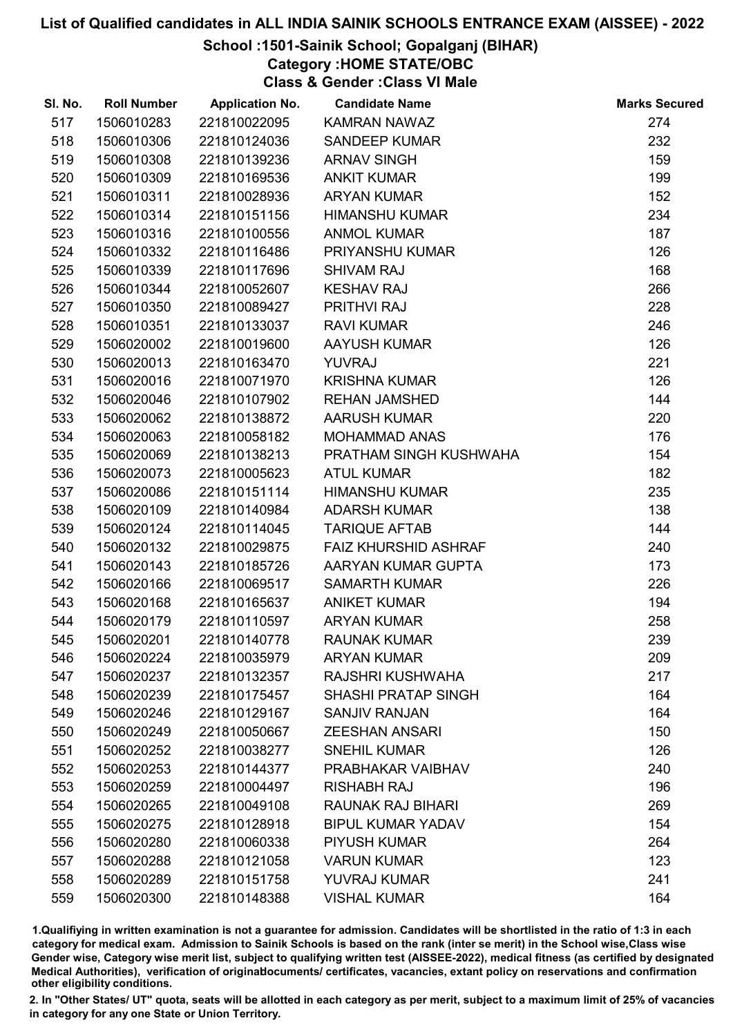### School :1501-Sainik School; Gopalganj (BIHAR)

Category :HOME STATE/OBC

Class & Gender :Class VI Male

| SI. No. | <b>Roll Number</b> | <b>Application No.</b> | <b>Candidate Name</b>       | <b>Marks Secured</b> |
|---------|--------------------|------------------------|-----------------------------|----------------------|
| 517     | 1506010283         | 221810022095           | <b>KAMRAN NAWAZ</b>         | 274                  |
| 518     | 1506010306         | 221810124036           | <b>SANDEEP KUMAR</b>        | 232                  |
| 519     | 1506010308         | 221810139236           | <b>ARNAV SINGH</b>          | 159                  |
| 520     | 1506010309         | 221810169536           | <b>ANKIT KUMAR</b>          | 199                  |
| 521     | 1506010311         | 221810028936           | <b>ARYAN KUMAR</b>          | 152                  |
| 522     | 1506010314         | 221810151156           | <b>HIMANSHU KUMAR</b>       | 234                  |
| 523     | 1506010316         | 221810100556           | <b>ANMOL KUMAR</b>          | 187                  |
| 524     | 1506010332         | 221810116486           | PRIYANSHU KUMAR             | 126                  |
| 525     | 1506010339         | 221810117696           | <b>SHIVAM RAJ</b>           | 168                  |
| 526     | 1506010344         | 221810052607           | <b>KESHAV RAJ</b>           | 266                  |
| 527     | 1506010350         | 221810089427           | PRITHVI RAJ                 | 228                  |
| 528     | 1506010351         | 221810133037           | <b>RAVI KUMAR</b>           | 246                  |
| 529     | 1506020002         | 221810019600           | <b>AAYUSH KUMAR</b>         | 126                  |
| 530     | 1506020013         | 221810163470           | <b>YUVRAJ</b>               | 221                  |
| 531     | 1506020016         | 221810071970           | <b>KRISHNA KUMAR</b>        | 126                  |
| 532     | 1506020046         | 221810107902           | <b>REHAN JAMSHED</b>        | 144                  |
| 533     | 1506020062         | 221810138872           | <b>AARUSH KUMAR</b>         | 220                  |
| 534     | 1506020063         | 221810058182           | <b>MOHAMMAD ANAS</b>        | 176                  |
| 535     | 1506020069         | 221810138213           | PRATHAM SINGH KUSHWAHA      | 154                  |
| 536     | 1506020073         | 221810005623           | <b>ATUL KUMAR</b>           | 182                  |
| 537     | 1506020086         | 221810151114           | <b>HIMANSHU KUMAR</b>       | 235                  |
| 538     | 1506020109         | 221810140984           | <b>ADARSH KUMAR</b>         | 138                  |
| 539     | 1506020124         | 221810114045           | <b>TARIQUE AFTAB</b>        | 144                  |
| 540     | 1506020132         | 221810029875           | <b>FAIZ KHURSHID ASHRAF</b> | 240                  |
| 541     | 1506020143         | 221810185726           | AARYAN KUMAR GUPTA          | 173                  |
| 542     | 1506020166         | 221810069517           | <b>SAMARTH KUMAR</b>        | 226                  |
| 543     | 1506020168         | 221810165637           | <b>ANIKET KUMAR</b>         | 194                  |
| 544     | 1506020179         | 221810110597           | <b>ARYAN KUMAR</b>          | 258                  |
| 545     | 1506020201         | 221810140778           | <b>RAUNAK KUMAR</b>         | 239                  |
| 546     | 1506020224         | 221810035979           | <b>ARYAN KUMAR</b>          | 209                  |
| 547     | 1506020237         | 221810132357           | <b>RAJSHRI KUSHWAHA</b>     | 217                  |
| 548     | 1506020239         | 221810175457           | <b>SHASHI PRATAP SINGH</b>  | 164                  |
| 549     | 1506020246         | 221810129167           | <b>SANJIV RANJAN</b>        | 164                  |
| 550     | 1506020249         | 221810050667           | <b>ZEESHAN ANSARI</b>       | 150                  |
| 551     | 1506020252         | 221810038277           | <b>SNEHIL KUMAR</b>         | 126                  |
| 552     | 1506020253         | 221810144377           | PRABHAKAR VAIBHAV           | 240                  |
| 553     | 1506020259         | 221810004497           | <b>RISHABH RAJ</b>          | 196                  |
| 554     | 1506020265         | 221810049108           | <b>RAUNAK RAJ BIHARI</b>    | 269                  |
| 555     | 1506020275         | 221810128918           | <b>BIPUL KUMAR YADAV</b>    | 154                  |
| 556     | 1506020280         | 221810060338           | <b>PIYUSH KUMAR</b>         | 264                  |
| 557     | 1506020288         | 221810121058           | <b>VARUN KUMAR</b>          | 123                  |
| 558     | 1506020289         | 221810151758           | YUVRAJ KUMAR                | 241                  |
| 559     | 1506020300         | 221810148388           | <b>VISHAL KUMAR</b>         | 164                  |

1.Qualifiying in written examination is not a guarantee for admission. Candidates will be shortlisted in the ratio of 1:3 in each category for medical exam. Admission to Sainik Schools is based on the rank (inter se merit) in the School wise,Class wise Gender wise, Category wise merit list, subject to qualifying written test (AISSEE-2022), medical fitness (as certified by designated Medical Authorities), verification of originablocuments/ certificates, vacancies, extant policy on reservations and confirmation other eligibility conditions.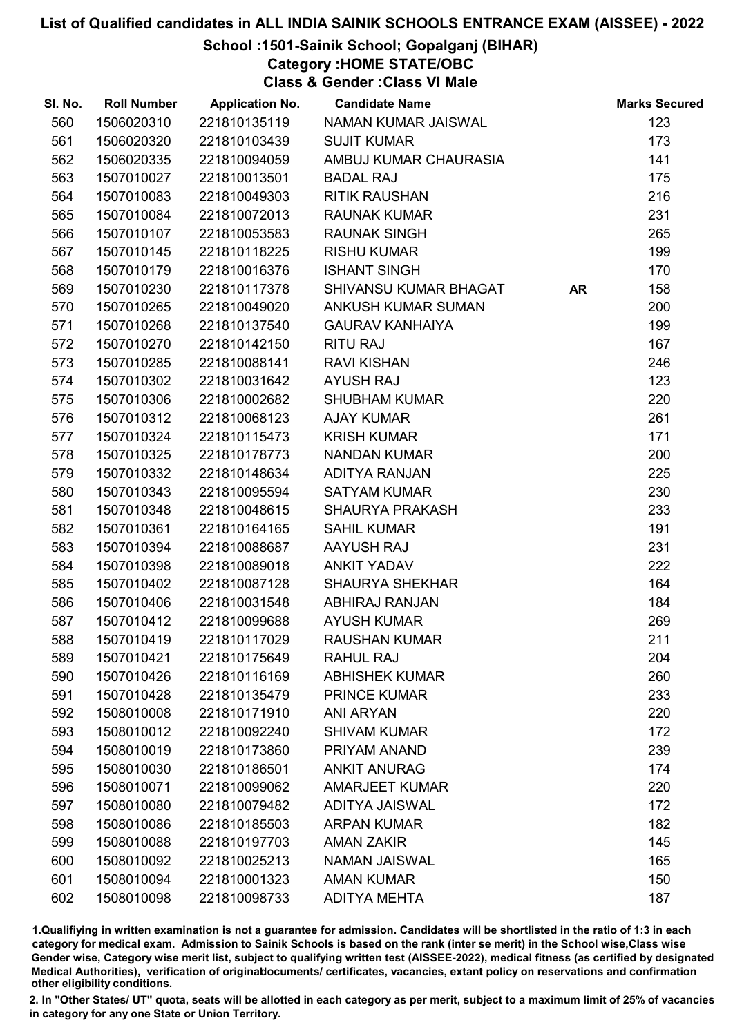School :1501-Sainik School; Gopalganj (BIHAR)

Category :HOME STATE/OBC

Class & Gender :Class VI Male

| SI. No. | <b>Roll Number</b> | <b>Application No.</b> | <b>Candidate Name</b>     |           | <b>Marks Secured</b> |
|---------|--------------------|------------------------|---------------------------|-----------|----------------------|
| 560     | 1506020310         | 221810135119           | NAMAN KUMAR JAISWAL       |           | 123                  |
| 561     | 1506020320         | 221810103439           | <b>SUJIT KUMAR</b>        |           | 173                  |
| 562     | 1506020335         | 221810094059           | AMBUJ KUMAR CHAURASIA     |           | 141                  |
| 563     | 1507010027         | 221810013501           | <b>BADAL RAJ</b>          |           | 175                  |
| 564     | 1507010083         | 221810049303           | <b>RITIK RAUSHAN</b>      |           | 216                  |
| 565     | 1507010084         | 221810072013           | <b>RAUNAK KUMAR</b>       |           | 231                  |
| 566     | 1507010107         | 221810053583           | <b>RAUNAK SINGH</b>       |           | 265                  |
| 567     | 1507010145         | 221810118225           | <b>RISHU KUMAR</b>        |           | 199                  |
| 568     | 1507010179         | 221810016376           | <b>ISHANT SINGH</b>       |           | 170                  |
| 569     | 1507010230         | 221810117378           | SHIVANSU KUMAR BHAGAT     | <b>AR</b> | 158                  |
| 570     | 1507010265         | 221810049020           | <b>ANKUSH KUMAR SUMAN</b> |           | 200                  |
| 571     | 1507010268         | 221810137540           | <b>GAURAV KANHAIYA</b>    |           | 199                  |
| 572     | 1507010270         | 221810142150           | <b>RITU RAJ</b>           |           | 167                  |
| 573     | 1507010285         | 221810088141           | <b>RAVI KISHAN</b>        |           | 246                  |
| 574     | 1507010302         | 221810031642           | <b>AYUSH RAJ</b>          |           | 123                  |
| 575     | 1507010306         | 221810002682           | <b>SHUBHAM KUMAR</b>      |           | 220                  |
| 576     | 1507010312         | 221810068123           | <b>AJAY KUMAR</b>         |           | 261                  |
| 577     | 1507010324         | 221810115473           | <b>KRISH KUMAR</b>        |           | 171                  |
| 578     | 1507010325         | 221810178773           | <b>NANDAN KUMAR</b>       |           | 200                  |
| 579     | 1507010332         | 221810148634           | ADITYA RANJAN             |           | 225                  |
| 580     | 1507010343         | 221810095594           | <b>SATYAM KUMAR</b>       |           | 230                  |
| 581     | 1507010348         | 221810048615           | <b>SHAURYA PRAKASH</b>    |           | 233                  |
| 582     | 1507010361         | 221810164165           | <b>SAHIL KUMAR</b>        |           | 191                  |
| 583     | 1507010394         | 221810088687           | AAYUSH RAJ                |           | 231                  |
| 584     | 1507010398         | 221810089018           | <b>ANKIT YADAV</b>        |           | 222                  |
| 585     | 1507010402         | 221810087128           | <b>SHAURYA SHEKHAR</b>    |           | 164                  |
| 586     | 1507010406         | 221810031548           | ABHIRAJ RANJAN            |           | 184                  |
| 587     | 1507010412         | 221810099688           | <b>AYUSH KUMAR</b>        |           | 269                  |
| 588     | 1507010419         | 221810117029           | <b>RAUSHAN KUMAR</b>      |           | 211                  |
| 589     | 1507010421         | 221810175649           | <b>RAHUL RAJ</b>          |           | 204                  |
| 590     | 1507010426         | 221810116169           | <b>ABHISHEK KUMAR</b>     |           | 260                  |
| 591     | 1507010428         | 221810135479           | <b>PRINCE KUMAR</b>       |           | 233                  |
| 592     | 1508010008         | 221810171910           | <b>ANI ARYAN</b>          |           | 220                  |
| 593     | 1508010012         | 221810092240           | <b>SHIVAM KUMAR</b>       |           | 172                  |
| 594     | 1508010019         | 221810173860           | PRIYAM ANAND              |           | 239                  |
| 595     | 1508010030         | 221810186501           | <b>ANKIT ANURAG</b>       |           | 174                  |
| 596     | 1508010071         | 221810099062           | <b>AMARJEET KUMAR</b>     |           | 220                  |
| 597     | 1508010080         | 221810079482           | <b>ADITYA JAISWAL</b>     |           | 172                  |
| 598     | 1508010086         | 221810185503           | <b>ARPAN KUMAR</b>        |           | 182                  |
| 599     | 1508010088         | 221810197703           | <b>AMAN ZAKIR</b>         |           | 145                  |
| 600     | 1508010092         | 221810025213           | <b>NAMAN JAISWAL</b>      |           | 165                  |
| 601     | 1508010094         | 221810001323           | <b>AMAN KUMAR</b>         |           | 150                  |
| 602     | 1508010098         | 221810098733           | <b>ADITYA MEHTA</b>       |           | 187                  |

1.Qualifiying in written examination is not a guarantee for admission. Candidates will be shortlisted in the ratio of 1:3 in each category for medical exam. Admission to Sainik Schools is based on the rank (inter se merit) in the School wise,Class wise Gender wise, Category wise merit list, subject to qualifying written test (AISSEE-2022), medical fitness (as certified by designated Medical Authorities), verification of originablocuments/ certificates, vacancies, extant policy on reservations and confirmation other eligibility conditions.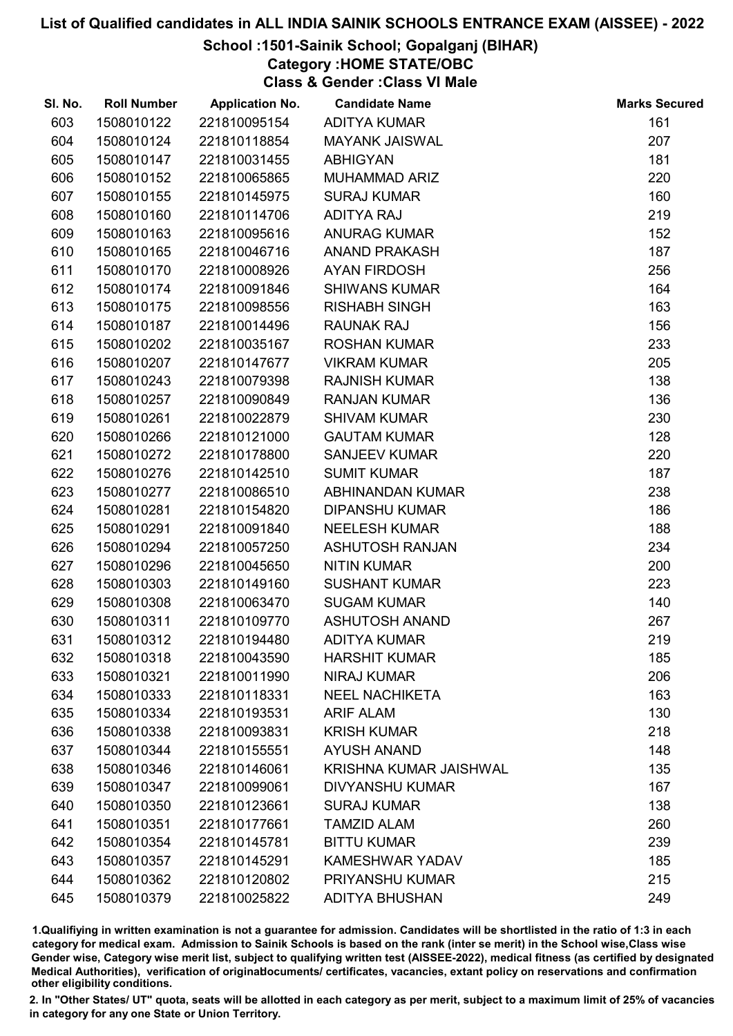## School :1501-Sainik School; Gopalganj (BIHAR)

Category :HOME STATE/OBC

Class & Gender :Class VI Male

| SI. No. | <b>Roll Number</b> | <b>Application No.</b> | <b>Candidate Name</b>         | <b>Marks Secured</b> |
|---------|--------------------|------------------------|-------------------------------|----------------------|
| 603     | 1508010122         | 221810095154           | <b>ADITYA KUMAR</b>           | 161                  |
| 604     | 1508010124         | 221810118854           | <b>MAYANK JAISWAL</b>         | 207                  |
| 605     | 1508010147         | 221810031455           | <b>ABHIGYAN</b>               | 181                  |
| 606     | 1508010152         | 221810065865           | <b>MUHAMMAD ARIZ</b>          | 220                  |
| 607     | 1508010155         | 221810145975           | <b>SURAJ KUMAR</b>            | 160                  |
| 608     | 1508010160         | 221810114706           | <b>ADITYA RAJ</b>             | 219                  |
| 609     | 1508010163         | 221810095616           | <b>ANURAG KUMAR</b>           | 152                  |
| 610     | 1508010165         | 221810046716           | <b>ANAND PRAKASH</b>          | 187                  |
| 611     | 1508010170         | 221810008926           | <b>AYAN FIRDOSH</b>           | 256                  |
| 612     | 1508010174         | 221810091846           | <b>SHIWANS KUMAR</b>          | 164                  |
| 613     | 1508010175         | 221810098556           | <b>RISHABH SINGH</b>          | 163                  |
| 614     | 1508010187         | 221810014496           | <b>RAUNAK RAJ</b>             | 156                  |
| 615     | 1508010202         | 221810035167           | <b>ROSHAN KUMAR</b>           | 233                  |
| 616     | 1508010207         | 221810147677           | <b>VIKRAM KUMAR</b>           | 205                  |
| 617     | 1508010243         | 221810079398           | <b>RAJNISH KUMAR</b>          | 138                  |
| 618     | 1508010257         | 221810090849           | <b>RANJAN KUMAR</b>           | 136                  |
| 619     | 1508010261         | 221810022879           | <b>SHIVAM KUMAR</b>           | 230                  |
| 620     | 1508010266         | 221810121000           | <b>GAUTAM KUMAR</b>           | 128                  |
| 621     | 1508010272         | 221810178800           | <b>SANJEEV KUMAR</b>          | 220                  |
| 622     | 1508010276         | 221810142510           | <b>SUMIT KUMAR</b>            | 187                  |
| 623     | 1508010277         | 221810086510           | ABHINANDAN KUMAR              | 238                  |
| 624     | 1508010281         | 221810154820           | <b>DIPANSHU KUMAR</b>         | 186                  |
| 625     | 1508010291         | 221810091840           | <b>NEELESH KUMAR</b>          | 188                  |
| 626     | 1508010294         | 221810057250           | <b>ASHUTOSH RANJAN</b>        | 234                  |
| 627     | 1508010296         | 221810045650           | <b>NITIN KUMAR</b>            | 200                  |
| 628     | 1508010303         | 221810149160           | <b>SUSHANT KUMAR</b>          | 223                  |
| 629     | 1508010308         | 221810063470           | <b>SUGAM KUMAR</b>            | 140                  |
| 630     | 1508010311         | 221810109770           | <b>ASHUTOSH ANAND</b>         | 267                  |
| 631     | 1508010312         | 221810194480           | <b>ADITYA KUMAR</b>           | 219                  |
| 632     | 1508010318         | 221810043590           | <b>HARSHIT KUMAR</b>          | 185                  |
| 633     | 1508010321         | 221810011990           | <b>NIRAJ KUMAR</b>            | 206                  |
| 634     | 1508010333         | 221810118331           | <b>NEEL NACHIKETA</b>         | 163                  |
| 635     | 1508010334         | 221810193531           | <b>ARIF ALAM</b>              | 130                  |
| 636     | 1508010338         | 221810093831           | <b>KRISH KUMAR</b>            | 218                  |
| 637     | 1508010344         | 221810155551           | <b>AYUSH ANAND</b>            | 148                  |
| 638     | 1508010346         | 221810146061           | <b>KRISHNA KUMAR JAISHWAL</b> | 135                  |
| 639     | 1508010347         | 221810099061           | <b>DIVYANSHU KUMAR</b>        | 167                  |
| 640     | 1508010350         | 221810123661           | <b>SURAJ KUMAR</b>            | 138                  |
| 641     | 1508010351         | 221810177661           | <b>TAMZID ALAM</b>            | 260                  |
| 642     | 1508010354         | 221810145781           | <b>BITTU KUMAR</b>            | 239                  |
| 643     | 1508010357         | 221810145291           | <b>KAMESHWAR YADAV</b>        | 185                  |
| 644     | 1508010362         | 221810120802           | PRIYANSHU KUMAR               | 215                  |
| 645     | 1508010379         | 221810025822           | <b>ADITYA BHUSHAN</b>         | 249                  |

1.Qualifiying in written examination is not a guarantee for admission. Candidates will be shortlisted in the ratio of 1:3 in each category for medical exam. Admission to Sainik Schools is based on the rank (inter se merit) in the School wise,Class wise Gender wise, Category wise merit list, subject to qualifying written test (AISSEE-2022), medical fitness (as certified by designated Medical Authorities), verification of originablocuments/ certificates, vacancies, extant policy on reservations and confirmation other eligibility conditions.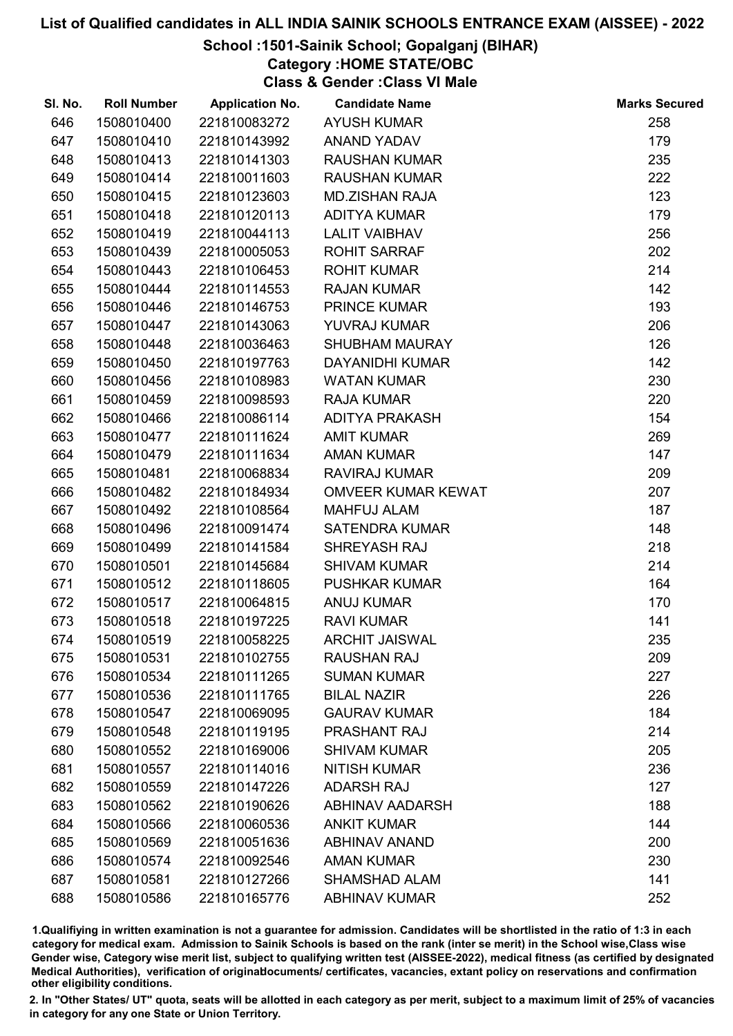# School :1501-Sainik School; Gopalganj (BIHAR)

Category :HOME STATE/OBC

Class & Gender :Class VI Male

| SI. No. | <b>Roll Number</b> | <b>Application No.</b> | <b>Candidate Name</b>     | <b>Marks Secured</b> |
|---------|--------------------|------------------------|---------------------------|----------------------|
| 646     | 1508010400         | 221810083272           | <b>AYUSH KUMAR</b>        | 258                  |
| 647     | 1508010410         | 221810143992           | <b>ANAND YADAV</b>        | 179                  |
| 648     | 1508010413         | 221810141303           | <b>RAUSHAN KUMAR</b>      | 235                  |
| 649     | 1508010414         | 221810011603           | <b>RAUSHAN KUMAR</b>      | 222                  |
| 650     | 1508010415         | 221810123603           | <b>MD.ZISHAN RAJA</b>     | 123                  |
| 651     | 1508010418         | 221810120113           | <b>ADITYA KUMAR</b>       | 179                  |
| 652     | 1508010419         | 221810044113           | <b>LALIT VAIBHAV</b>      | 256                  |
| 653     | 1508010439         | 221810005053           | <b>ROHIT SARRAF</b>       | 202                  |
| 654     | 1508010443         | 221810106453           | <b>ROHIT KUMAR</b>        | 214                  |
| 655     | 1508010444         | 221810114553           | <b>RAJAN KUMAR</b>        | 142                  |
| 656     | 1508010446         | 221810146753           | PRINCE KUMAR              | 193                  |
| 657     | 1508010447         | 221810143063           | <b>YUVRAJ KUMAR</b>       | 206                  |
| 658     | 1508010448         | 221810036463           | <b>SHUBHAM MAURAY</b>     | 126                  |
| 659     | 1508010450         | 221810197763           | DAYANIDHI KUMAR           | 142                  |
| 660     | 1508010456         | 221810108983           | <b>WATAN KUMAR</b>        | 230                  |
| 661     | 1508010459         | 221810098593           | <b>RAJA KUMAR</b>         | 220                  |
| 662     | 1508010466         | 221810086114           | ADITYA PRAKASH            | 154                  |
| 663     | 1508010477         | 221810111624           | <b>AMIT KUMAR</b>         | 269                  |
| 664     | 1508010479         | 221810111634           | <b>AMAN KUMAR</b>         | 147                  |
| 665     | 1508010481         | 221810068834           | <b>RAVIRAJ KUMAR</b>      | 209                  |
| 666     | 1508010482         | 221810184934           | <b>OMVEER KUMAR KEWAT</b> | 207                  |
| 667     | 1508010492         | 221810108564           | <b>MAHFUJ ALAM</b>        | 187                  |
| 668     | 1508010496         | 221810091474           | <b>SATENDRA KUMAR</b>     | 148                  |
| 669     | 1508010499         | 221810141584           | SHREYASH RAJ              | 218                  |
| 670     | 1508010501         | 221810145684           | <b>SHIVAM KUMAR</b>       | 214                  |
| 671     | 1508010512         | 221810118605           | <b>PUSHKAR KUMAR</b>      | 164                  |
| 672     | 1508010517         | 221810064815           | <b>ANUJ KUMAR</b>         | 170                  |
| 673     | 1508010518         | 221810197225           | <b>RAVI KUMAR</b>         | 141                  |
| 674     | 1508010519         | 221810058225           | <b>ARCHIT JAISWAL</b>     | 235                  |
| 675     | 1508010531         | 221810102755           | <b>RAUSHAN RAJ</b>        | 209                  |
| 676     | 1508010534         | 221810111265           | <b>SUMAN KUMAR</b>        | 227                  |
| 677     | 1508010536         | 221810111765           | <b>BILAL NAZIR</b>        | 226                  |
| 678     | 1508010547         | 221810069095           | <b>GAURAV KUMAR</b>       | 184                  |
| 679     | 1508010548         | 221810119195           | <b>PRASHANT RAJ</b>       | 214                  |
| 680     | 1508010552         | 221810169006           | <b>SHIVAM KUMAR</b>       | 205                  |
| 681     | 1508010557         | 221810114016           | <b>NITISH KUMAR</b>       | 236                  |
| 682     | 1508010559         | 221810147226           | <b>ADARSH RAJ</b>         | 127                  |
| 683     | 1508010562         | 221810190626           | <b>ABHINAV AADARSH</b>    | 188                  |
| 684     | 1508010566         | 221810060536           | <b>ANKIT KUMAR</b>        | 144                  |
| 685     | 1508010569         | 221810051636           | <b>ABHINAV ANAND</b>      | 200                  |
| 686     | 1508010574         | 221810092546           | <b>AMAN KUMAR</b>         | 230                  |
| 687     | 1508010581         | 221810127266           | <b>SHAMSHAD ALAM</b>      | 141                  |
| 688     | 1508010586         | 221810165776           | <b>ABHINAV KUMAR</b>      | 252                  |

1.Qualifiying in written examination is not a guarantee for admission. Candidates will be shortlisted in the ratio of 1:3 in each category for medical exam. Admission to Sainik Schools is based on the rank (inter se merit) in the School wise,Class wise Gender wise, Category wise merit list, subject to qualifying written test (AISSEE-2022), medical fitness (as certified by designated Medical Authorities), verification of originablocuments/ certificates, vacancies, extant policy on reservations and confirmation other eligibility conditions.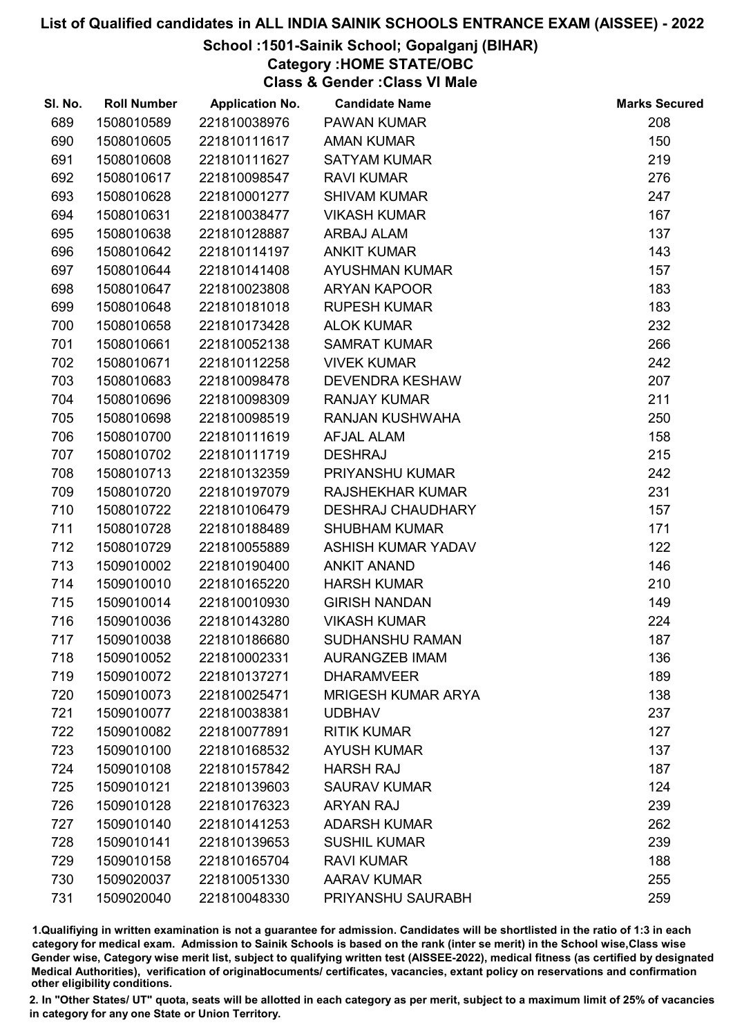# School :1501-Sainik School; Gopalganj (BIHAR)

Category :HOME STATE/OBC

Class & Gender :Class VI Male

| SI. No. | <b>Roll Number</b> | <b>Application No.</b> | <b>Candidate Name</b>     | <b>Marks Secured</b> |
|---------|--------------------|------------------------|---------------------------|----------------------|
| 689     | 1508010589         | 221810038976           | <b>PAWAN KUMAR</b>        | 208                  |
| 690     | 1508010605         | 221810111617           | <b>AMAN KUMAR</b>         | 150                  |
| 691     | 1508010608         | 221810111627           | <b>SATYAM KUMAR</b>       | 219                  |
| 692     | 1508010617         | 221810098547           | <b>RAVI KUMAR</b>         | 276                  |
| 693     | 1508010628         | 221810001277           | <b>SHIVAM KUMAR</b>       | 247                  |
| 694     | 1508010631         | 221810038477           | <b>VIKASH KUMAR</b>       | 167                  |
| 695     | 1508010638         | 221810128887           | <b>ARBAJ ALAM</b>         | 137                  |
| 696     | 1508010642         | 221810114197           | <b>ANKIT KUMAR</b>        | 143                  |
| 697     | 1508010644         | 221810141408           | <b>AYUSHMAN KUMAR</b>     | 157                  |
| 698     | 1508010647         | 221810023808           | <b>ARYAN KAPOOR</b>       | 183                  |
| 699     | 1508010648         | 221810181018           | <b>RUPESH KUMAR</b>       | 183                  |
| 700     | 1508010658         | 221810173428           | <b>ALOK KUMAR</b>         | 232                  |
| 701     | 1508010661         | 221810052138           | <b>SAMRAT KUMAR</b>       | 266                  |
| 702     | 1508010671         | 221810112258           | <b>VIVEK KUMAR</b>        | 242                  |
| 703     | 1508010683         | 221810098478           | <b>DEVENDRA KESHAW</b>    | 207                  |
| 704     | 1508010696         | 221810098309           | <b>RANJAY KUMAR</b>       | 211                  |
| 705     | 1508010698         | 221810098519           | RANJAN KUSHWAHA           | 250                  |
| 706     | 1508010700         | 221810111619           | AFJAL ALAM                | 158                  |
| 707     | 1508010702         | 221810111719           | <b>DESHRAJ</b>            | 215                  |
| 708     | 1508010713         | 221810132359           | PRIYANSHU KUMAR           | 242                  |
| 709     | 1508010720         | 221810197079           | <b>RAJSHEKHAR KUMAR</b>   | 231                  |
| 710     | 1508010722         | 221810106479           | <b>DESHRAJ CHAUDHARY</b>  | 157                  |
| 711     | 1508010728         | 221810188489           | <b>SHUBHAM KUMAR</b>      | 171                  |
| 712     | 1508010729         | 221810055889           | <b>ASHISH KUMAR YADAV</b> | 122                  |
| 713     | 1509010002         | 221810190400           | <b>ANKIT ANAND</b>        | 146                  |
| 714     | 1509010010         | 221810165220           | <b>HARSH KUMAR</b>        | 210                  |
| 715     | 1509010014         | 221810010930           | <b>GIRISH NANDAN</b>      | 149                  |
| 716     | 1509010036         | 221810143280           | <b>VIKASH KUMAR</b>       | 224                  |
| 717     | 1509010038         | 221810186680           | <b>SUDHANSHU RAMAN</b>    | 187                  |
| 718     | 1509010052         | 221810002331           | <b>AURANGZEB IMAM</b>     | 136                  |
| 719     | 1509010072         | 221810137271           | <b>DHARAMVEER</b>         | 189                  |
| 720     | 1509010073         | 221810025471           | <b>MRIGESH KUMAR ARYA</b> | 138                  |
| 721     | 1509010077         | 221810038381           | <b>UDBHAV</b>             | 237                  |
| 722     | 1509010082         | 221810077891           | <b>RITIK KUMAR</b>        | 127                  |
| 723     | 1509010100         | 221810168532           | <b>AYUSH KUMAR</b>        | 137                  |
| 724     | 1509010108         | 221810157842           | <b>HARSH RAJ</b>          | 187                  |
| 725     | 1509010121         | 221810139603           | <b>SAURAV KUMAR</b>       | 124                  |
| 726     | 1509010128         | 221810176323           | <b>ARYAN RAJ</b>          | 239                  |
| 727     | 1509010140         | 221810141253           | <b>ADARSH KUMAR</b>       | 262                  |
| 728     | 1509010141         | 221810139653           | <b>SUSHIL KUMAR</b>       | 239                  |
| 729     | 1509010158         | 221810165704           | <b>RAVI KUMAR</b>         | 188                  |
| 730     | 1509020037         | 221810051330           | <b>AARAV KUMAR</b>        | 255                  |
| 731     | 1509020040         | 221810048330           | PRIYANSHU SAURABH         | 259                  |

1.Qualifiying in written examination is not a guarantee for admission. Candidates will be shortlisted in the ratio of 1:3 in each category for medical exam. Admission to Sainik Schools is based on the rank (inter se merit) in the School wise,Class wise Gender wise, Category wise merit list, subject to qualifying written test (AISSEE-2022), medical fitness (as certified by designated Medical Authorities), verification of originablocuments/ certificates, vacancies, extant policy on reservations and confirmation other eligibility conditions.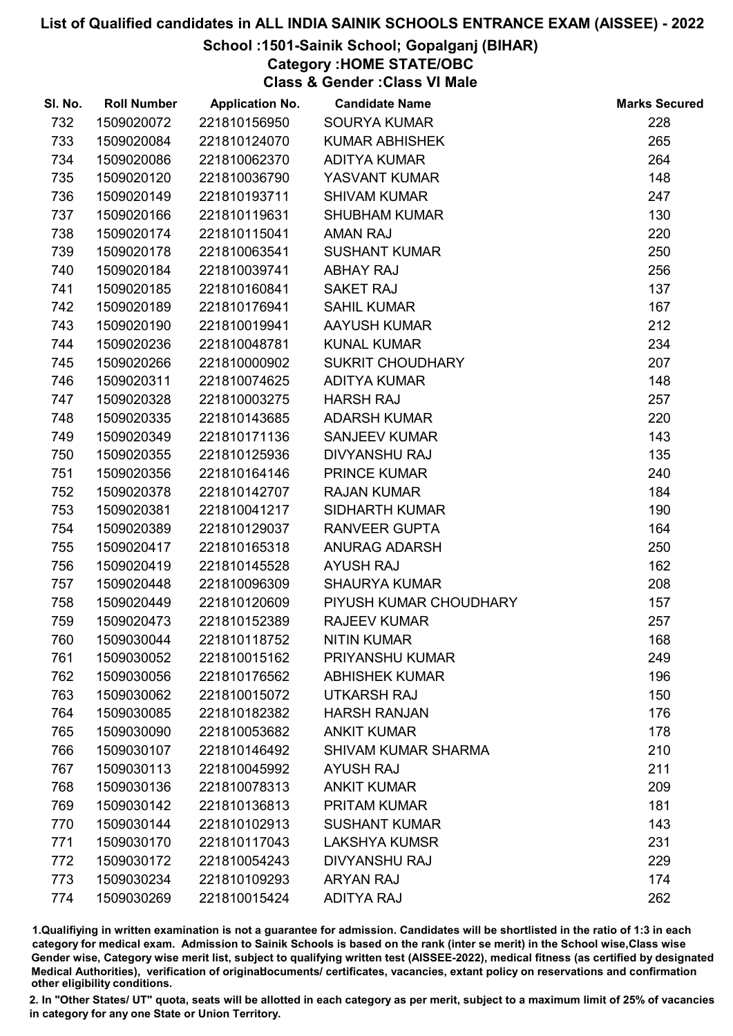# School :1501-Sainik School; Gopalganj (BIHAR)

Category :HOME STATE/OBC

Class & Gender :Class VI Male

| SI. No. | <b>Roll Number</b> | <b>Application No.</b> | <b>Candidate Name</b>      | <b>Marks Secured</b> |
|---------|--------------------|------------------------|----------------------------|----------------------|
| 732     | 1509020072         | 221810156950           | <b>SOURYA KUMAR</b>        | 228                  |
| 733     | 1509020084         | 221810124070           | <b>KUMAR ABHISHEK</b>      | 265                  |
| 734     | 1509020086         | 221810062370           | <b>ADITYA KUMAR</b>        | 264                  |
| 735     | 1509020120         | 221810036790           | YASVANT KUMAR              | 148                  |
| 736     | 1509020149         | 221810193711           | <b>SHIVAM KUMAR</b>        | 247                  |
| 737     | 1509020166         | 221810119631           | <b>SHUBHAM KUMAR</b>       | 130                  |
| 738     | 1509020174         | 221810115041           | <b>AMAN RAJ</b>            | 220                  |
| 739     | 1509020178         | 221810063541           | <b>SUSHANT KUMAR</b>       | 250                  |
| 740     | 1509020184         | 221810039741           | <b>ABHAY RAJ</b>           | 256                  |
| 741     | 1509020185         | 221810160841           | <b>SAKET RAJ</b>           | 137                  |
| 742     | 1509020189         | 221810176941           | <b>SAHIL KUMAR</b>         | 167                  |
| 743     | 1509020190         | 221810019941           | AAYUSH KUMAR               | 212                  |
| 744     | 1509020236         | 221810048781           | <b>KUNAL KUMAR</b>         | 234                  |
| 745     | 1509020266         | 221810000902           | <b>SUKRIT CHOUDHARY</b>    | 207                  |
| 746     | 1509020311         | 221810074625           | <b>ADITYA KUMAR</b>        | 148                  |
| 747     | 1509020328         | 221810003275           | <b>HARSH RAJ</b>           | 257                  |
| 748     | 1509020335         | 221810143685           | <b>ADARSH KUMAR</b>        | 220                  |
| 749     | 1509020349         | 221810171136           | <b>SANJEEV KUMAR</b>       | 143                  |
| 750     | 1509020355         | 221810125936           | <b>DIVYANSHU RAJ</b>       | 135                  |
| 751     | 1509020356         | 221810164146           | <b>PRINCE KUMAR</b>        | 240                  |
| 752     | 1509020378         | 221810142707           | <b>RAJAN KUMAR</b>         | 184                  |
| 753     | 1509020381         | 221810041217           | <b>SIDHARTH KUMAR</b>      | 190                  |
| 754     | 1509020389         | 221810129037           | <b>RANVEER GUPTA</b>       | 164                  |
| 755     | 1509020417         | 221810165318           | <b>ANURAG ADARSH</b>       | 250                  |
| 756     | 1509020419         | 221810145528           | <b>AYUSH RAJ</b>           | 162                  |
| 757     | 1509020448         | 221810096309           | <b>SHAURYA KUMAR</b>       | 208                  |
| 758     | 1509020449         | 221810120609           | PIYUSH KUMAR CHOUDHARY     | 157                  |
| 759     | 1509020473         | 221810152389           | <b>RAJEEV KUMAR</b>        | 257                  |
| 760     | 1509030044         | 221810118752           | <b>NITIN KUMAR</b>         | 168                  |
| 761     | 1509030052         | 221810015162           | PRIYANSHU KUMAR            | 249                  |
| 762     | 1509030056         | 221810176562           | <b>ABHISHEK KUMAR</b>      | 196                  |
| 763     | 1509030062         | 221810015072           | <b>UTKARSH RAJ</b>         | 150                  |
| 764     | 1509030085         | 221810182382           | <b>HARSH RANJAN</b>        | 176                  |
| 765     | 1509030090         | 221810053682           | <b>ANKIT KUMAR</b>         | 178                  |
| 766     | 1509030107         | 221810146492           | <b>SHIVAM KUMAR SHARMA</b> | 210                  |
| 767     | 1509030113         | 221810045992           | <b>AYUSH RAJ</b>           | 211                  |
| 768     | 1509030136         | 221810078313           | <b>ANKIT KUMAR</b>         | 209                  |
| 769     | 1509030142         | 221810136813           | <b>PRITAM KUMAR</b>        | 181                  |
| 770     | 1509030144         | 221810102913           | <b>SUSHANT KUMAR</b>       | 143                  |
| 771     | 1509030170         | 221810117043           | <b>LAKSHYA KUMSR</b>       | 231                  |
| 772     | 1509030172         | 221810054243           | <b>DIVYANSHU RAJ</b>       | 229                  |
| 773     | 1509030234         | 221810109293           | <b>ARYAN RAJ</b>           | 174                  |
| 774     | 1509030269         | 221810015424           | <b>ADITYA RAJ</b>          | 262                  |

1.Qualifiying in written examination is not a guarantee for admission. Candidates will be shortlisted in the ratio of 1:3 in each category for medical exam. Admission to Sainik Schools is based on the rank (inter se merit) in the School wise,Class wise Gender wise, Category wise merit list, subject to qualifying written test (AISSEE-2022), medical fitness (as certified by designated Medical Authorities), verification of originablocuments/ certificates, vacancies, extant policy on reservations and confirmation other eligibility conditions.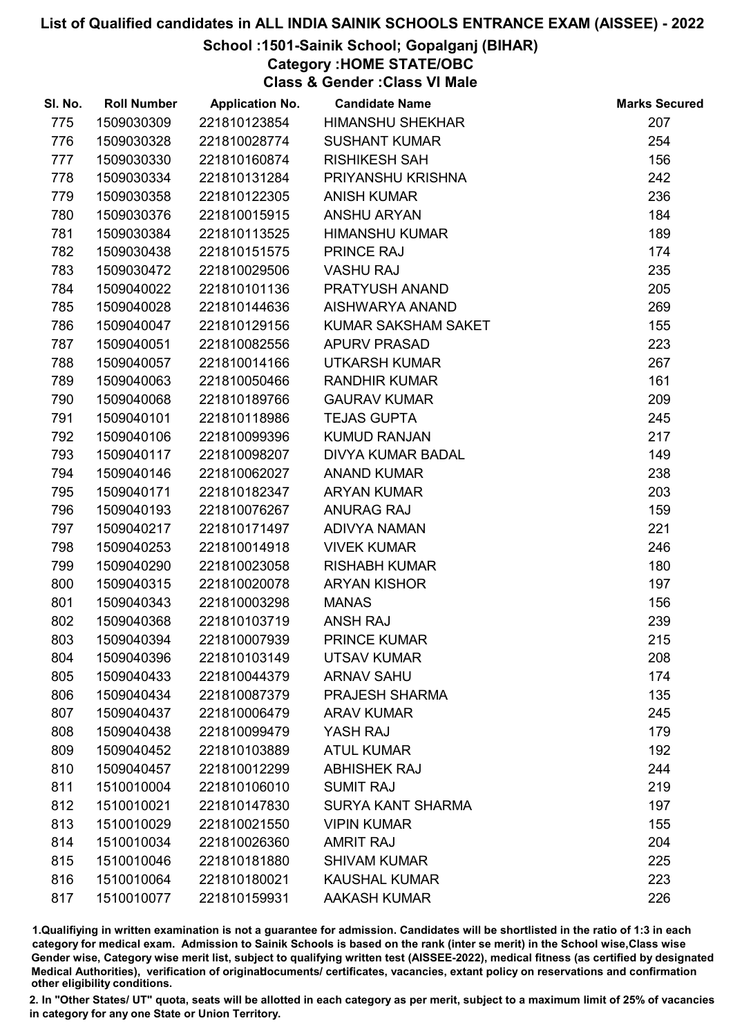# School :1501-Sainik School; Gopalganj (BIHAR)

Category :HOME STATE/OBC

Class & Gender :Class VI Male

| SI. No. | <b>Roll Number</b> | <b>Application No.</b> | <b>Candidate Name</b>    | <b>Marks Secured</b> |
|---------|--------------------|------------------------|--------------------------|----------------------|
| 775     | 1509030309         | 221810123854           | <b>HIMANSHU SHEKHAR</b>  | 207                  |
| 776     | 1509030328         | 221810028774           | <b>SUSHANT KUMAR</b>     | 254                  |
| 777     | 1509030330         | 221810160874           | <b>RISHIKESH SAH</b>     | 156                  |
| 778     | 1509030334         | 221810131284           | PRIYANSHU KRISHNA        | 242                  |
| 779     | 1509030358         | 221810122305           | <b>ANISH KUMAR</b>       | 236                  |
| 780     | 1509030376         | 221810015915           | <b>ANSHU ARYAN</b>       | 184                  |
| 781     | 1509030384         | 221810113525           | <b>HIMANSHU KUMAR</b>    | 189                  |
| 782     | 1509030438         | 221810151575           | <b>PRINCE RAJ</b>        | 174                  |
| 783     | 1509030472         | 221810029506           | <b>VASHU RAJ</b>         | 235                  |
| 784     | 1509040022         | 221810101136           | PRATYUSH ANAND           | 205                  |
| 785     | 1509040028         | 221810144636           | AISHWARYA ANAND          | 269                  |
| 786     | 1509040047         | 221810129156           | KUMAR SAKSHAM SAKET      | 155                  |
| 787     | 1509040051         | 221810082556           | <b>APURV PRASAD</b>      | 223                  |
| 788     | 1509040057         | 221810014166           | <b>UTKARSH KUMAR</b>     | 267                  |
| 789     | 1509040063         | 221810050466           | <b>RANDHIR KUMAR</b>     | 161                  |
| 790     | 1509040068         | 221810189766           | <b>GAURAV KUMAR</b>      | 209                  |
| 791     | 1509040101         | 221810118986           | <b>TEJAS GUPTA</b>       | 245                  |
| 792     | 1509040106         | 221810099396           | <b>KUMUD RANJAN</b>      | 217                  |
| 793     | 1509040117         | 221810098207           | <b>DIVYA KUMAR BADAL</b> | 149                  |
| 794     | 1509040146         | 221810062027           | <b>ANAND KUMAR</b>       | 238                  |
| 795     | 1509040171         | 221810182347           | <b>ARYAN KUMAR</b>       | 203                  |
| 796     | 1509040193         | 221810076267           | <b>ANURAG RAJ</b>        | 159                  |
| 797     | 1509040217         | 221810171497           | ADIVYA NAMAN             | 221                  |
| 798     | 1509040253         | 221810014918           | <b>VIVEK KUMAR</b>       | 246                  |
| 799     | 1509040290         | 221810023058           | <b>RISHABH KUMAR</b>     | 180                  |
| 800     | 1509040315         | 221810020078           | <b>ARYAN KISHOR</b>      | 197                  |
| 801     | 1509040343         | 221810003298           | <b>MANAS</b>             | 156                  |
| 802     | 1509040368         | 221810103719           | <b>ANSH RAJ</b>          | 239                  |
| 803     | 1509040394         | 221810007939           | <b>PRINCE KUMAR</b>      | 215                  |
| 804     | 1509040396         | 221810103149           | <b>UTSAV KUMAR</b>       | 208                  |
| 805     | 1509040433         | 221810044379           | <b>ARNAV SAHU</b>        | 174                  |
| 806     | 1509040434         | 221810087379           | <b>PRAJESH SHARMA</b>    | 135                  |
| 807     | 1509040437         | 221810006479           | <b>ARAV KUMAR</b>        | 245                  |
| 808     | 1509040438         | 221810099479           | YASH RAJ                 | 179                  |
| 809     | 1509040452         | 221810103889           | <b>ATUL KUMAR</b>        | 192                  |
| 810     | 1509040457         | 221810012299           | <b>ABHISHEK RAJ</b>      | 244                  |
| 811     | 1510010004         | 221810106010           | <b>SUMIT RAJ</b>         | 219                  |
| 812     | 1510010021         | 221810147830           | <b>SURYA KANT SHARMA</b> | 197                  |
| 813     | 1510010029         | 221810021550           | <b>VIPIN KUMAR</b>       | 155                  |
| 814     | 1510010034         | 221810026360           | <b>AMRIT RAJ</b>         | 204                  |
| 815     | 1510010046         | 221810181880           | <b>SHIVAM KUMAR</b>      | 225                  |
| 816     | 1510010064         | 221810180021           | <b>KAUSHAL KUMAR</b>     | 223                  |
| 817     | 1510010077         | 221810159931           | <b>AAKASH KUMAR</b>      | 226                  |

1.Qualifiying in written examination is not a guarantee for admission. Candidates will be shortlisted in the ratio of 1:3 in each category for medical exam. Admission to Sainik Schools is based on the rank (inter se merit) in the School wise,Class wise Gender wise, Category wise merit list, subject to qualifying written test (AISSEE-2022), medical fitness (as certified by designated Medical Authorities), verification of originablocuments/ certificates, vacancies, extant policy on reservations and confirmation other eligibility conditions.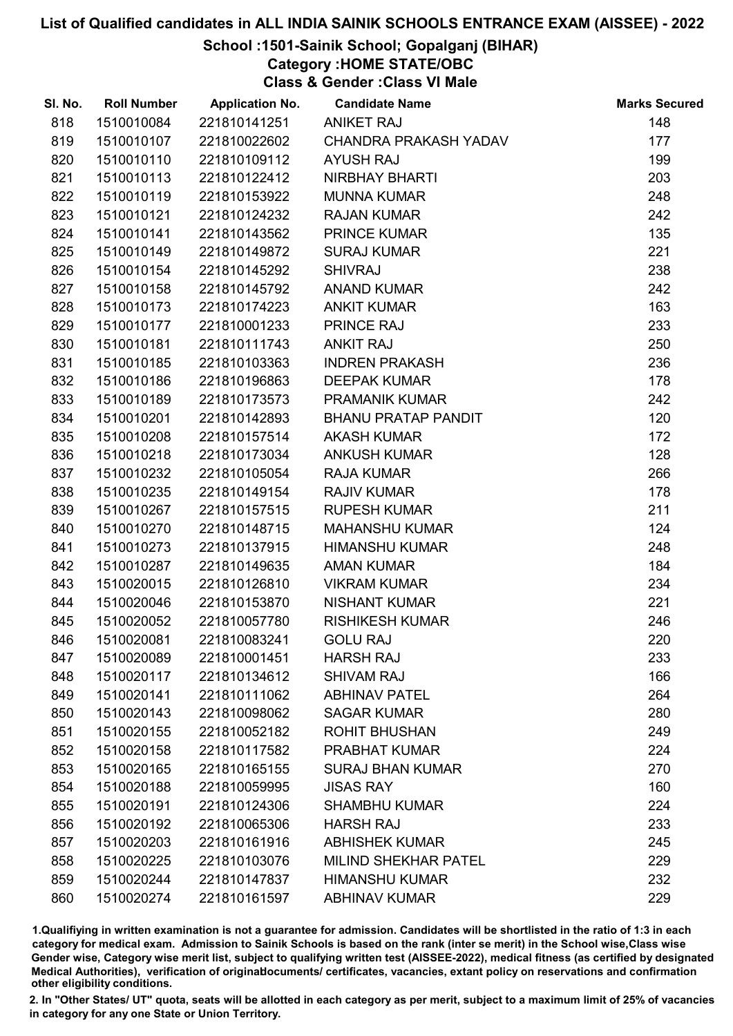# School :1501-Sainik School; Gopalganj (BIHAR)

Category :HOME STATE/OBC

Class & Gender :Class VI Male

| SI. No. | <b>Roll Number</b> | <b>Application No.</b> | <b>Candidate Name</b>       | <b>Marks Secured</b> |
|---------|--------------------|------------------------|-----------------------------|----------------------|
| 818     | 1510010084         | 221810141251           | <b>ANIKET RAJ</b>           | 148                  |
| 819     | 1510010107         | 221810022602           | CHANDRA PRAKASH YADAV       | 177                  |
| 820     | 1510010110         | 221810109112           | <b>AYUSH RAJ</b>            | 199                  |
| 821     | 1510010113         | 221810122412           | NIRBHAY BHARTI              | 203                  |
| 822     | 1510010119         | 221810153922           | <b>MUNNA KUMAR</b>          | 248                  |
| 823     | 1510010121         | 221810124232           | <b>RAJAN KUMAR</b>          | 242                  |
| 824     | 1510010141         | 221810143562           | <b>PRINCE KUMAR</b>         | 135                  |
| 825     | 1510010149         | 221810149872           | <b>SURAJ KUMAR</b>          | 221                  |
| 826     | 1510010154         | 221810145292           | <b>SHIVRAJ</b>              | 238                  |
| 827     | 1510010158         | 221810145792           | <b>ANAND KUMAR</b>          | 242                  |
| 828     | 1510010173         | 221810174223           | <b>ANKIT KUMAR</b>          | 163                  |
| 829     | 1510010177         | 221810001233           | PRINCE RAJ                  | 233                  |
| 830     | 1510010181         | 221810111743           | <b>ANKIT RAJ</b>            | 250                  |
| 831     | 1510010185         | 221810103363           | <b>INDREN PRAKASH</b>       | 236                  |
| 832     | 1510010186         | 221810196863           | <b>DEEPAK KUMAR</b>         | 178                  |
| 833     | 1510010189         | 221810173573           | <b>PRAMANIK KUMAR</b>       | 242                  |
| 834     | 1510010201         | 221810142893           | <b>BHANU PRATAP PANDIT</b>  | 120                  |
| 835     | 1510010208         | 221810157514           | <b>AKASH KUMAR</b>          | 172                  |
| 836     | 1510010218         | 221810173034           | <b>ANKUSH KUMAR</b>         | 128                  |
| 837     | 1510010232         | 221810105054           | <b>RAJA KUMAR</b>           | 266                  |
| 838     | 1510010235         | 221810149154           | <b>RAJIV KUMAR</b>          | 178                  |
| 839     | 1510010267         | 221810157515           | <b>RUPESH KUMAR</b>         | 211                  |
| 840     | 1510010270         | 221810148715           | <b>MAHANSHU KUMAR</b>       | 124                  |
| 841     | 1510010273         | 221810137915           | <b>HIMANSHU KUMAR</b>       | 248                  |
| 842     | 1510010287         | 221810149635           | <b>AMAN KUMAR</b>           | 184                  |
| 843     | 1510020015         | 221810126810           | <b>VIKRAM KUMAR</b>         | 234                  |
| 844     | 1510020046         | 221810153870           | <b>NISHANT KUMAR</b>        | 221                  |
| 845     | 1510020052         | 221810057780           | <b>RISHIKESH KUMAR</b>      | 246                  |
| 846     | 1510020081         | 221810083241           | <b>GOLU RAJ</b>             | 220                  |
| 847     | 1510020089         | 221810001451           | <b>HARSH RAJ</b>            | 233                  |
| 848     | 1510020117         | 221810134612           | <b>SHIVAM RAJ</b>           | 166                  |
| 849     | 1510020141         | 221810111062           | <b>ABHINAV PATEL</b>        | 264                  |
| 850     | 1510020143         | 221810098062           | <b>SAGAR KUMAR</b>          | 280                  |
| 851     | 1510020155         | 221810052182           | <b>ROHIT BHUSHAN</b>        | 249                  |
| 852     | 1510020158         | 221810117582           | PRABHAT KUMAR               | 224                  |
| 853     | 1510020165         | 221810165155           | <b>SURAJ BHAN KUMAR</b>     | 270                  |
| 854     | 1510020188         | 221810059995           | <b>JISAS RAY</b>            | 160                  |
| 855     | 1510020191         | 221810124306           | <b>SHAMBHU KUMAR</b>        | 224                  |
| 856     | 1510020192         | 221810065306           | <b>HARSH RAJ</b>            | 233                  |
| 857     | 1510020203         | 221810161916           | <b>ABHISHEK KUMAR</b>       | 245                  |
| 858     | 1510020225         | 221810103076           | <b>MILIND SHEKHAR PATEL</b> | 229                  |
| 859     | 1510020244         | 221810147837           | <b>HIMANSHU KUMAR</b>       | 232                  |
| 860     | 1510020274         | 221810161597           | <b>ABHINAV KUMAR</b>        | 229                  |

1.Qualifiying in written examination is not a guarantee for admission. Candidates will be shortlisted in the ratio of 1:3 in each category for medical exam. Admission to Sainik Schools is based on the rank (inter se merit) in the School wise,Class wise Gender wise, Category wise merit list, subject to qualifying written test (AISSEE-2022), medical fitness (as certified by designated Medical Authorities), verification of originablocuments/ certificates, vacancies, extant policy on reservations and confirmation other eligibility conditions.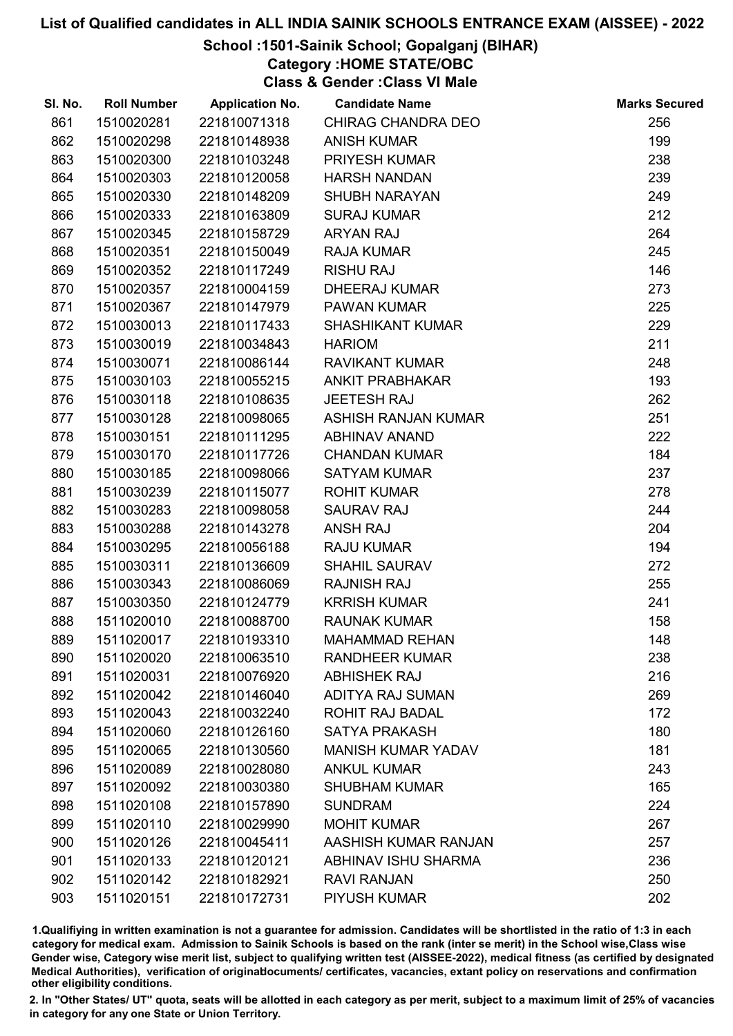## School :1501-Sainik School; Gopalganj (BIHAR)

Category :HOME STATE/OBC

Class & Gender :Class VI Male

| SI. No. | <b>Roll Number</b> | <b>Application No.</b> | <b>Candidate Name</b>      | <b>Marks Secured</b> |
|---------|--------------------|------------------------|----------------------------|----------------------|
| 861     | 1510020281         | 221810071318           | <b>CHIRAG CHANDRA DEO</b>  | 256                  |
| 862     | 1510020298         | 221810148938           | <b>ANISH KUMAR</b>         | 199                  |
| 863     | 1510020300         | 221810103248           | PRIYESH KUMAR              | 238                  |
| 864     | 1510020303         | 221810120058           | <b>HARSH NANDAN</b>        | 239                  |
| 865     | 1510020330         | 221810148209           | <b>SHUBH NARAYAN</b>       | 249                  |
| 866     | 1510020333         | 221810163809           | <b>SURAJ KUMAR</b>         | 212                  |
| 867     | 1510020345         | 221810158729           | <b>ARYAN RAJ</b>           | 264                  |
| 868     | 1510020351         | 221810150049           | <b>RAJA KUMAR</b>          | 245                  |
| 869     | 1510020352         | 221810117249           | <b>RISHU RAJ</b>           | 146                  |
| 870     | 1510020357         | 221810004159           | <b>DHEERAJ KUMAR</b>       | 273                  |
| 871     | 1510020367         | 221810147979           | <b>PAWAN KUMAR</b>         | 225                  |
| 872     | 1510030013         | 221810117433           | <b>SHASHIKANT KUMAR</b>    | 229                  |
| 873     | 1510030019         | 221810034843           | <b>HARIOM</b>              | 211                  |
| 874     | 1510030071         | 221810086144           | <b>RAVIKANT KUMAR</b>      | 248                  |
| 875     | 1510030103         | 221810055215           | <b>ANKIT PRABHAKAR</b>     | 193                  |
| 876     | 1510030118         | 221810108635           | <b>JEETESH RAJ</b>         | 262                  |
| 877     | 1510030128         | 221810098065           | ASHISH RANJAN KUMAR        | 251                  |
| 878     | 1510030151         | 221810111295           | <b>ABHINAV ANAND</b>       | 222                  |
| 879     | 1510030170         | 221810117726           | <b>CHANDAN KUMAR</b>       | 184                  |
| 880     | 1510030185         | 221810098066           | <b>SATYAM KUMAR</b>        | 237                  |
| 881     | 1510030239         | 221810115077           | <b>ROHIT KUMAR</b>         | 278                  |
| 882     | 1510030283         | 221810098058           | <b>SAURAV RAJ</b>          | 244                  |
| 883     | 1510030288         | 221810143278           | <b>ANSH RAJ</b>            | 204                  |
| 884     | 1510030295         | 221810056188           | <b>RAJU KUMAR</b>          | 194                  |
| 885     | 1510030311         | 221810136609           | <b>SHAHIL SAURAV</b>       | 272                  |
| 886     | 1510030343         | 221810086069           | <b>RAJNISH RAJ</b>         | 255                  |
| 887     | 1510030350         | 221810124779           | <b>KRRISH KUMAR</b>        | 241                  |
| 888     | 1511020010         | 221810088700           | <b>RAUNAK KUMAR</b>        | 158                  |
| 889     | 1511020017         | 221810193310           | <b>MAHAMMAD REHAN</b>      | 148                  |
| 890     | 1511020020         | 221810063510           | <b>RANDHEER KUMAR</b>      | 238                  |
| 891     | 1511020031         | 221810076920           | <b>ABHISHEK RAJ</b>        | 216                  |
| 892     | 1511020042         | 221810146040           | <b>ADITYA RAJ SUMAN</b>    | 269                  |
| 893     | 1511020043         | 221810032240           | ROHIT RAJ BADAL            | 172                  |
| 894     | 1511020060         | 221810126160           | <b>SATYA PRAKASH</b>       | 180                  |
| 895     | 1511020065         | 221810130560           | <b>MANISH KUMAR YADAV</b>  | 181                  |
| 896     | 1511020089         | 221810028080           | <b>ANKUL KUMAR</b>         | 243                  |
| 897     | 1511020092         | 221810030380           | <b>SHUBHAM KUMAR</b>       | 165                  |
| 898     | 1511020108         | 221810157890           | <b>SUNDRAM</b>             | 224                  |
| 899     | 1511020110         | 221810029990           | <b>MOHIT KUMAR</b>         | 267                  |
| 900     | 1511020126         | 221810045411           | AASHISH KUMAR RANJAN       | 257                  |
| 901     | 1511020133         | 221810120121           | <b>ABHINAV ISHU SHARMA</b> | 236                  |
| 902     | 1511020142         | 221810182921           | <b>RAVI RANJAN</b>         | 250                  |
| 903     | 1511020151         | 221810172731           | PIYUSH KUMAR               | 202                  |

1.Qualifiying in written examination is not a guarantee for admission. Candidates will be shortlisted in the ratio of 1:3 in each category for medical exam. Admission to Sainik Schools is based on the rank (inter se merit) in the School wise,Class wise Gender wise, Category wise merit list, subject to qualifying written test (AISSEE-2022), medical fitness (as certified by designated Medical Authorities), verification of originablocuments/ certificates, vacancies, extant policy on reservations and confirmation other eligibility conditions.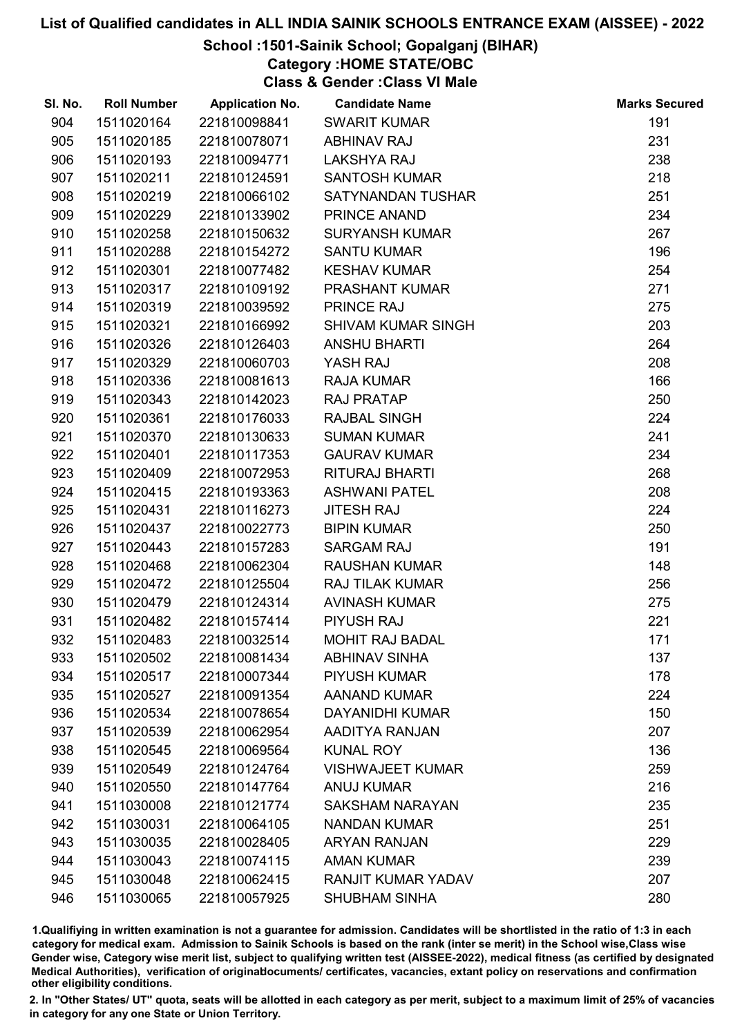## School :1501-Sainik School; Gopalganj (BIHAR)

Category :HOME STATE/OBC

Class & Gender :Class VI Male

| SI. No. | <b>Roll Number</b> | <b>Application No.</b> | <b>Candidate Name</b>     | <b>Marks Secured</b> |
|---------|--------------------|------------------------|---------------------------|----------------------|
| 904     | 1511020164         | 221810098841           | <b>SWARIT KUMAR</b>       | 191                  |
| 905     | 1511020185         | 221810078071           | <b>ABHINAV RAJ</b>        | 231                  |
| 906     | 1511020193         | 221810094771           | <b>LAKSHYA RAJ</b>        | 238                  |
| 907     | 1511020211         | 221810124591           | <b>SANTOSH KUMAR</b>      | 218                  |
| 908     | 1511020219         | 221810066102           | SATYNANDAN TUSHAR         | 251                  |
| 909     | 1511020229         | 221810133902           | PRINCE ANAND              | 234                  |
| 910     | 1511020258         | 221810150632           | <b>SURYANSH KUMAR</b>     | 267                  |
| 911     | 1511020288         | 221810154272           | <b>SANTU KUMAR</b>        | 196                  |
| 912     | 1511020301         | 221810077482           | <b>KESHAV KUMAR</b>       | 254                  |
| 913     | 1511020317         | 221810109192           | <b>PRASHANT KUMAR</b>     | 271                  |
| 914     | 1511020319         | 221810039592           | <b>PRINCE RAJ</b>         | 275                  |
| 915     | 1511020321         | 221810166992           | <b>SHIVAM KUMAR SINGH</b> | 203                  |
| 916     | 1511020326         | 221810126403           | <b>ANSHU BHARTI</b>       | 264                  |
| 917     | 1511020329         | 221810060703           | YASH RAJ                  | 208                  |
| 918     | 1511020336         | 221810081613           | <b>RAJA KUMAR</b>         | 166                  |
| 919     | 1511020343         | 221810142023           | <b>RAJ PRATAP</b>         | 250                  |
| 920     | 1511020361         | 221810176033           | <b>RAJBAL SINGH</b>       | 224                  |
| 921     | 1511020370         | 221810130633           | <b>SUMAN KUMAR</b>        | 241                  |
| 922     | 1511020401         | 221810117353           | <b>GAURAV KUMAR</b>       | 234                  |
| 923     | 1511020409         | 221810072953           | <b>RITURAJ BHARTI</b>     | 268                  |
| 924     | 1511020415         | 221810193363           | <b>ASHWANI PATEL</b>      | 208                  |
| 925     | 1511020431         | 221810116273           | <b>JITESH RAJ</b>         | 224                  |
| 926     | 1511020437         | 221810022773           | <b>BIPIN KUMAR</b>        | 250                  |
| 927     | 1511020443         | 221810157283           | <b>SARGAM RAJ</b>         | 191                  |
| 928     | 1511020468         | 221810062304           | <b>RAUSHAN KUMAR</b>      | 148                  |
| 929     | 1511020472         | 221810125504           | <b>RAJ TILAK KUMAR</b>    | 256                  |
| 930     | 1511020479         | 221810124314           | <b>AVINASH KUMAR</b>      | 275                  |
| 931     | 1511020482         | 221810157414           | PIYUSH RAJ                | 221                  |
| 932     | 1511020483         | 221810032514           | MOHIT RAJ BADAL           | 171                  |
| 933     | 1511020502         | 221810081434           | <b>ABHINAV SINHA</b>      | 137                  |
| 934     | 1511020517         | 221810007344           | <b>PIYUSH KUMAR</b>       | 178                  |
| 935     | 1511020527         | 221810091354           | <b>AANAND KUMAR</b>       | 224                  |
| 936     | 1511020534         | 221810078654           | <b>DAYANIDHI KUMAR</b>    | 150                  |
| 937     | 1511020539         | 221810062954           | AADITYA RANJAN            | 207                  |
| 938     | 1511020545         | 221810069564           | <b>KUNAL ROY</b>          | 136                  |
| 939     | 1511020549         | 221810124764           | <b>VISHWAJEET KUMAR</b>   | 259                  |
| 940     | 1511020550         | 221810147764           | <b>ANUJ KUMAR</b>         | 216                  |
| 941     | 1511030008         | 221810121774           | <b>SAKSHAM NARAYAN</b>    | 235                  |
| 942     | 1511030031         | 221810064105           | <b>NANDAN KUMAR</b>       | 251                  |
| 943     | 1511030035         | 221810028405           | <b>ARYAN RANJAN</b>       | 229                  |
| 944     | 1511030043         | 221810074115           | <b>AMAN KUMAR</b>         | 239                  |
| 945     | 1511030048         | 221810062415           | <b>RANJIT KUMAR YADAV</b> | 207                  |
| 946     | 1511030065         | 221810057925           | <b>SHUBHAM SINHA</b>      | 280                  |

1.Qualifiying in written examination is not a guarantee for admission. Candidates will be shortlisted in the ratio of 1:3 in each category for medical exam. Admission to Sainik Schools is based on the rank (inter se merit) in the School wise,Class wise Gender wise, Category wise merit list, subject to qualifying written test (AISSEE-2022), medical fitness (as certified by designated Medical Authorities), verification of originablocuments/ certificates, vacancies, extant policy on reservations and confirmation other eligibility conditions.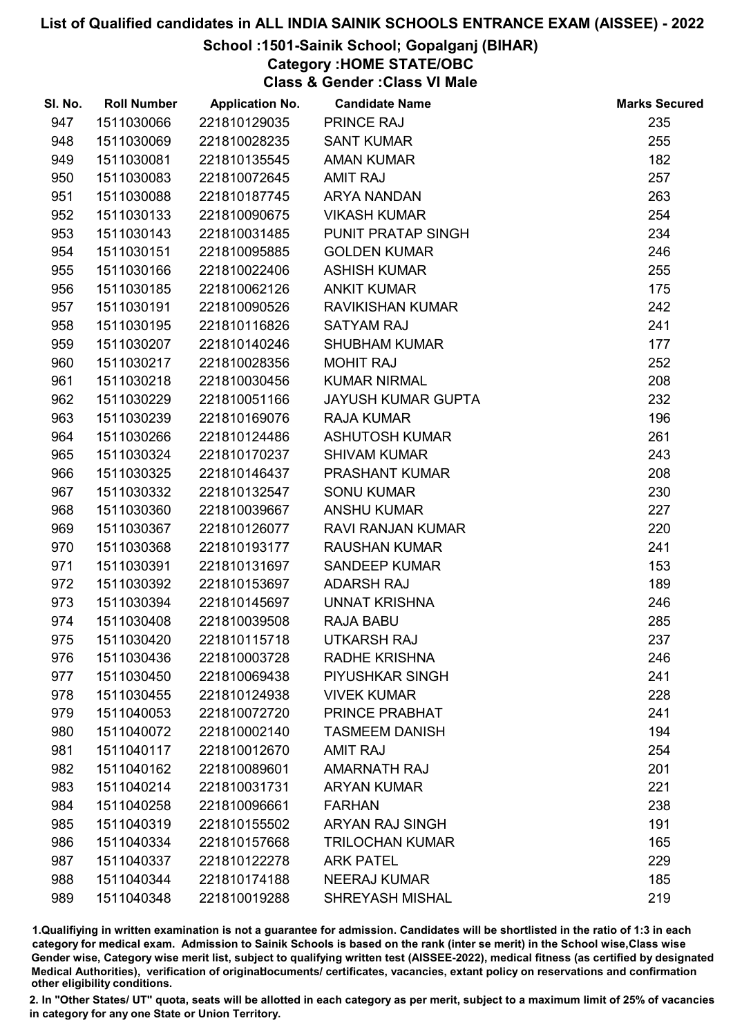## School :1501-Sainik School; Gopalganj (BIHAR)

Category :HOME STATE/OBC

Class & Gender :Class VI Male

| SI. No. | <b>Roll Number</b> | <b>Application No.</b> | <b>Candidate Name</b>     | <b>Marks Secured</b> |
|---------|--------------------|------------------------|---------------------------|----------------------|
| 947     | 1511030066         | 221810129035           | PRINCE RAJ                | 235                  |
| 948     | 1511030069         | 221810028235           | <b>SANT KUMAR</b>         | 255                  |
| 949     | 1511030081         | 221810135545           | <b>AMAN KUMAR</b>         | 182                  |
| 950     | 1511030083         | 221810072645           | <b>AMIT RAJ</b>           | 257                  |
| 951     | 1511030088         | 221810187745           | <b>ARYA NANDAN</b>        | 263                  |
| 952     | 1511030133         | 221810090675           | <b>VIKASH KUMAR</b>       | 254                  |
| 953     | 1511030143         | 221810031485           | PUNIT PRATAP SINGH        | 234                  |
| 954     | 1511030151         | 221810095885           | <b>GOLDEN KUMAR</b>       | 246                  |
| 955     | 1511030166         | 221810022406           | <b>ASHISH KUMAR</b>       | 255                  |
| 956     | 1511030185         | 221810062126           | <b>ANKIT KUMAR</b>        | 175                  |
| 957     | 1511030191         | 221810090526           | <b>RAVIKISHAN KUMAR</b>   | 242                  |
| 958     | 1511030195         | 221810116826           | <b>SATYAM RAJ</b>         | 241                  |
| 959     | 1511030207         | 221810140246           | <b>SHUBHAM KUMAR</b>      | 177                  |
| 960     | 1511030217         | 221810028356           | <b>MOHIT RAJ</b>          | 252                  |
| 961     | 1511030218         | 221810030456           | <b>KUMAR NIRMAL</b>       | 208                  |
| 962     | 1511030229         | 221810051166           | <b>JAYUSH KUMAR GUPTA</b> | 232                  |
| 963     | 1511030239         | 221810169076           | <b>RAJA KUMAR</b>         | 196                  |
| 964     | 1511030266         | 221810124486           | <b>ASHUTOSH KUMAR</b>     | 261                  |
| 965     | 1511030324         | 221810170237           | <b>SHIVAM KUMAR</b>       | 243                  |
| 966     | 1511030325         | 221810146437           | <b>PRASHANT KUMAR</b>     | 208                  |
| 967     | 1511030332         | 221810132547           | <b>SONU KUMAR</b>         | 230                  |
| 968     | 1511030360         | 221810039667           | <b>ANSHU KUMAR</b>        | 227                  |
| 969     | 1511030367         | 221810126077           | <b>RAVI RANJAN KUMAR</b>  | 220                  |
| 970     | 1511030368         | 221810193177           | <b>RAUSHAN KUMAR</b>      | 241                  |
| 971     | 1511030391         | 221810131697           | <b>SANDEEP KUMAR</b>      | 153                  |
| 972     | 1511030392         | 221810153697           | <b>ADARSH RAJ</b>         | 189                  |
| 973     | 1511030394         | 221810145697           | <b>UNNAT KRISHNA</b>      | 246                  |
| 974     | 1511030408         | 221810039508           | <b>RAJA BABU</b>          | 285                  |
| 975     | 1511030420         | 221810115718           | <b>UTKARSH RAJ</b>        | 237                  |
| 976     | 1511030436         | 221810003728           | <b>RADHE KRISHNA</b>      | 246                  |
| 977     | 1511030450         | 221810069438           | PIYUSHKAR SINGH           | 241                  |
| 978     | 1511030455         | 221810124938           | <b>VIVEK KUMAR</b>        | 228                  |
| 979     | 1511040053         | 221810072720           | PRINCE PRABHAT            | 241                  |
| 980     | 1511040072         | 221810002140           | <b>TASMEEM DANISH</b>     | 194                  |
| 981     | 1511040117         | 221810012670           | <b>AMIT RAJ</b>           | 254                  |
| 982     | 1511040162         | 221810089601           | <b>AMARNATH RAJ</b>       | 201                  |
| 983     | 1511040214         | 221810031731           | <b>ARYAN KUMAR</b>        | 221                  |
| 984     | 1511040258         | 221810096661           | <b>FARHAN</b>             | 238                  |
| 985     | 1511040319         | 221810155502           | <b>ARYAN RAJ SINGH</b>    | 191                  |
| 986     | 1511040334         | 221810157668           | <b>TRILOCHAN KUMAR</b>    | 165                  |
| 987     | 1511040337         | 221810122278           | <b>ARK PATEL</b>          | 229                  |
| 988     | 1511040344         | 221810174188           | <b>NEERAJ KUMAR</b>       | 185                  |
| 989     | 1511040348         | 221810019288           | <b>SHREYASH MISHAL</b>    | 219                  |

1.Qualifiying in written examination is not a guarantee for admission. Candidates will be shortlisted in the ratio of 1:3 in each category for medical exam. Admission to Sainik Schools is based on the rank (inter se merit) in the School wise,Class wise Gender wise, Category wise merit list, subject to qualifying written test (AISSEE-2022), medical fitness (as certified by designated Medical Authorities), verification of originablocuments/ certificates, vacancies, extant policy on reservations and confirmation other eligibility conditions.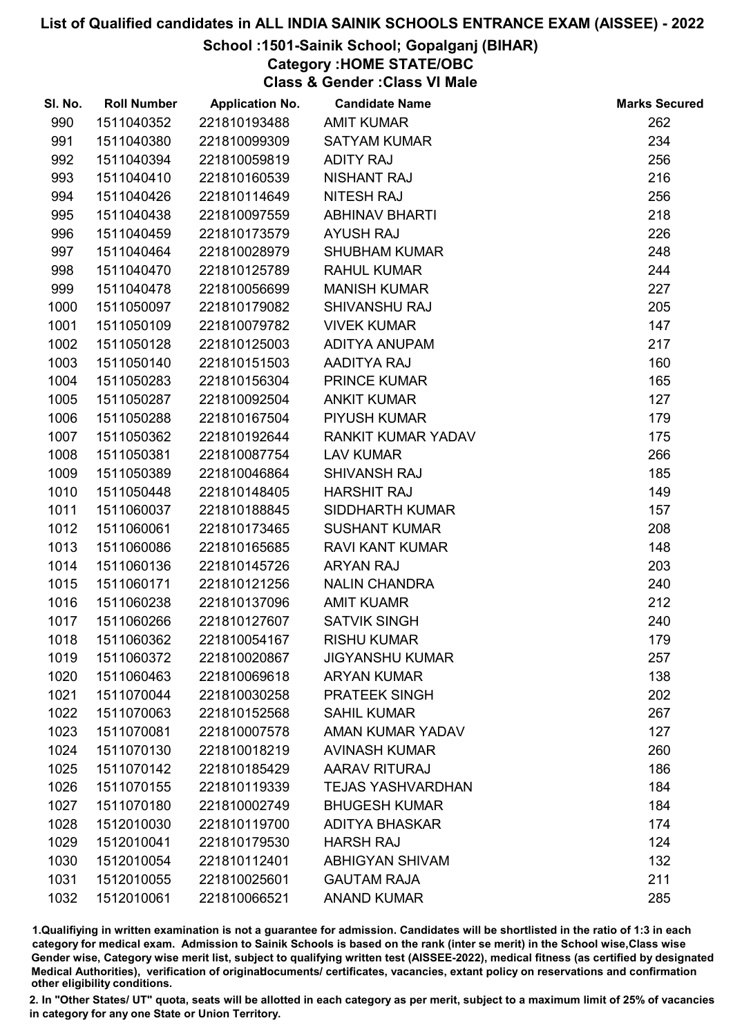# School :1501-Sainik School; Gopalganj (BIHAR)

Category :HOME STATE/OBC

Class & Gender :Class VI Male

| SI. No. | <b>Roll Number</b> | <b>Application No.</b> | <b>Candidate Name</b>     | <b>Marks Secured</b> |
|---------|--------------------|------------------------|---------------------------|----------------------|
| 990     | 1511040352         | 221810193488           | <b>AMIT KUMAR</b>         | 262                  |
| 991     | 1511040380         | 221810099309           | <b>SATYAM KUMAR</b>       | 234                  |
| 992     | 1511040394         | 221810059819           | <b>ADITY RAJ</b>          | 256                  |
| 993     | 1511040410         | 221810160539           | <b>NISHANT RAJ</b>        | 216                  |
| 994     | 1511040426         | 221810114649           | NITESH RAJ                | 256                  |
| 995     | 1511040438         | 221810097559           | <b>ABHINAV BHARTI</b>     | 218                  |
| 996     | 1511040459         | 221810173579           | <b>AYUSH RAJ</b>          | 226                  |
| 997     | 1511040464         | 221810028979           | <b>SHUBHAM KUMAR</b>      | 248                  |
| 998     | 1511040470         | 221810125789           | <b>RAHUL KUMAR</b>        | 244                  |
| 999     | 1511040478         | 221810056699           | <b>MANISH KUMAR</b>       | 227                  |
| 1000    | 1511050097         | 221810179082           | SHIVANSHU RAJ             | 205                  |
| 1001    | 1511050109         | 221810079782           | <b>VIVEK KUMAR</b>        | 147                  |
| 1002    | 1511050128         | 221810125003           | ADITYA ANUPAM             | 217                  |
| 1003    | 1511050140         | 221810151503           | AADITYA RAJ               | 160                  |
| 1004    | 1511050283         | 221810156304           | <b>PRINCE KUMAR</b>       | 165                  |
| 1005    | 1511050287         | 221810092504           | <b>ANKIT KUMAR</b>        | 127                  |
| 1006    | 1511050288         | 221810167504           | <b>PIYUSH KUMAR</b>       | 179                  |
| 1007    | 1511050362         | 221810192644           | <b>RANKIT KUMAR YADAV</b> | 175                  |
| 1008    | 1511050381         | 221810087754           | <b>LAV KUMAR</b>          | 266                  |
| 1009    | 1511050389         | 221810046864           | <b>SHIVANSH RAJ</b>       | 185                  |
| 1010    | 1511050448         | 221810148405           | <b>HARSHIT RAJ</b>        | 149                  |
| 1011    | 1511060037         | 221810188845           | <b>SIDDHARTH KUMAR</b>    | 157                  |
| 1012    | 1511060061         | 221810173465           | <b>SUSHANT KUMAR</b>      | 208                  |
| 1013    | 1511060086         | 221810165685           | <b>RAVI KANT KUMAR</b>    | 148                  |
| 1014    | 1511060136         | 221810145726           | <b>ARYAN RAJ</b>          | 203                  |
| 1015    | 1511060171         | 221810121256           | <b>NALIN CHANDRA</b>      | 240                  |
| 1016    | 1511060238         | 221810137096           | <b>AMIT KUAMR</b>         | 212                  |
| 1017    | 1511060266         | 221810127607           | <b>SATVIK SINGH</b>       | 240                  |
| 1018    | 1511060362         | 221810054167           | <b>RISHU KUMAR</b>        | 179                  |
| 1019    | 1511060372         | 221810020867           | <b>JIGYANSHU KUMAR</b>    | 257                  |
| 1020    | 1511060463         | 221810069618           | <b>ARYAN KUMAR</b>        | 138                  |
| 1021    | 1511070044         | 221810030258           | PRATEEK SINGH             | 202                  |
| 1022    | 1511070063         | 221810152568           | <b>SAHIL KUMAR</b>        | 267                  |
| 1023    | 1511070081         | 221810007578           | <b>AMAN KUMAR YADAV</b>   | 127                  |
| 1024    | 1511070130         | 221810018219           | <b>AVINASH KUMAR</b>      | 260                  |
| 1025    | 1511070142         | 221810185429           | AARAV RITURAJ             | 186                  |
| 1026    | 1511070155         | 221810119339           | <b>TEJAS YASHVARDHAN</b>  | 184                  |
| 1027    | 1511070180         | 221810002749           | <b>BHUGESH KUMAR</b>      | 184                  |
| 1028    | 1512010030         | 221810119700           | <b>ADITYA BHASKAR</b>     | 174                  |
| 1029    | 1512010041         | 221810179530           | <b>HARSH RAJ</b>          | 124                  |
| 1030    | 1512010054         | 221810112401           | <b>ABHIGYAN SHIVAM</b>    | 132                  |
| 1031    | 1512010055         | 221810025601           | <b>GAUTAM RAJA</b>        | 211                  |
| 1032    | 1512010061         | 221810066521           | <b>ANAND KUMAR</b>        | 285                  |

1.Qualifiying in written examination is not a guarantee for admission. Candidates will be shortlisted in the ratio of 1:3 in each category for medical exam. Admission to Sainik Schools is based on the rank (inter se merit) in the School wise,Class wise Gender wise, Category wise merit list, subject to qualifying written test (AISSEE-2022), medical fitness (as certified by designated Medical Authorities), verification of originablocuments/ certificates, vacancies, extant policy on reservations and confirmation other eligibility conditions.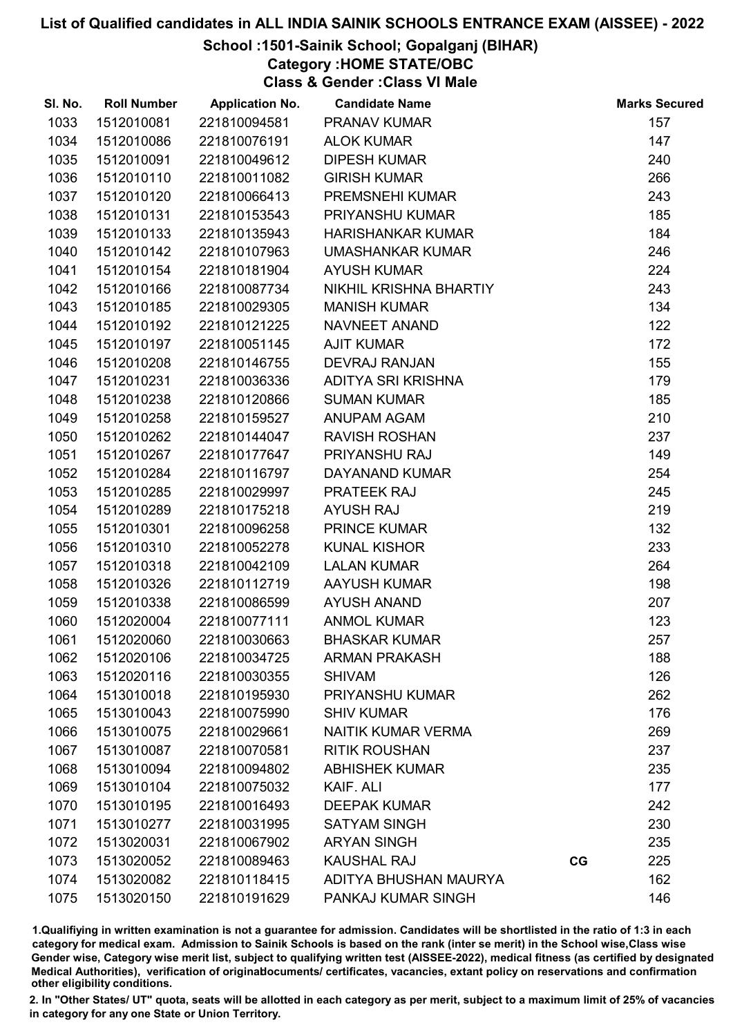# School :1501-Sainik School; Gopalganj (BIHAR)

Category :HOME STATE/OBC

Class & Gender :Class VI Male

| SI. No. | <b>Roll Number</b> | <b>Application No.</b> | <b>Candidate Name</b>    |    | <b>Marks Secured</b> |
|---------|--------------------|------------------------|--------------------------|----|----------------------|
| 1033    | 1512010081         | 221810094581           | <b>PRANAV KUMAR</b>      |    | 157                  |
| 1034    | 1512010086         | 221810076191           | <b>ALOK KUMAR</b>        |    | 147                  |
| 1035    | 1512010091         | 221810049612           | <b>DIPESH KUMAR</b>      |    | 240                  |
| 1036    | 1512010110         | 221810011082           | <b>GIRISH KUMAR</b>      |    | 266                  |
| 1037    | 1512010120         | 221810066413           | <b>PREMSNEHI KUMAR</b>   |    | 243                  |
| 1038    | 1512010131         | 221810153543           | PRIYANSHU KUMAR          |    | 185                  |
| 1039    | 1512010133         | 221810135943           | <b>HARISHANKAR KUMAR</b> |    | 184                  |
| 1040    | 1512010142         | 221810107963           | <b>UMASHANKAR KUMAR</b>  |    | 246                  |
| 1041    | 1512010154         | 221810181904           | <b>AYUSH KUMAR</b>       |    | 224                  |
| 1042    | 1512010166         | 221810087734           | NIKHIL KRISHNA BHARTIY   |    | 243                  |
| 1043    | 1512010185         | 221810029305           | <b>MANISH KUMAR</b>      |    | 134                  |
| 1044    | 1512010192         | 221810121225           | <b>NAVNEET ANAND</b>     |    | 122                  |
| 1045    | 1512010197         | 221810051145           | <b>AJIT KUMAR</b>        |    | 172                  |
| 1046    | 1512010208         | 221810146755           | <b>DEVRAJ RANJAN</b>     |    | 155                  |
| 1047    | 1512010231         | 221810036336           | ADITYA SRI KRISHNA       |    | 179                  |
| 1048    | 1512010238         | 221810120866           | <b>SUMAN KUMAR</b>       |    | 185                  |
| 1049    | 1512010258         | 221810159527           | ANUPAM AGAM              |    | 210                  |
| 1050    | 1512010262         | 221810144047           | <b>RAVISH ROSHAN</b>     |    | 237                  |
| 1051    | 1512010267         | 221810177647           | PRIYANSHU RAJ            |    | 149                  |
| 1052    | 1512010284         | 221810116797           | DAYANAND KUMAR           |    | 254                  |
| 1053    | 1512010285         | 221810029997           | PRATEEK RAJ              |    | 245                  |
| 1054    | 1512010289         | 221810175218           | <b>AYUSH RAJ</b>         |    | 219                  |
| 1055    | 1512010301         | 221810096258           | PRINCE KUMAR             |    | 132                  |
| 1056    | 1512010310         | 221810052278           | <b>KUNAL KISHOR</b>      |    | 233                  |
| 1057    | 1512010318         | 221810042109           | <b>LALAN KUMAR</b>       |    | 264                  |
| 1058    | 1512010326         | 221810112719           | <b>AAYUSH KUMAR</b>      |    | 198                  |
| 1059    | 1512010338         | 221810086599           | <b>AYUSH ANAND</b>       |    | 207                  |
| 1060    | 1512020004         | 221810077111           | <b>ANMOL KUMAR</b>       |    | 123                  |
| 1061    | 1512020060         | 221810030663           | <b>BHASKAR KUMAR</b>     |    | 257                  |
| 1062    | 1512020106         | 221810034725           | <b>ARMAN PRAKASH</b>     |    | 188                  |
| 1063    | 1512020116         | 221810030355           | <b>SHIVAM</b>            |    | 126                  |
| 1064    | 1513010018         | 221810195930           | PRIYANSHU KUMAR          |    | 262                  |
| 1065    | 1513010043         | 221810075990           | <b>SHIV KUMAR</b>        |    | 176                  |
| 1066    | 1513010075         | 221810029661           | NAITIK KUMAR VERMA       |    | 269                  |
| 1067    | 1513010087         | 221810070581           | <b>RITIK ROUSHAN</b>     |    | 237                  |
| 1068    | 1513010094         | 221810094802           | <b>ABHISHEK KUMAR</b>    |    | 235                  |
| 1069    | 1513010104         | 221810075032           | KAIF. ALI                |    | 177                  |
| 1070    | 1513010195         | 221810016493           | <b>DEEPAK KUMAR</b>      |    | 242                  |
| 1071    | 1513010277         | 221810031995           | <b>SATYAM SINGH</b>      |    | 230                  |
| 1072    | 1513020031         | 221810067902           | <b>ARYAN SINGH</b>       |    | 235                  |
| 1073    | 1513020052         | 221810089463           | <b>KAUSHAL RAJ</b>       | CG | 225                  |
| 1074    | 1513020082         | 221810118415           | ADITYA BHUSHAN MAURYA    |    | 162                  |
| 1075    | 1513020150         | 221810191629           | PANKAJ KUMAR SINGH       |    | 146                  |

1.Qualifiying in written examination is not a guarantee for admission. Candidates will be shortlisted in the ratio of 1:3 in each category for medical exam. Admission to Sainik Schools is based on the rank (inter se merit) in the School wise,Class wise Gender wise, Category wise merit list, subject to qualifying written test (AISSEE-2022), medical fitness (as certified by designated Medical Authorities), verification of originablocuments/ certificates, vacancies, extant policy on reservations and confirmation other eligibility conditions.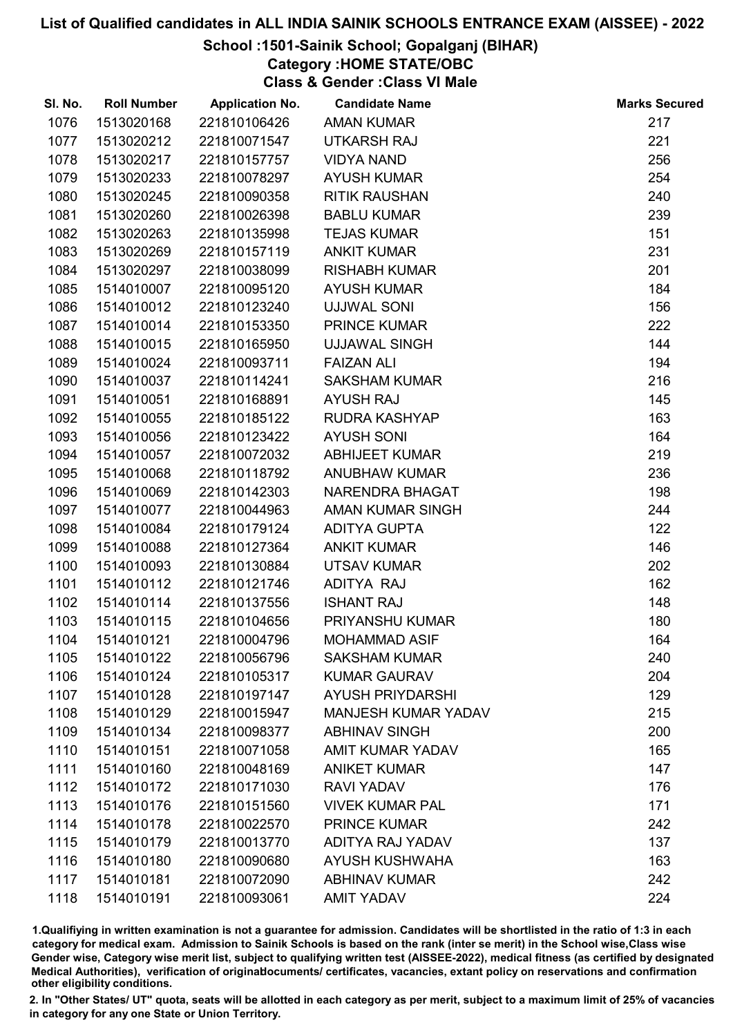## School :1501-Sainik School; Gopalganj (BIHAR)

Category :HOME STATE/OBC

Class & Gender :Class VI Male

| SI. No. | <b>Roll Number</b> | <b>Application No.</b> | <b>Candidate Name</b>      | <b>Marks Secured</b> |
|---------|--------------------|------------------------|----------------------------|----------------------|
| 1076    | 1513020168         | 221810106426           | <b>AMAN KUMAR</b>          | 217                  |
| 1077    | 1513020212         | 221810071547           | <b>UTKARSH RAJ</b>         | 221                  |
| 1078    | 1513020217         | 221810157757           | <b>VIDYA NAND</b>          | 256                  |
| 1079    | 1513020233         | 221810078297           | <b>AYUSH KUMAR</b>         | 254                  |
| 1080    | 1513020245         | 221810090358           | <b>RITIK RAUSHAN</b>       | 240                  |
| 1081    | 1513020260         | 221810026398           | <b>BABLU KUMAR</b>         | 239                  |
| 1082    | 1513020263         | 221810135998           | <b>TEJAS KUMAR</b>         | 151                  |
| 1083    | 1513020269         | 221810157119           | <b>ANKIT KUMAR</b>         | 231                  |
| 1084    | 1513020297         | 221810038099           | <b>RISHABH KUMAR</b>       | 201                  |
| 1085    | 1514010007         | 221810095120           | <b>AYUSH KUMAR</b>         | 184                  |
| 1086    | 1514010012         | 221810123240           | <b>UJJWAL SONI</b>         | 156                  |
| 1087    | 1514010014         | 221810153350           | <b>PRINCE KUMAR</b>        | 222                  |
| 1088    | 1514010015         | 221810165950           | <b>UJJAWAL SINGH</b>       | 144                  |
| 1089    | 1514010024         | 221810093711           | <b>FAIZAN ALI</b>          | 194                  |
| 1090    | 1514010037         | 221810114241           | <b>SAKSHAM KUMAR</b>       | 216                  |
| 1091    | 1514010051         | 221810168891           | <b>AYUSH RAJ</b>           | 145                  |
| 1092    | 1514010055         | 221810185122           | RUDRA KASHYAP              | 163                  |
| 1093    | 1514010056         | 221810123422           | <b>AYUSH SONI</b>          | 164                  |
| 1094    | 1514010057         | 221810072032           | <b>ABHIJEET KUMAR</b>      | 219                  |
| 1095    | 1514010068         | 221810118792           | <b>ANUBHAW KUMAR</b>       | 236                  |
| 1096    | 1514010069         | 221810142303           | NARENDRA BHAGAT            | 198                  |
| 1097    | 1514010077         | 221810044963           | <b>AMAN KUMAR SINGH</b>    | 244                  |
| 1098    | 1514010084         | 221810179124           | <b>ADITYA GUPTA</b>        | 122                  |
| 1099    | 1514010088         | 221810127364           | <b>ANKIT KUMAR</b>         | 146                  |
| 1100    | 1514010093         | 221810130884           | <b>UTSAV KUMAR</b>         | 202                  |
| 1101    | 1514010112         | 221810121746           | ADITYA RAJ                 | 162                  |
| 1102    | 1514010114         | 221810137556           | <b>ISHANT RAJ</b>          | 148                  |
| 1103    | 1514010115         | 221810104656           | PRIYANSHU KUMAR            | 180                  |
| 1104    | 1514010121         | 221810004796           | <b>MOHAMMAD ASIF</b>       | 164                  |
| 1105    | 1514010122         | 221810056796           | <b>SAKSHAM KUMAR</b>       | 240                  |
| 1106    | 1514010124         | 221810105317           | <b>KUMAR GAURAV</b>        | 204                  |
| 1107    | 1514010128         | 221810197147           | <b>AYUSH PRIYDARSHI</b>    | 129                  |
| 1108    | 1514010129         | 221810015947           | <b>MANJESH KUMAR YADAV</b> | 215                  |
| 1109    | 1514010134         | 221810098377           | <b>ABHINAV SINGH</b>       | 200                  |
| 1110    | 1514010151         | 221810071058           | <b>AMIT KUMAR YADAV</b>    | 165                  |
| 1111    | 1514010160         | 221810048169           | <b>ANIKET KUMAR</b>        | 147                  |
| 1112    | 1514010172         | 221810171030           | <b>RAVI YADAV</b>          | 176                  |
| 1113    | 1514010176         | 221810151560           | <b>VIVEK KUMAR PAL</b>     | 171                  |
| 1114    | 1514010178         | 221810022570           | <b>PRINCE KUMAR</b>        | 242                  |
| 1115    | 1514010179         | 221810013770           | ADITYA RAJ YADAV           | 137                  |
| 1116    | 1514010180         | 221810090680           | <b>AYUSH KUSHWAHA</b>      | 163                  |
| 1117    | 1514010181         | 221810072090           | <b>ABHINAV KUMAR</b>       | 242                  |
| 1118    | 1514010191         | 221810093061           | <b>AMIT YADAV</b>          | 224                  |

1.Qualifiying in written examination is not a guarantee for admission. Candidates will be shortlisted in the ratio of 1:3 in each category for medical exam. Admission to Sainik Schools is based on the rank (inter se merit) in the School wise,Class wise Gender wise, Category wise merit list, subject to qualifying written test (AISSEE-2022), medical fitness (as certified by designated Medical Authorities), verification of originablocuments/ certificates, vacancies, extant policy on reservations and confirmation other eligibility conditions.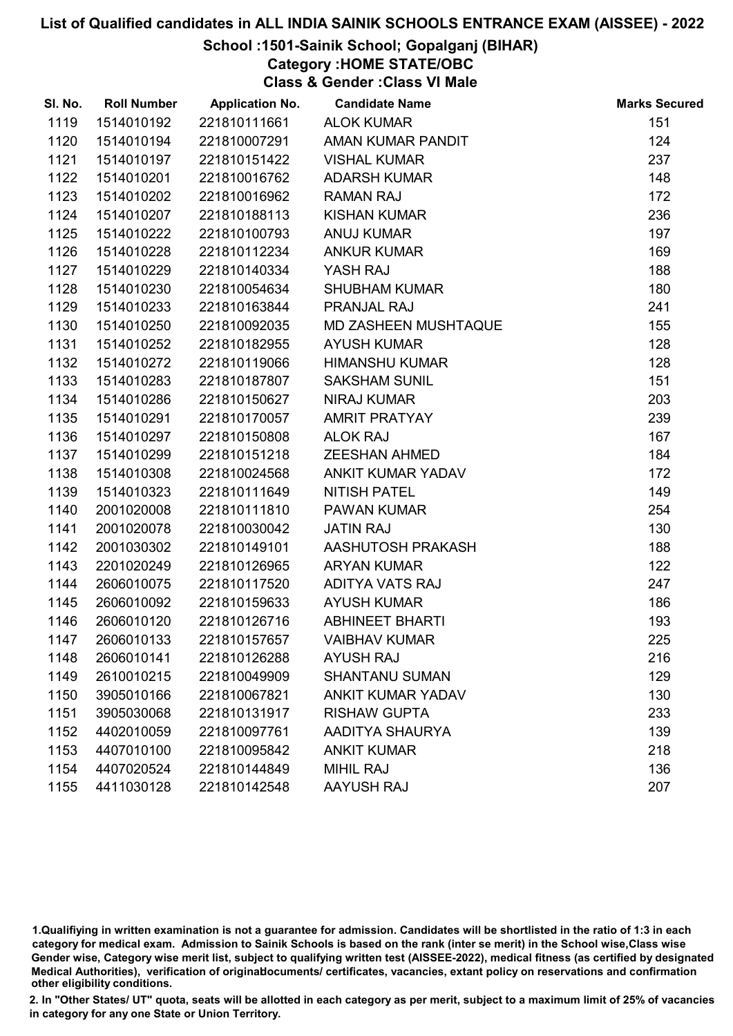## School :1501-Sainik School; Gopalganj (BIHAR)

Category :HOME STATE/OBC

Class & Gender :Class VI Male

| SI. No. | <b>Roll Number</b> | <b>Application No.</b> | <b>Candidate Name</b>       | <b>Marks Secured</b> |
|---------|--------------------|------------------------|-----------------------------|----------------------|
| 1119    | 1514010192         | 221810111661           | <b>ALOK KUMAR</b>           | 151                  |
| 1120    | 1514010194         | 221810007291           | AMAN KUMAR PANDIT           | 124                  |
| 1121    | 1514010197         | 221810151422           | <b>VISHAL KUMAR</b>         | 237                  |
| 1122    | 1514010201         | 221810016762           | <b>ADARSH KUMAR</b>         | 148                  |
| 1123    | 1514010202         | 221810016962           | <b>RAMAN RAJ</b>            | 172                  |
| 1124    | 1514010207         | 221810188113           | <b>KISHAN KUMAR</b>         | 236                  |
| 1125    | 1514010222         | 221810100793           | <b>ANUJ KUMAR</b>           | 197                  |
| 1126    | 1514010228         | 221810112234           | <b>ANKUR KUMAR</b>          | 169                  |
| 1127    | 1514010229         | 221810140334           | YASH RAJ                    | 188                  |
| 1128    | 1514010230         | 221810054634           | <b>SHUBHAM KUMAR</b>        | 180                  |
| 1129    | 1514010233         | 221810163844           | PRANJAL RAJ                 | 241                  |
| 1130    | 1514010250         | 221810092035           | <b>MD ZASHEEN MUSHTAQUE</b> | 155                  |
| 1131    | 1514010252         | 221810182955           | <b>AYUSH KUMAR</b>          | 128                  |
| 1132    | 1514010272         | 221810119066           | <b>HIMANSHU KUMAR</b>       | 128                  |
| 1133    | 1514010283         | 221810187807           | <b>SAKSHAM SUNIL</b>        | 151                  |
| 1134    | 1514010286         | 221810150627           | <b>NIRAJ KUMAR</b>          | 203                  |
| 1135    | 1514010291         | 221810170057           | <b>AMRIT PRATYAY</b>        | 239                  |
| 1136    | 1514010297         | 221810150808           | <b>ALOK RAJ</b>             | 167                  |
| 1137    | 1514010299         | 221810151218           | <b>ZEESHAN AHMED</b>        | 184                  |
| 1138    | 1514010308         | 221810024568           | ANKIT KUMAR YADAV           | 172                  |
| 1139    | 1514010323         | 221810111649           | <b>NITISH PATEL</b>         | 149                  |
| 1140    | 2001020008         | 221810111810           | <b>PAWAN KUMAR</b>          | 254                  |
| 1141    | 2001020078         | 221810030042           | <b>JATIN RAJ</b>            | 130                  |
| 1142    | 2001030302         | 221810149101           | AASHUTOSH PRAKASH           | 188                  |
| 1143    | 2201020249         | 221810126965           | <b>ARYAN KUMAR</b>          | 122                  |
| 1144    | 2606010075         | 221810117520           | <b>ADITYA VATS RAJ</b>      | 247                  |
| 1145    | 2606010092         | 221810159633           | <b>AYUSH KUMAR</b>          | 186                  |
| 1146    | 2606010120         | 221810126716           | <b>ABHINEET BHARTI</b>      | 193                  |
| 1147    | 2606010133         | 221810157657           | <b>VAIBHAV KUMAR</b>        | 225                  |
| 1148    | 2606010141         | 221810126288           | <b>AYUSH RAJ</b>            | 216                  |
| 1149    | 2610010215         | 221810049909           | <b>SHANTANU SUMAN</b>       | 129                  |
| 1150    | 3905010166         | 221810067821           | <b>ANKIT KUMAR YADAV</b>    | 130                  |
| 1151    | 3905030068         | 221810131917           | <b>RISHAW GUPTA</b>         | 233                  |
| 1152    | 4402010059         | 221810097761           | AADITYA SHAURYA             | 139                  |
| 1153    | 4407010100         | 221810095842           | <b>ANKIT KUMAR</b>          | 218                  |
| 1154    | 4407020524         | 221810144849           | <b>MIHIL RAJ</b>            | 136                  |
| 1155    | 4411030128         | 221810142548           | AAYUSH RAJ                  | 207                  |

1.Qualifiying in written examination is not a guarantee for admission. Candidates will be shortlisted in the ratio of 1:3 in each category for medical exam. Admission to Sainik Schools is based on the rank (inter se merit) in the School wise,Class wise Gender wise, Category wise merit list, subject to qualifying written test (AISSEE-2022), medical fitness (as certified by designated Medical Authorities), verification of originablocuments/ certificates, vacancies, extant policy on reservations and confirmation other eligibility conditions.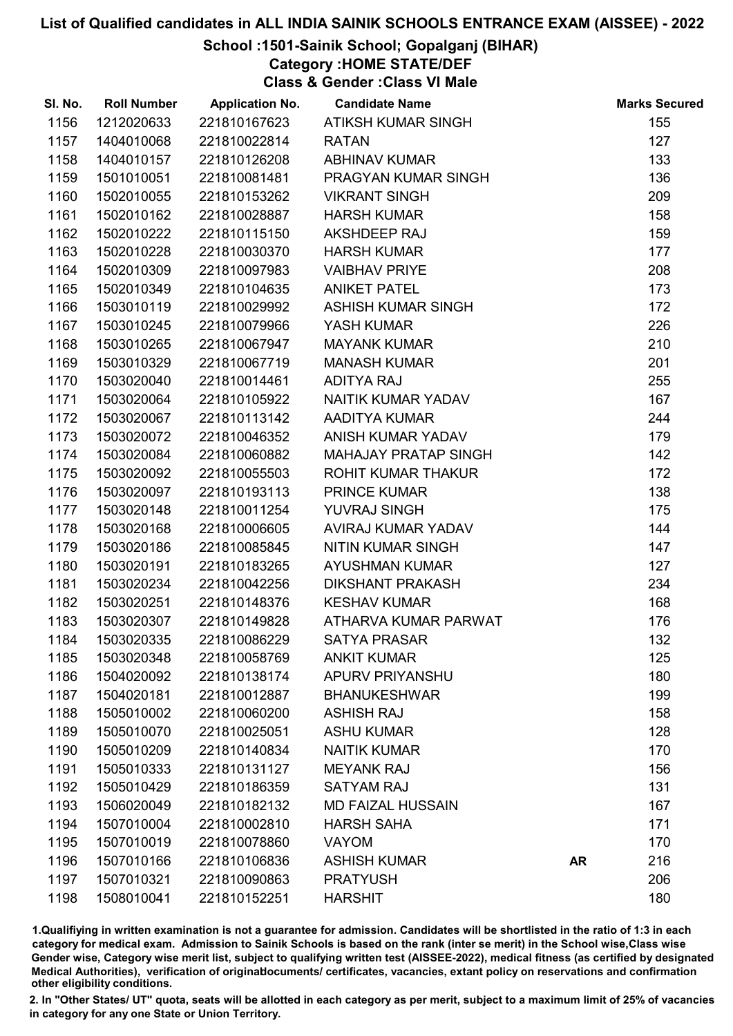## School :1501-Sainik School; Gopalganj (BIHAR)

Category :HOME STATE/DEF

Class & Gender :Class VI Male

| SI. No. | <b>Roll Number</b> | <b>Application No.</b> | <b>Candidate Name</b>       |           | <b>Marks Secured</b> |
|---------|--------------------|------------------------|-----------------------------|-----------|----------------------|
| 1156    | 1212020633         | 221810167623           | ATIKSH KUMAR SINGH          |           | 155                  |
| 1157    | 1404010068         | 221810022814           | <b>RATAN</b>                |           | 127                  |
| 1158    | 1404010157         | 221810126208           | <b>ABHINAV KUMAR</b>        |           | 133                  |
| 1159    | 1501010051         | 221810081481           | PRAGYAN KUMAR SINGH         |           | 136                  |
| 1160    | 1502010055         | 221810153262           | <b>VIKRANT SINGH</b>        |           | 209                  |
| 1161    | 1502010162         | 221810028887           | <b>HARSH KUMAR</b>          |           | 158                  |
| 1162    | 1502010222         | 221810115150           | AKSHDEEP RAJ                |           | 159                  |
| 1163    | 1502010228         | 221810030370           | <b>HARSH KUMAR</b>          |           | 177                  |
| 1164    | 1502010309         | 221810097983           | <b>VAIBHAV PRIYE</b>        |           | 208                  |
| 1165    | 1502010349         | 221810104635           | <b>ANIKET PATEL</b>         |           | 173                  |
| 1166    | 1503010119         | 221810029992           | ASHISH KUMAR SINGH          |           | 172                  |
| 1167    | 1503010245         | 221810079966           | YASH KUMAR                  |           | 226                  |
| 1168    | 1503010265         | 221810067947           | <b>MAYANK KUMAR</b>         |           | 210                  |
| 1169    | 1503010329         | 221810067719           | <b>MANASH KUMAR</b>         |           | 201                  |
| 1170    | 1503020040         | 221810014461           | <b>ADITYA RAJ</b>           |           | 255                  |
| 1171    | 1503020064         | 221810105922           | NAITIK KUMAR YADAV          |           | 167                  |
| 1172    | 1503020067         | 221810113142           | AADITYA KUMAR               |           | 244                  |
| 1173    | 1503020072         | 221810046352           | ANISH KUMAR YADAV           |           | 179                  |
| 1174    | 1503020084         | 221810060882           | <b>MAHAJAY PRATAP SINGH</b> |           | 142                  |
| 1175    | 1503020092         | 221810055503           | ROHIT KUMAR THAKUR          |           | 172                  |
| 1176    | 1503020097         | 221810193113           | <b>PRINCE KUMAR</b>         |           | 138                  |
| 1177    | 1503020148         | 221810011254           | YUVRAJ SINGH                |           | 175                  |
| 1178    | 1503020168         | 221810006605           | AVIRAJ KUMAR YADAV          |           | 144                  |
| 1179    | 1503020186         | 221810085845           | <b>NITIN KUMAR SINGH</b>    |           | 147                  |
| 1180    | 1503020191         | 221810183265           | <b>AYUSHMAN KUMAR</b>       |           | 127                  |
| 1181    | 1503020234         | 221810042256           | <b>DIKSHANT PRAKASH</b>     |           | 234                  |
| 1182    | 1503020251         | 221810148376           | <b>KESHAV KUMAR</b>         |           | 168                  |
| 1183    | 1503020307         | 221810149828           | ATHARVA KUMAR PARWAT        |           | 176                  |
| 1184    | 1503020335         | 221810086229           | <b>SATYA PRASAR</b>         |           | 132                  |
| 1185    | 1503020348         | 221810058769           | <b>ANKIT KUMAR</b>          |           | 125                  |
| 1186    | 1504020092         | 221810138174           | <b>APURV PRIYANSHU</b>      |           | 180                  |
| 1187    | 1504020181         | 221810012887           | <b>BHANUKESHWAR</b>         |           | 199                  |
| 1188    | 1505010002         | 221810060200           | <b>ASHISH RAJ</b>           |           | 158                  |
| 1189    | 1505010070         | 221810025051           | <b>ASHU KUMAR</b>           |           | 128                  |
| 1190    | 1505010209         | 221810140834           | <b>NAITIK KUMAR</b>         |           | 170                  |
| 1191    | 1505010333         | 221810131127           | <b>MEYANK RAJ</b>           |           | 156                  |
| 1192    | 1505010429         | 221810186359           | <b>SATYAM RAJ</b>           |           | 131                  |
| 1193    | 1506020049         | 221810182132           | <b>MD FAIZAL HUSSAIN</b>    |           | 167                  |
| 1194    | 1507010004         | 221810002810           | <b>HARSH SAHA</b>           |           | 171                  |
| 1195    | 1507010019         | 221810078860           | <b>VAYOM</b>                |           | 170                  |
| 1196    | 1507010166         | 221810106836           | <b>ASHISH KUMAR</b>         | <b>AR</b> | 216                  |
| 1197    | 1507010321         | 221810090863           | <b>PRATYUSH</b>             |           | 206                  |
| 1198    | 1508010041         | 221810152251           | <b>HARSHIT</b>              |           | 180                  |

1.Qualifiying in written examination is not a guarantee for admission. Candidates will be shortlisted in the ratio of 1:3 in each category for medical exam. Admission to Sainik Schools is based on the rank (inter se merit) in the School wise,Class wise Gender wise, Category wise merit list, subject to qualifying written test (AISSEE-2022), medical fitness (as certified by designated Medical Authorities), verification of originablocuments/ certificates, vacancies, extant policy on reservations and confirmation other eligibility conditions.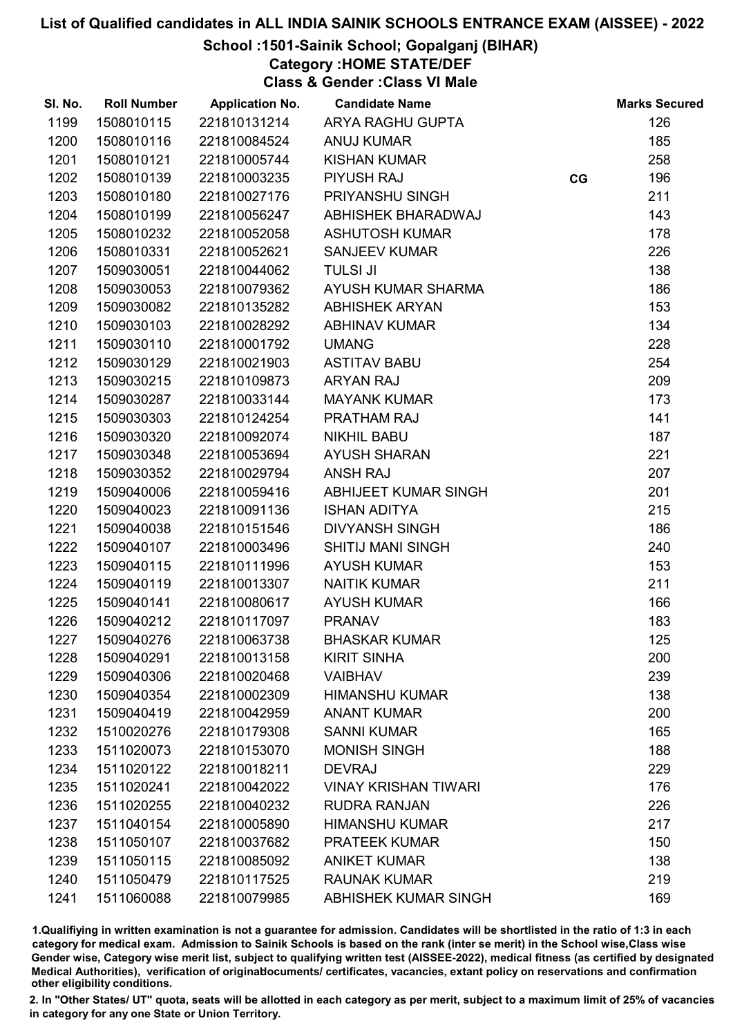# School :1501-Sainik School; Gopalganj (BIHAR)

Category :HOME STATE/DEF

Class & Gender :Class VI Male

| SI. No. | <b>Roll Number</b> | <b>Application No.</b> | <b>Candidate Name</b>       |    | <b>Marks Secured</b> |
|---------|--------------------|------------------------|-----------------------------|----|----------------------|
| 1199    | 1508010115         | 221810131214           | ARYA RAGHU GUPTA            |    | 126                  |
| 1200    | 1508010116         | 221810084524           | <b>ANUJ KUMAR</b>           |    | 185                  |
| 1201    | 1508010121         | 221810005744           | <b>KISHAN KUMAR</b>         |    | 258                  |
| 1202    | 1508010139         | 221810003235           | <b>PIYUSH RAJ</b>           | CG | 196                  |
| 1203    | 1508010180         | 221810027176           | PRIYANSHU SINGH             |    | 211                  |
| 1204    | 1508010199         | 221810056247           | ABHISHEK BHARADWAJ          |    | 143                  |
| 1205    | 1508010232         | 221810052058           | <b>ASHUTOSH KUMAR</b>       |    | 178                  |
| 1206    | 1508010331         | 221810052621           | <b>SANJEEV KUMAR</b>        |    | 226                  |
| 1207    | 1509030051         | 221810044062           | <b>TULSI JI</b>             |    | 138                  |
| 1208    | 1509030053         | 221810079362           | AYUSH KUMAR SHARMA          |    | 186                  |
| 1209    | 1509030082         | 221810135282           | <b>ABHISHEK ARYAN</b>       |    | 153                  |
| 1210    | 1509030103         | 221810028292           | <b>ABHINAV KUMAR</b>        |    | 134                  |
| 1211    | 1509030110         | 221810001792           | <b>UMANG</b>                |    | 228                  |
| 1212    | 1509030129         | 221810021903           | <b>ASTITAV BABU</b>         |    | 254                  |
| 1213    | 1509030215         | 221810109873           | <b>ARYAN RAJ</b>            |    | 209                  |
| 1214    | 1509030287         | 221810033144           | <b>MAYANK KUMAR</b>         |    | 173                  |
| 1215    | 1509030303         | 221810124254           | <b>PRATHAM RAJ</b>          |    | 141                  |
| 1216    | 1509030320         | 221810092074           | <b>NIKHIL BABU</b>          |    | 187                  |
| 1217    | 1509030348         | 221810053694           | <b>AYUSH SHARAN</b>         |    | 221                  |
| 1218    | 1509030352         | 221810029794           | <b>ANSH RAJ</b>             |    | 207                  |
| 1219    | 1509040006         | 221810059416           | ABHIJEET KUMAR SINGH        |    | 201                  |
| 1220    | 1509040023         | 221810091136           | <b>ISHAN ADITYA</b>         |    | 215                  |
| 1221    | 1509040038         | 221810151546           | <b>DIVYANSH SINGH</b>       |    | 186                  |
| 1222    | 1509040107         | 221810003496           | <b>SHITIJ MANI SINGH</b>    |    | 240                  |
| 1223    | 1509040115         | 221810111996           | <b>AYUSH KUMAR</b>          |    | 153                  |
| 1224    | 1509040119         | 221810013307           | <b>NAITIK KUMAR</b>         |    | 211                  |
| 1225    | 1509040141         | 221810080617           | <b>AYUSH KUMAR</b>          |    | 166                  |
| 1226    | 1509040212         | 221810117097           | <b>PRANAV</b>               |    | 183                  |
| 1227    | 1509040276         | 221810063738           | <b>BHASKAR KUMAR</b>        |    | 125                  |
| 1228    | 1509040291         | 221810013158           | <b>KIRIT SINHA</b>          |    | 200                  |
| 1229    | 1509040306         | 221810020468           | <b>VAIBHAV</b>              |    | 239                  |
| 1230    | 1509040354         | 221810002309           | <b>HIMANSHU KUMAR</b>       |    | 138                  |
| 1231    | 1509040419         | 221810042959           | <b>ANANT KUMAR</b>          |    | 200                  |
| 1232    | 1510020276         | 221810179308           | <b>SANNI KUMAR</b>          |    | 165                  |
| 1233    | 1511020073         | 221810153070           | <b>MONISH SINGH</b>         |    | 188                  |
| 1234    | 1511020122         | 221810018211           | <b>DEVRAJ</b>               |    | 229                  |
| 1235    | 1511020241         | 221810042022           | <b>VINAY KRISHAN TIWARI</b> |    | 176                  |
| 1236    | 1511020255         | 221810040232           | <b>RUDRA RANJAN</b>         |    | 226                  |
| 1237    | 1511040154         | 221810005890           | <b>HIMANSHU KUMAR</b>       |    | 217                  |
| 1238    | 1511050107         | 221810037682           | <b>PRATEEK KUMAR</b>        |    | 150                  |
| 1239    | 1511050115         | 221810085092           | <b>ANIKET KUMAR</b>         |    | 138                  |
| 1240    | 1511050479         | 221810117525           | <b>RAUNAK KUMAR</b>         |    | 219                  |
| 1241    | 1511060088         | 221810079985           | ABHISHEK KUMAR SINGH        |    | 169                  |

1.Qualifiying in written examination is not a guarantee for admission. Candidates will be shortlisted in the ratio of 1:3 in each category for medical exam. Admission to Sainik Schools is based on the rank (inter se merit) in the School wise,Class wise Gender wise, Category wise merit list, subject to qualifying written test (AISSEE-2022), medical fitness (as certified by designated Medical Authorities), verification of originablocuments/ certificates, vacancies, extant policy on reservations and confirmation other eligibility conditions.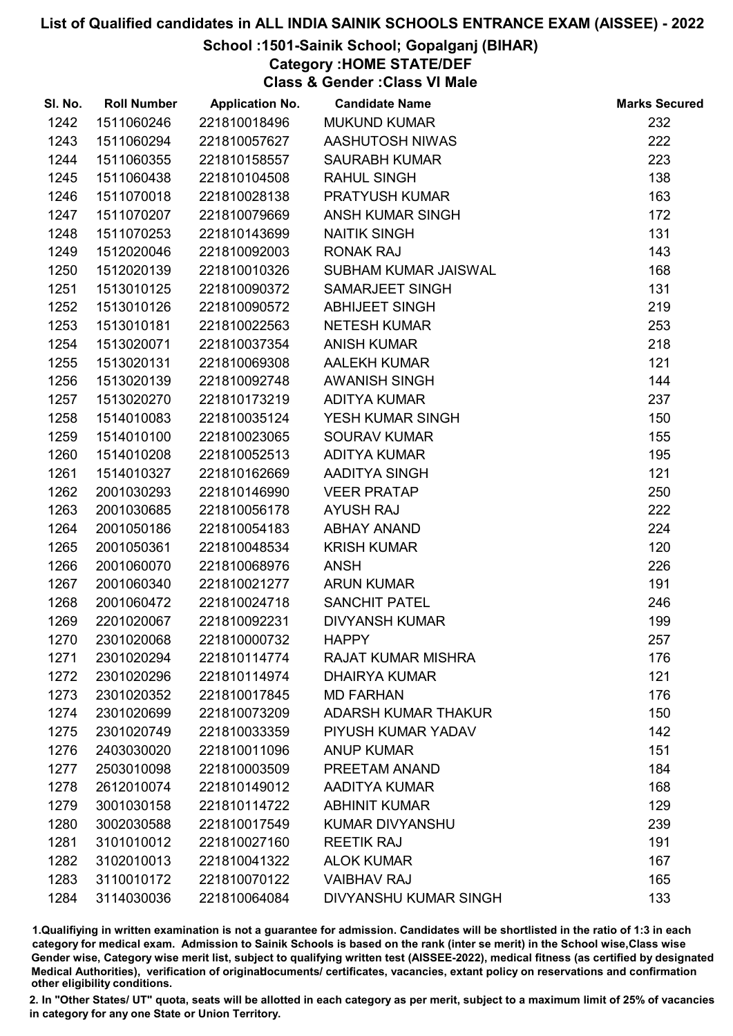# School :1501-Sainik School; Gopalganj (BIHAR)

Category :HOME STATE/DEF

Class & Gender :Class VI Male

| SI. No. | <b>Roll Number</b> | <b>Application No.</b> | <b>Candidate Name</b>        | <b>Marks Secured</b> |
|---------|--------------------|------------------------|------------------------------|----------------------|
| 1242    | 1511060246         | 221810018496           | <b>MUKUND KUMAR</b>          | 232                  |
| 1243    | 1511060294         | 221810057627           | AASHUTOSH NIWAS              | 222                  |
| 1244    | 1511060355         | 221810158557           | <b>SAURABH KUMAR</b>         | 223                  |
| 1245    | 1511060438         | 221810104508           | <b>RAHUL SINGH</b>           | 138                  |
| 1246    | 1511070018         | 221810028138           | PRATYUSH KUMAR               | 163                  |
| 1247    | 1511070207         | 221810079669           | ANSH KUMAR SINGH             | 172                  |
| 1248    | 1511070253         | 221810143699           | <b>NAITIK SINGH</b>          | 131                  |
| 1249    | 1512020046         | 221810092003           | <b>RONAK RAJ</b>             | 143                  |
| 1250    | 1512020139         | 221810010326           | SUBHAM KUMAR JAISWAL         | 168                  |
| 1251    | 1513010125         | 221810090372           | <b>SAMARJEET SINGH</b>       | 131                  |
| 1252    | 1513010126         | 221810090572           | <b>ABHIJEET SINGH</b>        | 219                  |
| 1253    | 1513010181         | 221810022563           | <b>NETESH KUMAR</b>          | 253                  |
| 1254    | 1513020071         | 221810037354           | <b>ANISH KUMAR</b>           | 218                  |
| 1255    | 1513020131         | 221810069308           | <b>AALEKH KUMAR</b>          | 121                  |
| 1256    | 1513020139         | 221810092748           | AWANISH SINGH                | 144                  |
| 1257    | 1513020270         | 221810173219           | <b>ADITYA KUMAR</b>          | 237                  |
| 1258    | 1514010083         | 221810035124           | YESH KUMAR SINGH             | 150                  |
| 1259    | 1514010100         | 221810023065           | <b>SOURAV KUMAR</b>          | 155                  |
| 1260    | 1514010208         | 221810052513           | <b>ADITYA KUMAR</b>          | 195                  |
| 1261    | 1514010327         | 221810162669           | AADITYA SINGH                | 121                  |
| 1262    | 2001030293         | 221810146990           | <b>VEER PRATAP</b>           | 250                  |
| 1263    | 2001030685         | 221810056178           | <b>AYUSH RAJ</b>             | 222                  |
| 1264    | 2001050186         | 221810054183           | <b>ABHAY ANAND</b>           | 224                  |
| 1265    | 2001050361         | 221810048534           | <b>KRISH KUMAR</b>           | 120                  |
| 1266    | 2001060070         | 221810068976           | <b>ANSH</b>                  | 226                  |
| 1267    | 2001060340         | 221810021277           | <b>ARUN KUMAR</b>            | 191                  |
| 1268    | 2001060472         | 221810024718           | <b>SANCHIT PATEL</b>         | 246                  |
| 1269    | 2201020067         | 221810092231           | <b>DIVYANSH KUMAR</b>        | 199                  |
| 1270    | 2301020068         | 221810000732           | <b>HAPPY</b>                 | 257                  |
| 1271    | 2301020294         | 221810114774           | <b>RAJAT KUMAR MISHRA</b>    | 176                  |
| 1272    | 2301020296         | 221810114974           | <b>DHAIRYA KUMAR</b>         | 121                  |
| 1273    | 2301020352         | 221810017845           | <b>MD FARHAN</b>             | 176                  |
| 1274    | 2301020699         | 221810073209           | <b>ADARSH KUMAR THAKUR</b>   | 150                  |
| 1275    | 2301020749         | 221810033359           | PIYUSH KUMAR YADAV           | 142                  |
| 1276    | 2403030020         | 221810011096           | <b>ANUP KUMAR</b>            | 151                  |
| 1277    | 2503010098         | 221810003509           | PREETAM ANAND                | 184                  |
| 1278    | 2612010074         | 221810149012           | AADITYA KUMAR                | 168                  |
| 1279    | 3001030158         | 221810114722           | <b>ABHINIT KUMAR</b>         | 129                  |
| 1280    | 3002030588         | 221810017549           | <b>KUMAR DIVYANSHU</b>       | 239                  |
| 1281    | 3101010012         | 221810027160           | <b>REETIK RAJ</b>            | 191                  |
| 1282    | 3102010013         | 221810041322           | <b>ALOK KUMAR</b>            | 167                  |
| 1283    | 3110010172         | 221810070122           | <b>VAIBHAV RAJ</b>           | 165                  |
| 1284    | 3114030036         | 221810064084           | <b>DIVYANSHU KUMAR SINGH</b> | 133                  |

1.Qualifiying in written examination is not a guarantee for admission. Candidates will be shortlisted in the ratio of 1:3 in each category for medical exam. Admission to Sainik Schools is based on the rank (inter se merit) in the School wise,Class wise Gender wise, Category wise merit list, subject to qualifying written test (AISSEE-2022), medical fitness (as certified by designated Medical Authorities), verification of originablocuments/ certificates, vacancies, extant policy on reservations and confirmation other eligibility conditions.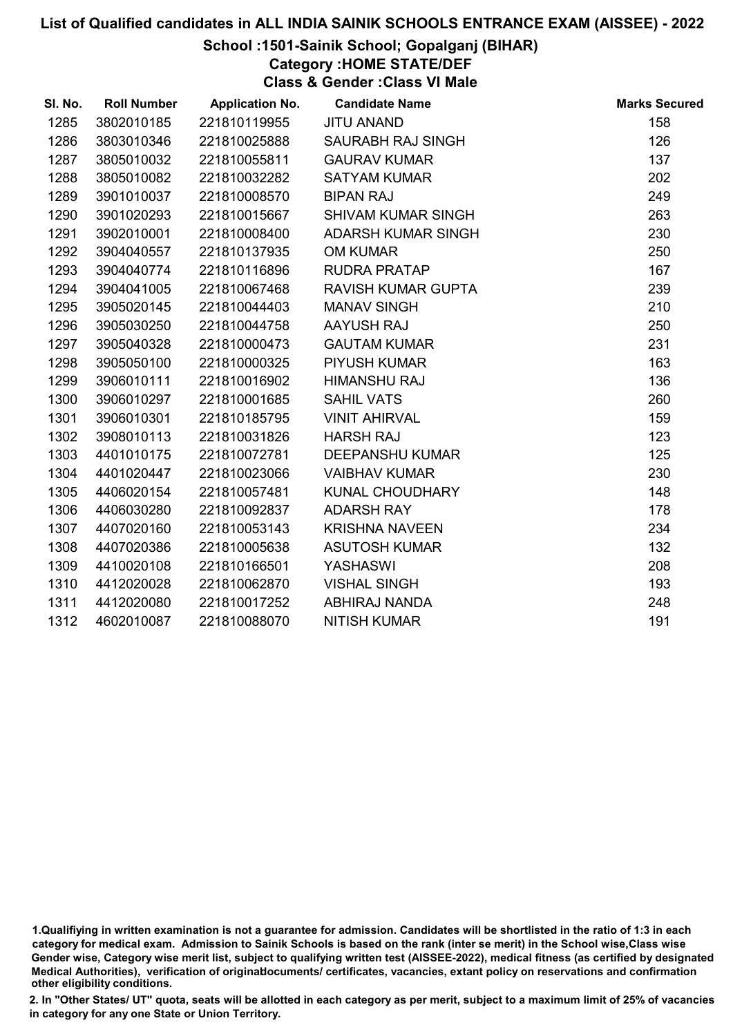## School :1501-Sainik School; Gopalganj (BIHAR)

Category :HOME STATE/DEF

Class & Gender :Class VI Male

| SI. No. | <b>Roll Number</b> | <b>Application No.</b> | <b>Candidate Name</b>     | <b>Marks Secured</b> |
|---------|--------------------|------------------------|---------------------------|----------------------|
| 1285    | 3802010185         | 221810119955           | <b>JITU ANAND</b>         | 158                  |
| 1286    | 3803010346         | 221810025888           | SAURABH RAJ SINGH         | 126                  |
| 1287    | 3805010032         | 221810055811           | <b>GAURAV KUMAR</b>       | 137                  |
| 1288    | 3805010082         | 221810032282           | <b>SATYAM KUMAR</b>       | 202                  |
| 1289    | 3901010037         | 221810008570           | <b>BIPAN RAJ</b>          | 249                  |
| 1290    | 3901020293         | 221810015667           | <b>SHIVAM KUMAR SINGH</b> | 263                  |
| 1291    | 3902010001         | 221810008400           | ADARSH KUMAR SINGH        | 230                  |
| 1292    | 3904040557         | 221810137935           | <b>OM KUMAR</b>           | 250                  |
| 1293    | 3904040774         | 221810116896           | <b>RUDRA PRATAP</b>       | 167                  |
| 1294    | 3904041005         | 221810067468           | <b>RAVISH KUMAR GUPTA</b> | 239                  |
| 1295    | 3905020145         | 221810044403           | <b>MANAV SINGH</b>        | 210                  |
| 1296    | 3905030250         | 221810044758           | AAYUSH RAJ                | 250                  |
| 1297    | 3905040328         | 221810000473           | <b>GAUTAM KUMAR</b>       | 231                  |
| 1298    | 3905050100         | 221810000325           | <b>PIYUSH KUMAR</b>       | 163                  |
| 1299    | 3906010111         | 221810016902           | <b>HIMANSHU RAJ</b>       | 136                  |
| 1300    | 3906010297         | 221810001685           | <b>SAHIL VATS</b>         | 260                  |
| 1301    | 3906010301         | 221810185795           | <b>VINIT AHIRVAL</b>      | 159                  |
| 1302    | 3908010113         | 221810031826           | <b>HARSH RAJ</b>          | 123                  |
| 1303    | 4401010175         | 221810072781           | <b>DEEPANSHU KUMAR</b>    | 125                  |
| 1304    | 4401020447         | 221810023066           | <b>VAIBHAV KUMAR</b>      | 230                  |
| 1305    | 4406020154         | 221810057481           | KUNAL CHOUDHARY           | 148                  |
| 1306    | 4406030280         | 221810092837           | <b>ADARSH RAY</b>         | 178                  |
| 1307    | 4407020160         | 221810053143           | <b>KRISHNA NAVEEN</b>     | 234                  |
| 1308    | 4407020386         | 221810005638           | <b>ASUTOSH KUMAR</b>      | 132                  |
| 1309    | 4410020108         | 221810166501           | YASHASWI                  | 208                  |
| 1310    | 4412020028         | 221810062870           | <b>VISHAL SINGH</b>       | 193                  |
| 1311    | 4412020080         | 221810017252           | ABHIRAJ NANDA             | 248                  |
| 1312    | 4602010087         | 221810088070           | <b>NITISH KUMAR</b>       | 191                  |

<sup>1.</sup>Qualifiying in written examination is not a guarantee for admission. Candidates will be shortlisted in the ratio of 1:3 in each category for medical exam. Admission to Sainik Schools is based on the rank (inter se merit) in the School wise,Class wise Gender wise, Category wise merit list, subject to qualifying written test (AISSEE-2022), medical fitness (as certified by designated Medical Authorities), verification of originablocuments/ certificates, vacancies, extant policy on reservations and confirmation other eligibility conditions.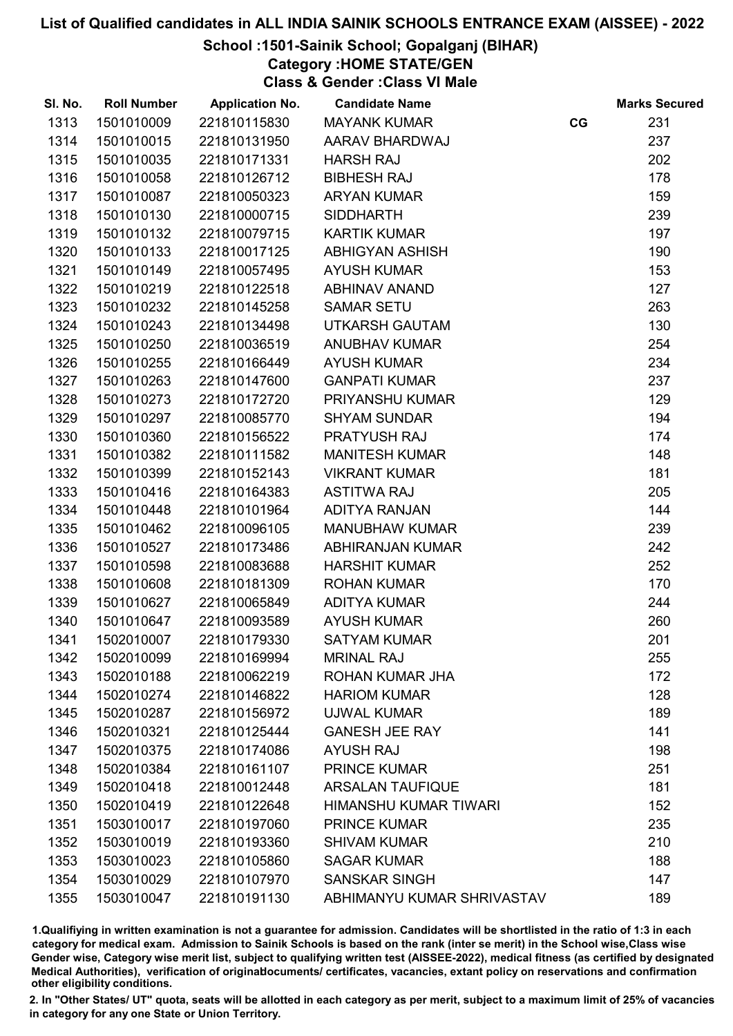# School :1501-Sainik School; Gopalganj (BIHAR)

Category :HOME STATE/GEN

Class & Gender :Class VI Male

| SI. No. | <b>Roll Number</b> | <b>Application No.</b> | <b>Candidate Name</b>      |    | <b>Marks Secured</b> |
|---------|--------------------|------------------------|----------------------------|----|----------------------|
| 1313    | 1501010009         | 221810115830           | <b>MAYANK KUMAR</b>        | CG | 231                  |
| 1314    | 1501010015         | 221810131950           | AARAV BHARDWAJ             |    | 237                  |
| 1315    | 1501010035         | 221810171331           | <b>HARSH RAJ</b>           |    | 202                  |
| 1316    | 1501010058         | 221810126712           | <b>BIBHESH RAJ</b>         |    | 178                  |
| 1317    | 1501010087         | 221810050323           | <b>ARYAN KUMAR</b>         |    | 159                  |
| 1318    | 1501010130         | 221810000715           | <b>SIDDHARTH</b>           |    | 239                  |
| 1319    | 1501010132         | 221810079715           | <b>KARTIK KUMAR</b>        |    | 197                  |
| 1320    | 1501010133         | 221810017125           | <b>ABHIGYAN ASHISH</b>     |    | 190                  |
| 1321    | 1501010149         | 221810057495           | <b>AYUSH KUMAR</b>         |    | 153                  |
| 1322    | 1501010219         | 221810122518           | <b>ABHINAV ANAND</b>       |    | 127                  |
| 1323    | 1501010232         | 221810145258           | <b>SAMAR SETU</b>          |    | 263                  |
| 1324    | 1501010243         | 221810134498           | <b>UTKARSH GAUTAM</b>      |    | 130                  |
| 1325    | 1501010250         | 221810036519           | <b>ANUBHAV KUMAR</b>       |    | 254                  |
| 1326    | 1501010255         | 221810166449           | <b>AYUSH KUMAR</b>         |    | 234                  |
| 1327    | 1501010263         | 221810147600           | <b>GANPATI KUMAR</b>       |    | 237                  |
| 1328    | 1501010273         | 221810172720           | <b>PRIYANSHU KUMAR</b>     |    | 129                  |
| 1329    | 1501010297         | 221810085770           | <b>SHYAM SUNDAR</b>        |    | 194                  |
| 1330    | 1501010360         | 221810156522           | PRATYUSH RAJ               |    | 174                  |
| 1331    | 1501010382         | 221810111582           | <b>MANITESH KUMAR</b>      |    | 148                  |
| 1332    | 1501010399         | 221810152143           | <b>VIKRANT KUMAR</b>       |    | 181                  |
| 1333    | 1501010416         | 221810164383           | <b>ASTITWA RAJ</b>         |    | 205                  |
| 1334    | 1501010448         | 221810101964           | <b>ADITYA RANJAN</b>       |    | 144                  |
| 1335    | 1501010462         | 221810096105           | <b>MANUBHAW KUMAR</b>      |    | 239                  |
| 1336    | 1501010527         | 221810173486           | <b>ABHIRANJAN KUMAR</b>    |    | 242                  |
| 1337    | 1501010598         | 221810083688           | <b>HARSHIT KUMAR</b>       |    | 252                  |
| 1338    | 1501010608         | 221810181309           | <b>ROHAN KUMAR</b>         |    | 170                  |
| 1339    | 1501010627         | 221810065849           | <b>ADITYA KUMAR</b>        |    | 244                  |
| 1340    | 1501010647         | 221810093589           | <b>AYUSH KUMAR</b>         |    | 260                  |
| 1341    | 1502010007         | 221810179330           | <b>SATYAM KUMAR</b>        |    | 201                  |
| 1342    | 1502010099         | 221810169994           | <b>MRINAL RAJ</b>          |    | 255                  |
| 1343    | 1502010188         | 221810062219           | ROHAN KUMAR JHA            |    | 172                  |
| 1344    | 1502010274         | 221810146822           | <b>HARIOM KUMAR</b>        |    | 128                  |
| 1345    | 1502010287         | 221810156972           | <b>UJWAL KUMAR</b>         |    | 189                  |
| 1346    | 1502010321         | 221810125444           | <b>GANESH JEE RAY</b>      |    | 141                  |
| 1347    | 1502010375         | 221810174086           | <b>AYUSH RAJ</b>           |    | 198                  |
| 1348    | 1502010384         | 221810161107           | <b>PRINCE KUMAR</b>        |    | 251                  |
| 1349    | 1502010418         | 221810012448           | <b>ARSALAN TAUFIQUE</b>    |    | 181                  |
| 1350    | 1502010419         | 221810122648           | HIMANSHU KUMAR TIWARI      |    | 152                  |
| 1351    | 1503010017         | 221810197060           | <b>PRINCE KUMAR</b>        |    | 235                  |
| 1352    | 1503010019         | 221810193360           | <b>SHIVAM KUMAR</b>        |    | 210                  |
| 1353    | 1503010023         | 221810105860           | <b>SAGAR KUMAR</b>         |    | 188                  |
| 1354    | 1503010029         | 221810107970           | <b>SANSKAR SINGH</b>       |    | 147                  |
| 1355    | 1503010047         | 221810191130           | ABHIMANYU KUMAR SHRIVASTAV |    | 189                  |

1.Qualifiying in written examination is not a guarantee for admission. Candidates will be shortlisted in the ratio of 1:3 in each category for medical exam. Admission to Sainik Schools is based on the rank (inter se merit) in the School wise,Class wise Gender wise, Category wise merit list, subject to qualifying written test (AISSEE-2022), medical fitness (as certified by designated Medical Authorities), verification of originablocuments/ certificates, vacancies, extant policy on reservations and confirmation other eligibility conditions.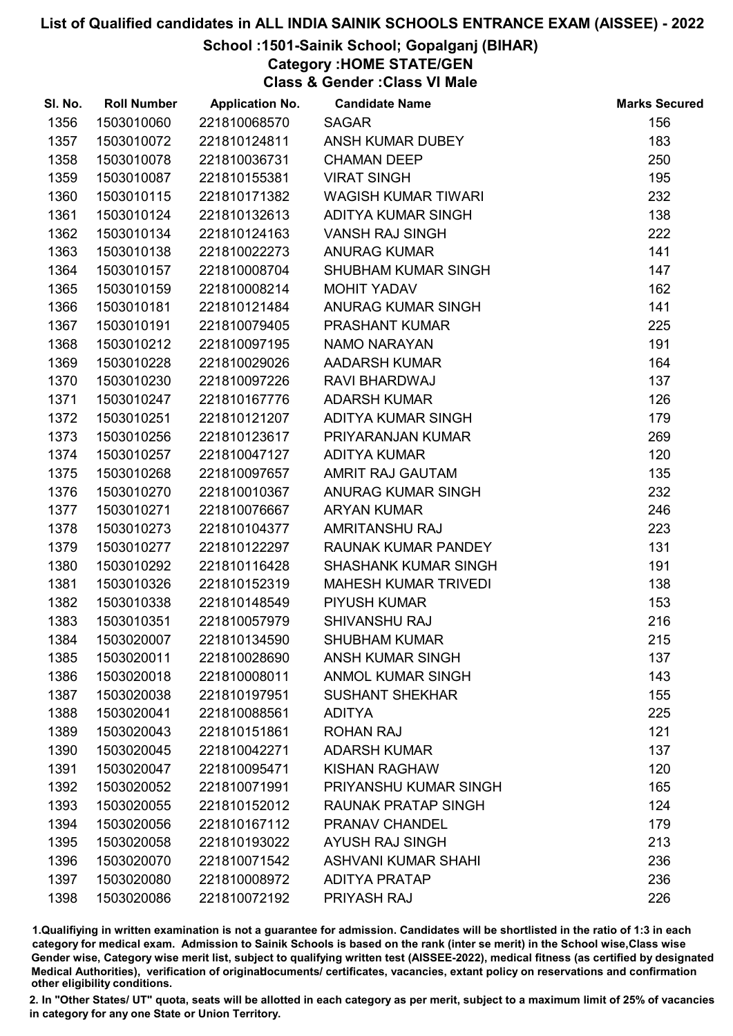# School :1501-Sainik School; Gopalganj (BIHAR)

Category :HOME STATE/GEN

Class & Gender :Class VI Male

| SI. No. | <b>Roll Number</b> | <b>Application No.</b> | <b>Candidate Name</b>       | <b>Marks Secured</b> |
|---------|--------------------|------------------------|-----------------------------|----------------------|
| 1356    | 1503010060         | 221810068570           | <b>SAGAR</b>                | 156                  |
| 1357    | 1503010072         | 221810124811           | ANSH KUMAR DUBEY            | 183                  |
| 1358    | 1503010078         | 221810036731           | <b>CHAMAN DEEP</b>          | 250                  |
| 1359    | 1503010087         | 221810155381           | <b>VIRAT SINGH</b>          | 195                  |
| 1360    | 1503010115         | 221810171382           | <b>WAGISH KUMAR TIWARI</b>  | 232                  |
| 1361    | 1503010124         | 221810132613           | <b>ADITYA KUMAR SINGH</b>   | 138                  |
| 1362    | 1503010134         | 221810124163           | <b>VANSH RAJ SINGH</b>      | 222                  |
| 1363    | 1503010138         | 221810022273           | <b>ANURAG KUMAR</b>         | 141                  |
| 1364    | 1503010157         | 221810008704           | SHUBHAM KUMAR SINGH         | 147                  |
| 1365    | 1503010159         | 221810008214           | <b>MOHIT YADAV</b>          | 162                  |
| 1366    | 1503010181         | 221810121484           | ANURAG KUMAR SINGH          | 141                  |
| 1367    | 1503010191         | 221810079405           | <b>PRASHANT KUMAR</b>       | 225                  |
| 1368    | 1503010212         | 221810097195           | NAMO NARAYAN                | 191                  |
| 1369    | 1503010228         | 221810029026           | <b>AADARSH KUMAR</b>        | 164                  |
| 1370    | 1503010230         | 221810097226           | RAVI BHARDWAJ               | 137                  |
| 1371    | 1503010247         | 221810167776           | <b>ADARSH KUMAR</b>         | 126                  |
| 1372    | 1503010251         | 221810121207           | ADITYA KUMAR SINGH          | 179                  |
| 1373    | 1503010256         | 221810123617           | PRIYARANJAN KUMAR           | 269                  |
| 1374    | 1503010257         | 221810047127           | <b>ADITYA KUMAR</b>         | 120                  |
| 1375    | 1503010268         | 221810097657           | AMRIT RAJ GAUTAM            | 135                  |
| 1376    | 1503010270         | 221810010367           | ANURAG KUMAR SINGH          | 232                  |
| 1377    | 1503010271         | 221810076667           | <b>ARYAN KUMAR</b>          | 246                  |
| 1378    | 1503010273         | 221810104377           | <b>AMRITANSHU RAJ</b>       | 223                  |
| 1379    | 1503010277         | 221810122297           | RAUNAK KUMAR PANDEY         | 131                  |
| 1380    | 1503010292         | 221810116428           | <b>SHASHANK KUMAR SINGH</b> | 191                  |
| 1381    | 1503010326         | 221810152319           | <b>MAHESH KUMAR TRIVEDI</b> | 138                  |
| 1382    | 1503010338         | 221810148549           | <b>PIYUSH KUMAR</b>         | 153                  |
| 1383    | 1503010351         | 221810057979           | <b>SHIVANSHU RAJ</b>        | 216                  |
| 1384    | 1503020007         | 221810134590           | <b>SHUBHAM KUMAR</b>        | 215                  |
| 1385    | 1503020011         | 221810028690           | <b>ANSH KUMAR SINGH</b>     | 137                  |
| 1386    | 1503020018         | 221810008011           | <b>ANMOL KUMAR SINGH</b>    | 143                  |
| 1387    | 1503020038         | 221810197951           | <b>SUSHANT SHEKHAR</b>      | 155                  |
| 1388    | 1503020041         | 221810088561           | <b>ADITYA</b>               | 225                  |
| 1389    | 1503020043         | 221810151861           | <b>ROHAN RAJ</b>            | 121                  |
| 1390    | 1503020045         | 221810042271           | <b>ADARSH KUMAR</b>         | 137                  |
| 1391    | 1503020047         | 221810095471           | <b>KISHAN RAGHAW</b>        | 120                  |
| 1392    | 1503020052         | 221810071991           | PRIYANSHU KUMAR SINGH       | 165                  |
| 1393    | 1503020055         | 221810152012           | <b>RAUNAK PRATAP SINGH</b>  | 124                  |
| 1394    | 1503020056         | 221810167112           | PRANAV CHANDEL              | 179                  |
| 1395    | 1503020058         | 221810193022           | <b>AYUSH RAJ SINGH</b>      | 213                  |
| 1396    | 1503020070         | 221810071542           | <b>ASHVANI KUMAR SHAHI</b>  | 236                  |
| 1397    | 1503020080         | 221810008972           | <b>ADITYA PRATAP</b>        | 236                  |
| 1398    | 1503020086         | 221810072192           | PRIYASH RAJ                 | 226                  |

1.Qualifiying in written examination is not a guarantee for admission. Candidates will be shortlisted in the ratio of 1:3 in each category for medical exam. Admission to Sainik Schools is based on the rank (inter se merit) in the School wise,Class wise Gender wise, Category wise merit list, subject to qualifying written test (AISSEE-2022), medical fitness (as certified by designated Medical Authorities), verification of originablocuments/ certificates, vacancies, extant policy on reservations and confirmation other eligibility conditions.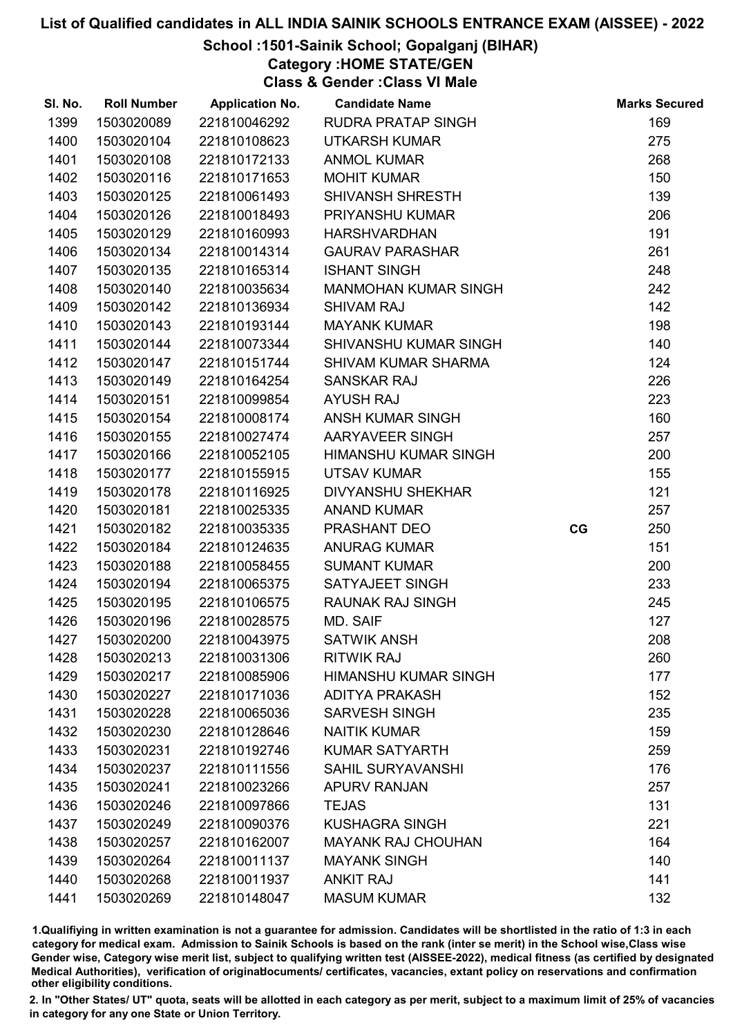# School :1501-Sainik School; Gopalganj (BIHAR)

Category :HOME STATE/GEN

Class & Gender :Class VI Male

| SI. No. | <b>Roll Number</b> | <b>Application No.</b> | <b>Candidate Name</b>       |    | <b>Marks Secured</b> |
|---------|--------------------|------------------------|-----------------------------|----|----------------------|
| 1399    | 1503020089         | 221810046292           | <b>RUDRA PRATAP SINGH</b>   |    | 169                  |
| 1400    | 1503020104         | 221810108623           | <b>UTKARSH KUMAR</b>        |    | 275                  |
| 1401    | 1503020108         | 221810172133           | <b>ANMOL KUMAR</b>          |    | 268                  |
| 1402    | 1503020116         | 221810171653           | <b>MOHIT KUMAR</b>          |    | 150                  |
| 1403    | 1503020125         | 221810061493           | <b>SHIVANSH SHRESTH</b>     |    | 139                  |
| 1404    | 1503020126         | 221810018493           | PRIYANSHU KUMAR             |    | 206                  |
| 1405    | 1503020129         | 221810160993           | <b>HARSHVARDHAN</b>         |    | 191                  |
| 1406    | 1503020134         | 221810014314           | <b>GAURAV PARASHAR</b>      |    | 261                  |
| 1407    | 1503020135         | 221810165314           | <b>ISHANT SINGH</b>         |    | 248                  |
| 1408    | 1503020140         | 221810035634           | <b>MANMOHAN KUMAR SINGH</b> |    | 242                  |
| 1409    | 1503020142         | 221810136934           | <b>SHIVAM RAJ</b>           |    | 142                  |
| 1410    | 1503020143         | 221810193144           | <b>MAYANK KUMAR</b>         |    | 198                  |
| 1411    | 1503020144         | 221810073344           | SHIVANSHU KUMAR SINGH       |    | 140                  |
| 1412    | 1503020147         | 221810151744           | <b>SHIVAM KUMAR SHARMA</b>  |    | 124                  |
| 1413    | 1503020149         | 221810164254           | <b>SANSKAR RAJ</b>          |    | 226                  |
| 1414    | 1503020151         | 221810099854           | <b>AYUSH RAJ</b>            |    | 223                  |
| 1415    | 1503020154         | 221810008174           | ANSH KUMAR SINGH            |    | 160                  |
| 1416    | 1503020155         | 221810027474           | AARYAVEER SINGH             |    | 257                  |
| 1417    | 1503020166         | 221810052105           | <b>HIMANSHU KUMAR SINGH</b> |    | 200                  |
| 1418    | 1503020177         | 221810155915           | <b>UTSAV KUMAR</b>          |    | 155                  |
| 1419    | 1503020178         | 221810116925           | <b>DIVYANSHU SHEKHAR</b>    |    | 121                  |
| 1420    | 1503020181         | 221810025335           | <b>ANAND KUMAR</b>          |    | 257                  |
| 1421    | 1503020182         | 221810035335           | PRASHANT DEO                | CG | 250                  |
| 1422    | 1503020184         | 221810124635           | <b>ANURAG KUMAR</b>         |    | 151                  |
| 1423    | 1503020188         | 221810058455           | <b>SUMANT KUMAR</b>         |    | 200                  |
| 1424    | 1503020194         | 221810065375           | SATYAJEET SINGH             |    | 233                  |
| 1425    | 1503020195         | 221810106575           | RAUNAK RAJ SINGH            |    | 245                  |
| 1426    | 1503020196         | 221810028575           | MD. SAIF                    |    | 127                  |
| 1427    | 1503020200         | 221810043975           | <b>SATWIK ANSH</b>          |    | 208                  |
| 1428    | 1503020213         | 221810031306           | <b>RITWIK RAJ</b>           |    | 260                  |
| 1429    | 1503020217         | 221810085906           | <b>HIMANSHU KUMAR SINGH</b> |    | 177                  |
| 1430    | 1503020227         | 221810171036           | <b>ADITYA PRAKASH</b>       |    | 152                  |
| 1431    | 1503020228         | 221810065036           | <b>SARVESH SINGH</b>        |    | 235                  |
| 1432    | 1503020230         | 221810128646           | <b>NAITIK KUMAR</b>         |    | 159                  |
| 1433    | 1503020231         | 221810192746           | <b>KUMAR SATYARTH</b>       |    | 259                  |
| 1434    | 1503020237         | 221810111556           | <b>SAHIL SURYAVANSHI</b>    |    | 176                  |
| 1435    | 1503020241         | 221810023266           | <b>APURV RANJAN</b>         |    | 257                  |
| 1436    | 1503020246         | 221810097866           | <b>TEJAS</b>                |    | 131                  |
| 1437    | 1503020249         | 221810090376           | <b>KUSHAGRA SINGH</b>       |    | 221                  |
| 1438    | 1503020257         | 221810162007           | <b>MAYANK RAJ CHOUHAN</b>   |    | 164                  |
| 1439    | 1503020264         | 221810011137           | <b>MAYANK SINGH</b>         |    | 140                  |
| 1440    | 1503020268         | 221810011937           | <b>ANKIT RAJ</b>            |    | 141                  |
| 1441    | 1503020269         | 221810148047           | <b>MASUM KUMAR</b>          |    | 132                  |

1.Qualifiying in written examination is not a guarantee for admission. Candidates will be shortlisted in the ratio of 1:3 in each category for medical exam. Admission to Sainik Schools is based on the rank (inter se merit) in the School wise,Class wise Gender wise, Category wise merit list, subject to qualifying written test (AISSEE-2022), medical fitness (as certified by designated Medical Authorities), verification of originablocuments/ certificates, vacancies, extant policy on reservations and confirmation other eligibility conditions.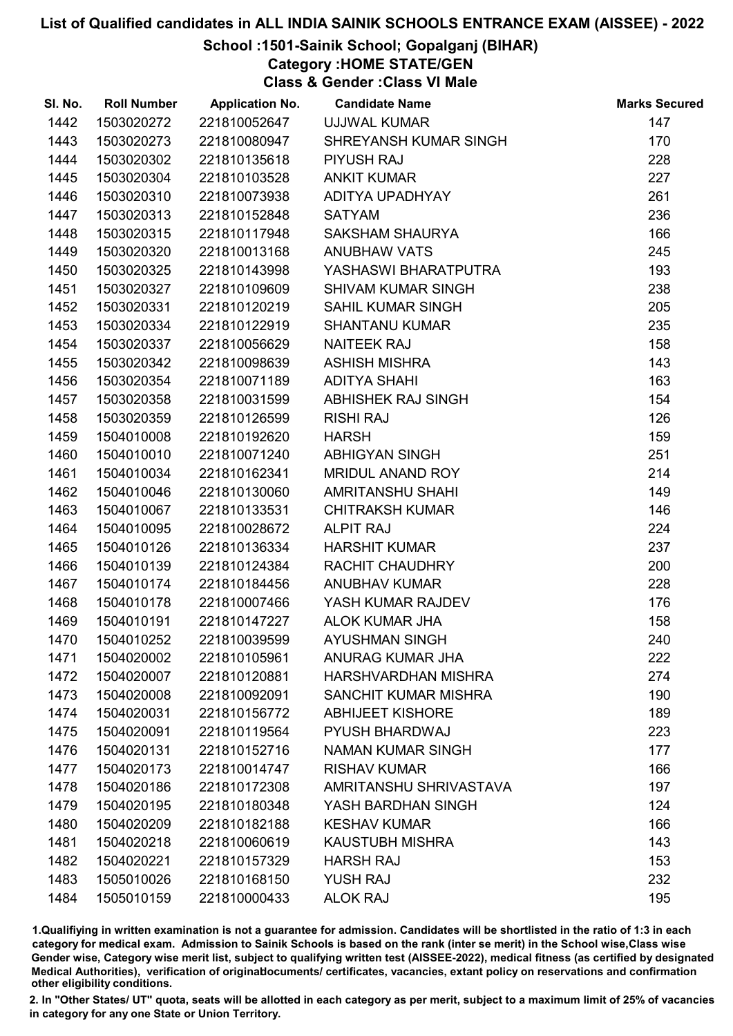# School :1501-Sainik School; Gopalganj (BIHAR)

Category :HOME STATE/GEN

Class & Gender :Class VI Male

| SI. No. | <b>Roll Number</b> | <b>Application No.</b> | <b>Candidate Name</b>       | <b>Marks Secured</b> |
|---------|--------------------|------------------------|-----------------------------|----------------------|
| 1442    | 1503020272         | 221810052647           | UJJWAL KUMAR                | 147                  |
| 1443    | 1503020273         | 221810080947           | SHREYANSH KUMAR SINGH       | 170                  |
| 1444    | 1503020302         | 221810135618           | <b>PIYUSH RAJ</b>           | 228                  |
| 1445    | 1503020304         | 221810103528           | <b>ANKIT KUMAR</b>          | 227                  |
| 1446    | 1503020310         | 221810073938           | ADITYA UPADHYAY             | 261                  |
| 1447    | 1503020313         | 221810152848           | <b>SATYAM</b>               | 236                  |
| 1448    | 1503020315         | 221810117948           | <b>SAKSHAM SHAURYA</b>      | 166                  |
| 1449    | 1503020320         | 221810013168           | <b>ANUBHAW VATS</b>         | 245                  |
| 1450    | 1503020325         | 221810143998           | YASHASWI BHARATPUTRA        | 193                  |
| 1451    | 1503020327         | 221810109609           | <b>SHIVAM KUMAR SINGH</b>   | 238                  |
| 1452    | 1503020331         | 221810120219           | <b>SAHIL KUMAR SINGH</b>    | 205                  |
| 1453    | 1503020334         | 221810122919           | <b>SHANTANU KUMAR</b>       | 235                  |
| 1454    | 1503020337         | 221810056629           | <b>NAITEEK RAJ</b>          | 158                  |
| 1455    | 1503020342         | 221810098639           | <b>ASHISH MISHRA</b>        | 143                  |
| 1456    | 1503020354         | 221810071189           | <b>ADITYA SHAHI</b>         | 163                  |
| 1457    | 1503020358         | 221810031599           | ABHISHEK RAJ SINGH          | 154                  |
| 1458    | 1503020359         | 221810126599           | <b>RISHI RAJ</b>            | 126                  |
| 1459    | 1504010008         | 221810192620           | <b>HARSH</b>                | 159                  |
| 1460    | 1504010010         | 221810071240           | <b>ABHIGYAN SINGH</b>       | 251                  |
| 1461    | 1504010034         | 221810162341           | MRIDUL ANAND ROY            | 214                  |
| 1462    | 1504010046         | 221810130060           | <b>AMRITANSHU SHAHI</b>     | 149                  |
| 1463    | 1504010067         | 221810133531           | <b>CHITRAKSH KUMAR</b>      | 146                  |
| 1464    | 1504010095         | 221810028672           | <b>ALPIT RAJ</b>            | 224                  |
| 1465    | 1504010126         | 221810136334           | <b>HARSHIT KUMAR</b>        | 237                  |
| 1466    | 1504010139         | 221810124384           | RACHIT CHAUDHRY             | 200                  |
| 1467    | 1504010174         | 221810184456           | <b>ANUBHAV KUMAR</b>        | 228                  |
| 1468    | 1504010178         | 221810007466           | YASH KUMAR RAJDEV           | 176                  |
| 1469    | 1504010191         | 221810147227           | <b>ALOK KUMAR JHA</b>       | 158                  |
| 1470    | 1504010252         | 221810039599           | <b>AYUSHMAN SINGH</b>       | 240                  |
| 1471    | 1504020002         | 221810105961           | <b>ANURAG KUMAR JHA</b>     | 222                  |
| 1472    | 1504020007         | 221810120881           | HARSHVARDHAN MISHRA         | 274                  |
| 1473    | 1504020008         | 221810092091           | <b>SANCHIT KUMAR MISHRA</b> | 190                  |
| 1474    | 1504020031         | 221810156772           | <b>ABHIJEET KISHORE</b>     | 189                  |
| 1475    | 1504020091         | 221810119564           | <b>PYUSH BHARDWAJ</b>       | 223                  |
| 1476    | 1504020131         | 221810152716           | <b>NAMAN KUMAR SINGH</b>    | 177                  |
| 1477    | 1504020173         | 221810014747           | <b>RISHAV KUMAR</b>         | 166                  |
| 1478    | 1504020186         | 221810172308           | AMRITANSHU SHRIVASTAVA      | 197                  |
| 1479    | 1504020195         | 221810180348           | YASH BARDHAN SINGH          | 124                  |
| 1480    | 1504020209         | 221810182188           | <b>KESHAV KUMAR</b>         | 166                  |
| 1481    | 1504020218         | 221810060619           | <b>KAUSTUBH MISHRA</b>      | 143                  |
| 1482    | 1504020221         | 221810157329           | <b>HARSH RAJ</b>            | 153                  |
| 1483    | 1505010026         | 221810168150           | <b>YUSH RAJ</b>             | 232                  |
| 1484    | 1505010159         | 221810000433           | <b>ALOK RAJ</b>             | 195                  |

1.Qualifiying in written examination is not a guarantee for admission. Candidates will be shortlisted in the ratio of 1:3 in each category for medical exam. Admission to Sainik Schools is based on the rank (inter se merit) in the School wise,Class wise Gender wise, Category wise merit list, subject to qualifying written test (AISSEE-2022), medical fitness (as certified by designated Medical Authorities), verification of originablocuments/ certificates, vacancies, extant policy on reservations and confirmation other eligibility conditions.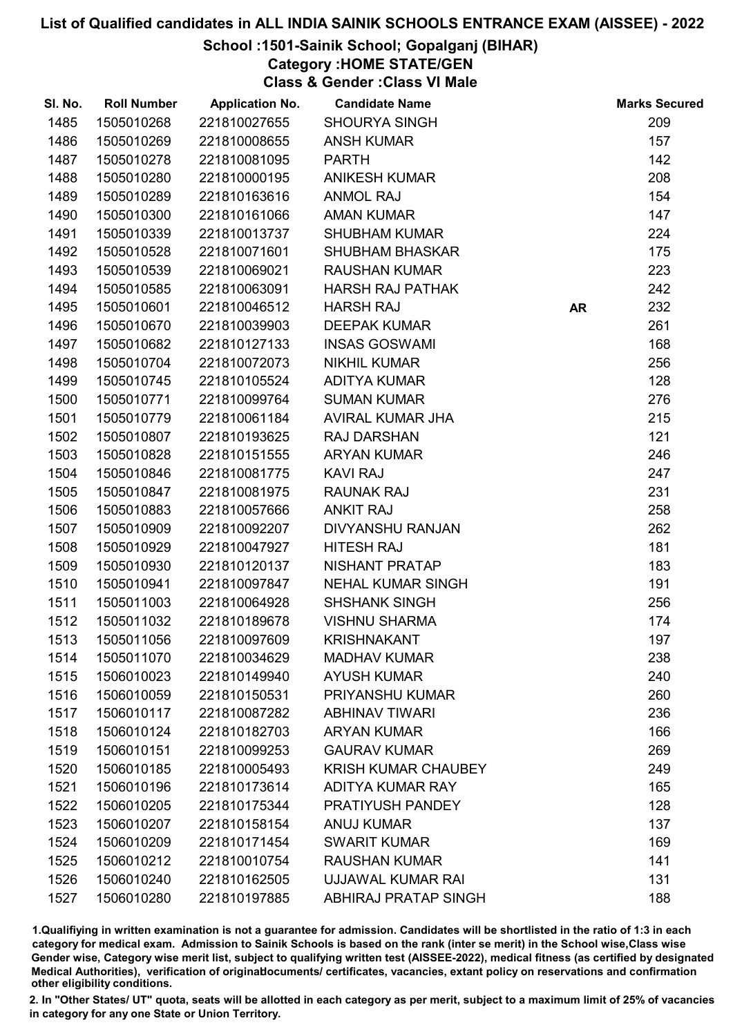# School :1501-Sainik School; Gopalganj (BIHAR)

Category :HOME STATE/GEN

Class & Gender :Class VI Male

| SI. No. | <b>Roll Number</b> | <b>Application No.</b> | <b>Candidate Name</b>       |           | <b>Marks Secured</b> |
|---------|--------------------|------------------------|-----------------------------|-----------|----------------------|
| 1485    | 1505010268         | 221810027655           | <b>SHOURYA SINGH</b>        |           | 209                  |
| 1486    | 1505010269         | 221810008655           | <b>ANSH KUMAR</b>           |           | 157                  |
| 1487    | 1505010278         | 221810081095           | <b>PARTH</b>                |           | 142                  |
| 1488    | 1505010280         | 221810000195           | <b>ANIKESH KUMAR</b>        |           | 208                  |
| 1489    | 1505010289         | 221810163616           | <b>ANMOL RAJ</b>            |           | 154                  |
| 1490    | 1505010300         | 221810161066           | <b>AMAN KUMAR</b>           |           | 147                  |
| 1491    | 1505010339         | 221810013737           | <b>SHUBHAM KUMAR</b>        |           | 224                  |
| 1492    | 1505010528         | 221810071601           | <b>SHUBHAM BHASKAR</b>      |           | 175                  |
| 1493    | 1505010539         | 221810069021           | <b>RAUSHAN KUMAR</b>        |           | 223                  |
| 1494    | 1505010585         | 221810063091           | <b>HARSH RAJ PATHAK</b>     |           | 242                  |
| 1495    | 1505010601         | 221810046512           | <b>HARSH RAJ</b>            | <b>AR</b> | 232                  |
| 1496    | 1505010670         | 221810039903           | <b>DEEPAK KUMAR</b>         |           | 261                  |
| 1497    | 1505010682         | 221810127133           | <b>INSAS GOSWAMI</b>        |           | 168                  |
| 1498    | 1505010704         | 221810072073           | <b>NIKHIL KUMAR</b>         |           | 256                  |
| 1499    | 1505010745         | 221810105524           | <b>ADITYA KUMAR</b>         |           | 128                  |
| 1500    | 1505010771         | 221810099764           | <b>SUMAN KUMAR</b>          |           | 276                  |
| 1501    | 1505010779         | 221810061184           | AVIRAL KUMAR JHA            |           | 215                  |
| 1502    | 1505010807         | 221810193625           | <b>RAJ DARSHAN</b>          |           | 121                  |
| 1503    | 1505010828         | 221810151555           | <b>ARYAN KUMAR</b>          |           | 246                  |
| 1504    | 1505010846         | 221810081775           | <b>KAVI RAJ</b>             |           | 247                  |
| 1505    | 1505010847         | 221810081975           | <b>RAUNAK RAJ</b>           |           | 231                  |
| 1506    | 1505010883         | 221810057666           | <b>ANKIT RAJ</b>            |           | 258                  |
| 1507    | 1505010909         | 221810092207           | <b>DIVYANSHU RANJAN</b>     |           | 262                  |
| 1508    | 1505010929         | 221810047927           | <b>HITESH RAJ</b>           |           | 181                  |
| 1509    | 1505010930         | 221810120137           | NISHANT PRATAP              |           | 183                  |
| 1510    | 1505010941         | 221810097847           | <b>NEHAL KUMAR SINGH</b>    |           | 191                  |
| 1511    | 1505011003         | 221810064928           | <b>SHSHANK SINGH</b>        |           | 256                  |
| 1512    | 1505011032         | 221810189678           | <b>VISHNU SHARMA</b>        |           | 174                  |
| 1513    | 1505011056         | 221810097609           | <b>KRISHNAKANT</b>          |           | 197                  |
| 1514    | 1505011070         | 221810034629           | <b>MADHAV KUMAR</b>         |           | 238                  |
| 1515    | 1506010023         | 221810149940           | <b>AYUSH KUMAR</b>          |           | 240                  |
| 1516    | 1506010059         | 221810150531           | <b>PRIYANSHU KUMAR</b>      |           | 260                  |
| 1517    | 1506010117         | 221810087282           | <b>ABHINAV TIWARI</b>       |           | 236                  |
| 1518    | 1506010124         | 221810182703           | <b>ARYAN KUMAR</b>          |           | 166                  |
| 1519    | 1506010151         | 221810099253           | <b>GAURAV KUMAR</b>         |           | 269                  |
| 1520    | 1506010185         | 221810005493           | <b>KRISH KUMAR CHAUBEY</b>  |           | 249                  |
| 1521    | 1506010196         | 221810173614           | <b>ADITYA KUMAR RAY</b>     |           | 165                  |
| 1522    | 1506010205         | 221810175344           | PRATIYUSH PANDEY            |           | 128                  |
| 1523    | 1506010207         | 221810158154           | <b>ANUJ KUMAR</b>           |           | 137                  |
| 1524    | 1506010209         | 221810171454           | <b>SWARIT KUMAR</b>         |           | 169                  |
| 1525    | 1506010212         | 221810010754           | <b>RAUSHAN KUMAR</b>        |           | 141                  |
| 1526    | 1506010240         | 221810162505           | UJJAWAL KUMAR RAI           |           | 131                  |
| 1527    | 1506010280         | 221810197885           | <b>ABHIRAJ PRATAP SINGH</b> |           | 188                  |

1.Qualifiying in written examination is not a guarantee for admission. Candidates will be shortlisted in the ratio of 1:3 in each category for medical exam. Admission to Sainik Schools is based on the rank (inter se merit) in the School wise,Class wise Gender wise, Category wise merit list, subject to qualifying written test (AISSEE-2022), medical fitness (as certified by designated Medical Authorities), verification of originablocuments/ certificates, vacancies, extant policy on reservations and confirmation other eligibility conditions.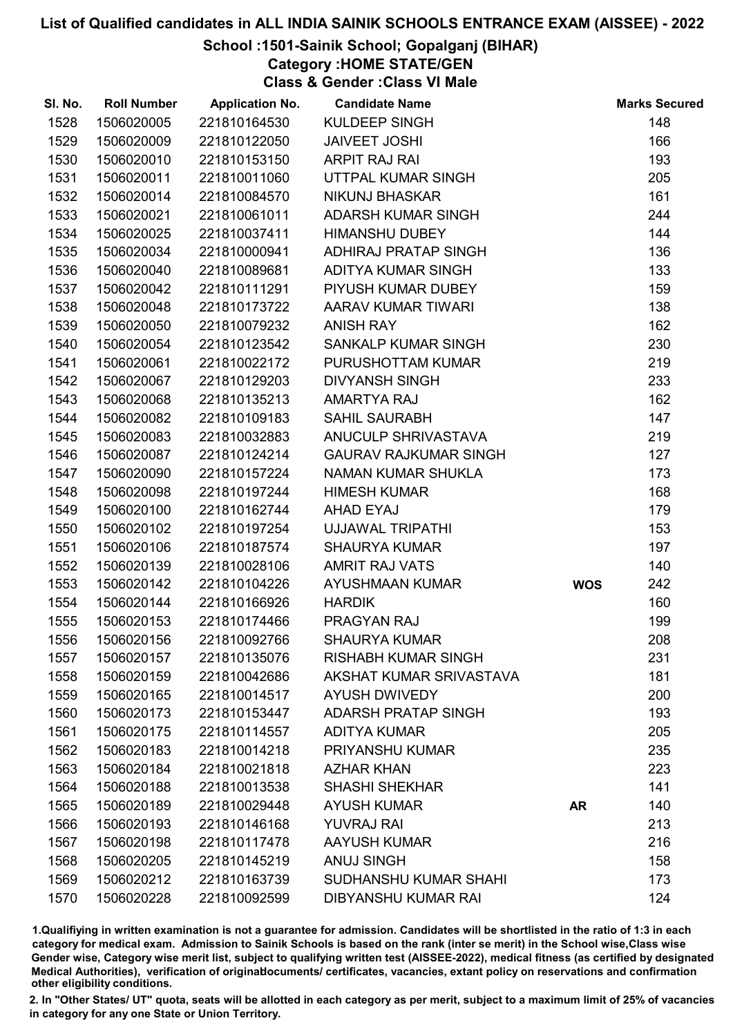# School :1501-Sainik School; Gopalganj (BIHAR)

Category :HOME STATE/GEN

Class & Gender :Class VI Male

| SI. No. | <b>Roll Number</b> | <b>Application No.</b> | <b>Candidate Name</b>        |            | <b>Marks Secured</b> |
|---------|--------------------|------------------------|------------------------------|------------|----------------------|
| 1528    | 1506020005         | 221810164530           | KULDEEP SINGH                |            | 148                  |
| 1529    | 1506020009         | 221810122050           | <b>JAIVEET JOSHI</b>         |            | 166                  |
| 1530    | 1506020010         | 221810153150           | <b>ARPIT RAJ RAI</b>         |            | 193                  |
| 1531    | 1506020011         | 221810011060           | UTTPAL KUMAR SINGH           |            | 205                  |
| 1532    | 1506020014         | 221810084570           | <b>NIKUNJ BHASKAR</b>        |            | 161                  |
| 1533    | 1506020021         | 221810061011           | ADARSH KUMAR SINGH           |            | 244                  |
| 1534    | 1506020025         | 221810037411           | <b>HIMANSHU DUBEY</b>        |            | 144                  |
| 1535    | 1506020034         | 221810000941           | ADHIRAJ PRATAP SINGH         |            | 136                  |
| 1536    | 1506020040         | 221810089681           | ADITYA KUMAR SINGH           |            | 133                  |
| 1537    | 1506020042         | 221810111291           | PIYUSH KUMAR DUBEY           |            | 159                  |
| 1538    | 1506020048         | 221810173722           | AARAV KUMAR TIWARI           |            | 138                  |
| 1539    | 1506020050         | 221810079232           | <b>ANISH RAY</b>             |            | 162                  |
| 1540    | 1506020054         | 221810123542           | SANKALP KUMAR SINGH          |            | 230                  |
| 1541    | 1506020061         | 221810022172           | PURUSHOTTAM KUMAR            |            | 219                  |
| 1542    | 1506020067         | 221810129203           | <b>DIVYANSH SINGH</b>        |            | 233                  |
| 1543    | 1506020068         | 221810135213           | <b>AMARTYA RAJ</b>           |            | 162                  |
| 1544    | 1506020082         | 221810109183           | SAHIL SAURABH                |            | 147                  |
| 1545    | 1506020083         | 221810032883           | <b>ANUCULP SHRIVASTAVA</b>   |            | 219                  |
| 1546    | 1506020087         | 221810124214           | <b>GAURAV RAJKUMAR SINGH</b> |            | 127                  |
| 1547    | 1506020090         | 221810157224           | <b>NAMAN KUMAR SHUKLA</b>    |            | 173                  |
| 1548    | 1506020098         | 221810197244           | <b>HIMESH KUMAR</b>          |            | 168                  |
| 1549    | 1506020100         | 221810162744           | <b>AHAD EYAJ</b>             |            | 179                  |
| 1550    | 1506020102         | 221810197254           | <b>UJJAWAL TRIPATHI</b>      |            | 153                  |
| 1551    | 1506020106         | 221810187574           | <b>SHAURYA KUMAR</b>         |            | 197                  |
| 1552    | 1506020139         | 221810028106           | <b>AMRIT RAJ VATS</b>        |            | 140                  |
| 1553    | 1506020142         | 221810104226           | AYUSHMAAN KUMAR              | <b>WOS</b> | 242                  |
| 1554    | 1506020144         | 221810166926           | <b>HARDIK</b>                |            | 160                  |
| 1555    | 1506020153         | 221810174466           | PRAGYAN RAJ                  |            | 199                  |
| 1556    | 1506020156         | 221810092766           | <b>SHAURYA KUMAR</b>         |            | 208                  |
| 1557    | 1506020157         | 221810135076           | <b>RISHABH KUMAR SINGH</b>   |            | 231                  |
| 1558    | 1506020159         | 221810042686           | AKSHAT KUMAR SRIVASTAVA      |            | 181                  |
| 1559    | 1506020165         | 221810014517           | <b>AYUSH DWIVEDY</b>         |            | 200                  |
| 1560    | 1506020173         | 221810153447           | <b>ADARSH PRATAP SINGH</b>   |            | 193                  |
| 1561    | 1506020175         | 221810114557           | <b>ADITYA KUMAR</b>          |            | 205                  |
| 1562    | 1506020183         | 221810014218           | <b>PRIYANSHU KUMAR</b>       |            | 235                  |
| 1563    | 1506020184         | 221810021818           | <b>AZHAR KHAN</b>            |            | 223                  |
| 1564    | 1506020188         | 221810013538           | <b>SHASHI SHEKHAR</b>        |            | 141                  |
| 1565    | 1506020189         | 221810029448           | <b>AYUSH KUMAR</b>           | <b>AR</b>  | 140                  |
| 1566    | 1506020193         | 221810146168           | <b>YUVRAJ RAI</b>            |            | 213                  |
| 1567    | 1506020198         | 221810117478           | <b>AAYUSH KUMAR</b>          |            | 216                  |
| 1568    | 1506020205         | 221810145219           | <b>ANUJ SINGH</b>            |            | 158                  |
| 1569    | 1506020212         | 221810163739           | <b>SUDHANSHU KUMAR SHAHI</b> |            | 173                  |
| 1570    | 1506020228         | 221810092599           | <b>DIBYANSHU KUMAR RAI</b>   |            | 124                  |

1.Qualifiying in written examination is not a guarantee for admission. Candidates will be shortlisted in the ratio of 1:3 in each category for medical exam. Admission to Sainik Schools is based on the rank (inter se merit) in the School wise,Class wise Gender wise, Category wise merit list, subject to qualifying written test (AISSEE-2022), medical fitness (as certified by designated Medical Authorities), verification of originablocuments/ certificates, vacancies, extant policy on reservations and confirmation other eligibility conditions.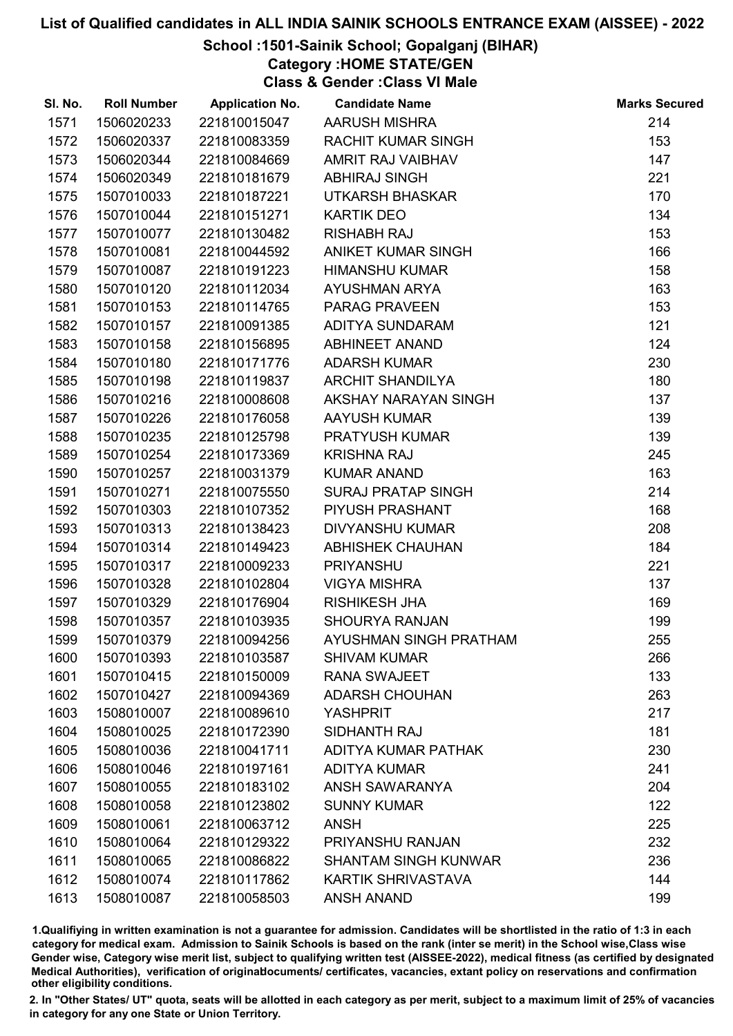## School :1501-Sainik School; Gopalganj (BIHAR)

Category :HOME STATE/GEN

Class & Gender :Class VI Male

| SI. No. | <b>Roll Number</b> | <b>Application No.</b> | <b>Candidate Name</b>       | <b>Marks Secured</b> |
|---------|--------------------|------------------------|-----------------------------|----------------------|
| 1571    | 1506020233         | 221810015047           | <b>AARUSH MISHRA</b>        | 214                  |
| 1572    | 1506020337         | 221810083359           | <b>RACHIT KUMAR SINGH</b>   | 153                  |
| 1573    | 1506020344         | 221810084669           | AMRIT RAJ VAIBHAV           | 147                  |
| 1574    | 1506020349         | 221810181679           | <b>ABHIRAJ SINGH</b>        | 221                  |
| 1575    | 1507010033         | 221810187221           | <b>UTKARSH BHASKAR</b>      | 170                  |
| 1576    | 1507010044         | 221810151271           | <b>KARTIK DEO</b>           | 134                  |
| 1577    | 1507010077         | 221810130482           | <b>RISHABH RAJ</b>          | 153                  |
| 1578    | 1507010081         | 221810044592           | ANIKET KUMAR SINGH          | 166                  |
| 1579    | 1507010087         | 221810191223           | <b>HIMANSHU KUMAR</b>       | 158                  |
| 1580    | 1507010120         | 221810112034           | <b>AYUSHMAN ARYA</b>        | 163                  |
| 1581    | 1507010153         | 221810114765           | <b>PARAG PRAVEEN</b>        | 153                  |
| 1582    | 1507010157         | 221810091385           | ADITYA SUNDARAM             | 121                  |
| 1583    | 1507010158         | 221810156895           | ABHINEET ANAND              | 124                  |
| 1584    | 1507010180         | 221810171776           | <b>ADARSH KUMAR</b>         | 230                  |
| 1585    | 1507010198         | 221810119837           | <b>ARCHIT SHANDILYA</b>     | 180                  |
| 1586    | 1507010216         | 221810008608           | AKSHAY NARAYAN SINGH        | 137                  |
| 1587    | 1507010226         | 221810176058           | AAYUSH KUMAR                | 139                  |
| 1588    | 1507010235         | 221810125798           | PRATYUSH KUMAR              | 139                  |
| 1589    | 1507010254         | 221810173369           | <b>KRISHNA RAJ</b>          | 245                  |
| 1590    | 1507010257         | 221810031379           | <b>KUMAR ANAND</b>          | 163                  |
| 1591    | 1507010271         | 221810075550           | <b>SURAJ PRATAP SINGH</b>   | 214                  |
| 1592    | 1507010303         | 221810107352           | PIYUSH PRASHANT             | 168                  |
| 1593    | 1507010313         | 221810138423           | <b>DIVYANSHU KUMAR</b>      | 208                  |
| 1594    | 1507010314         | 221810149423           | <b>ABHISHEK CHAUHAN</b>     | 184                  |
| 1595    | 1507010317         | 221810009233           | <b>PRIYANSHU</b>            | 221                  |
| 1596    | 1507010328         | 221810102804           | <b>VIGYA MISHRA</b>         | 137                  |
| 1597    | 1507010329         | 221810176904           | <b>RISHIKESH JHA</b>        | 169                  |
| 1598    | 1507010357         | 221810103935           | <b>SHOURYA RANJAN</b>       | 199                  |
| 1599    | 1507010379         | 221810094256           | AYUSHMAN SINGH PRATHAM      | 255                  |
| 1600    | 1507010393         | 221810103587           | <b>SHIVAM KUMAR</b>         | 266                  |
| 1601    | 1507010415         | 221810150009           | <b>RANA SWAJEET</b>         | 133                  |
| 1602    | 1507010427         | 221810094369           | <b>ADARSH CHOUHAN</b>       | 263                  |
| 1603    | 1508010007         | 221810089610           | <b>YASHPRIT</b>             | 217                  |
| 1604    | 1508010025         | 221810172390           | SIDHANTH RAJ                | 181                  |
| 1605    | 1508010036         | 221810041711           | ADITYA KUMAR PATHAK         | 230                  |
| 1606    | 1508010046         | 221810197161           | <b>ADITYA KUMAR</b>         | 241                  |
| 1607    | 1508010055         | 221810183102           | ANSH SAWARANYA              | 204                  |
| 1608    | 1508010058         | 221810123802           | <b>SUNNY KUMAR</b>          | 122                  |
| 1609    | 1508010061         | 221810063712           | <b>ANSH</b>                 | 225                  |
| 1610    | 1508010064         | 221810129322           | PRIYANSHU RANJAN            | 232                  |
| 1611    | 1508010065         | 221810086822           | <b>SHANTAM SINGH KUNWAR</b> | 236                  |
| 1612    | 1508010074         | 221810117862           | <b>KARTIK SHRIVASTAVA</b>   | 144                  |
| 1613    | 1508010087         | 221810058503           | <b>ANSH ANAND</b>           | 199                  |

1.Qualifiying in written examination is not a guarantee for admission. Candidates will be shortlisted in the ratio of 1:3 in each category for medical exam. Admission to Sainik Schools is based on the rank (inter se merit) in the School wise,Class wise Gender wise, Category wise merit list, subject to qualifying written test (AISSEE-2022), medical fitness (as certified by designated Medical Authorities), verification of originablocuments/ certificates, vacancies, extant policy on reservations and confirmation other eligibility conditions.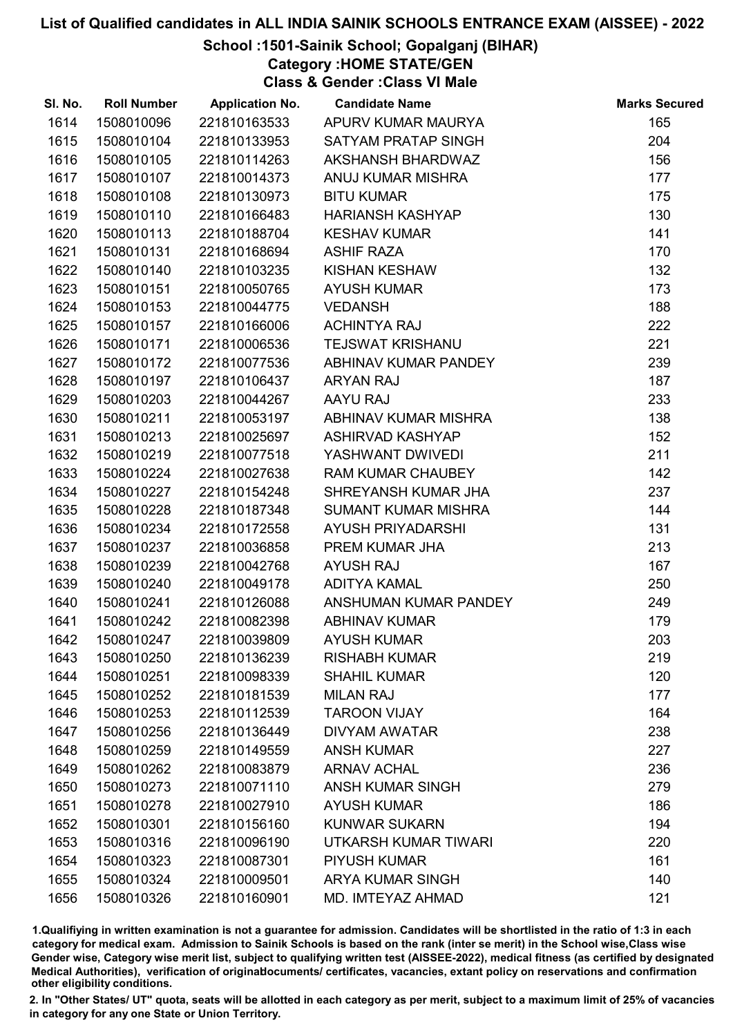## School :1501-Sainik School; Gopalganj (BIHAR)

Category :HOME STATE/GEN

Class & Gender :Class VI Male

| SI. No. | <b>Roll Number</b> | <b>Application No.</b> | <b>Candidate Name</b>      | <b>Marks Secured</b> |
|---------|--------------------|------------------------|----------------------------|----------------------|
| 1614    | 1508010096         | 221810163533           | APURV KUMAR MAURYA         | 165                  |
| 1615    | 1508010104         | 221810133953           | <b>SATYAM PRATAP SINGH</b> | 204                  |
| 1616    | 1508010105         | 221810114263           | AKSHANSH BHARDWAZ          | 156                  |
| 1617    | 1508010107         | 221810014373           | ANUJ KUMAR MISHRA          | 177                  |
| 1618    | 1508010108         | 221810130973           | <b>BITU KUMAR</b>          | 175                  |
| 1619    | 1508010110         | 221810166483           | <b>HARIANSH KASHYAP</b>    | 130                  |
| 1620    | 1508010113         | 221810188704           | <b>KESHAV KUMAR</b>        | 141                  |
| 1621    | 1508010131         | 221810168694           | <b>ASHIF RAZA</b>          | 170                  |
| 1622    | 1508010140         | 221810103235           | <b>KISHAN KESHAW</b>       | 132                  |
| 1623    | 1508010151         | 221810050765           | <b>AYUSH KUMAR</b>         | 173                  |
| 1624    | 1508010153         | 221810044775           | <b>VEDANSH</b>             | 188                  |
| 1625    | 1508010157         | 221810166006           | <b>ACHINTYA RAJ</b>        | 222                  |
| 1626    | 1508010171         | 221810006536           | <b>TEJSWAT KRISHANU</b>    | 221                  |
| 1627    | 1508010172         | 221810077536           | ABHINAV KUMAR PANDEY       | 239                  |
| 1628    | 1508010197         | 221810106437           | <b>ARYAN RAJ</b>           | 187                  |
| 1629    | 1508010203         | 221810044267           | AAYU RAJ                   | 233                  |
| 1630    | 1508010211         | 221810053197           | ABHINAV KUMAR MISHRA       | 138                  |
| 1631    | 1508010213         | 221810025697           | <b>ASHIRVAD KASHYAP</b>    | 152                  |
| 1632    | 1508010219         | 221810077518           | YASHWANT DWIVEDI           | 211                  |
| 1633    | 1508010224         | 221810027638           | <b>RAM KUMAR CHAUBEY</b>   | 142                  |
| 1634    | 1508010227         | 221810154248           | SHREYANSH KUMAR JHA        | 237                  |
| 1635    | 1508010228         | 221810187348           | <b>SUMANT KUMAR MISHRA</b> | 144                  |
| 1636    | 1508010234         | 221810172558           | AYUSH PRIYADARSHI          | 131                  |
| 1637    | 1508010237         | 221810036858           | PREM KUMAR JHA             | 213                  |
| 1638    | 1508010239         | 221810042768           | <b>AYUSH RAJ</b>           | 167                  |
| 1639    | 1508010240         | 221810049178           | <b>ADITYA KAMAL</b>        | 250                  |
| 1640    | 1508010241         | 221810126088           | ANSHUMAN KUMAR PANDEY      | 249                  |
| 1641    | 1508010242         | 221810082398           | <b>ABHINAV KUMAR</b>       | 179                  |
| 1642    | 1508010247         | 221810039809           | <b>AYUSH KUMAR</b>         | 203                  |
| 1643    | 1508010250         | 221810136239           | <b>RISHABH KUMAR</b>       | 219                  |
| 1644    | 1508010251         | 221810098339           | <b>SHAHIL KUMAR</b>        | 120                  |
| 1645    | 1508010252         | 221810181539           | <b>MILAN RAJ</b>           | 177                  |
| 1646    | 1508010253         | 221810112539           | <b>TAROON VIJAY</b>        | 164                  |
| 1647    | 1508010256         | 221810136449           | <b>DIVYAM AWATAR</b>       | 238                  |
| 1648    | 1508010259         | 221810149559           | <b>ANSH KUMAR</b>          | 227                  |
| 1649    | 1508010262         | 221810083879           | <b>ARNAV ACHAL</b>         | 236                  |
| 1650    | 1508010273         | 221810071110           | <b>ANSH KUMAR SINGH</b>    | 279                  |
| 1651    | 1508010278         | 221810027910           | <b>AYUSH KUMAR</b>         | 186                  |
| 1652    | 1508010301         | 221810156160           | <b>KUNWAR SUKARN</b>       | 194                  |
| 1653    | 1508010316         | 221810096190           | UTKARSH KUMAR TIWARI       | 220                  |
| 1654    | 1508010323         | 221810087301           | <b>PIYUSH KUMAR</b>        | 161                  |
| 1655    | 1508010324         | 221810009501           | <b>ARYA KUMAR SINGH</b>    | 140                  |
| 1656    | 1508010326         | 221810160901           | MD. IMTEYAZ AHMAD          | 121                  |

1.Qualifiying in written examination is not a guarantee for admission. Candidates will be shortlisted in the ratio of 1:3 in each category for medical exam. Admission to Sainik Schools is based on the rank (inter se merit) in the School wise,Class wise Gender wise, Category wise merit list, subject to qualifying written test (AISSEE-2022), medical fitness (as certified by designated Medical Authorities), verification of originablocuments/ certificates, vacancies, extant policy on reservations and confirmation other eligibility conditions.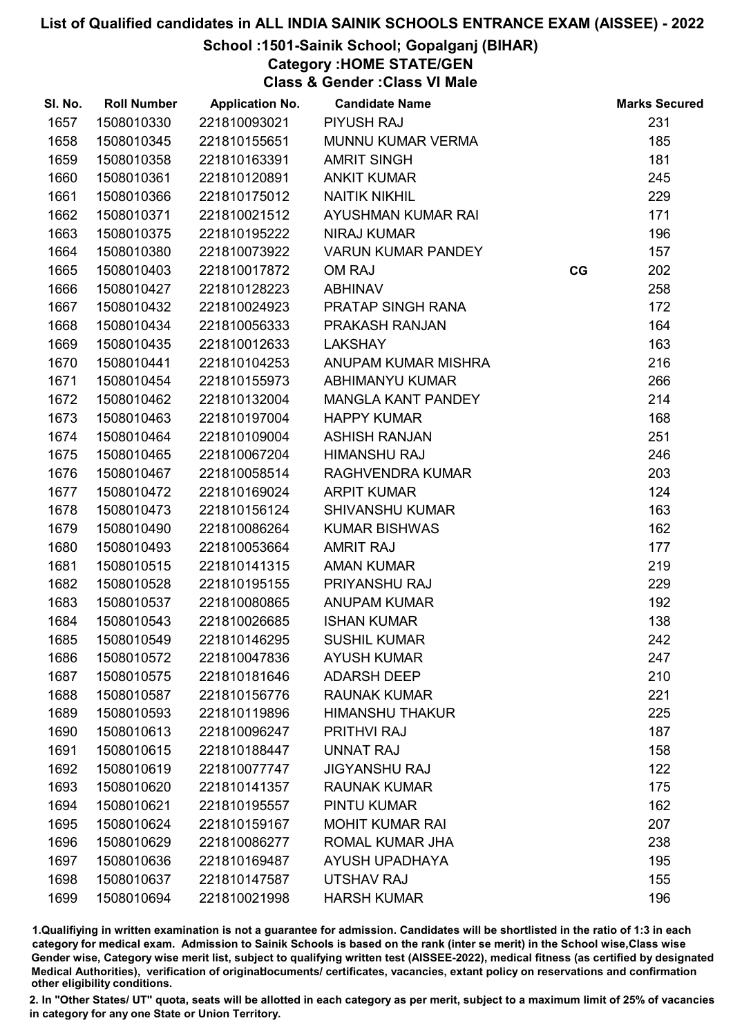## School :1501-Sainik School; Gopalganj (BIHAR)

Category :HOME STATE/GEN

Class & Gender :Class VI Male

| SI. No. | <b>Roll Number</b> | <b>Application No.</b> | <b>Candidate Name</b>     |    | <b>Marks Secured</b> |
|---------|--------------------|------------------------|---------------------------|----|----------------------|
| 1657    | 1508010330         | 221810093021           | <b>PIYUSH RAJ</b>         |    | 231                  |
| 1658    | 1508010345         | 221810155651           | <b>MUNNU KUMAR VERMA</b>  |    | 185                  |
| 1659    | 1508010358         | 221810163391           | <b>AMRIT SINGH</b>        |    | 181                  |
| 1660    | 1508010361         | 221810120891           | <b>ANKIT KUMAR</b>        |    | 245                  |
| 1661    | 1508010366         | 221810175012           | <b>NAITIK NIKHIL</b>      |    | 229                  |
| 1662    | 1508010371         | 221810021512           | AYUSHMAN KUMAR RAI        |    | 171                  |
| 1663    | 1508010375         | 221810195222           | <b>NIRAJ KUMAR</b>        |    | 196                  |
| 1664    | 1508010380         | 221810073922           | <b>VARUN KUMAR PANDEY</b> |    | 157                  |
| 1665    | 1508010403         | 221810017872           | OM RAJ                    | CG | 202                  |
| 1666    | 1508010427         | 221810128223           | <b>ABHINAV</b>            |    | 258                  |
| 1667    | 1508010432         | 221810024923           | PRATAP SINGH RANA         |    | 172                  |
| 1668    | 1508010434         | 221810056333           | PRAKASH RANJAN            |    | 164                  |
| 1669    | 1508010435         | 221810012633           | <b>LAKSHAY</b>            |    | 163                  |
| 1670    | 1508010441         | 221810104253           | ANUPAM KUMAR MISHRA       |    | 216                  |
| 1671    | 1508010454         | 221810155973           | <b>ABHIMANYU KUMAR</b>    |    | 266                  |
| 1672    | 1508010462         | 221810132004           | <b>MANGLA KANT PANDEY</b> |    | 214                  |
| 1673    | 1508010463         | 221810197004           | <b>HAPPY KUMAR</b>        |    | 168                  |
| 1674    | 1508010464         | 221810109004           | <b>ASHISH RANJAN</b>      |    | 251                  |
| 1675    | 1508010465         | 221810067204           | <b>HIMANSHU RAJ</b>       |    | 246                  |
| 1676    | 1508010467         | 221810058514           | RAGHVENDRA KUMAR          |    | 203                  |
| 1677    | 1508010472         | 221810169024           | <b>ARPIT KUMAR</b>        |    | 124                  |
| 1678    | 1508010473         | 221810156124           | <b>SHIVANSHU KUMAR</b>    |    | 163                  |
| 1679    | 1508010490         | 221810086264           | <b>KUMAR BISHWAS</b>      |    | 162                  |
| 1680    | 1508010493         | 221810053664           | <b>AMRIT RAJ</b>          |    | 177                  |
| 1681    | 1508010515         | 221810141315           | <b>AMAN KUMAR</b>         |    | 219                  |
| 1682    | 1508010528         | 221810195155           | PRIYANSHU RAJ             |    | 229                  |
| 1683    | 1508010537         | 221810080865           | <b>ANUPAM KUMAR</b>       |    | 192                  |
| 1684    | 1508010543         | 221810026685           | <b>ISHAN KUMAR</b>        |    | 138                  |
| 1685    | 1508010549         | 221810146295           | <b>SUSHIL KUMAR</b>       |    | 242                  |
| 1686    | 1508010572         | 221810047836           | <b>AYUSH KUMAR</b>        |    | 247                  |
| 1687    | 1508010575         | 221810181646           | <b>ADARSH DEEP</b>        |    | 210                  |
| 1688    | 1508010587         | 221810156776           | <b>RAUNAK KUMAR</b>       |    | 221                  |
| 1689    | 1508010593         | 221810119896           | <b>HIMANSHU THAKUR</b>    |    | 225                  |
| 1690    | 1508010613         | 221810096247           | <b>PRITHVI RAJ</b>        |    | 187                  |
| 1691    | 1508010615         | 221810188447           | <b>UNNAT RAJ</b>          |    | 158                  |
| 1692    | 1508010619         | 221810077747           | <b>JIGYANSHU RAJ</b>      |    | 122                  |
| 1693    | 1508010620         | 221810141357           | <b>RAUNAK KUMAR</b>       |    | 175                  |
| 1694    | 1508010621         | 221810195557           | <b>PINTU KUMAR</b>        |    | 162                  |
| 1695    | 1508010624         | 221810159167           | <b>MOHIT KUMAR RAI</b>    |    | 207                  |
| 1696    | 1508010629         | 221810086277           | ROMAL KUMAR JHA           |    | 238                  |
| 1697    | 1508010636         | 221810169487           | AYUSH UPADHAYA            |    | 195                  |
| 1698    | 1508010637         | 221810147587           | <b>UTSHAV RAJ</b>         |    | 155                  |
| 1699    | 1508010694         | 221810021998           | <b>HARSH KUMAR</b>        |    | 196                  |

1.Qualifiying in written examination is not a guarantee for admission. Candidates will be shortlisted in the ratio of 1:3 in each category for medical exam. Admission to Sainik Schools is based on the rank (inter se merit) in the School wise,Class wise Gender wise, Category wise merit list, subject to qualifying written test (AISSEE-2022), medical fitness (as certified by designated Medical Authorities), verification of originablocuments/ certificates, vacancies, extant policy on reservations and confirmation other eligibility conditions.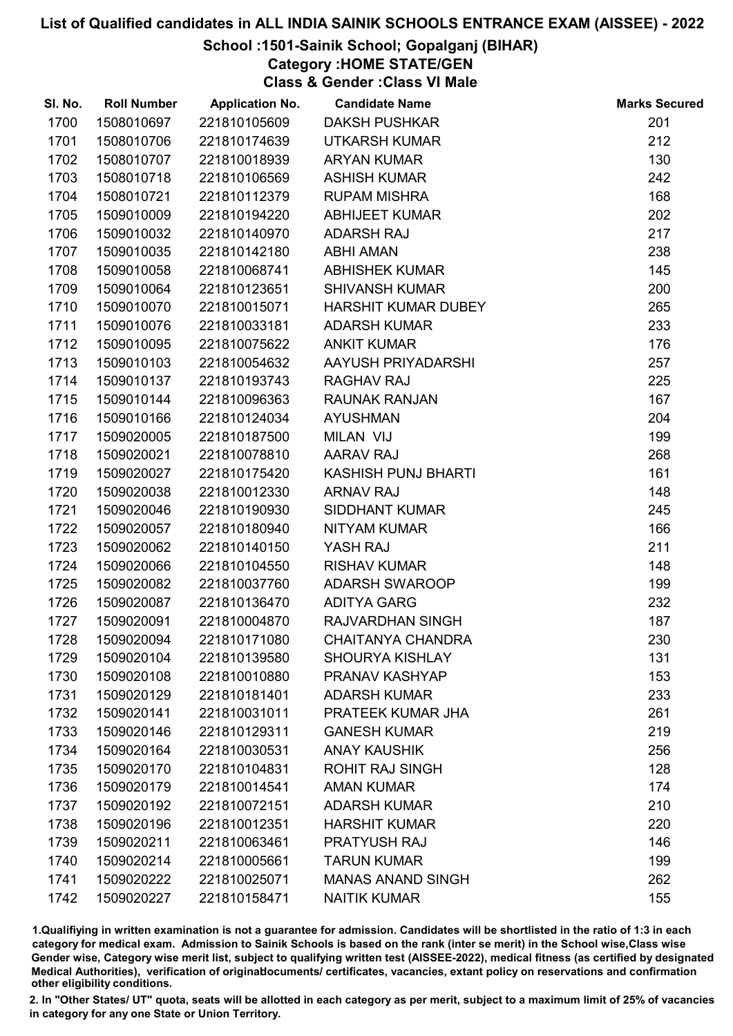## School :1501-Sainik School; Gopalganj (BIHAR)

Category :HOME STATE/GEN

Class & Gender :Class VI Male

| SI. No. | <b>Roll Number</b> | <b>Application No.</b> | <b>Candidate Name</b>      | <b>Marks Secured</b> |
|---------|--------------------|------------------------|----------------------------|----------------------|
| 1700    | 1508010697         | 221810105609           | <b>DAKSH PUSHKAR</b>       | 201                  |
| 1701    | 1508010706         | 221810174639           | <b>UTKARSH KUMAR</b>       | 212                  |
| 1702    | 1508010707         | 221810018939           | <b>ARYAN KUMAR</b>         | 130                  |
| 1703    | 1508010718         | 221810106569           | <b>ASHISH KUMAR</b>        | 242                  |
| 1704    | 1508010721         | 221810112379           | <b>RUPAM MISHRA</b>        | 168                  |
| 1705    | 1509010009         | 221810194220           | <b>ABHIJEET KUMAR</b>      | 202                  |
| 1706    | 1509010032         | 221810140970           | <b>ADARSH RAJ</b>          | 217                  |
| 1707    | 1509010035         | 221810142180           | <b>ABHI AMAN</b>           | 238                  |
| 1708    | 1509010058         | 221810068741           | <b>ABHISHEK KUMAR</b>      | 145                  |
| 1709    | 1509010064         | 221810123651           | <b>SHIVANSH KUMAR</b>      | 200                  |
| 1710    | 1509010070         | 221810015071           | <b>HARSHIT KUMAR DUBEY</b> | 265                  |
| 1711    | 1509010076         | 221810033181           | <b>ADARSH KUMAR</b>        | 233                  |
| 1712    | 1509010095         | 221810075622           | <b>ANKIT KUMAR</b>         | 176                  |
| 1713    | 1509010103         | 221810054632           | AAYUSH PRIYADARSHI         | 257                  |
| 1714    | 1509010137         | 221810193743           | RAGHAV RAJ                 | 225                  |
| 1715    | 1509010144         | 221810096363           | <b>RAUNAK RANJAN</b>       | 167                  |
| 1716    | 1509010166         | 221810124034           | <b>AYUSHMAN</b>            | 204                  |
| 1717    | 1509020005         | 221810187500           | MILAN VIJ                  | 199                  |
| 1718    | 1509020021         | 221810078810           | <b>AARAV RAJ</b>           | 268                  |
| 1719    | 1509020027         | 221810175420           | <b>KASHISH PUNJ BHARTI</b> | 161                  |
| 1720    | 1509020038         | 221810012330           | <b>ARNAV RAJ</b>           | 148                  |
| 1721    | 1509020046         | 221810190930           | <b>SIDDHANT KUMAR</b>      | 245                  |
| 1722    | 1509020057         | 221810180940           | <b>NITYAM KUMAR</b>        | 166                  |
| 1723    | 1509020062         | 221810140150           | YASH RAJ                   | 211                  |
| 1724    | 1509020066         | 221810104550           | <b>RISHAV KUMAR</b>        | 148                  |
| 1725    | 1509020082         | 221810037760           | <b>ADARSH SWAROOP</b>      | 199                  |
| 1726    | 1509020087         | 221810136470           | <b>ADITYA GARG</b>         | 232                  |
| 1727    | 1509020091         | 221810004870           | RAJVARDHAN SINGH           | 187                  |
| 1728    | 1509020094         | 221810171080           | <b>CHAITANYA CHANDRA</b>   | 230                  |
| 1729    | 1509020104         | 221810139580           | <b>SHOURYA KISHLAY</b>     | 131                  |
| 1730    | 1509020108         | 221810010880           | PRANAV KASHYAP             | 153                  |
| 1731    | 1509020129         | 221810181401           | <b>ADARSH KUMAR</b>        | 233                  |
| 1732    | 1509020141         | 221810031011           | PRATEEK KUMAR JHA          | 261                  |
| 1733    | 1509020146         | 221810129311           | <b>GANESH KUMAR</b>        | 219                  |
| 1734    | 1509020164         | 221810030531           | <b>ANAY KAUSHIK</b>        | 256                  |
| 1735    | 1509020170         | 221810104831           | <b>ROHIT RAJ SINGH</b>     | 128                  |
| 1736    | 1509020179         | 221810014541           | <b>AMAN KUMAR</b>          | 174                  |
| 1737    | 1509020192         | 221810072151           | <b>ADARSH KUMAR</b>        | 210                  |
| 1738    | 1509020196         | 221810012351           | <b>HARSHIT KUMAR</b>       | 220                  |
| 1739    | 1509020211         | 221810063461           | <b>PRATYUSH RAJ</b>        | 146                  |
| 1740    | 1509020214         | 221810005661           | <b>TARUN KUMAR</b>         | 199                  |
| 1741    | 1509020222         | 221810025071           | <b>MANAS ANAND SINGH</b>   | 262                  |
| 1742    | 1509020227         | 221810158471           | <b>NAITIK KUMAR</b>        | 155                  |

1.Qualifiying in written examination is not a guarantee for admission. Candidates will be shortlisted in the ratio of 1:3 in each category for medical exam. Admission to Sainik Schools is based on the rank (inter se merit) in the School wise,Class wise Gender wise, Category wise merit list, subject to qualifying written test (AISSEE-2022), medical fitness (as certified by designated Medical Authorities), verification of originablocuments/ certificates, vacancies, extant policy on reservations and confirmation other eligibility conditions.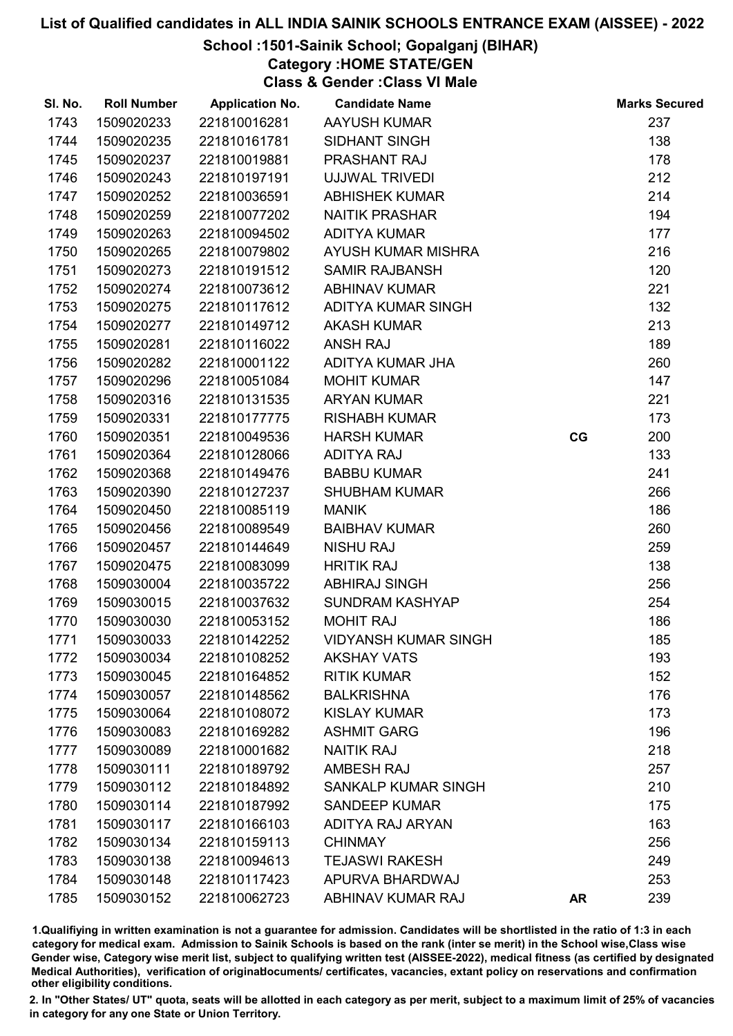# School :1501-Sainik School; Gopalganj (BIHAR)

Category :HOME STATE/GEN

Class & Gender :Class VI Male

| SI. No. | <b>Roll Number</b> | <b>Application No.</b> | <b>Candidate Name</b>       |           | <b>Marks Secured</b> |
|---------|--------------------|------------------------|-----------------------------|-----------|----------------------|
| 1743    | 1509020233         | 221810016281           | <b>AAYUSH KUMAR</b>         |           | 237                  |
| 1744    | 1509020235         | 221810161781           | <b>SIDHANT SINGH</b>        |           | 138                  |
| 1745    | 1509020237         | 221810019881           | PRASHANT RAJ                |           | 178                  |
| 1746    | 1509020243         | 221810197191           | UJJWAL TRIVEDI              |           | 212                  |
| 1747    | 1509020252         | 221810036591           | <b>ABHISHEK KUMAR</b>       |           | 214                  |
| 1748    | 1509020259         | 221810077202           | <b>NAITIK PRASHAR</b>       |           | 194                  |
| 1749    | 1509020263         | 221810094502           | <b>ADITYA KUMAR</b>         |           | 177                  |
| 1750    | 1509020265         | 221810079802           | AYUSH KUMAR MISHRA          |           | 216                  |
| 1751    | 1509020273         | 221810191512           | <b>SAMIR RAJBANSH</b>       |           | 120                  |
| 1752    | 1509020274         | 221810073612           | <b>ABHINAV KUMAR</b>        |           | 221                  |
| 1753    | 1509020275         | 221810117612           | ADITYA KUMAR SINGH          |           | 132                  |
| 1754    | 1509020277         | 221810149712           | <b>AKASH KUMAR</b>          |           | 213                  |
| 1755    | 1509020281         | 221810116022           | <b>ANSH RAJ</b>             |           | 189                  |
| 1756    | 1509020282         | 221810001122           | ADITYA KUMAR JHA            |           | 260                  |
| 1757    | 1509020296         | 221810051084           | <b>MOHIT KUMAR</b>          |           | 147                  |
| 1758    | 1509020316         | 221810131535           | <b>ARYAN KUMAR</b>          |           | 221                  |
| 1759    | 1509020331         | 221810177775           | <b>RISHABH KUMAR</b>        |           | 173                  |
| 1760    | 1509020351         | 221810049536           | <b>HARSH KUMAR</b>          | CG        | 200                  |
| 1761    | 1509020364         | 221810128066           | <b>ADITYA RAJ</b>           |           | 133                  |
| 1762    | 1509020368         | 221810149476           | <b>BABBU KUMAR</b>          |           | 241                  |
| 1763    | 1509020390         | 221810127237           | <b>SHUBHAM KUMAR</b>        |           | 266                  |
| 1764    | 1509020450         | 221810085119           | <b>MANIK</b>                |           | 186                  |
| 1765    | 1509020456         | 221810089549           | <b>BAIBHAV KUMAR</b>        |           | 260                  |
| 1766    | 1509020457         | 221810144649           | <b>NISHU RAJ</b>            |           | 259                  |
| 1767    | 1509020475         | 221810083099           | <b>HRITIK RAJ</b>           |           | 138                  |
| 1768    | 1509030004         | 221810035722           | <b>ABHIRAJ SINGH</b>        |           | 256                  |
| 1769    | 1509030015         | 221810037632           | <b>SUNDRAM KASHYAP</b>      |           | 254                  |
| 1770    | 1509030030         | 221810053152           | <b>MOHIT RAJ</b>            |           | 186                  |
| 1771    | 1509030033         | 221810142252           | <b>VIDYANSH KUMAR SINGH</b> |           | 185                  |
| 1772    | 1509030034         | 221810108252           | <b>AKSHAY VATS</b>          |           | 193                  |
| 1773    | 1509030045         | 221810164852           | <b>RITIK KUMAR</b>          |           | 152                  |
| 1774    | 1509030057         | 221810148562           | <b>BALKRISHNA</b>           |           | 176                  |
| 1775    | 1509030064         | 221810108072           | <b>KISLAY KUMAR</b>         |           | 173                  |
| 1776    | 1509030083         | 221810169282           | <b>ASHMIT GARG</b>          |           | 196                  |
| 1777    | 1509030089         | 221810001682           | <b>NAITIK RAJ</b>           |           | 218                  |
| 1778    | 1509030111         | 221810189792           | <b>AMBESH RAJ</b>           |           | 257                  |
| 1779    | 1509030112         | 221810184892           | SANKALP KUMAR SINGH         |           | 210                  |
| 1780    | 1509030114         | 221810187992           | <b>SANDEEP KUMAR</b>        |           | 175                  |
| 1781    | 1509030117         | 221810166103           | <b>ADITYA RAJ ARYAN</b>     |           | 163                  |
| 1782    | 1509030134         | 221810159113           | <b>CHINMAY</b>              |           | 256                  |
| 1783    | 1509030138         | 221810094613           | <b>TEJASWI RAKESH</b>       |           | 249                  |
| 1784    | 1509030148         | 221810117423           | APURVA BHARDWAJ             |           | 253                  |
| 1785    | 1509030152         | 221810062723           | ABHINAV KUMAR RAJ           | <b>AR</b> | 239                  |

1.Qualifiying in written examination is not a guarantee for admission. Candidates will be shortlisted in the ratio of 1:3 in each category for medical exam. Admission to Sainik Schools is based on the rank (inter se merit) in the School wise,Class wise Gender wise, Category wise merit list, subject to qualifying written test (AISSEE-2022), medical fitness (as certified by designated Medical Authorities), verification of originablocuments/ certificates, vacancies, extant policy on reservations and confirmation other eligibility conditions.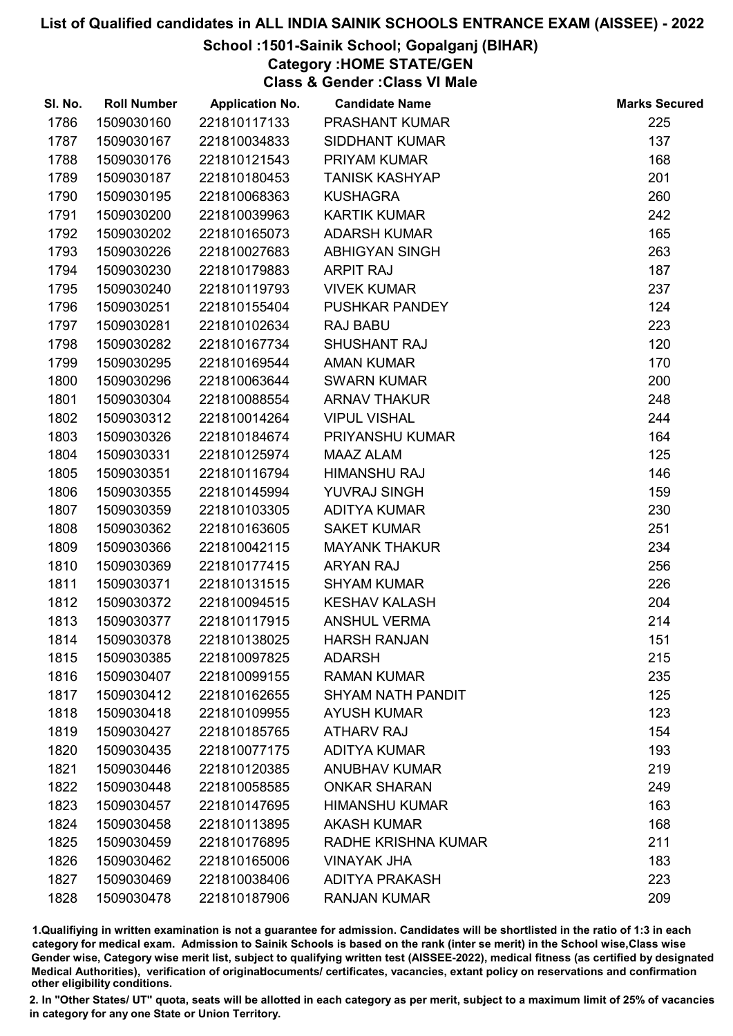## School :1501-Sainik School; Gopalganj (BIHAR)

Category :HOME STATE/GEN

Class & Gender :Class VI Male

| SI. No. | <b>Roll Number</b> | <b>Application No.</b> | <b>Candidate Name</b> | <b>Marks Secured</b> |
|---------|--------------------|------------------------|-----------------------|----------------------|
| 1786    | 1509030160         | 221810117133           | <b>PRASHANT KUMAR</b> | 225                  |
| 1787    | 1509030167         | 221810034833           | <b>SIDDHANT KUMAR</b> | 137                  |
| 1788    | 1509030176         | 221810121543           | PRIYAM KUMAR          | 168                  |
| 1789    | 1509030187         | 221810180453           | <b>TANISK KASHYAP</b> | 201                  |
| 1790    | 1509030195         | 221810068363           | <b>KUSHAGRA</b>       | 260                  |
| 1791    | 1509030200         | 221810039963           | <b>KARTIK KUMAR</b>   | 242                  |
| 1792    | 1509030202         | 221810165073           | <b>ADARSH KUMAR</b>   | 165                  |
| 1793    | 1509030226         | 221810027683           | <b>ABHIGYAN SINGH</b> | 263                  |
| 1794    | 1509030230         | 221810179883           | <b>ARPIT RAJ</b>      | 187                  |
| 1795    | 1509030240         | 221810119793           | <b>VIVEK KUMAR</b>    | 237                  |
| 1796    | 1509030251         | 221810155404           | <b>PUSHKAR PANDEY</b> | 124                  |
| 1797    | 1509030281         | 221810102634           | <b>RAJ BABU</b>       | 223                  |
| 1798    | 1509030282         | 221810167734           | SHUSHANT RAJ          | 120                  |
| 1799    | 1509030295         | 221810169544           | <b>AMAN KUMAR</b>     | 170                  |
| 1800    | 1509030296         | 221810063644           | <b>SWARN KUMAR</b>    | 200                  |
| 1801    | 1509030304         | 221810088554           | <b>ARNAV THAKUR</b>   | 248                  |
| 1802    | 1509030312         | 221810014264           | <b>VIPUL VISHAL</b>   | 244                  |
| 1803    | 1509030326         | 221810184674           | PRIYANSHU KUMAR       | 164                  |
| 1804    | 1509030331         | 221810125974           | <b>MAAZ ALAM</b>      | 125                  |
| 1805    | 1509030351         | 221810116794           | <b>HIMANSHU RAJ</b>   | 146                  |
| 1806    | 1509030355         | 221810145994           | YUVRAJ SINGH          | 159                  |
| 1807    | 1509030359         | 221810103305           | <b>ADITYA KUMAR</b>   | 230                  |
| 1808    | 1509030362         | 221810163605           | <b>SAKET KUMAR</b>    | 251                  |
| 1809    | 1509030366         | 221810042115           | <b>MAYANK THAKUR</b>  | 234                  |
| 1810    | 1509030369         | 221810177415           | <b>ARYAN RAJ</b>      | 256                  |
| 1811    | 1509030371         | 221810131515           | <b>SHYAM KUMAR</b>    | 226                  |
| 1812    | 1509030372         | 221810094515           | <b>KESHAV KALASH</b>  | 204                  |
| 1813    | 1509030377         | 221810117915           | <b>ANSHUL VERMA</b>   | 214                  |
| 1814    | 1509030378         | 221810138025           | <b>HARSH RANJAN</b>   | 151                  |
| 1815    | 1509030385         | 221810097825           | <b>ADARSH</b>         | 215                  |
| 1816    | 1509030407         | 221810099155           | <b>RAMAN KUMAR</b>    | 235                  |
| 1817    | 1509030412         | 221810162655           | SHYAM NATH PANDIT     | 125                  |
| 1818    | 1509030418         | 221810109955           | <b>AYUSH KUMAR</b>    | 123                  |
| 1819    | 1509030427         | 221810185765           | <b>ATHARV RAJ</b>     | 154                  |
| 1820    | 1509030435         | 221810077175           | <b>ADITYA KUMAR</b>   | 193                  |
| 1821    | 1509030446         | 221810120385           | <b>ANUBHAV KUMAR</b>  | 219                  |
| 1822    | 1509030448         | 221810058585           | <b>ONKAR SHARAN</b>   | 249                  |
| 1823    | 1509030457         | 221810147695           | <b>HIMANSHU KUMAR</b> | 163                  |
| 1824    | 1509030458         | 221810113895           | <b>AKASH KUMAR</b>    | 168                  |
| 1825    | 1509030459         | 221810176895           | RADHE KRISHNA KUMAR   | 211                  |
| 1826    | 1509030462         | 221810165006           | <b>VINAYAK JHA</b>    | 183                  |
| 1827    | 1509030469         | 221810038406           | <b>ADITYA PRAKASH</b> | 223                  |
| 1828    | 1509030478         | 221810187906           | <b>RANJAN KUMAR</b>   | 209                  |

1.Qualifiying in written examination is not a guarantee for admission. Candidates will be shortlisted in the ratio of 1:3 in each category for medical exam. Admission to Sainik Schools is based on the rank (inter se merit) in the School wise,Class wise Gender wise, Category wise merit list, subject to qualifying written test (AISSEE-2022), medical fitness (as certified by designated Medical Authorities), verification of originablocuments/ certificates, vacancies, extant policy on reservations and confirmation other eligibility conditions.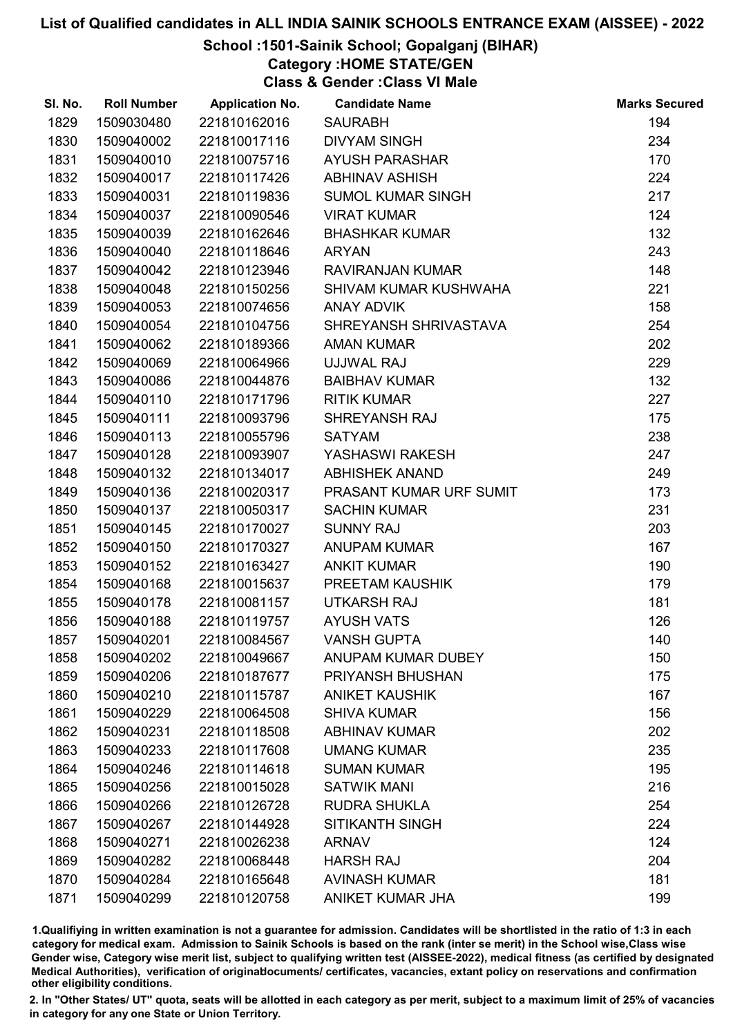# School :1501-Sainik School; Gopalganj (BIHAR)

Category :HOME STATE/GEN

Class & Gender :Class VI Male

| SI. No. | <b>Roll Number</b> | <b>Application No.</b> | <b>Candidate Name</b>     | <b>Marks Secured</b> |
|---------|--------------------|------------------------|---------------------------|----------------------|
| 1829    | 1509030480         | 221810162016           | <b>SAURABH</b>            | 194                  |
| 1830    | 1509040002         | 221810017116           | <b>DIVYAM SINGH</b>       | 234                  |
| 1831    | 1509040010         | 221810075716           | <b>AYUSH PARASHAR</b>     | 170                  |
| 1832    | 1509040017         | 221810117426           | <b>ABHINAV ASHISH</b>     | 224                  |
| 1833    | 1509040031         | 221810119836           | <b>SUMOL KUMAR SINGH</b>  | 217                  |
| 1834    | 1509040037         | 221810090546           | <b>VIRAT KUMAR</b>        | 124                  |
| 1835    | 1509040039         | 221810162646           | <b>BHASHKAR KUMAR</b>     | 132                  |
| 1836    | 1509040040         | 221810118646           | <b>ARYAN</b>              | 243                  |
| 1837    | 1509040042         | 221810123946           | RAVIRANJAN KUMAR          | 148                  |
| 1838    | 1509040048         | 221810150256           | SHIVAM KUMAR KUSHWAHA     | 221                  |
| 1839    | 1509040053         | 221810074656           | <b>ANAY ADVIK</b>         | 158                  |
| 1840    | 1509040054         | 221810104756           | SHREYANSH SHRIVASTAVA     | 254                  |
| 1841    | 1509040062         | 221810189366           | <b>AMAN KUMAR</b>         | 202                  |
| 1842    | 1509040069         | 221810064966           | UJJWAL RAJ                | 229                  |
| 1843    | 1509040086         | 221810044876           | <b>BAIBHAV KUMAR</b>      | 132                  |
| 1844    | 1509040110         | 221810171796           | <b>RITIK KUMAR</b>        | 227                  |
| 1845    | 1509040111         | 221810093796           | SHREYANSH RAJ             | 175                  |
| 1846    | 1509040113         | 221810055796           | <b>SATYAM</b>             | 238                  |
| 1847    | 1509040128         | 221810093907           | YASHASWI RAKESH           | 247                  |
| 1848    | 1509040132         | 221810134017           | <b>ABHISHEK ANAND</b>     | 249                  |
| 1849    | 1509040136         | 221810020317           | PRASANT KUMAR URF SUMIT   | 173                  |
| 1850    | 1509040137         | 221810050317           | <b>SACHIN KUMAR</b>       | 231                  |
| 1851    | 1509040145         | 221810170027           | <b>SUNNY RAJ</b>          | 203                  |
| 1852    | 1509040150         | 221810170327           | <b>ANUPAM KUMAR</b>       | 167                  |
| 1853    | 1509040152         | 221810163427           | <b>ANKIT KUMAR</b>        | 190                  |
| 1854    | 1509040168         | 221810015637           | PREETAM KAUSHIK           | 179                  |
| 1855    | 1509040178         | 221810081157           | <b>UTKARSH RAJ</b>        | 181                  |
| 1856    | 1509040188         | 221810119757           | <b>AYUSH VATS</b>         | 126                  |
| 1857    | 1509040201         | 221810084567           | <b>VANSH GUPTA</b>        | 140                  |
| 1858    | 1509040202         | 221810049667           | <b>ANUPAM KUMAR DUBEY</b> | 150                  |
| 1859    | 1509040206         | 221810187677           | PRIYANSH BHUSHAN          | 175                  |
| 1860    | 1509040210         | 221810115787           | <b>ANIKET KAUSHIK</b>     | 167                  |
| 1861    | 1509040229         | 221810064508           | <b>SHIVA KUMAR</b>        | 156                  |
| 1862    | 1509040231         | 221810118508           | <b>ABHINAV KUMAR</b>      | 202                  |
| 1863    | 1509040233         | 221810117608           | <b>UMANG KUMAR</b>        | 235                  |
| 1864    | 1509040246         | 221810114618           | <b>SUMAN KUMAR</b>        | 195                  |
| 1865    | 1509040256         | 221810015028           | <b>SATWIK MANI</b>        | 216                  |
| 1866    | 1509040266         | 221810126728           | <b>RUDRA SHUKLA</b>       | 254                  |
| 1867    | 1509040267         | 221810144928           | <b>SITIKANTH SINGH</b>    | 224                  |
| 1868    | 1509040271         | 221810026238           | <b>ARNAV</b>              | 124                  |
| 1869    | 1509040282         | 221810068448           | <b>HARSH RAJ</b>          | 204                  |
| 1870    | 1509040284         | 221810165648           | <b>AVINASH KUMAR</b>      | 181                  |
| 1871    | 1509040299         | 221810120758           | <b>ANIKET KUMAR JHA</b>   | 199                  |
|         |                    |                        |                           |                      |

1.Qualifiying in written examination is not a guarantee for admission. Candidates will be shortlisted in the ratio of 1:3 in each category for medical exam. Admission to Sainik Schools is based on the rank (inter se merit) in the School wise,Class wise Gender wise, Category wise merit list, subject to qualifying written test (AISSEE-2022), medical fitness (as certified by designated Medical Authorities), verification of originablocuments/ certificates, vacancies, extant policy on reservations and confirmation other eligibility conditions.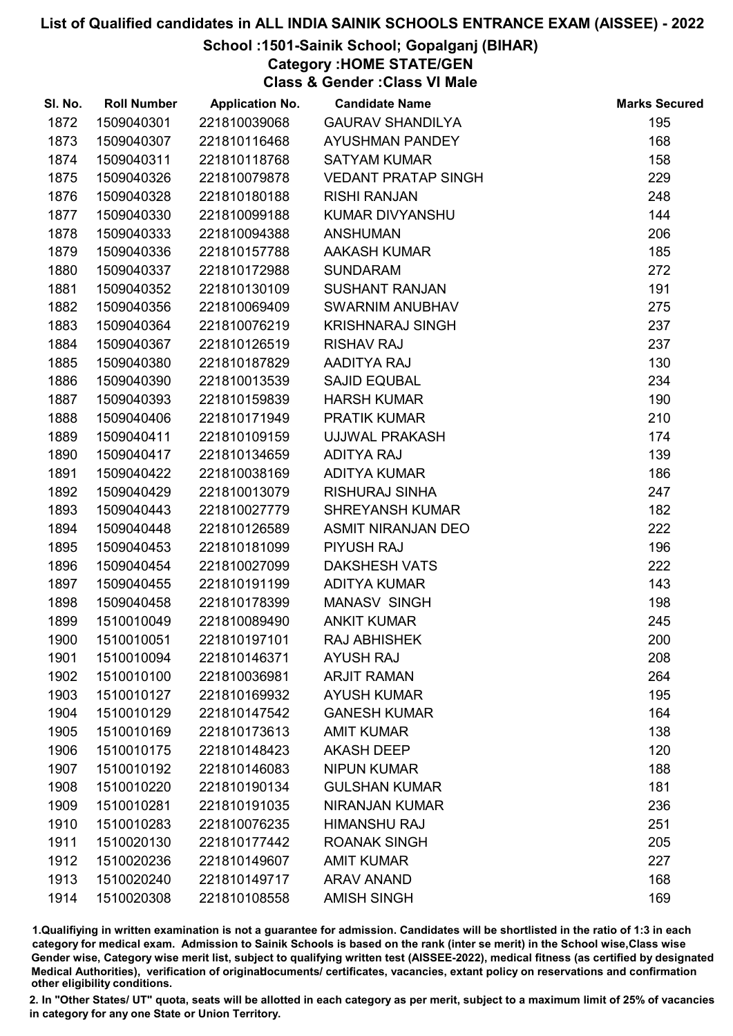## School :1501-Sainik School; Gopalganj (BIHAR)

Category :HOME STATE/GEN

Class & Gender :Class VI Male

| SI. No. | <b>Roll Number</b> | <b>Application No.</b> | <b>Candidate Name</b>      | <b>Marks Secured</b> |
|---------|--------------------|------------------------|----------------------------|----------------------|
| 1872    | 1509040301         | 221810039068           | <b>GAURAV SHANDILYA</b>    | 195                  |
| 1873    | 1509040307         | 221810116468           | <b>AYUSHMAN PANDEY</b>     | 168                  |
| 1874    | 1509040311         | 221810118768           | <b>SATYAM KUMAR</b>        | 158                  |
| 1875    | 1509040326         | 221810079878           | <b>VEDANT PRATAP SINGH</b> | 229                  |
| 1876    | 1509040328         | 221810180188           | <b>RISHI RANJAN</b>        | 248                  |
| 1877    | 1509040330         | 221810099188           | <b>KUMAR DIVYANSHU</b>     | 144                  |
| 1878    | 1509040333         | 221810094388           | <b>ANSHUMAN</b>            | 206                  |
| 1879    | 1509040336         | 221810157788           | <b>AAKASH KUMAR</b>        | 185                  |
| 1880    | 1509040337         | 221810172988           | <b>SUNDARAM</b>            | 272                  |
| 1881    | 1509040352         | 221810130109           | <b>SUSHANT RANJAN</b>      | 191                  |
| 1882    | 1509040356         | 221810069409           | SWARNIM ANUBHAV            | 275                  |
| 1883    | 1509040364         | 221810076219           | <b>KRISHNARAJ SINGH</b>    | 237                  |
| 1884    | 1509040367         | 221810126519           | <b>RISHAV RAJ</b>          | 237                  |
| 1885    | 1509040380         | 221810187829           | AADITYA RAJ                | 130                  |
| 1886    | 1509040390         | 221810013539           | <b>SAJID EQUBAL</b>        | 234                  |
| 1887    | 1509040393         | 221810159839           | <b>HARSH KUMAR</b>         | 190                  |
| 1888    | 1509040406         | 221810171949           | <b>PRATIK KUMAR</b>        | 210                  |
| 1889    | 1509040411         | 221810109159           | <b>UJJWAL PRAKASH</b>      | 174                  |
| 1890    | 1509040417         | 221810134659           | <b>ADITYA RAJ</b>          | 139                  |
| 1891    | 1509040422         | 221810038169           | <b>ADITYA KUMAR</b>        | 186                  |
| 1892    | 1509040429         | 221810013079           | <b>RISHURAJ SINHA</b>      | 247                  |
| 1893    | 1509040443         | 221810027779           | <b>SHREYANSH KUMAR</b>     | 182                  |
| 1894    | 1509040448         | 221810126589           | <b>ASMIT NIRANJAN DEO</b>  | 222                  |
| 1895    | 1509040453         | 221810181099           | <b>PIYUSH RAJ</b>          | 196                  |
| 1896    | 1509040454         | 221810027099           | <b>DAKSHESH VATS</b>       | 222                  |
| 1897    | 1509040455         | 221810191199           | <b>ADITYA KUMAR</b>        | 143                  |
| 1898    | 1509040458         | 221810178399           | <b>MANASV SINGH</b>        | 198                  |
| 1899    | 1510010049         | 221810089490           | <b>ANKIT KUMAR</b>         | 245                  |
| 1900    | 1510010051         | 221810197101           | <b>RAJ ABHISHEK</b>        | 200                  |
| 1901    | 1510010094         | 221810146371           | <b>AYUSH RAJ</b>           | 208                  |
| 1902    | 1510010100         | 221810036981           | <b>ARJIT RAMAN</b>         | 264                  |
| 1903    | 1510010127         | 221810169932           | <b>AYUSH KUMAR</b>         | 195                  |
| 1904    | 1510010129         | 221810147542           | <b>GANESH KUMAR</b>        | 164                  |
| 1905    | 1510010169         | 221810173613           | <b>AMIT KUMAR</b>          | 138                  |
| 1906    | 1510010175         | 221810148423           | <b>AKASH DEEP</b>          | 120                  |
| 1907    | 1510010192         | 221810146083           | <b>NIPUN KUMAR</b>         | 188                  |
| 1908    | 1510010220         | 221810190134           | <b>GULSHAN KUMAR</b>       | 181                  |
| 1909    | 1510010281         | 221810191035           | <b>NIRANJAN KUMAR</b>      | 236                  |
| 1910    | 1510010283         | 221810076235           | <b>HIMANSHU RAJ</b>        | 251                  |
| 1911    | 1510020130         | 221810177442           | <b>ROANAK SINGH</b>        | 205                  |
| 1912    | 1510020236         | 221810149607           | <b>AMIT KUMAR</b>          | 227                  |
| 1913    | 1510020240         | 221810149717           | <b>ARAV ANAND</b>          | 168                  |
| 1914    | 1510020308         | 221810108558           | <b>AMISH SINGH</b>         | 169                  |

1.Qualifiying in written examination is not a guarantee for admission. Candidates will be shortlisted in the ratio of 1:3 in each category for medical exam. Admission to Sainik Schools is based on the rank (inter se merit) in the School wise,Class wise Gender wise, Category wise merit list, subject to qualifying written test (AISSEE-2022), medical fitness (as certified by designated Medical Authorities), verification of originablocuments/ certificates, vacancies, extant policy on reservations and confirmation other eligibility conditions.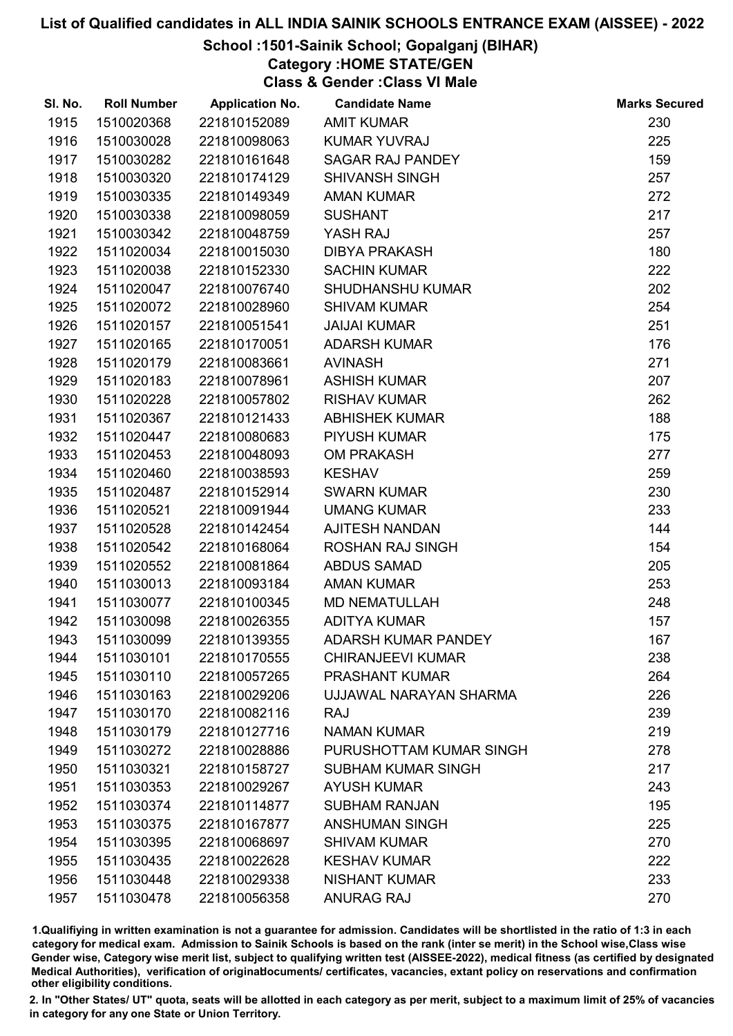# School :1501-Sainik School; Gopalganj (BIHAR)

Category :HOME STATE/GEN

Class & Gender :Class VI Male

| SI. No. | <b>Roll Number</b> | <b>Application No.</b> | <b>Candidate Name</b>      | <b>Marks Secured</b> |
|---------|--------------------|------------------------|----------------------------|----------------------|
| 1915    | 1510020368         | 221810152089           | <b>AMIT KUMAR</b>          | 230                  |
| 1916    | 1510030028         | 221810098063           | <b>KUMAR YUVRAJ</b>        | 225                  |
| 1917    | 1510030282         | 221810161648           | <b>SAGAR RAJ PANDEY</b>    | 159                  |
| 1918    | 1510030320         | 221810174129           | <b>SHIVANSH SINGH</b>      | 257                  |
| 1919    | 1510030335         | 221810149349           | <b>AMAN KUMAR</b>          | 272                  |
| 1920    | 1510030338         | 221810098059           | <b>SUSHANT</b>             | 217                  |
| 1921    | 1510030342         | 221810048759           | YASH RAJ                   | 257                  |
| 1922    | 1511020034         | 221810015030           | <b>DIBYA PRAKASH</b>       | 180                  |
| 1923    | 1511020038         | 221810152330           | <b>SACHIN KUMAR</b>        | 222                  |
| 1924    | 1511020047         | 221810076740           | <b>SHUDHANSHU KUMAR</b>    | 202                  |
| 1925    | 1511020072         | 221810028960           | <b>SHIVAM KUMAR</b>        | 254                  |
| 1926    | 1511020157         | 221810051541           | <b>JAIJAI KUMAR</b>        | 251                  |
| 1927    | 1511020165         | 221810170051           | <b>ADARSH KUMAR</b>        | 176                  |
| 1928    | 1511020179         | 221810083661           | <b>AVINASH</b>             | 271                  |
| 1929    | 1511020183         | 221810078961           | <b>ASHISH KUMAR</b>        | 207                  |
| 1930    | 1511020228         | 221810057802           | <b>RISHAV KUMAR</b>        | 262                  |
| 1931    | 1511020367         | 221810121433           | <b>ABHISHEK KUMAR</b>      | 188                  |
| 1932    | 1511020447         | 221810080683           | <b>PIYUSH KUMAR</b>        | 175                  |
| 1933    | 1511020453         | 221810048093           | <b>OM PRAKASH</b>          | 277                  |
| 1934    | 1511020460         | 221810038593           | <b>KESHAV</b>              | 259                  |
| 1935    | 1511020487         | 221810152914           | <b>SWARN KUMAR</b>         | 230                  |
| 1936    | 1511020521         | 221810091944           | <b>UMANG KUMAR</b>         | 233                  |
| 1937    | 1511020528         | 221810142454           | <b>AJITESH NANDAN</b>      | 144                  |
| 1938    | 1511020542         | 221810168064           | <b>ROSHAN RAJ SINGH</b>    | 154                  |
| 1939    | 1511020552         | 221810081864           | ABDUS SAMAD                | 205                  |
| 1940    | 1511030013         | 221810093184           | <b>AMAN KUMAR</b>          | 253                  |
| 1941    | 1511030077         | 221810100345           | <b>MD NEMATULLAH</b>       | 248                  |
| 1942    | 1511030098         | 221810026355           | <b>ADITYA KUMAR</b>        | 157                  |
| 1943    | 1511030099         | 221810139355           | <b>ADARSH KUMAR PANDEY</b> | 167                  |
| 1944    | 1511030101         | 221810170555           | <b>CHIRANJEEVI KUMAR</b>   | 238                  |
| 1945    | 1511030110         | 221810057265           | <b>PRASHANT KUMAR</b>      | 264                  |
| 1946    | 1511030163         | 221810029206           | UJJAWAL NARAYAN SHARMA     | 226                  |
| 1947    | 1511030170         | 221810082116           | <b>RAJ</b>                 | 239                  |
| 1948    | 1511030179         | 221810127716           | <b>NAMAN KUMAR</b>         | 219                  |
| 1949    | 1511030272         | 221810028886           | PURUSHOTTAM KUMAR SINGH    | 278                  |
| 1950    | 1511030321         | 221810158727           | <b>SUBHAM KUMAR SINGH</b>  | 217                  |
| 1951    | 1511030353         | 221810029267           | <b>AYUSH KUMAR</b>         | 243                  |
| 1952    | 1511030374         | 221810114877           | <b>SUBHAM RANJAN</b>       | 195                  |
| 1953    | 1511030375         | 221810167877           | <b>ANSHUMAN SINGH</b>      | 225                  |
| 1954    | 1511030395         | 221810068697           | <b>SHIVAM KUMAR</b>        | 270                  |
| 1955    | 1511030435         | 221810022628           | <b>KESHAV KUMAR</b>        | 222                  |
| 1956    | 1511030448         | 221810029338           | <b>NISHANT KUMAR</b>       | 233                  |
| 1957    | 1511030478         | 221810056358           | <b>ANURAG RAJ</b>          | 270                  |

1.Qualifiying in written examination is not a guarantee for admission. Candidates will be shortlisted in the ratio of 1:3 in each category for medical exam. Admission to Sainik Schools is based on the rank (inter se merit) in the School wise,Class wise Gender wise, Category wise merit list, subject to qualifying written test (AISSEE-2022), medical fitness (as certified by designated Medical Authorities), verification of originablocuments/ certificates, vacancies, extant policy on reservations and confirmation other eligibility conditions.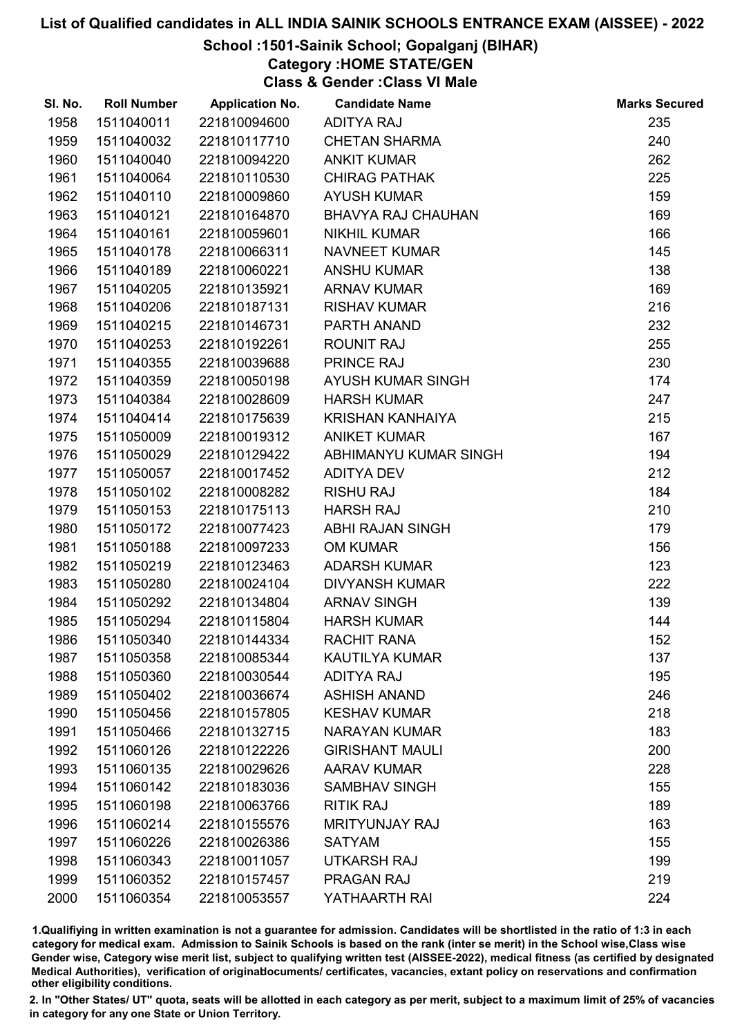## School :1501-Sainik School; Gopalganj (BIHAR)

Category :HOME STATE/GEN

Class & Gender :Class VI Male

| SI. No. | <b>Roll Number</b> | <b>Application No.</b> | <b>Candidate Name</b>     | <b>Marks Secured</b> |
|---------|--------------------|------------------------|---------------------------|----------------------|
| 1958    | 1511040011         | 221810094600           | <b>ADITYA RAJ</b>         | 235                  |
| 1959    | 1511040032         | 221810117710           | <b>CHETAN SHARMA</b>      | 240                  |
| 1960    | 1511040040         | 221810094220           | <b>ANKIT KUMAR</b>        | 262                  |
| 1961    | 1511040064         | 221810110530           | <b>CHIRAG PATHAK</b>      | 225                  |
| 1962    | 1511040110         | 221810009860           | <b>AYUSH KUMAR</b>        | 159                  |
| 1963    | 1511040121         | 221810164870           | <b>BHAVYA RAJ CHAUHAN</b> | 169                  |
| 1964    | 1511040161         | 221810059601           | <b>NIKHIL KUMAR</b>       | 166                  |
| 1965    | 1511040178         | 221810066311           | <b>NAVNEET KUMAR</b>      | 145                  |
| 1966    | 1511040189         | 221810060221           | <b>ANSHU KUMAR</b>        | 138                  |
| 1967    | 1511040205         | 221810135921           | <b>ARNAV KUMAR</b>        | 169                  |
| 1968    | 1511040206         | 221810187131           | <b>RISHAV KUMAR</b>       | 216                  |
| 1969    | 1511040215         | 221810146731           | PARTH ANAND               | 232                  |
| 1970    | 1511040253         | 221810192261           | <b>ROUNIT RAJ</b>         | 255                  |
| 1971    | 1511040355         | 221810039688           | PRINCE RAJ                | 230                  |
| 1972    | 1511040359         | 221810050198           | AYUSH KUMAR SINGH         | 174                  |
| 1973    | 1511040384         | 221810028609           | <b>HARSH KUMAR</b>        | 247                  |
| 1974    | 1511040414         | 221810175639           | <b>KRISHAN KANHAIYA</b>   | 215                  |
| 1975    | 1511050009         | 221810019312           | <b>ANIKET KUMAR</b>       | 167                  |
| 1976    | 1511050029         | 221810129422           | ABHIMANYU KUMAR SINGH     | 194                  |
| 1977    | 1511050057         | 221810017452           | <b>ADITYA DEV</b>         | 212                  |
| 1978    | 1511050102         | 221810008282           | <b>RISHU RAJ</b>          | 184                  |
| 1979    | 1511050153         | 221810175113           | <b>HARSH RAJ</b>          | 210                  |
| 1980    | 1511050172         | 221810077423           | <b>ABHI RAJAN SINGH</b>   | 179                  |
| 1981    | 1511050188         | 221810097233           | <b>OM KUMAR</b>           | 156                  |
| 1982    | 1511050219         | 221810123463           | <b>ADARSH KUMAR</b>       | 123                  |
| 1983    | 1511050280         | 221810024104           | <b>DIVYANSH KUMAR</b>     | 222                  |
| 1984    | 1511050292         | 221810134804           | <b>ARNAV SINGH</b>        | 139                  |
| 1985    | 1511050294         | 221810115804           | <b>HARSH KUMAR</b>        | 144                  |
| 1986    | 1511050340         | 221810144334           | <b>RACHIT RANA</b>        | 152                  |
| 1987    | 1511050358         | 221810085344           | <b>KAUTILYA KUMAR</b>     | 137                  |
| 1988    | 1511050360         | 221810030544           | <b>ADITYA RAJ</b>         | 195                  |
| 1989    | 1511050402         | 221810036674           | <b>ASHISH ANAND</b>       | 246                  |
| 1990    | 1511050456         | 221810157805           | <b>KESHAV KUMAR</b>       | 218                  |
| 1991    | 1511050466         | 221810132715           | <b>NARAYAN KUMAR</b>      | 183                  |
| 1992    | 1511060126         | 221810122226           | <b>GIRISHANT MAULI</b>    | 200                  |
| 1993    | 1511060135         | 221810029626           | <b>AARAV KUMAR</b>        | 228                  |
| 1994    | 1511060142         | 221810183036           | <b>SAMBHAV SINGH</b>      | 155                  |
| 1995    | 1511060198         | 221810063766           | <b>RITIK RAJ</b>          | 189                  |
| 1996    | 1511060214         | 221810155576           | <b>MRITYUNJAY RAJ</b>     | 163                  |
| 1997    | 1511060226         | 221810026386           | <b>SATYAM</b>             | 155                  |
| 1998    | 1511060343         | 221810011057           | UTKARSH RAJ               | 199                  |
| 1999    | 1511060352         | 221810157457           | <b>PRAGAN RAJ</b>         | 219                  |
| 2000    | 1511060354         | 221810053557           | YATHAARTH RAI             | 224                  |

1.Qualifiying in written examination is not a guarantee for admission. Candidates will be shortlisted in the ratio of 1:3 in each category for medical exam. Admission to Sainik Schools is based on the rank (inter se merit) in the School wise,Class wise Gender wise, Category wise merit list, subject to qualifying written test (AISSEE-2022), medical fitness (as certified by designated Medical Authorities), verification of originablocuments/ certificates, vacancies, extant policy on reservations and confirmation other eligibility conditions.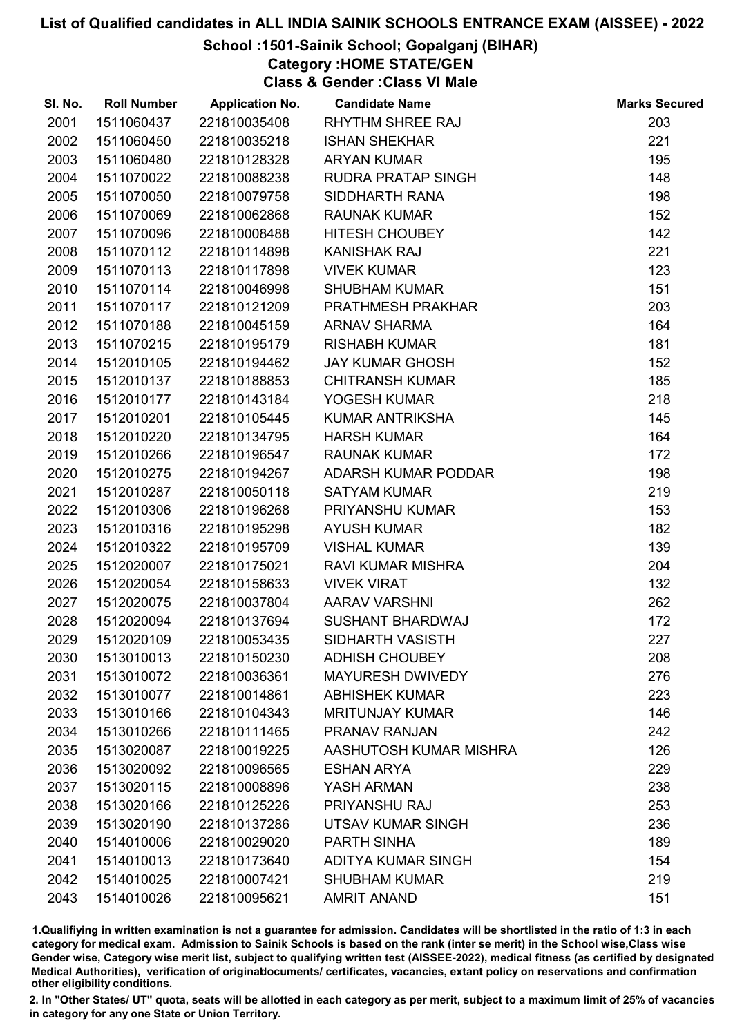## School :1501-Sainik School; Gopalganj (BIHAR)

Category :HOME STATE/GEN

Class & Gender :Class VI Male

| SI. No. | <b>Roll Number</b> | <b>Application No.</b> | <b>Candidate Name</b>     | <b>Marks Secured</b> |
|---------|--------------------|------------------------|---------------------------|----------------------|
| 2001    | 1511060437         | 221810035408           | <b>RHYTHM SHREE RAJ</b>   | 203                  |
| 2002    | 1511060450         | 221810035218           | <b>ISHAN SHEKHAR</b>      | 221                  |
| 2003    | 1511060480         | 221810128328           | <b>ARYAN KUMAR</b>        | 195                  |
| 2004    | 1511070022         | 221810088238           | RUDRA PRATAP SINGH        | 148                  |
| 2005    | 1511070050         | 221810079758           | SIDDHARTH RANA            | 198                  |
| 2006    | 1511070069         | 221810062868           | <b>RAUNAK KUMAR</b>       | 152                  |
| 2007    | 1511070096         | 221810008488           | <b>HITESH CHOUBEY</b>     | 142                  |
| 2008    | 1511070112         | 221810114898           | <b>KANISHAK RAJ</b>       | 221                  |
| 2009    | 1511070113         | 221810117898           | <b>VIVEK KUMAR</b>        | 123                  |
| 2010    | 1511070114         | 221810046998           | <b>SHUBHAM KUMAR</b>      | 151                  |
| 2011    | 1511070117         | 221810121209           | PRATHMESH PRAKHAR         | 203                  |
| 2012    | 1511070188         | 221810045159           | <b>ARNAV SHARMA</b>       | 164                  |
| 2013    | 1511070215         | 221810195179           | <b>RISHABH KUMAR</b>      | 181                  |
| 2014    | 1512010105         | 221810194462           | <b>JAY KUMAR GHOSH</b>    | 152                  |
| 2015    | 1512010137         | 221810188853           | <b>CHITRANSH KUMAR</b>    | 185                  |
| 2016    | 1512010177         | 221810143184           | YOGESH KUMAR              | 218                  |
| 2017    | 1512010201         | 221810105445           | KUMAR ANTRIKSHA           | 145                  |
| 2018    | 1512010220         | 221810134795           | <b>HARSH KUMAR</b>        | 164                  |
| 2019    | 1512010266         | 221810196547           | <b>RAUNAK KUMAR</b>       | 172                  |
| 2020    | 1512010275         | 221810194267           | ADARSH KUMAR PODDAR       | 198                  |
| 2021    | 1512010287         | 221810050118           | <b>SATYAM KUMAR</b>       | 219                  |
| 2022    | 1512010306         | 221810196268           | PRIYANSHU KUMAR           | 153                  |
| 2023    | 1512010316         | 221810195298           | <b>AYUSH KUMAR</b>        | 182                  |
| 2024    | 1512010322         | 221810195709           | <b>VISHAL KUMAR</b>       | 139                  |
| 2025    | 1512020007         | 221810175021           | <b>RAVI KUMAR MISHRA</b>  | 204                  |
| 2026    | 1512020054         | 221810158633           | <b>VIVEK VIRAT</b>        | 132                  |
| 2027    | 1512020075         | 221810037804           | AARAV VARSHNI             | 262                  |
| 2028    | 1512020094         | 221810137694           | <b>SUSHANT BHARDWAJ</b>   | 172                  |
| 2029    | 1512020109         | 221810053435           | SIDHARTH VASISTH          | 227                  |
| 2030    | 1513010013         | 221810150230           | <b>ADHISH CHOUBEY</b>     | 208                  |
| 2031    | 1513010072         | 221810036361           | <b>MAYURESH DWIVEDY</b>   | 276                  |
| 2032    | 1513010077         | 221810014861           | <b>ABHISHEK KUMAR</b>     | 223                  |
| 2033    | 1513010166         | 221810104343           | <b>MRITUNJAY KUMAR</b>    | 146                  |
| 2034    | 1513010266         | 221810111465           | PRANAV RANJAN             | 242                  |
| 2035    | 1513020087         | 221810019225           | AASHUTOSH KUMAR MISHRA    | 126                  |
| 2036    | 1513020092         | 221810096565           | <b>ESHAN ARYA</b>         | 229                  |
| 2037    | 1513020115         | 221810008896           | YASH ARMAN                | 238                  |
| 2038    | 1513020166         | 221810125226           | PRIYANSHU RAJ             | 253                  |
| 2039    | 1513020190         | 221810137286           | <b>UTSAV KUMAR SINGH</b>  | 236                  |
| 2040    | 1514010006         | 221810029020           | PARTH SINHA               | 189                  |
| 2041    | 1514010013         | 221810173640           | <b>ADITYA KUMAR SINGH</b> | 154                  |
| 2042    | 1514010025         | 221810007421           | <b>SHUBHAM KUMAR</b>      | 219                  |
| 2043    | 1514010026         | 221810095621           | <b>AMRIT ANAND</b>        | 151                  |

1.Qualifiying in written examination is not a guarantee for admission. Candidates will be shortlisted in the ratio of 1:3 in each category for medical exam. Admission to Sainik Schools is based on the rank (inter se merit) in the School wise,Class wise Gender wise, Category wise merit list, subject to qualifying written test (AISSEE-2022), medical fitness (as certified by designated Medical Authorities), verification of originablocuments/ certificates, vacancies, extant policy on reservations and confirmation other eligibility conditions.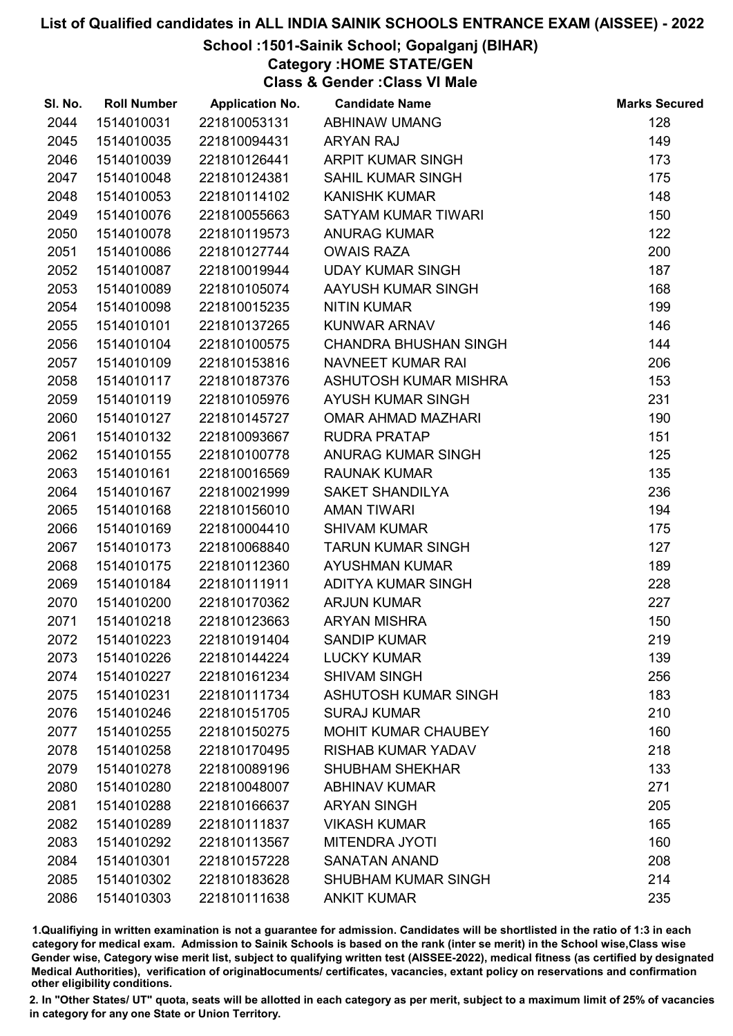## School :1501-Sainik School; Gopalganj (BIHAR)

Category :HOME STATE/GEN

Class & Gender :Class VI Male

| SI. No. | <b>Roll Number</b> | <b>Application No.</b> | <b>Candidate Name</b>        | <b>Marks Secured</b> |
|---------|--------------------|------------------------|------------------------------|----------------------|
| 2044    | 1514010031         | 221810053131           | <b>ABHINAW UMANG</b>         | 128                  |
| 2045    | 1514010035         | 221810094431           | <b>ARYAN RAJ</b>             | 149                  |
| 2046    | 1514010039         | 221810126441           | <b>ARPIT KUMAR SINGH</b>     | 173                  |
| 2047    | 1514010048         | 221810124381           | <b>SAHIL KUMAR SINGH</b>     | 175                  |
| 2048    | 1514010053         | 221810114102           | <b>KANISHK KUMAR</b>         | 148                  |
| 2049    | 1514010076         | 221810055663           | SATYAM KUMAR TIWARI          | 150                  |
| 2050    | 1514010078         | 221810119573           | <b>ANURAG KUMAR</b>          | 122                  |
| 2051    | 1514010086         | 221810127744           | <b>OWAIS RAZA</b>            | 200                  |
| 2052    | 1514010087         | 221810019944           | <b>UDAY KUMAR SINGH</b>      | 187                  |
| 2053    | 1514010089         | 221810105074           | AAYUSH KUMAR SINGH           | 168                  |
| 2054    | 1514010098         | 221810015235           | <b>NITIN KUMAR</b>           | 199                  |
| 2055    | 1514010101         | 221810137265           | KUNWAR ARNAV                 | 146                  |
| 2056    | 1514010104         | 221810100575           | <b>CHANDRA BHUSHAN SINGH</b> | 144                  |
| 2057    | 1514010109         | 221810153816           | NAVNEET KUMAR RAI            | 206                  |
| 2058    | 1514010117         | 221810187376           | ASHUTOSH KUMAR MISHRA        | 153                  |
| 2059    | 1514010119         | 221810105976           | <b>AYUSH KUMAR SINGH</b>     | 231                  |
| 2060    | 1514010127         | 221810145727           | <b>OMAR AHMAD MAZHARI</b>    | 190                  |
| 2061    | 1514010132         | 221810093667           | <b>RUDRA PRATAP</b>          | 151                  |
| 2062    | 1514010155         | 221810100778           | ANURAG KUMAR SINGH           | 125                  |
| 2063    | 1514010161         | 221810016569           | <b>RAUNAK KUMAR</b>          | 135                  |
| 2064    | 1514010167         | 221810021999           | <b>SAKET SHANDILYA</b>       | 236                  |
| 2065    | 1514010168         | 221810156010           | <b>AMAN TIWARI</b>           | 194                  |
| 2066    | 1514010169         | 221810004410           | <b>SHIVAM KUMAR</b>          | 175                  |
| 2067    | 1514010173         | 221810068840           | <b>TARUN KUMAR SINGH</b>     | 127                  |
| 2068    | 1514010175         | 221810112360           | <b>AYUSHMAN KUMAR</b>        | 189                  |
| 2069    | 1514010184         | 221810111911           | ADITYA KUMAR SINGH           | 228                  |
| 2070    | 1514010200         | 221810170362           | <b>ARJUN KUMAR</b>           | 227                  |
| 2071    | 1514010218         | 221810123663           | <b>ARYAN MISHRA</b>          | 150                  |
| 2072    | 1514010223         | 221810191404           | <b>SANDIP KUMAR</b>          | 219                  |
| 2073    | 1514010226         | 221810144224           | <b>LUCKY KUMAR</b>           | 139                  |
| 2074    | 1514010227         | 221810161234           | <b>SHIVAM SINGH</b>          | 256                  |
| 2075    | 1514010231         | 221810111734           | <b>ASHUTOSH KUMAR SINGH</b>  | 183                  |
| 2076    | 1514010246         | 221810151705           | <b>SURAJ KUMAR</b>           | 210                  |
| 2077    | 1514010255         | 221810150275           | <b>MOHIT KUMAR CHAUBEY</b>   | 160                  |
| 2078    | 1514010258         | 221810170495           | <b>RISHAB KUMAR YADAV</b>    | 218                  |
| 2079    | 1514010278         | 221810089196           | <b>SHUBHAM SHEKHAR</b>       | 133                  |
| 2080    | 1514010280         | 221810048007           | <b>ABHINAV KUMAR</b>         | 271                  |
| 2081    | 1514010288         | 221810166637           | <b>ARYAN SINGH</b>           | 205                  |
| 2082    | 1514010289         | 221810111837           | <b>VIKASH KUMAR</b>          | 165                  |
| 2083    | 1514010292         | 221810113567           | <b>MITENDRA JYOTI</b>        | 160                  |
| 2084    | 1514010301         | 221810157228           | <b>SANATAN ANAND</b>         | 208                  |
| 2085    | 1514010302         | 221810183628           | <b>SHUBHAM KUMAR SINGH</b>   | 214                  |
| 2086    | 1514010303         | 221810111638           | <b>ANKIT KUMAR</b>           | 235                  |

1.Qualifiying in written examination is not a guarantee for admission. Candidates will be shortlisted in the ratio of 1:3 in each category for medical exam. Admission to Sainik Schools is based on the rank (inter se merit) in the School wise,Class wise Gender wise, Category wise merit list, subject to qualifying written test (AISSEE-2022), medical fitness (as certified by designated Medical Authorities), verification of originablocuments/ certificates, vacancies, extant policy on reservations and confirmation other eligibility conditions.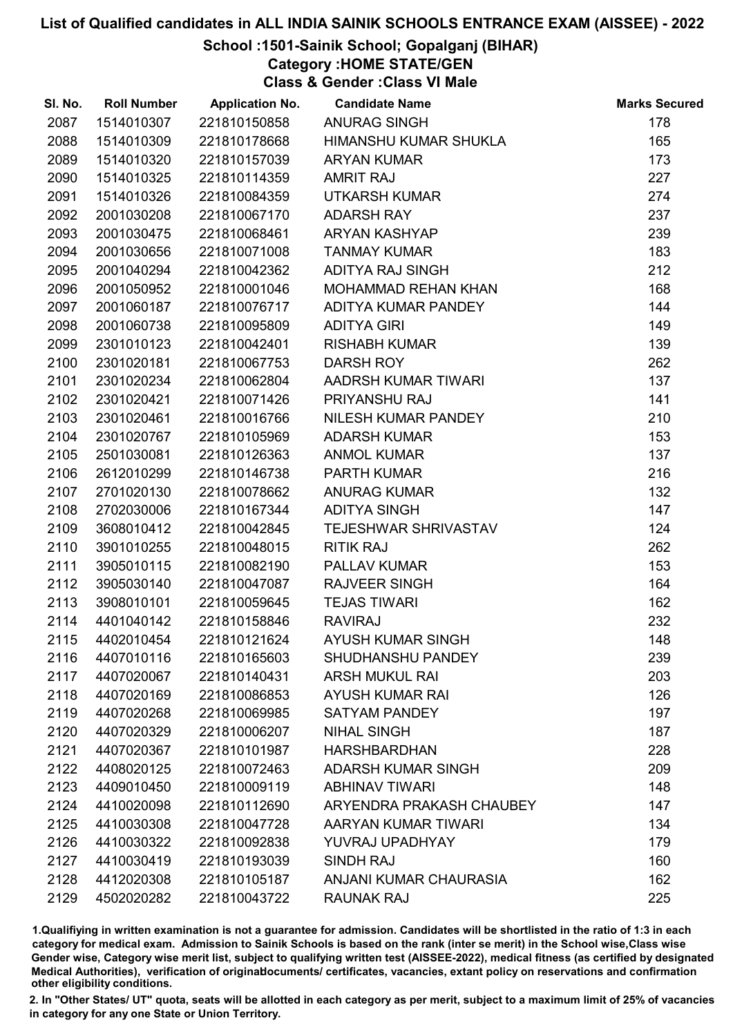# School :1501-Sainik School; Gopalganj (BIHAR)

Category :HOME STATE/GEN

Class & Gender :Class VI Male

| SI. No. | <b>Roll Number</b> | <b>Application No.</b> | <b>Candidate Name</b>       | <b>Marks Secured</b> |
|---------|--------------------|------------------------|-----------------------------|----------------------|
| 2087    | 1514010307         | 221810150858           | <b>ANURAG SINGH</b>         | 178                  |
| 2088    | 1514010309         | 221810178668           | HIMANSHU KUMAR SHUKLA       | 165                  |
| 2089    | 1514010320         | 221810157039           | <b>ARYAN KUMAR</b>          | 173                  |
| 2090    | 1514010325         | 221810114359           | <b>AMRIT RAJ</b>            | 227                  |
| 2091    | 1514010326         | 221810084359           | <b>UTKARSH KUMAR</b>        | 274                  |
| 2092    | 2001030208         | 221810067170           | <b>ADARSH RAY</b>           | 237                  |
| 2093    | 2001030475         | 221810068461           | <b>ARYAN KASHYAP</b>        | 239                  |
| 2094    | 2001030656         | 221810071008           | <b>TANMAY KUMAR</b>         | 183                  |
| 2095    | 2001040294         | 221810042362           | ADITYA RAJ SINGH            | 212                  |
| 2096    | 2001050952         | 221810001046           | <b>MOHAMMAD REHAN KHAN</b>  | 168                  |
| 2097    | 2001060187         | 221810076717           | ADITYA KUMAR PANDEY         | 144                  |
| 2098    | 2001060738         | 221810095809           | <b>ADITYA GIRI</b>          | 149                  |
| 2099    | 2301010123         | 221810042401           | <b>RISHABH KUMAR</b>        | 139                  |
| 2100    | 2301020181         | 221810067753           | <b>DARSH ROY</b>            | 262                  |
| 2101    | 2301020234         | 221810062804           | AADRSH KUMAR TIWARI         | 137                  |
| 2102    | 2301020421         | 221810071426           | PRIYANSHU RAJ               | 141                  |
| 2103    | 2301020461         | 221810016766           | NILESH KUMAR PANDEY         | 210                  |
| 2104    | 2301020767         | 221810105969           | <b>ADARSH KUMAR</b>         | 153                  |
| 2105    | 2501030081         | 221810126363           | <b>ANMOL KUMAR</b>          | 137                  |
| 2106    | 2612010299         | 221810146738           | <b>PARTH KUMAR</b>          | 216                  |
| 2107    | 2701020130         | 221810078662           | <b>ANURAG KUMAR</b>         | 132                  |
| 2108    | 2702030006         | 221810167344           | <b>ADITYA SINGH</b>         | 147                  |
| 2109    | 3608010412         | 221810042845           | <b>TEJESHWAR SHRIVASTAV</b> | 124                  |
| 2110    | 3901010255         | 221810048015           | <b>RITIK RAJ</b>            | 262                  |
| 2111    | 3905010115         | 221810082190           | PALLAV KUMAR                | 153                  |
| 2112    | 3905030140         | 221810047087           | <b>RAJVEER SINGH</b>        | 164                  |
| 2113    | 3908010101         | 221810059645           | <b>TEJAS TIWARI</b>         | 162                  |
| 2114    | 4401040142         | 221810158846           | <b>RAVIRAJ</b>              | 232                  |
| 2115    | 4402010454         | 221810121624           | <b>AYUSH KUMAR SINGH</b>    | 148                  |
| 2116    | 4407010116         | 221810165603           | <b>SHUDHANSHU PANDEY</b>    | 239                  |
| 2117    | 4407020067         | 221810140431           | <b>ARSH MUKUL RAI</b>       | 203                  |
| 2118    | 4407020169         | 221810086853           | <b>AYUSH KUMAR RAI</b>      | 126                  |
| 2119    | 4407020268         | 221810069985           | <b>SATYAM PANDEY</b>        | 197                  |
| 2120    | 4407020329         | 221810006207           | <b>NIHAL SINGH</b>          | 187                  |
| 2121    | 4407020367         | 221810101987           | <b>HARSHBARDHAN</b>         | 228                  |
| 2122    | 4408020125         | 221810072463           | <b>ADARSH KUMAR SINGH</b>   | 209                  |
| 2123    | 4409010450         | 221810009119           | <b>ABHINAV TIWARI</b>       | 148                  |
| 2124    | 4410020098         | 221810112690           | ARYENDRA PRAKASH CHAUBEY    | 147                  |
| 2125    | 4410030308         | 221810047728           | AARYAN KUMAR TIWARI         | 134                  |
| 2126    | 4410030322         | 221810092838           | YUVRAJ UPADHYAY             | 179                  |
| 2127    | 4410030419         | 221810193039           | SINDH RAJ                   | 160                  |
| 2128    | 4412020308         | 221810105187           | ANJANI KUMAR CHAURASIA      | 162                  |
| 2129    | 4502020282         | 221810043722           | RAUNAK RAJ                  | 225                  |

1.Qualifiying in written examination is not a guarantee for admission. Candidates will be shortlisted in the ratio of 1:3 in each category for medical exam. Admission to Sainik Schools is based on the rank (inter se merit) in the School wise,Class wise Gender wise, Category wise merit list, subject to qualifying written test (AISSEE-2022), medical fitness (as certified by designated Medical Authorities), verification of originablocuments/ certificates, vacancies, extant policy on reservations and confirmation other eligibility conditions.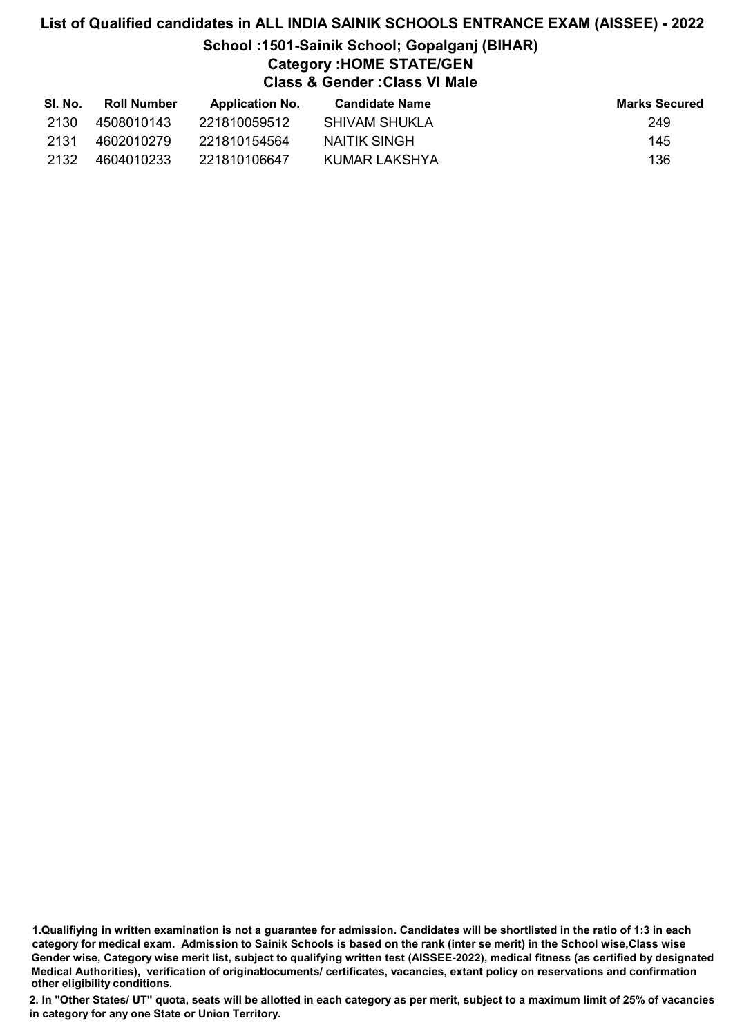## School :1501-Sainik School; Gopalganj (BIHAR) Category :HOME STATE/GEN Class & Gender :Class VI Male

| SI. No. | <b>Roll Number</b> | <b>Application No.</b> | <b>Candidate Name</b> | <b>Marks Secured</b> |
|---------|--------------------|------------------------|-----------------------|----------------------|
| 2130    | 4508010143         | 221810059512           | SHIVAM SHUKLA         | 249                  |
| 2131    | 4602010279         | 221810154564           | NAITIK SINGH          | 145                  |
| 2132    | 4604010233         | 221810106647           | KUMAR LAKSHYA         | 136                  |

1.Qualifiying in written examination is not a guarantee for admission. Candidates will be shortlisted in the ratio of 1:3 in each category for medical exam. Admission to Sainik Schools is based on the rank (inter se merit) in the School wise,Class wise Gender wise, Category wise merit list, subject to qualifying written test (AISSEE-2022), medical fitness (as certified by designated Medical Authorities), verification of originablocuments/ certificates, vacancies, extant policy on reservations and confirmation other eligibility conditions.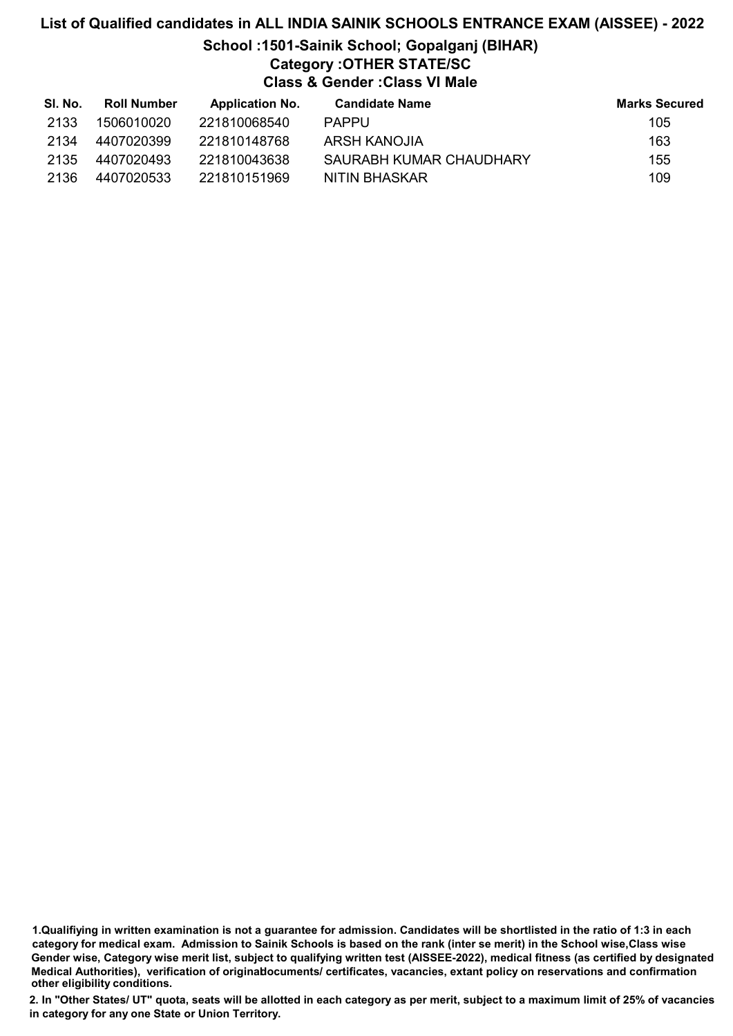# List of Qualified candidates in ALL INDIA SAINIK SCHOOLS ENTRANCE EXAM (AISSEE) - 2022 School :1501-Sainik School; Gopalganj (BIHAR) Category :OTHER STATE/SC Class & Gender :Class VI Male

| SI. No. | <b>Roll Number</b> | <b>Application No.</b> | Candidate Name          | <b>Marks Secured</b> |
|---------|--------------------|------------------------|-------------------------|----------------------|
| 2133    | 1506010020         | 221810068540           | <b>PAPPU</b>            | 105                  |
| 2134    | 4407020399         | 221810148768           | ARSH KANOJIA            | 163                  |
| 2135    | 4407020493         | 221810043638           | SAURABH KUMAR CHAUDHARY | 155                  |
| 2136    | 4407020533         | 221810151969           | NITIN BHASKAR           | 109                  |

1.Qualifiying in written examination is not a guarantee for admission. Candidates will be shortlisted in the ratio of 1:3 in each category for medical exam. Admission to Sainik Schools is based on the rank (inter se merit) in the School wise,Class wise Gender wise, Category wise merit list, subject to qualifying written test (AISSEE-2022), medical fitness (as certified by designated Medical Authorities), verification of originablocuments/ certificates, vacancies, extant policy on reservations and confirmation other eligibility conditions.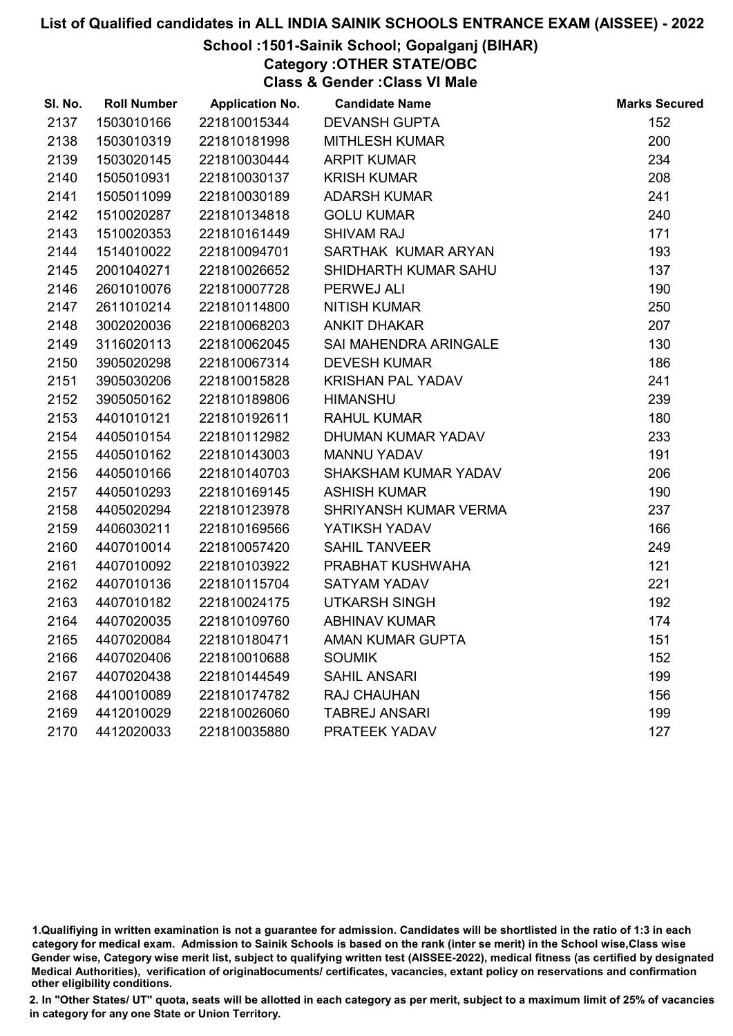#### School :1501-Sainik School; Gopalganj (BIHAR)

Category :OTHER STATE/OBC

Class & Gender :Class VI Male

| SI. No. | <b>Roll Number</b> | <b>Application No.</b> | <b>Candidate Name</b>    | <b>Marks Secured</b> |
|---------|--------------------|------------------------|--------------------------|----------------------|
| 2137    | 1503010166         | 221810015344           | <b>DEVANSH GUPTA</b>     | 152                  |
| 2138    | 1503010319         | 221810181998           | <b>MITHLESH KUMAR</b>    | 200                  |
| 2139    | 1503020145         | 221810030444           | <b>ARPIT KUMAR</b>       | 234                  |
| 2140    | 1505010931         | 221810030137           | <b>KRISH KUMAR</b>       | 208                  |
| 2141    | 1505011099         | 221810030189           | <b>ADARSH KUMAR</b>      | 241                  |
| 2142    | 1510020287         | 221810134818           | <b>GOLU KUMAR</b>        | 240                  |
| 2143    | 1510020353         | 221810161449           | <b>SHIVAM RAJ</b>        | 171                  |
| 2144    | 1514010022         | 221810094701           | SARTHAK KUMAR ARYAN      | 193                  |
| 2145    | 2001040271         | 221810026652           | SHIDHARTH KUMAR SAHU     | 137                  |
| 2146    | 2601010076         | 221810007728           | PERWEJ ALI               | 190                  |
| 2147    | 2611010214         | 221810114800           | <b>NITISH KUMAR</b>      | 250                  |
| 2148    | 3002020036         | 221810068203           | <b>ANKIT DHAKAR</b>      | 207                  |
| 2149    | 3116020113         | 221810062045           | SAI MAHENDRA ARINGALE    | 130                  |
| 2150    | 3905020298         | 221810067314           | <b>DEVESH KUMAR</b>      | 186                  |
| 2151    | 3905030206         | 221810015828           | <b>KRISHAN PAL YADAV</b> | 241                  |
| 2152    | 3905050162         | 221810189806           | <b>HIMANSHU</b>          | 239                  |
| 2153    | 4401010121         | 221810192611           | <b>RAHUL KUMAR</b>       | 180                  |
| 2154    | 4405010154         | 221810112982           | DHUMAN KUMAR YADAV       | 233                  |
| 2155    | 4405010162         | 221810143003           | <b>MANNU YADAV</b>       | 191                  |
| 2156    | 4405010166         | 221810140703           | SHAKSHAM KUMAR YADAV     | 206                  |
| 2157    | 4405010293         | 221810169145           | <b>ASHISH KUMAR</b>      | 190                  |
| 2158    | 4405020294         | 221810123978           | SHRIYANSH KUMAR VERMA    | 237                  |
| 2159    | 4406030211         | 221810169566           | YATIKSH YADAV            | 166                  |
| 2160    | 4407010014         | 221810057420           | <b>SAHIL TANVEER</b>     | 249                  |
| 2161    | 4407010092         | 221810103922           | PRABHAT KUSHWAHA         | 121                  |
| 2162    | 4407010136         | 221810115704           | <b>SATYAM YADAV</b>      | 221                  |
| 2163    | 4407010182         | 221810024175           | <b>UTKARSH SINGH</b>     | 192                  |
| 2164    | 4407020035         | 221810109760           | <b>ABHINAV KUMAR</b>     | 174                  |
| 2165    | 4407020084         | 221810180471           | AMAN KUMAR GUPTA         | 151                  |
| 2166    | 4407020406         | 221810010688           | <b>SOUMIK</b>            | 152                  |
| 2167    | 4407020438         | 221810144549           | <b>SAHIL ANSARI</b>      | 199                  |
| 2168    | 4410010089         | 221810174782           | <b>RAJ CHAUHAN</b>       | 156                  |
| 2169    | 4412010029         | 221810026060           | <b>TABREJ ANSARI</b>     | 199                  |
| 2170    | 4412020033         | 221810035880           | PRATEEK YADAV            | 127                  |

<sup>1.</sup>Qualifiying in written examination is not a guarantee for admission. Candidates will be shortlisted in the ratio of 1:3 in each category for medical exam. Admission to Sainik Schools is based on the rank (inter se merit) in the School wise,Class wise Gender wise, Category wise merit list, subject to qualifying written test (AISSEE-2022), medical fitness (as certified by designated Medical Authorities), verification of originablocuments/ certificates, vacancies, extant policy on reservations and confirmation other eligibility conditions.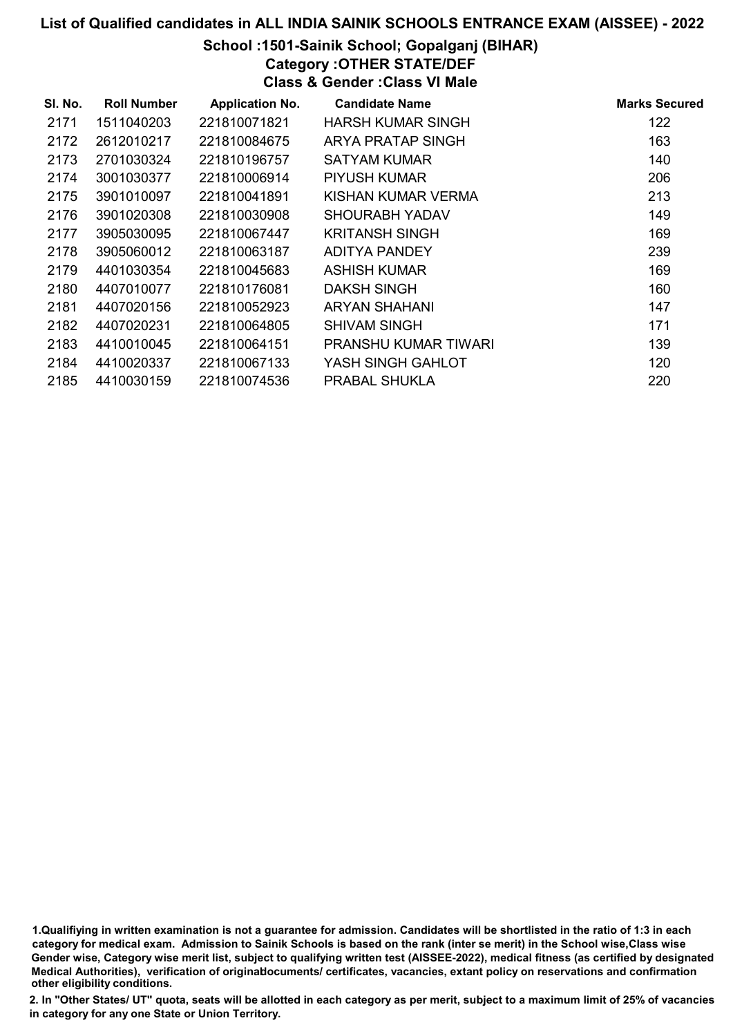# School :1501-Sainik School; Gopalganj (BIHAR)

Category :OTHER STATE/DEF Class & Gender :Class VI Male

| SI. No. | <b>Roll Number</b> | <b>Application No.</b> | <b>Candidate Name</b> | <b>Marks Secured</b> |
|---------|--------------------|------------------------|-----------------------|----------------------|
| 2171    | 1511040203         | 221810071821           | HARSH KUMAR SINGH     | 122                  |
| 2172    | 2612010217         | 221810084675           | ARYA PRATAP SINGH     | 163                  |
| 2173    | 2701030324         | 221810196757           | SATYAM KUMAR          | 140                  |
| 2174    | 3001030377         | 221810006914           | PIYUSH KUMAR          | 206                  |
| 2175    | 3901010097         | 221810041891           | KISHAN KUMAR VERMA    | 213                  |
| 2176    | 3901020308         | 221810030908           | SHOURABH YADAV        | 149                  |
| 2177    | 3905030095         | 221810067447           | KRITANSH SINGH        | 169                  |
| 2178    | 3905060012         | 221810063187           | <b>ADITYA PANDEY</b>  | 239                  |
| 2179    | 4401030354         | 221810045683           | ASHISH KUMAR          | 169                  |
| 2180    | 4407010077         | 221810176081           | DAKSH SINGH           | 160                  |
| 2181    | 4407020156         | 221810052923           | <b>ARYAN SHAHANI</b>  | 147                  |
| 2182    | 4407020231         | 221810064805           | <b>SHIVAM SINGH</b>   | 171                  |
| 2183    | 4410010045         | 221810064151           | PRANSHU KUMAR TIWARI  | 139                  |
| 2184    | 4410020337         | 221810067133           | YASH SINGH GAHLOT     | 120                  |
| 2185    | 4410030159         | 221810074536           | PRABAL SHUKLA         | 220                  |

1.Qualifiying in written examination is not a guarantee for admission. Candidates will be shortlisted in the ratio of 1:3 in each category for medical exam. Admission to Sainik Schools is based on the rank (inter se merit) in the School wise,Class wise Gender wise, Category wise merit list, subject to qualifying written test (AISSEE-2022), medical fitness (as certified by designated Medical Authorities), verification of originablocuments/ certificates, vacancies, extant policy on reservations and confirmation other eligibility conditions.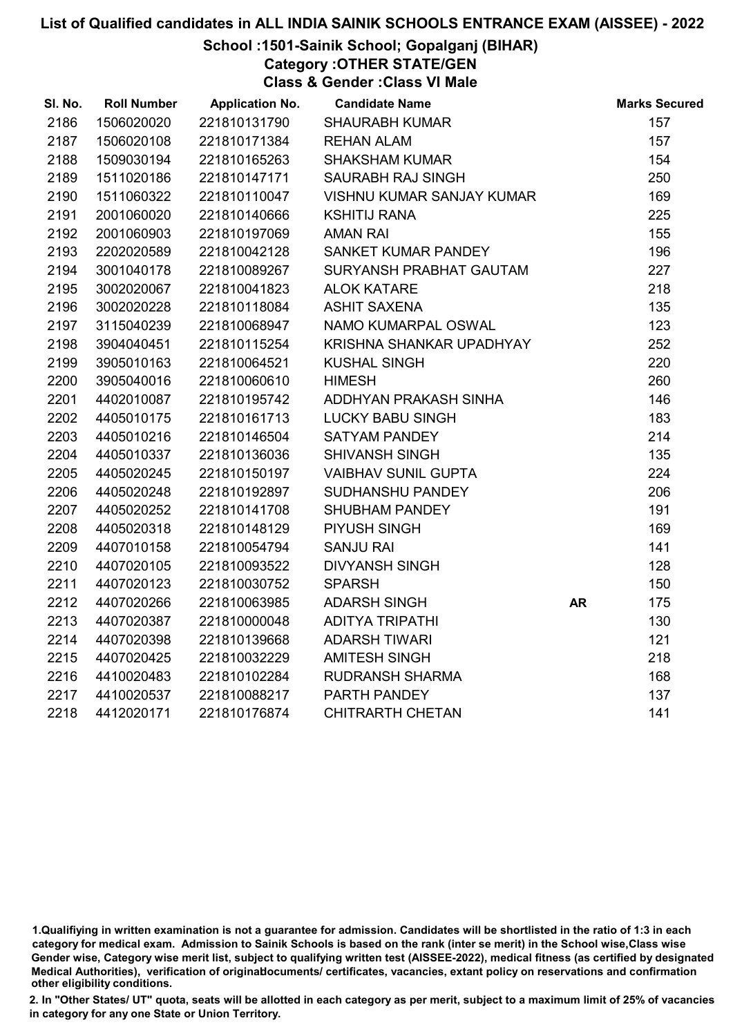# School :1501-Sainik School; Gopalganj (BIHAR)

Category :OTHER STATE/GEN

Class & Gender :Class VI Male

| SI. No. | <b>Roll Number</b> | <b>Application No.</b> | <b>Candidate Name</b>            |           | <b>Marks Secured</b> |
|---------|--------------------|------------------------|----------------------------------|-----------|----------------------|
| 2186    | 1506020020         | 221810131790           | <b>SHAURABH KUMAR</b>            |           | 157                  |
| 2187    | 1506020108         | 221810171384           | <b>REHAN ALAM</b>                |           | 157                  |
| 2188    | 1509030194         | 221810165263           | <b>SHAKSHAM KUMAR</b>            |           | 154                  |
| 2189    | 1511020186         | 221810147171           | SAURABH RAJ SINGH                |           | 250                  |
| 2190    | 1511060322         | 221810110047           | <b>VISHNU KUMAR SANJAY KUMAR</b> |           | 169                  |
| 2191    | 2001060020         | 221810140666           | <b>KSHITIJ RANA</b>              |           | 225                  |
| 2192    | 2001060903         | 221810197069           | <b>AMAN RAI</b>                  |           | 155                  |
| 2193    | 2202020589         | 221810042128           | SANKET KUMAR PANDEY              |           | 196                  |
| 2194    | 3001040178         | 221810089267           | SURYANSH PRABHAT GAUTAM          |           | 227                  |
| 2195    | 3002020067         | 221810041823           | <b>ALOK KATARE</b>               |           | 218                  |
| 2196    | 3002020228         | 221810118084           | <b>ASHIT SAXENA</b>              |           | 135                  |
| 2197    | 3115040239         | 221810068947           | NAMO KUMARPAL OSWAL              |           | 123                  |
| 2198    | 3904040451         | 221810115254           | KRISHNA SHANKAR UPADHYAY         |           | 252                  |
| 2199    | 3905010163         | 221810064521           | <b>KUSHAL SINGH</b>              |           | 220                  |
| 2200    | 3905040016         | 221810060610           | <b>HIMESH</b>                    |           | 260                  |
| 2201    | 4402010087         | 221810195742           | ADDHYAN PRAKASH SINHA            |           | 146                  |
| 2202    | 4405010175         | 221810161713           | <b>LUCKY BABU SINGH</b>          |           | 183                  |
| 2203    | 4405010216         | 221810146504           | <b>SATYAM PANDEY</b>             |           | 214                  |
| 2204    | 4405010337         | 221810136036           | <b>SHIVANSH SINGH</b>            |           | 135                  |
| 2205    | 4405020245         | 221810150197           | <b>VAIBHAV SUNIL GUPTA</b>       |           | 224                  |
| 2206    | 4405020248         | 221810192897           | SUDHANSHU PANDEY                 |           | 206                  |
| 2207    | 4405020252         | 221810141708           | <b>SHUBHAM PANDEY</b>            |           | 191                  |
| 2208    | 4405020318         | 221810148129           | PIYUSH SINGH                     |           | 169                  |
| 2209    | 4407010158         | 221810054794           | <b>SANJU RAI</b>                 |           | 141                  |
| 2210    | 4407020105         | 221810093522           | <b>DIVYANSH SINGH</b>            |           | 128                  |
| 2211    | 4407020123         | 221810030752           | <b>SPARSH</b>                    |           | 150                  |
| 2212    | 4407020266         | 221810063985           | <b>ADARSH SINGH</b>              | <b>AR</b> | 175                  |
| 2213    | 4407020387         | 221810000048           | <b>ADITYA TRIPATHI</b>           |           | 130                  |
| 2214    | 4407020398         | 221810139668           | <b>ADARSH TIWARI</b>             |           | 121                  |
| 2215    | 4407020425         | 221810032229           | <b>AMITESH SINGH</b>             |           | 218                  |
| 2216    | 4410020483         | 221810102284           | <b>RUDRANSH SHARMA</b>           |           | 168                  |
| 2217    | 4410020537         | 221810088217           | PARTH PANDEY                     |           | 137                  |
| 2218    | 4412020171         | 221810176874           | <b>CHITRARTH CHETAN</b>          |           | 141                  |

<sup>1.</sup>Qualifiying in written examination is not a guarantee for admission. Candidates will be shortlisted in the ratio of 1:3 in each category for medical exam. Admission to Sainik Schools is based on the rank (inter se merit) in the School wise,Class wise Gender wise, Category wise merit list, subject to qualifying written test (AISSEE-2022), medical fitness (as certified by designated Medical Authorities), verification of originablocuments/ certificates, vacancies, extant policy on reservations and confirmation other eligibility conditions.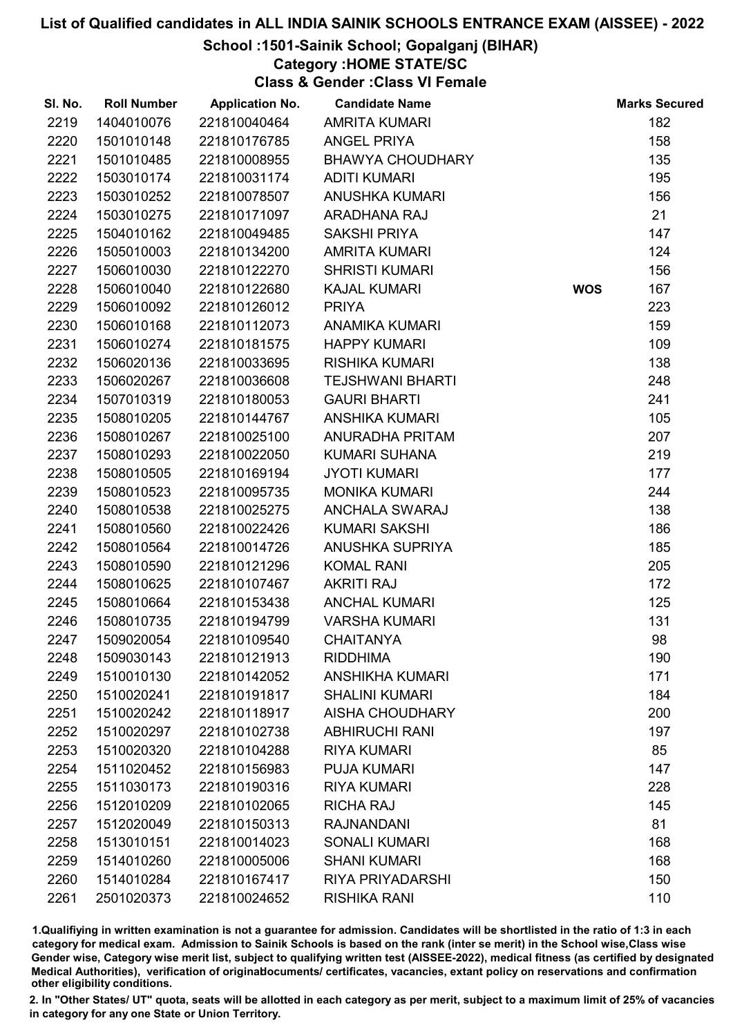#### School :1501-Sainik School; Gopalganj (BIHAR)

#### Category :HOME STATE/SC

Class & Gender :Class VI Female

| SI. No. | <b>Roll Number</b> | <b>Application No.</b> | <b>Candidate Name</b>   |            | <b>Marks Secured</b> |
|---------|--------------------|------------------------|-------------------------|------------|----------------------|
| 2219    | 1404010076         | 221810040464           | <b>AMRITA KUMARI</b>    |            | 182                  |
| 2220    | 1501010148         | 221810176785           | <b>ANGEL PRIYA</b>      |            | 158                  |
| 2221    | 1501010485         | 221810008955           | <b>BHAWYA CHOUDHARY</b> |            | 135                  |
| 2222    | 1503010174         | 221810031174           | <b>ADITI KUMARI</b>     |            | 195                  |
| 2223    | 1503010252         | 221810078507           | <b>ANUSHKA KUMARI</b>   |            | 156                  |
| 2224    | 1503010275         | 221810171097           | <b>ARADHANA RAJ</b>     |            | 21                   |
| 2225    | 1504010162         | 221810049485           | <b>SAKSHI PRIYA</b>     |            | 147                  |
| 2226    | 1505010003         | 221810134200           | <b>AMRITA KUMARI</b>    |            | 124                  |
| 2227    | 1506010030         | 221810122270           | <b>SHRISTI KUMARI</b>   |            | 156                  |
| 2228    | 1506010040         | 221810122680           | <b>KAJAL KUMARI</b>     | <b>WOS</b> | 167                  |
| 2229    | 1506010092         | 221810126012           | <b>PRIYA</b>            |            | 223                  |
| 2230    | 1506010168         | 221810112073           | <b>ANAMIKA KUMARI</b>   |            | 159                  |
| 2231    | 1506010274         | 221810181575           | <b>HAPPY KUMARI</b>     |            | 109                  |
| 2232    | 1506020136         | 221810033695           | <b>RISHIKA KUMARI</b>   |            | 138                  |
| 2233    | 1506020267         | 221810036608           | <b>TEJSHWANI BHARTI</b> |            | 248                  |
| 2234    | 1507010319         | 221810180053           | <b>GAURI BHARTI</b>     |            | 241                  |
| 2235    | 1508010205         | 221810144767           | <b>ANSHIKA KUMARI</b>   |            | 105                  |
| 2236    | 1508010267         | 221810025100           | ANURADHA PRITAM         |            | 207                  |
| 2237    | 1508010293         | 221810022050           | <b>KUMARI SUHANA</b>    |            | 219                  |
| 2238    | 1508010505         | 221810169194           | <b>JYOTI KUMARI</b>     |            | 177                  |
| 2239    | 1508010523         | 221810095735           | <b>MONIKA KUMARI</b>    |            | 244                  |
| 2240    | 1508010538         | 221810025275           | <b>ANCHALA SWARAJ</b>   |            | 138                  |
| 2241    | 1508010560         | 221810022426           | <b>KUMARI SAKSHI</b>    |            | 186                  |
| 2242    | 1508010564         | 221810014726           | ANUSHKA SUPRIYA         |            | 185                  |
| 2243    | 1508010590         | 221810121296           | <b>KOMAL RANI</b>       |            | 205                  |
| 2244    | 1508010625         | 221810107467           | <b>AKRITI RAJ</b>       |            | 172                  |
| 2245    | 1508010664         | 221810153438           | <b>ANCHAL KUMARI</b>    |            | 125                  |
| 2246    | 1508010735         | 221810194799           | <b>VARSHA KUMARI</b>    |            | 131                  |
| 2247    | 1509020054         | 221810109540           | <b>CHAITANYA</b>        |            | 98                   |
| 2248    | 1509030143         | 221810121913           | <b>RIDDHIMA</b>         |            | 190                  |
| 2249    | 1510010130         | 221810142052           | <b>ANSHIKHA KUMARI</b>  |            | 171                  |
| 2250    | 1510020241         | 221810191817           | <b>SHALINI KUMARI</b>   |            | 184                  |
| 2251    | 1510020242         | 221810118917           | <b>AISHA CHOUDHARY</b>  |            | 200                  |
| 2252    | 1510020297         | 221810102738           | <b>ABHIRUCHI RANI</b>   |            | 197                  |
| 2253    | 1510020320         | 221810104288           | <b>RIYA KUMARI</b>      |            | 85                   |
| 2254    | 1511020452         | 221810156983           | <b>PUJA KUMARI</b>      |            | 147                  |
| 2255    | 1511030173         | 221810190316           | <b>RIYA KUMARI</b>      |            | 228                  |
| 2256    | 1512010209         | 221810102065           | <b>RICHA RAJ</b>        |            | 145                  |
| 2257    | 1512020049         | 221810150313           | <b>RAJNANDANI</b>       |            | 81                   |
| 2258    | 1513010151         | 221810014023           | <b>SONALI KUMARI</b>    |            | 168                  |
| 2259    | 1514010260         | 221810005006           | <b>SHANI KUMARI</b>     |            | 168                  |
| 2260    | 1514010284         | 221810167417           | RIYA PRIYADARSHI        |            | 150                  |
| 2261    | 2501020373         | 221810024652           | <b>RISHIKA RANI</b>     |            | 110                  |

1.Qualifiying in written examination is not a guarantee for admission. Candidates will be shortlisted in the ratio of 1:3 in each category for medical exam. Admission to Sainik Schools is based on the rank (inter se merit) in the School wise,Class wise Gender wise, Category wise merit list, subject to qualifying written test (AISSEE-2022), medical fitness (as certified by designated Medical Authorities), verification of originablocuments/ certificates, vacancies, extant policy on reservations and confirmation other eligibility conditions.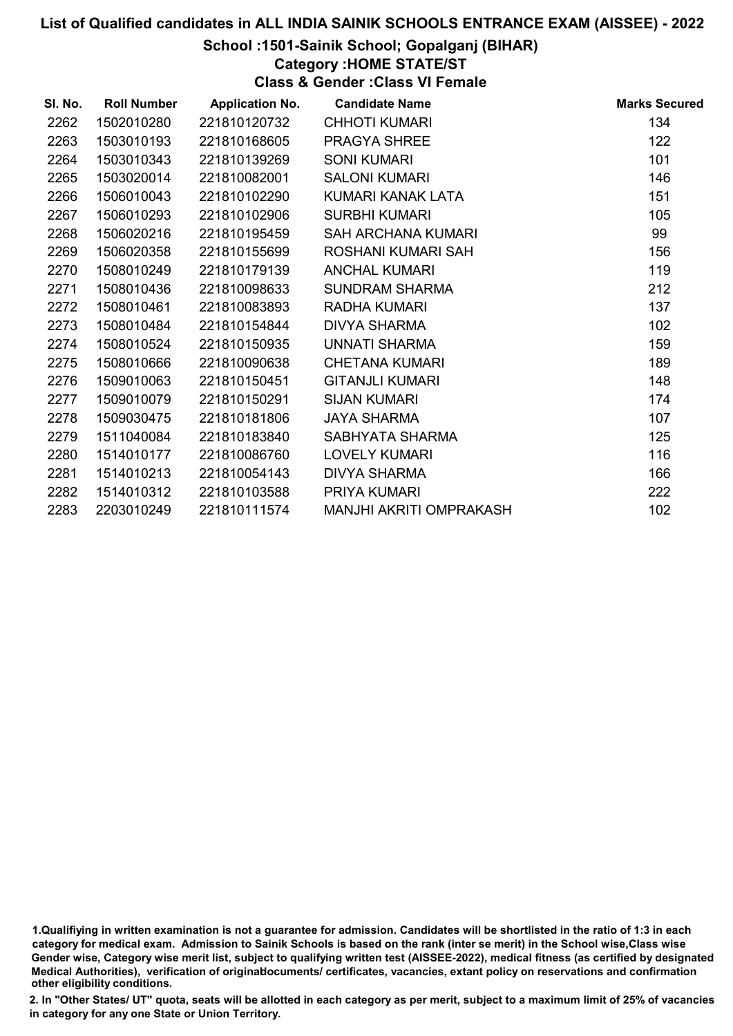### School :1501-Sainik School; Gopalganj (BIHAR)

Category :HOME STATE/ST

Class & Gender :Class VI Female

| SI. No. | <b>Roll Number</b> | <b>Application No.</b> | <b>Candidate Name</b>   | <b>Marks Secured</b> |
|---------|--------------------|------------------------|-------------------------|----------------------|
| 2262    | 1502010280         | 221810120732           | <b>CHHOTI KUMARI</b>    | 134                  |
| 2263    | 1503010193         | 221810168605           | <b>PRAGYA SHREE</b>     | 122                  |
| 2264    | 1503010343         | 221810139269           | <b>SONI KUMARI</b>      | 101                  |
| 2265    | 1503020014         | 221810082001           | <b>SALONI KUMARI</b>    | 146                  |
| 2266    | 1506010043         | 221810102290           | KUMARI KANAK LATA       | 151                  |
| 2267    | 1506010293         | 221810102906           | <b>SURBHI KUMARI</b>    | 105                  |
| 2268    | 1506020216         | 221810195459           | SAH ARCHANA KUMARI      | 99                   |
| 2269    | 1506020358         | 221810155699           | ROSHANI KUMARI SAH      | 156                  |
| 2270    | 1508010249         | 221810179139           | <b>ANCHAL KUMARI</b>    | 119                  |
| 2271    | 1508010436         | 221810098633           | <b>SUNDRAM SHARMA</b>   | 212                  |
| 2272    | 1508010461         | 221810083893           | RADHA KUMARI            | 137                  |
| 2273    | 1508010484         | 221810154844           | <b>DIVYA SHARMA</b>     | 102                  |
| 2274    | 1508010524         | 221810150935           | UNNATI SHARMA           | 159                  |
| 2275    | 1508010666         | 221810090638           | <b>CHETANA KUMARI</b>   | 189                  |
| 2276    | 1509010063         | 221810150451           | <b>GITANJLI KUMARI</b>  | 148                  |
| 2277    | 1509010079         | 221810150291           | <b>SIJAN KUMARI</b>     | 174                  |
| 2278    | 1509030475         | 221810181806           | <b>JAYA SHARMA</b>      | 107                  |
| 2279    | 1511040084         | 221810183840           | SABHYATA SHARMA         | 125                  |
| 2280    | 1514010177         | 221810086760           | <b>LOVELY KUMARI</b>    | 116                  |
| 2281    | 1514010213         | 221810054143           | <b>DIVYA SHARMA</b>     | 166                  |
| 2282    | 1514010312         | 221810103588           | PRIYA KUMARI            | 222                  |
| 2283    | 2203010249         | 221810111574           | MANJHI AKRITI OMPRAKASH | 102                  |
|         |                    |                        |                         |                      |

1.Qualifiying in written examination is not a guarantee for admission. Candidates will be shortlisted in the ratio of 1:3 in each category for medical exam. Admission to Sainik Schools is based on the rank (inter se merit) in the School wise,Class wise Gender wise, Category wise merit list, subject to qualifying written test (AISSEE-2022), medical fitness (as certified by designated Medical Authorities), verification of originablocuments/ certificates, vacancies, extant policy on reservations and confirmation other eligibility conditions.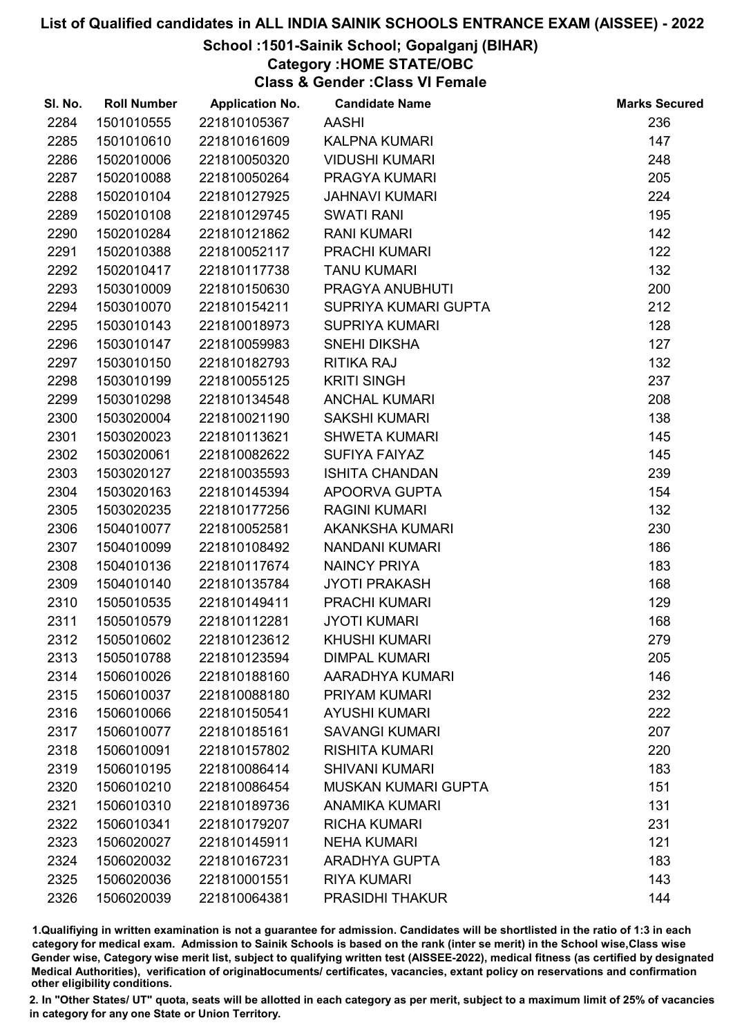# School :1501-Sainik School; Gopalganj (BIHAR)

Category :HOME STATE/OBC

Class & Gender :Class VI Female

| SI. No. | <b>Roll Number</b> | <b>Application No.</b> | <b>Candidate Name</b>      | <b>Marks Secured</b> |
|---------|--------------------|------------------------|----------------------------|----------------------|
| 2284    | 1501010555         | 221810105367           | <b>AASHI</b>               | 236                  |
| 2285    | 1501010610         | 221810161609           | <b>KALPNA KUMARI</b>       | 147                  |
| 2286    | 1502010006         | 221810050320           | <b>VIDUSHI KUMARI</b>      | 248                  |
| 2287    | 1502010088         | 221810050264           | PRAGYA KUMARI              | 205                  |
| 2288    | 1502010104         | 221810127925           | <b>JAHNAVI KUMARI</b>      | 224                  |
| 2289    | 1502010108         | 221810129745           | <b>SWATI RANI</b>          | 195                  |
| 2290    | 1502010284         | 221810121862           | <b>RANI KUMARI</b>         | 142                  |
| 2291    | 1502010388         | 221810052117           | PRACHI KUMARI              | 122                  |
| 2292    | 1502010417         | 221810117738           | <b>TANU KUMARI</b>         | 132                  |
| 2293    | 1503010009         | 221810150630           | PRAGYA ANUBHUTI            | 200                  |
| 2294    | 1503010070         | 221810154211           | SUPRIYA KUMARI GUPTA       | 212                  |
| 2295    | 1503010143         | 221810018973           | <b>SUPRIYA KUMARI</b>      | 128                  |
| 2296    | 1503010147         | 221810059983           | <b>SNEHI DIKSHA</b>        | 127                  |
| 2297    | 1503010150         | 221810182793           | <b>RITIKA RAJ</b>          | 132                  |
| 2298    | 1503010199         | 221810055125           | <b>KRITI SINGH</b>         | 237                  |
| 2299    | 1503010298         | 221810134548           | <b>ANCHAL KUMARI</b>       | 208                  |
| 2300    | 1503020004         | 221810021190           | <b>SAKSHI KUMARI</b>       | 138                  |
| 2301    | 1503020023         | 221810113621           | <b>SHWETA KUMARI</b>       | 145                  |
| 2302    | 1503020061         | 221810082622           | <b>SUFIYA FAIYAZ</b>       | 145                  |
| 2303    | 1503020127         | 221810035593           | <b>ISHITA CHANDAN</b>      | 239                  |
| 2304    | 1503020163         | 221810145394           | APOORVA GUPTA              | 154                  |
| 2305    | 1503020235         | 221810177256           | <b>RAGINI KUMARI</b>       | 132                  |
| 2306    | 1504010077         | 221810052581           | <b>AKANKSHA KUMARI</b>     | 230                  |
| 2307    | 1504010099         | 221810108492           | <b>NANDANI KUMARI</b>      | 186                  |
| 2308    | 1504010136         | 221810117674           | <b>NAINCY PRIYA</b>        | 183                  |
| 2309    | 1504010140         | 221810135784           | <b>JYOTI PRAKASH</b>       | 168                  |
| 2310    | 1505010535         | 221810149411           | <b>PRACHI KUMARI</b>       | 129                  |
| 2311    | 1505010579         | 221810112281           | <b>JYOTI KUMARI</b>        | 168                  |
| 2312    | 1505010602         | 221810123612           | <b>KHUSHI KUMARI</b>       | 279                  |
| 2313    | 1505010788         | 221810123594           | <b>DIMPAL KUMARI</b>       | 205                  |
| 2314    | 1506010026         | 221810188160           | AARADHYA KUMARI            | 146                  |
| 2315    | 1506010037         | 221810088180           | PRIYAM KUMARI              | 232                  |
| 2316    | 1506010066         | 221810150541           | <b>AYUSHI KUMARI</b>       | 222                  |
| 2317    | 1506010077         | 221810185161           | <b>SAVANGI KUMARI</b>      | 207                  |
| 2318    | 1506010091         | 221810157802           | <b>RISHITA KUMARI</b>      | 220                  |
| 2319    | 1506010195         | 221810086414           | <b>SHIVANI KUMARI</b>      | 183                  |
| 2320    | 1506010210         | 221810086454           | <b>MUSKAN KUMARI GUPTA</b> | 151                  |
| 2321    | 1506010310         | 221810189736           | <b>ANAMIKA KUMARI</b>      | 131                  |
| 2322    | 1506010341         | 221810179207           | <b>RICHA KUMARI</b>        | 231                  |
| 2323    | 1506020027         | 221810145911           | <b>NEHA KUMARI</b>         | 121                  |
| 2324    | 1506020032         | 221810167231           | <b>ARADHYA GUPTA</b>       | 183                  |
| 2325    | 1506020036         | 221810001551           | <b>RIYA KUMARI</b>         | 143                  |
| 2326    | 1506020039         | 221810064381           | <b>PRASIDHI THAKUR</b>     | 144                  |

1.Qualifiying in written examination is not a guarantee for admission. Candidates will be shortlisted in the ratio of 1:3 in each category for medical exam. Admission to Sainik Schools is based on the rank (inter se merit) in the School wise,Class wise Gender wise, Category wise merit list, subject to qualifying written test (AISSEE-2022), medical fitness (as certified by designated Medical Authorities), verification of originablocuments/ certificates, vacancies, extant policy on reservations and confirmation other eligibility conditions.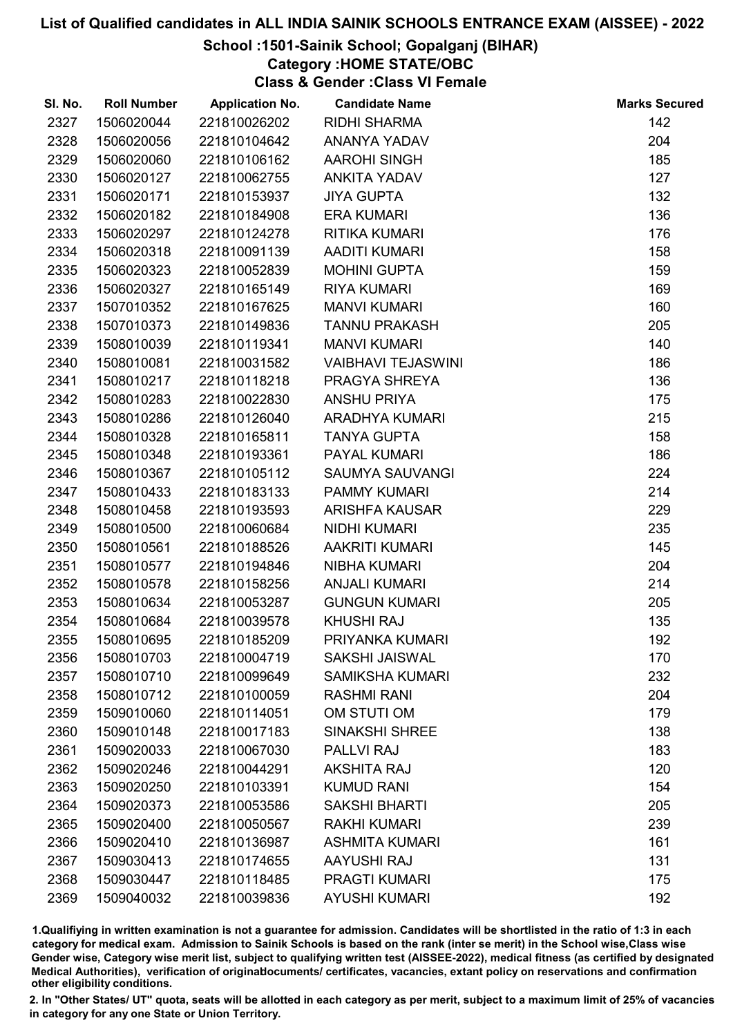# School :1501-Sainik School; Gopalganj (BIHAR)

Category :HOME STATE/OBC

Class & Gender :Class VI Female

| SI. No. | <b>Roll Number</b> | <b>Application No.</b> | <b>Candidate Name</b>     | <b>Marks Secured</b> |
|---------|--------------------|------------------------|---------------------------|----------------------|
| 2327    | 1506020044         | 221810026202           | <b>RIDHI SHARMA</b>       | 142                  |
| 2328    | 1506020056         | 221810104642           | ANANYA YADAV              | 204                  |
| 2329    | 1506020060         | 221810106162           | <b>AAROHI SINGH</b>       | 185                  |
| 2330    | 1506020127         | 221810062755           | <b>ANKITA YADAV</b>       | 127                  |
| 2331    | 1506020171         | 221810153937           | <b>JIYA GUPTA</b>         | 132                  |
| 2332    | 1506020182         | 221810184908           | <b>ERA KUMARI</b>         | 136                  |
| 2333    | 1506020297         | 221810124278           | <b>RITIKA KUMARI</b>      | 176                  |
| 2334    | 1506020318         | 221810091139           | <b>AADITI KUMARI</b>      | 158                  |
| 2335    | 1506020323         | 221810052839           | <b>MOHINI GUPTA</b>       | 159                  |
| 2336    | 1506020327         | 221810165149           | <b>RIYA KUMARI</b>        | 169                  |
| 2337    | 1507010352         | 221810167625           | <b>MANVI KUMARI</b>       | 160                  |
| 2338    | 1507010373         | 221810149836           | <b>TANNU PRAKASH</b>      | 205                  |
| 2339    | 1508010039         | 221810119341           | <b>MANVI KUMARI</b>       | 140                  |
| 2340    | 1508010081         | 221810031582           | <b>VAIBHAVI TEJASWINI</b> | 186                  |
| 2341    | 1508010217         | 221810118218           | PRAGYA SHREYA             | 136                  |
| 2342    | 1508010283         | 221810022830           | <b>ANSHU PRIYA</b>        | 175                  |
| 2343    | 1508010286         | 221810126040           | ARADHYA KUMARI            | 215                  |
| 2344    | 1508010328         | 221810165811           | <b>TANYA GUPTA</b>        | 158                  |
| 2345    | 1508010348         | 221810193361           | <b>PAYAL KUMARI</b>       | 186                  |
| 2346    | 1508010367         | 221810105112           | <b>SAUMYA SAUVANGI</b>    | 224                  |
| 2347    | 1508010433         | 221810183133           | <b>PAMMY KUMARI</b>       | 214                  |
| 2348    | 1508010458         | 221810193593           | <b>ARISHFA KAUSAR</b>     | 229                  |
| 2349    | 1508010500         | 221810060684           | <b>NIDHI KUMARI</b>       | 235                  |
| 2350    | 1508010561         | 221810188526           | <b>AAKRITI KUMARI</b>     | 145                  |
| 2351    | 1508010577         | 221810194846           | <b>NIBHA KUMARI</b>       | 204                  |
| 2352    | 1508010578         | 221810158256           | <b>ANJALI KUMARI</b>      | 214                  |
| 2353    | 1508010634         | 221810053287           | <b>GUNGUN KUMARI</b>      | 205                  |
| 2354    | 1508010684         | 221810039578           | <b>KHUSHI RAJ</b>         | 135                  |
| 2355    | 1508010695         | 221810185209           | PRIYANKA KUMARI           | 192                  |
| 2356    | 1508010703         | 221810004719           | <b>SAKSHI JAISWAL</b>     | 170                  |
| 2357    | 1508010710         | 221810099649           | <b>SAMIKSHA KUMARI</b>    | 232                  |
| 2358    | 1508010712         | 221810100059           | <b>RASHMI RANI</b>        | 204                  |
| 2359    | 1509010060         | 221810114051           | OM STUTI OM               | 179                  |
| 2360    | 1509010148         | 221810017183           | <b>SINAKSHI SHREE</b>     | 138                  |
| 2361    | 1509020033         | 221810067030           | <b>PALLVI RAJ</b>         | 183                  |
| 2362    | 1509020246         | 221810044291           | <b>AKSHITA RAJ</b>        | 120                  |
| 2363    | 1509020250         | 221810103391           | <b>KUMUD RANI</b>         | 154                  |
| 2364    | 1509020373         | 221810053586           | <b>SAKSHI BHARTI</b>      | 205                  |
| 2365    | 1509020400         | 221810050567           | <b>RAKHI KUMARI</b>       | 239                  |
| 2366    | 1509020410         | 221810136987           | <b>ASHMITA KUMARI</b>     | 161                  |
| 2367    | 1509030413         | 221810174655           | <b>AAYUSHI RAJ</b>        | 131                  |
| 2368    | 1509030447         | 221810118485           | <b>PRAGTI KUMARI</b>      | 175                  |
| 2369    | 1509040032         | 221810039836           | <b>AYUSHI KUMARI</b>      | 192                  |

1.Qualifiying in written examination is not a guarantee for admission. Candidates will be shortlisted in the ratio of 1:3 in each category for medical exam. Admission to Sainik Schools is based on the rank (inter se merit) in the School wise,Class wise Gender wise, Category wise merit list, subject to qualifying written test (AISSEE-2022), medical fitness (as certified by designated Medical Authorities), verification of originablocuments/ certificates, vacancies, extant policy on reservations and confirmation other eligibility conditions.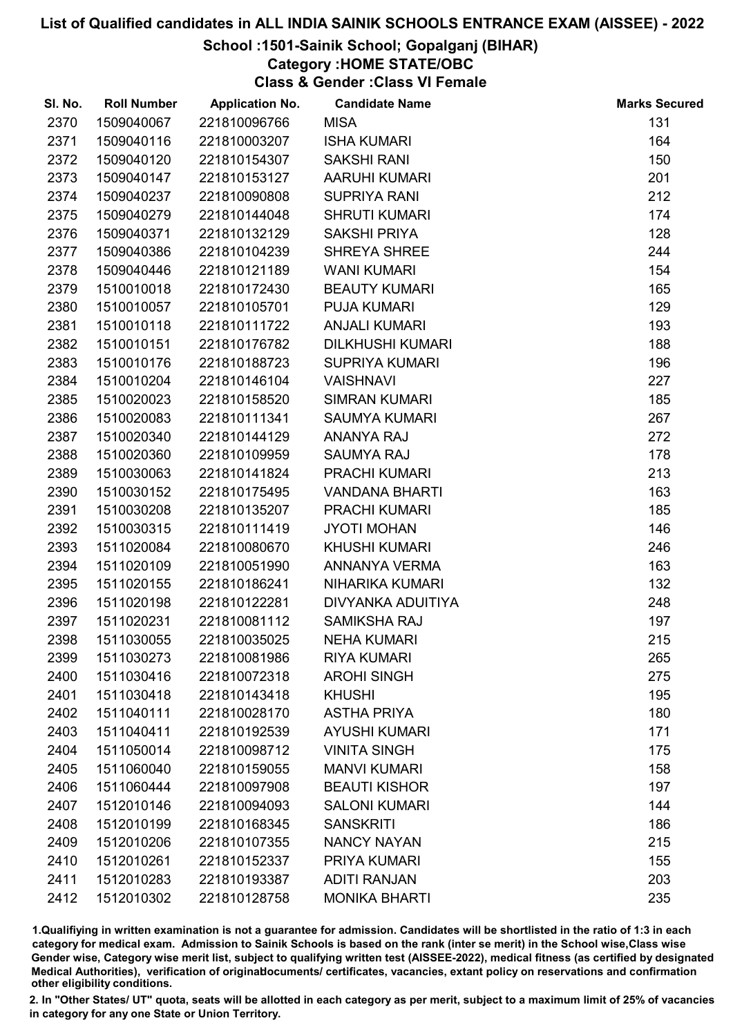# School :1501-Sainik School; Gopalganj (BIHAR)

Category :HOME STATE/OBC

Class & Gender :Class VI Female

| SI. No. | <b>Roll Number</b> | <b>Application No.</b> | <b>Candidate Name</b>   | <b>Marks Secured</b> |
|---------|--------------------|------------------------|-------------------------|----------------------|
| 2370    | 1509040067         | 221810096766           | <b>MISA</b>             | 131                  |
| 2371    | 1509040116         | 221810003207           | <b>ISHA KUMARI</b>      | 164                  |
| 2372    | 1509040120         | 221810154307           | <b>SAKSHI RANI</b>      | 150                  |
| 2373    | 1509040147         | 221810153127           | <b>AARUHI KUMARI</b>    | 201                  |
| 2374    | 1509040237         | 221810090808           | <b>SUPRIYA RANI</b>     | 212                  |
| 2375    | 1509040279         | 221810144048           | <b>SHRUTI KUMARI</b>    | 174                  |
| 2376    | 1509040371         | 221810132129           | <b>SAKSHI PRIYA</b>     | 128                  |
| 2377    | 1509040386         | 221810104239           | <b>SHREYA SHREE</b>     | 244                  |
| 2378    | 1509040446         | 221810121189           | <b>WANI KUMARI</b>      | 154                  |
| 2379    | 1510010018         | 221810172430           | <b>BEAUTY KUMARI</b>    | 165                  |
| 2380    | 1510010057         | 221810105701           | PUJA KUMARI             | 129                  |
| 2381    | 1510010118         | 221810111722           | <b>ANJALI KUMARI</b>    | 193                  |
| 2382    | 1510010151         | 221810176782           | <b>DILKHUSHI KUMARI</b> | 188                  |
| 2383    | 1510010176         | 221810188723           | <b>SUPRIYA KUMARI</b>   | 196                  |
| 2384    | 1510010204         | 221810146104           | <b>VAISHNAVI</b>        | 227                  |
| 2385    | 1510020023         | 221810158520           | <b>SIMRAN KUMARI</b>    | 185                  |
| 2386    | 1510020083         | 221810111341           | <b>SAUMYA KUMARI</b>    | 267                  |
| 2387    | 1510020340         | 221810144129           | <b>ANANYA RAJ</b>       | 272                  |
| 2388    | 1510020360         | 221810109959           | <b>SAUMYA RAJ</b>       | 178                  |
| 2389    | 1510030063         | 221810141824           | PRACHI KUMARI           | 213                  |
| 2390    | 1510030152         | 221810175495           | <b>VANDANA BHARTI</b>   | 163                  |
| 2391    | 1510030208         | 221810135207           | <b>PRACHI KUMARI</b>    | 185                  |
| 2392    | 1510030315         | 221810111419           | <b>JYOTI MOHAN</b>      | 146                  |
| 2393    | 1511020084         | 221810080670           | <b>KHUSHI KUMARI</b>    | 246                  |
| 2394    | 1511020109         | 221810051990           | ANNANYA VERMA           | 163                  |
| 2395    | 1511020155         | 221810186241           | <b>NIHARIKA KUMARI</b>  | 132                  |
| 2396    | 1511020198         | 221810122281           | DIVYANKA ADUITIYA       | 248                  |
| 2397    | 1511020231         | 221810081112           | <b>SAMIKSHA RAJ</b>     | 197                  |
| 2398    | 1511030055         | 221810035025           | <b>NEHA KUMARI</b>      | 215                  |
| 2399    | 1511030273         | 221810081986           | <b>RIYA KUMARI</b>      | 265                  |
| 2400    | 1511030416         | 221810072318           | <b>AROHI SINGH</b>      | 275                  |
| 2401    | 1511030418         | 221810143418           | <b>KHUSHI</b>           | 195                  |
| 2402    | 1511040111         | 221810028170           | <b>ASTHA PRIYA</b>      | 180                  |
| 2403    | 1511040411         | 221810192539           | <b>AYUSHI KUMARI</b>    | 171                  |
| 2404    | 1511050014         | 221810098712           | <b>VINITA SINGH</b>     | 175                  |
| 2405    | 1511060040         | 221810159055           | <b>MANVI KUMARI</b>     | 158                  |
| 2406    | 1511060444         | 221810097908           | <b>BEAUTI KISHOR</b>    | 197                  |
| 2407    | 1512010146         | 221810094093           | <b>SALONI KUMARI</b>    | 144                  |
| 2408    | 1512010199         | 221810168345           | <b>SANSKRITI</b>        | 186                  |
| 2409    | 1512010206         | 221810107355           | <b>NANCY NAYAN</b>      | 215                  |
| 2410    | 1512010261         | 221810152337           | PRIYA KUMARI            | 155                  |
| 2411    | 1512010283         | 221810193387           | <b>ADITI RANJAN</b>     | 203                  |
| 2412    | 1512010302         | 221810128758           | <b>MONIKA BHARTI</b>    | 235                  |

1.Qualifiying in written examination is not a guarantee for admission. Candidates will be shortlisted in the ratio of 1:3 in each category for medical exam. Admission to Sainik Schools is based on the rank (inter se merit) in the School wise,Class wise Gender wise, Category wise merit list, subject to qualifying written test (AISSEE-2022), medical fitness (as certified by designated Medical Authorities), verification of originablocuments/ certificates, vacancies, extant policy on reservations and confirmation other eligibility conditions.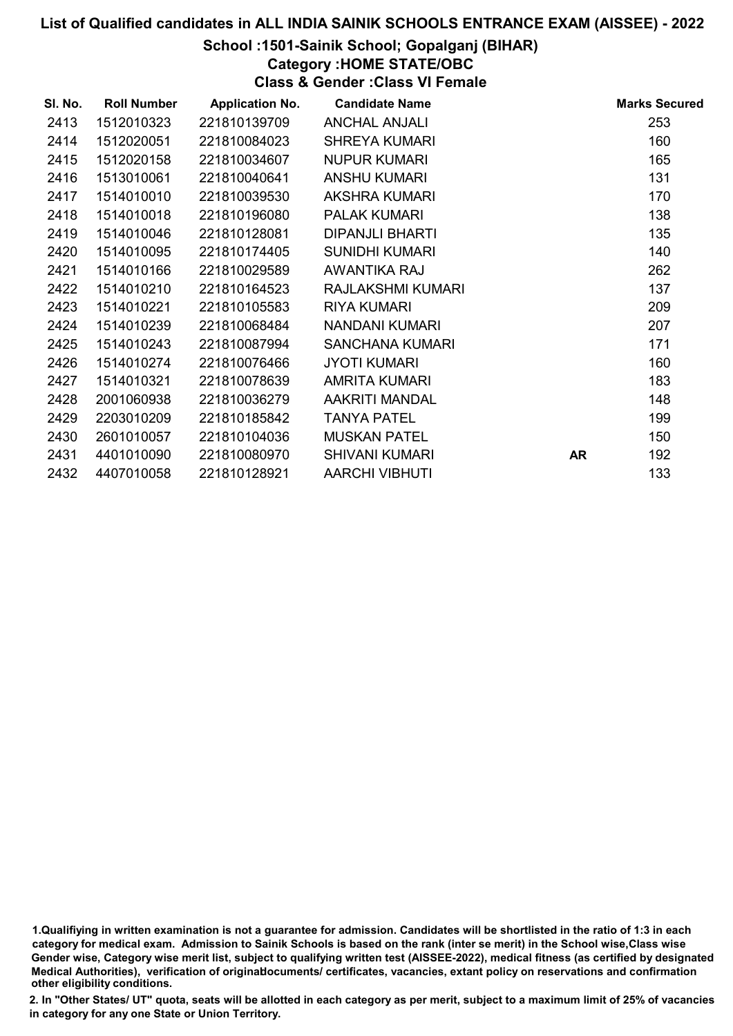# School :1501-Sainik School; Gopalganj (BIHAR)

Category :HOME STATE/OBC

Class & Gender :Class VI Female

| SI. No. | <b>Roll Number</b> | <b>Application No.</b> | <b>Candidate Name</b>  |           | <b>Marks Secured</b> |
|---------|--------------------|------------------------|------------------------|-----------|----------------------|
| 2413    | 1512010323         | 221810139709           | <b>ANCHAL ANJALI</b>   |           | 253                  |
| 2414    | 1512020051         | 221810084023           | <b>SHREYA KUMARI</b>   |           | 160                  |
| 2415    | 1512020158         | 221810034607           | <b>NUPUR KUMARI</b>    |           | 165                  |
| 2416    | 1513010061         | 221810040641           | <b>ANSHU KUMARI</b>    |           | 131                  |
| 2417    | 1514010010         | 221810039530           | AKSHRA KUMARI          |           | 170                  |
| 2418    | 1514010018         | 221810196080           | <b>PALAK KUMARI</b>    |           | 138                  |
| 2419    | 1514010046         | 221810128081           | <b>DIPANJLI BHARTI</b> |           | 135                  |
| 2420    | 1514010095         | 221810174405           | <b>SUNIDHI KUMARI</b>  |           | 140                  |
| 2421    | 1514010166         | 221810029589           | AWANTIKA RAJ           |           | 262                  |
| 2422    | 1514010210         | 221810164523           | RAJLAKSHMI KUMARI      |           | 137                  |
| 2423    | 1514010221         | 221810105583           | <b>RIYA KUMARI</b>     |           | 209                  |
| 2424    | 1514010239         | 221810068484           | NANDANI KUMARI         |           | 207                  |
| 2425    | 1514010243         | 221810087994           | SANCHANA KUMARI        |           | 171                  |
| 2426    | 1514010274         | 221810076466           | <b>JYOTI KUMARI</b>    |           | 160                  |
| 2427    | 1514010321         | 221810078639           | AMRITA KUMARI          |           | 183                  |
| 2428    | 2001060938         | 221810036279           | AAKRITI MANDAL         |           | 148                  |
| 2429    | 2203010209         | 221810185842           | <b>TANYA PATEL</b>     |           | 199                  |
| 2430    | 2601010057         | 221810104036           | <b>MUSKAN PATEL</b>    |           | 150                  |
| 2431    | 4401010090         | 221810080970           | <b>SHIVANI KUMARI</b>  | <b>AR</b> | 192                  |
| 2432    | 4407010058         | 221810128921           | <b>AARCHI VIBHUTI</b>  |           | 133                  |

1.Qualifiying in written examination is not a guarantee for admission. Candidates will be shortlisted in the ratio of 1:3 in each category for medical exam. Admission to Sainik Schools is based on the rank (inter se merit) in the School wise,Class wise Gender wise, Category wise merit list, subject to qualifying written test (AISSEE-2022), medical fitness (as certified by designated Medical Authorities), verification of originablocuments/ certificates, vacancies, extant policy on reservations and confirmation other eligibility conditions.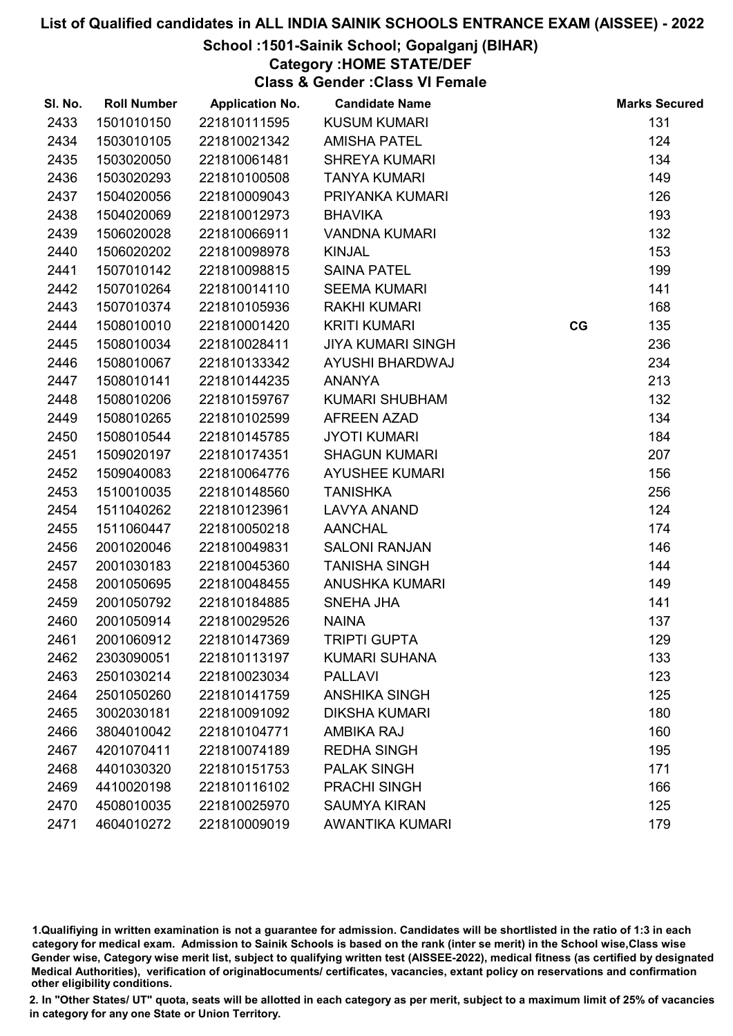# School :1501-Sainik School; Gopalganj (BIHAR)

# Category :HOME STATE/DEF

Class & Gender :Class VI Female

| SI. No. | <b>Roll Number</b> | <b>Application No.</b> | <b>Candidate Name</b>    |    | <b>Marks Secured</b> |
|---------|--------------------|------------------------|--------------------------|----|----------------------|
| 2433    | 1501010150         | 221810111595           | <b>KUSUM KUMARI</b>      |    | 131                  |
| 2434    | 1503010105         | 221810021342           | <b>AMISHA PATEL</b>      |    | 124                  |
| 2435    | 1503020050         | 221810061481           | <b>SHREYA KUMARI</b>     |    | 134                  |
| 2436    | 1503020293         | 221810100508           | <b>TANYA KUMARI</b>      |    | 149                  |
| 2437    | 1504020056         | 221810009043           | PRIYANKA KUMARI          |    | 126                  |
| 2438    | 1504020069         | 221810012973           | <b>BHAVIKA</b>           |    | 193                  |
| 2439    | 1506020028         | 221810066911           | <b>VANDNA KUMARI</b>     |    | 132                  |
| 2440    | 1506020202         | 221810098978           | <b>KINJAL</b>            |    | 153                  |
| 2441    | 1507010142         | 221810098815           | <b>SAINA PATEL</b>       |    | 199                  |
| 2442    | 1507010264         | 221810014110           | <b>SEEMA KUMARI</b>      |    | 141                  |
| 2443    | 1507010374         | 221810105936           | <b>RAKHI KUMARI</b>      |    | 168                  |
| 2444    | 1508010010         | 221810001420           | <b>KRITI KUMARI</b>      | CG | 135                  |
| 2445    | 1508010034         | 221810028411           | <b>JIYA KUMARI SINGH</b> |    | 236                  |
| 2446    | 1508010067         | 221810133342           | AYUSHI BHARDWAJ          |    | 234                  |
| 2447    | 1508010141         | 221810144235           | <b>ANANYA</b>            |    | 213                  |
| 2448    | 1508010206         | 221810159767           | <b>KUMARI SHUBHAM</b>    |    | 132                  |
| 2449    | 1508010265         | 221810102599           | AFREEN AZAD              |    | 134                  |
| 2450    | 1508010544         | 221810145785           | <b>JYOTI KUMARI</b>      |    | 184                  |
| 2451    | 1509020197         | 221810174351           | <b>SHAGUN KUMARI</b>     |    | 207                  |
| 2452    | 1509040083         | 221810064776           | <b>AYUSHEE KUMARI</b>    |    | 156                  |
| 2453    | 1510010035         | 221810148560           | <b>TANISHKA</b>          |    | 256                  |
| 2454    | 1511040262         | 221810123961           | <b>LAVYA ANAND</b>       |    | 124                  |
| 2455    | 1511060447         | 221810050218           | <b>AANCHAL</b>           |    | 174                  |
| 2456    | 2001020046         | 221810049831           | <b>SALONI RANJAN</b>     |    | 146                  |
| 2457    | 2001030183         | 221810045360           | <b>TANISHA SINGH</b>     |    | 144                  |
| 2458    | 2001050695         | 221810048455           | <b>ANUSHKA KUMARI</b>    |    | 149                  |
| 2459    | 2001050792         | 221810184885           | SNEHA JHA                |    | 141                  |
| 2460    | 2001050914         | 221810029526           | <b>NAINA</b>             |    | 137                  |
| 2461    | 2001060912         | 221810147369           | <b>TRIPTI GUPTA</b>      |    | 129                  |
| 2462    | 2303090051         | 221810113197           | <b>KUMARI SUHANA</b>     |    | 133                  |
| 2463    | 2501030214         | 221810023034           | <b>PALLAVI</b>           |    | 123                  |
| 2464    | 2501050260         | 221810141759           | <b>ANSHIKA SINGH</b>     |    | 125                  |
| 2465    | 3002030181         | 221810091092           | <b>DIKSHA KUMARI</b>     |    | 180                  |
| 2466    | 3804010042         | 221810104771           | <b>AMBIKA RAJ</b>        |    | 160                  |
| 2467    | 4201070411         | 221810074189           | <b>REDHA SINGH</b>       |    | 195                  |
| 2468    | 4401030320         | 221810151753           | <b>PALAK SINGH</b>       |    | 171                  |
| 2469    | 4410020198         | 221810116102           | <b>PRACHI SINGH</b>      |    | 166                  |
| 2470    | 4508010035         | 221810025970           | <b>SAUMYA KIRAN</b>      |    | 125                  |
| 2471    | 4604010272         | 221810009019           | <b>AWANTIKA KUMARI</b>   |    | 179                  |

1.Qualifiying in written examination is not a guarantee for admission. Candidates will be shortlisted in the ratio of 1:3 in each category for medical exam. Admission to Sainik Schools is based on the rank (inter se merit) in the School wise,Class wise Gender wise, Category wise merit list, subject to qualifying written test (AISSEE-2022), medical fitness (as certified by designated Medical Authorities), verification of originablocuments/ certificates, vacancies, extant policy on reservations and confirmation other eligibility conditions.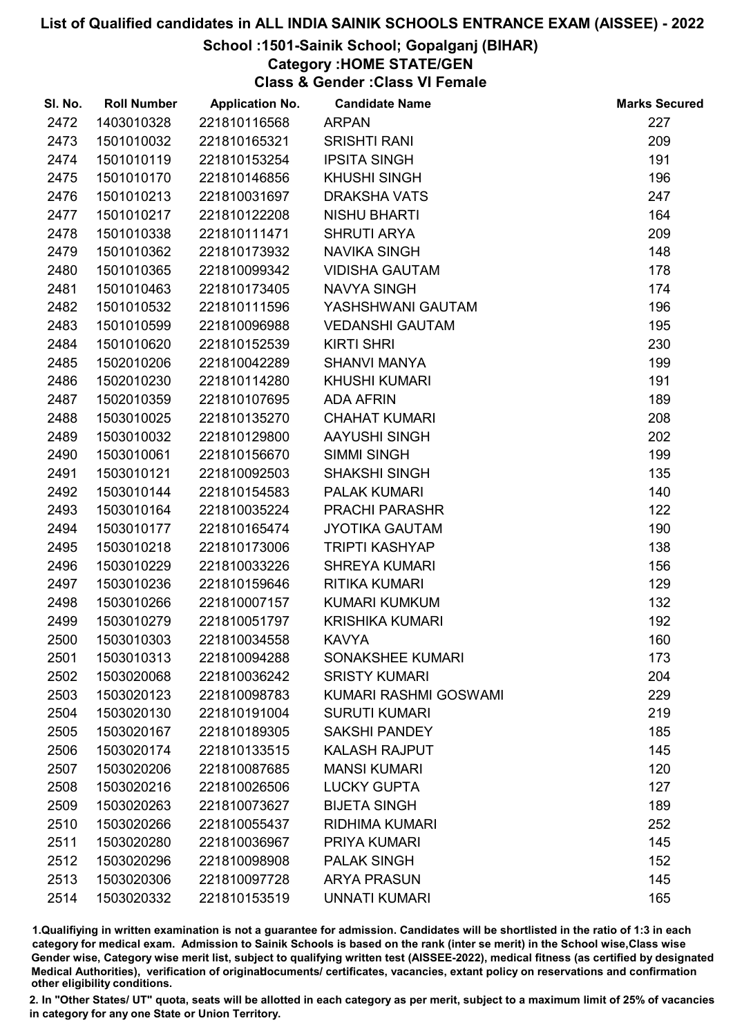# School :1501-Sainik School; Gopalganj (BIHAR)

Category :HOME STATE/GEN

Class & Gender :Class VI Female

| SI. No. | <b>Roll Number</b> | <b>Application No.</b> | <b>Candidate Name</b>  | <b>Marks Secured</b> |
|---------|--------------------|------------------------|------------------------|----------------------|
| 2472    | 1403010328         | 221810116568           | <b>ARPAN</b>           | 227                  |
| 2473    | 1501010032         | 221810165321           | <b>SRISHTI RANI</b>    | 209                  |
| 2474    | 1501010119         | 221810153254           | <b>IPSITA SINGH</b>    | 191                  |
| 2475    | 1501010170         | 221810146856           | <b>KHUSHI SINGH</b>    | 196                  |
| 2476    | 1501010213         | 221810031697           | <b>DRAKSHA VATS</b>    | 247                  |
| 2477    | 1501010217         | 221810122208           | <b>NISHU BHARTI</b>    | 164                  |
| 2478    | 1501010338         | 221810111471           | <b>SHRUTI ARYA</b>     | 209                  |
| 2479    | 1501010362         | 221810173932           | <b>NAVIKA SINGH</b>    | 148                  |
| 2480    | 1501010365         | 221810099342           | <b>VIDISHA GAUTAM</b>  | 178                  |
| 2481    | 1501010463         | 221810173405           | <b>NAVYA SINGH</b>     | 174                  |
| 2482    | 1501010532         | 221810111596           | YASHSHWANI GAUTAM      | 196                  |
| 2483    | 1501010599         | 221810096988           | <b>VEDANSHI GAUTAM</b> | 195                  |
| 2484    | 1501010620         | 221810152539           | <b>KIRTI SHRI</b>      | 230                  |
| 2485    | 1502010206         | 221810042289           | <b>SHANVI MANYA</b>    | 199                  |
| 2486    | 1502010230         | 221810114280           | <b>KHUSHI KUMARI</b>   | 191                  |
| 2487    | 1502010359         | 221810107695           | <b>ADA AFRIN</b>       | 189                  |
| 2488    | 1503010025         | 221810135270           | <b>CHAHAT KUMARI</b>   | 208                  |
| 2489    | 1503010032         | 221810129800           | AAYUSHI SINGH          | 202                  |
| 2490    | 1503010061         | 221810156670           | <b>SIMMI SINGH</b>     | 199                  |
| 2491    | 1503010121         | 221810092503           | <b>SHAKSHI SINGH</b>   | 135                  |
| 2492    | 1503010144         | 221810154583           | <b>PALAK KUMARI</b>    | 140                  |
| 2493    | 1503010164         | 221810035224           | PRACHI PARASHR         | 122                  |
| 2494    | 1503010177         | 221810165474           | <b>JYOTIKA GAUTAM</b>  | 190                  |
| 2495    | 1503010218         | 221810173006           | <b>TRIPTI KASHYAP</b>  | 138                  |
| 2496    | 1503010229         | 221810033226           | <b>SHREYA KUMARI</b>   | 156                  |
| 2497    | 1503010236         | 221810159646           | <b>RITIKA KUMARI</b>   | 129                  |
| 2498    | 1503010266         | 221810007157           | <b>KUMARI KUMKUM</b>   | 132                  |
| 2499    | 1503010279         | 221810051797           | <b>KRISHIKA KUMARI</b> | 192                  |
| 2500    | 1503010303         | 221810034558           | <b>KAVYA</b>           | 160                  |
| 2501    | 1503010313         | 221810094288           | SONAKSHEE KUMARI       | 173                  |
| 2502    | 1503020068         | 221810036242           | <b>SRISTY KUMARI</b>   | 204                  |
| 2503    | 1503020123         | 221810098783           | KUMARI RASHMI GOSWAMI  | 229                  |
| 2504    | 1503020130         | 221810191004           | <b>SURUTI KUMARI</b>   | 219                  |
| 2505    | 1503020167         | 221810189305           | <b>SAKSHI PANDEY</b>   | 185                  |
| 2506    | 1503020174         | 221810133515           | <b>KALASH RAJPUT</b>   | 145                  |
| 2507    | 1503020206         | 221810087685           | <b>MANSI KUMARI</b>    | 120                  |
| 2508    | 1503020216         | 221810026506           | <b>LUCKY GUPTA</b>     | 127                  |
| 2509    | 1503020263         | 221810073627           | <b>BIJETA SINGH</b>    | 189                  |
| 2510    | 1503020266         | 221810055437           | <b>RIDHIMA KUMARI</b>  | 252                  |
| 2511    | 1503020280         | 221810036967           | <b>PRIYA KUMARI</b>    | 145                  |
| 2512    | 1503020296         | 221810098908           | <b>PALAK SINGH</b>     | 152                  |
| 2513    | 1503020306         | 221810097728           | <b>ARYA PRASUN</b>     | 145                  |
| 2514    | 1503020332         | 221810153519           | <b>UNNATI KUMARI</b>   | 165                  |

1.Qualifiying in written examination is not a guarantee for admission. Candidates will be shortlisted in the ratio of 1:3 in each category for medical exam. Admission to Sainik Schools is based on the rank (inter se merit) in the School wise,Class wise Gender wise, Category wise merit list, subject to qualifying written test (AISSEE-2022), medical fitness (as certified by designated Medical Authorities), verification of originablocuments/ certificates, vacancies, extant policy on reservations and confirmation other eligibility conditions.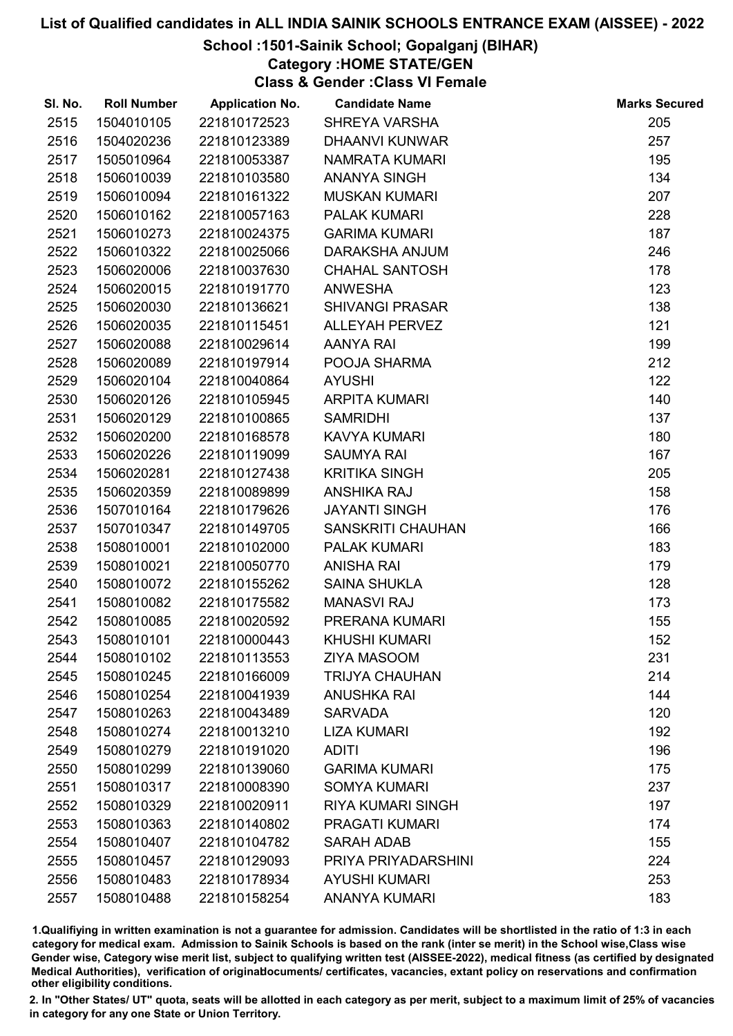# School :1501-Sainik School; Gopalganj (BIHAR)

Category :HOME STATE/GEN

Class & Gender :Class VI Female

| SI. No. | <b>Roll Number</b> | <b>Application No.</b> | <b>Candidate Name</b>    | <b>Marks Secured</b> |
|---------|--------------------|------------------------|--------------------------|----------------------|
| 2515    | 1504010105         | 221810172523           | <b>SHREYA VARSHA</b>     | 205                  |
| 2516    | 1504020236         | 221810123389           | <b>DHAANVI KUNWAR</b>    | 257                  |
| 2517    | 1505010964         | 221810053387           | <b>NAMRATA KUMARI</b>    | 195                  |
| 2518    | 1506010039         | 221810103580           | <b>ANANYA SINGH</b>      | 134                  |
| 2519    | 1506010094         | 221810161322           | <b>MUSKAN KUMARI</b>     | 207                  |
| 2520    | 1506010162         | 221810057163           | <b>PALAK KUMARI</b>      | 228                  |
| 2521    | 1506010273         | 221810024375           | <b>GARIMA KUMARI</b>     | 187                  |
| 2522    | 1506010322         | 221810025066           | DARAKSHA ANJUM           | 246                  |
| 2523    | 1506020006         | 221810037630           | <b>CHAHAL SANTOSH</b>    | 178                  |
| 2524    | 1506020015         | 221810191770           | <b>ANWESHA</b>           | 123                  |
| 2525    | 1506020030         | 221810136621           | <b>SHIVANGI PRASAR</b>   | 138                  |
| 2526    | 1506020035         | 221810115451           | <b>ALLEYAH PERVEZ</b>    | 121                  |
| 2527    | 1506020088         | 221810029614           | <b>AANYA RAI</b>         | 199                  |
| 2528    | 1506020089         | 221810197914           | POOJA SHARMA             | 212                  |
| 2529    | 1506020104         | 221810040864           | <b>AYUSHI</b>            | 122                  |
| 2530    | 1506020126         | 221810105945           | <b>ARPITA KUMARI</b>     | 140                  |
| 2531    | 1506020129         | 221810100865           | <b>SAMRIDHI</b>          | 137                  |
| 2532    | 1506020200         | 221810168578           | <b>KAVYA KUMARI</b>      | 180                  |
| 2533    | 1506020226         | 221810119099           | <b>SAUMYA RAI</b>        | 167                  |
| 2534    | 1506020281         | 221810127438           | <b>KRITIKA SINGH</b>     | 205                  |
| 2535    | 1506020359         | 221810089899           | <b>ANSHIKA RAJ</b>       | 158                  |
| 2536    | 1507010164         | 221810179626           | <b>JAYANTI SINGH</b>     | 176                  |
| 2537    | 1507010347         | 221810149705           | <b>SANSKRITI CHAUHAN</b> | 166                  |
| 2538    | 1508010001         | 221810102000           | <b>PALAK KUMARI</b>      | 183                  |
| 2539    | 1508010021         | 221810050770           | <b>ANISHA RAI</b>        | 179                  |
| 2540    | 1508010072         | 221810155262           | <b>SAINA SHUKLA</b>      | 128                  |
| 2541    | 1508010082         | 221810175582           | <b>MANASVI RAJ</b>       | 173                  |
| 2542    | 1508010085         | 221810020592           | PRERANA KUMARI           | 155                  |
| 2543    | 1508010101         | 221810000443           | <b>KHUSHI KUMARI</b>     | 152                  |
| 2544    | 1508010102         | 221810113553           | <b>ZIYA MASOOM</b>       | 231                  |
| 2545    | 1508010245         | 221810166009           | <b>TRIJYA CHAUHAN</b>    | 214                  |
| 2546    | 1508010254         | 221810041939           | <b>ANUSHKA RAI</b>       | 144                  |
| 2547    | 1508010263         | 221810043489           | <b>SARVADA</b>           | 120                  |
| 2548    | 1508010274         | 221810013210           | <b>LIZA KUMARI</b>       | 192                  |
| 2549    | 1508010279         | 221810191020           | <b>ADITI</b>             | 196                  |
| 2550    | 1508010299         | 221810139060           | <b>GARIMA KUMARI</b>     | 175                  |
| 2551    | 1508010317         | 221810008390           | <b>SOMYA KUMARI</b>      | 237                  |
| 2552    | 1508010329         | 221810020911           | <b>RIYA KUMARI SINGH</b> | 197                  |
| 2553    | 1508010363         | 221810140802           | <b>PRAGATI KUMARI</b>    | 174                  |
| 2554    | 1508010407         | 221810104782           | <b>SARAH ADAB</b>        | 155                  |
| 2555    | 1508010457         | 221810129093           | PRIYA PRIYADARSHINI      | 224                  |
| 2556    | 1508010483         | 221810178934           | <b>AYUSHI KUMARI</b>     | 253                  |
| 2557    | 1508010488         | 221810158254           | <b>ANANYA KUMARI</b>     | 183                  |

1.Qualifiying in written examination is not a guarantee for admission. Candidates will be shortlisted in the ratio of 1:3 in each category for medical exam. Admission to Sainik Schools is based on the rank (inter se merit) in the School wise,Class wise Gender wise, Category wise merit list, subject to qualifying written test (AISSEE-2022), medical fitness (as certified by designated Medical Authorities), verification of originablocuments/ certificates, vacancies, extant policy on reservations and confirmation other eligibility conditions.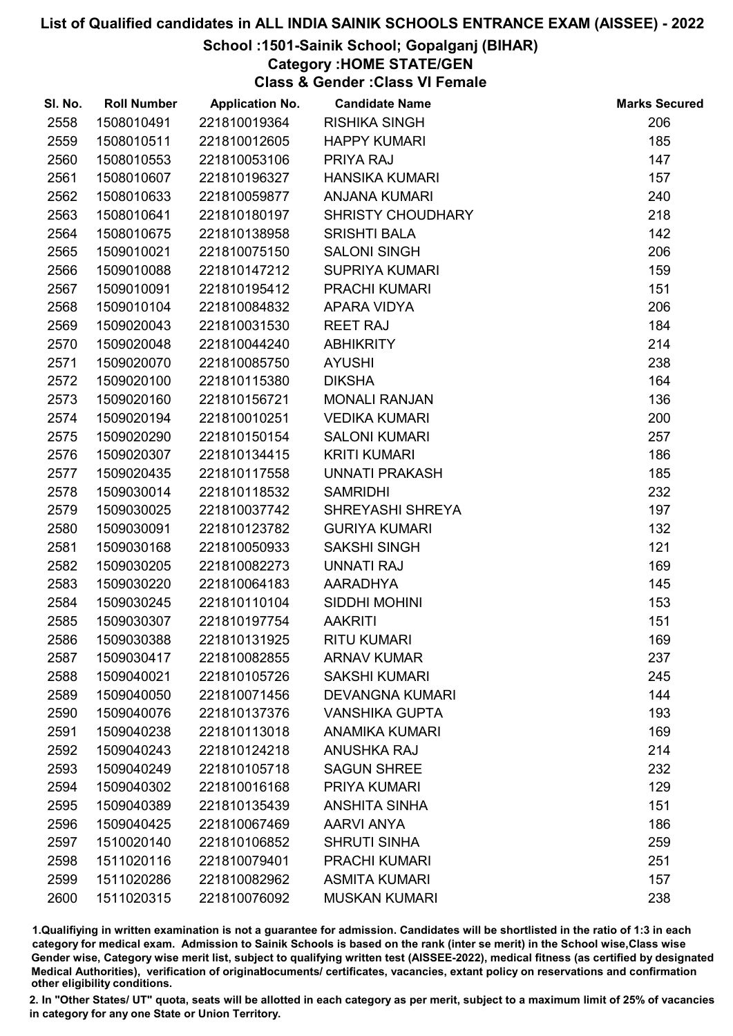# School :1501-Sainik School; Gopalganj (BIHAR)

Category :HOME STATE/GEN

Class & Gender :Class VI Female

| SI. No. | <b>Roll Number</b> | <b>Application No.</b> | <b>Candidate Name</b>  | <b>Marks Secured</b> |
|---------|--------------------|------------------------|------------------------|----------------------|
| 2558    | 1508010491         | 221810019364           | <b>RISHIKA SINGH</b>   | 206                  |
| 2559    | 1508010511         | 221810012605           | <b>HAPPY KUMARI</b>    | 185                  |
| 2560    | 1508010553         | 221810053106           | PRIYA RAJ              | 147                  |
| 2561    | 1508010607         | 221810196327           | <b>HANSIKA KUMARI</b>  | 157                  |
| 2562    | 1508010633         | 221810059877           | <b>ANJANA KUMARI</b>   | 240                  |
| 2563    | 1508010641         | 221810180197           | SHRISTY CHOUDHARY      | 218                  |
| 2564    | 1508010675         | 221810138958           | <b>SRISHTI BALA</b>    | 142                  |
| 2565    | 1509010021         | 221810075150           | <b>SALONI SINGH</b>    | 206                  |
| 2566    | 1509010088         | 221810147212           | <b>SUPRIYA KUMARI</b>  | 159                  |
| 2567    | 1509010091         | 221810195412           | PRACHI KUMARI          | 151                  |
| 2568    | 1509010104         | 221810084832           | APARA VIDYA            | 206                  |
| 2569    | 1509020043         | 221810031530           | <b>REET RAJ</b>        | 184                  |
| 2570    | 1509020048         | 221810044240           | <b>ABHIKRITY</b>       | 214                  |
| 2571    | 1509020070         | 221810085750           | <b>AYUSHI</b>          | 238                  |
| 2572    | 1509020100         | 221810115380           | <b>DIKSHA</b>          | 164                  |
| 2573    | 1509020160         | 221810156721           | <b>MONALI RANJAN</b>   | 136                  |
| 2574    | 1509020194         | 221810010251           | <b>VEDIKA KUMARI</b>   | 200                  |
| 2575    | 1509020290         | 221810150154           | <b>SALONI KUMARI</b>   | 257                  |
| 2576    | 1509020307         | 221810134415           | <b>KRITI KUMARI</b>    | 186                  |
| 2577    | 1509020435         | 221810117558           | UNNATI PRAKASH         | 185                  |
| 2578    | 1509030014         | 221810118532           | <b>SAMRIDHI</b>        | 232                  |
| 2579    | 1509030025         | 221810037742           | SHREYASHI SHREYA       | 197                  |
| 2580    | 1509030091         | 221810123782           | <b>GURIYA KUMARI</b>   | 132                  |
| 2581    | 1509030168         | 221810050933           | <b>SAKSHI SINGH</b>    | 121                  |
| 2582    | 1509030205         | 221810082273           | <b>UNNATI RAJ</b>      | 169                  |
| 2583    | 1509030220         | 221810064183           | <b>AARADHYA</b>        | 145                  |
| 2584    | 1509030245         | 221810110104           | SIDDHI MOHINI          | 153                  |
| 2585    | 1509030307         | 221810197754           | <b>AAKRITI</b>         | 151                  |
| 2586    | 1509030388         | 221810131925           | <b>RITU KUMARI</b>     | 169                  |
| 2587    | 1509030417         | 221810082855           | <b>ARNAV KUMAR</b>     | 237                  |
| 2588    | 1509040021         | 221810105726           | <b>SAKSHI KUMARI</b>   | 245                  |
| 2589    | 1509040050         | 221810071456           | <b>DEVANGNA KUMARI</b> | 144                  |
| 2590    | 1509040076         | 221810137376           | <b>VANSHIKA GUPTA</b>  | 193                  |
| 2591    | 1509040238         | 221810113018           | <b>ANAMIKA KUMARI</b>  | 169                  |
| 2592    | 1509040243         | 221810124218           | <b>ANUSHKA RAJ</b>     | 214                  |
| 2593    | 1509040249         | 221810105718           | <b>SAGUN SHREE</b>     | 232                  |
| 2594    | 1509040302         | 221810016168           | PRIYA KUMARI           | 129                  |
| 2595    | 1509040389         | 221810135439           | <b>ANSHITA SINHA</b>   | 151                  |
| 2596    | 1509040425         | 221810067469           | <b>AARVI ANYA</b>      | 186                  |
| 2597    | 1510020140         | 221810106852           | <b>SHRUTI SINHA</b>    | 259                  |
| 2598    | 1511020116         | 221810079401           | <b>PRACHI KUMARI</b>   | 251                  |
| 2599    | 1511020286         | 221810082962           | <b>ASMITA KUMARI</b>   | 157                  |
| 2600    | 1511020315         | 221810076092           | <b>MUSKAN KUMARI</b>   | 238                  |

1.Qualifiying in written examination is not a guarantee for admission. Candidates will be shortlisted in the ratio of 1:3 in each category for medical exam. Admission to Sainik Schools is based on the rank (inter se merit) in the School wise,Class wise Gender wise, Category wise merit list, subject to qualifying written test (AISSEE-2022), medical fitness (as certified by designated Medical Authorities), verification of originablocuments/ certificates, vacancies, extant policy on reservations and confirmation other eligibility conditions.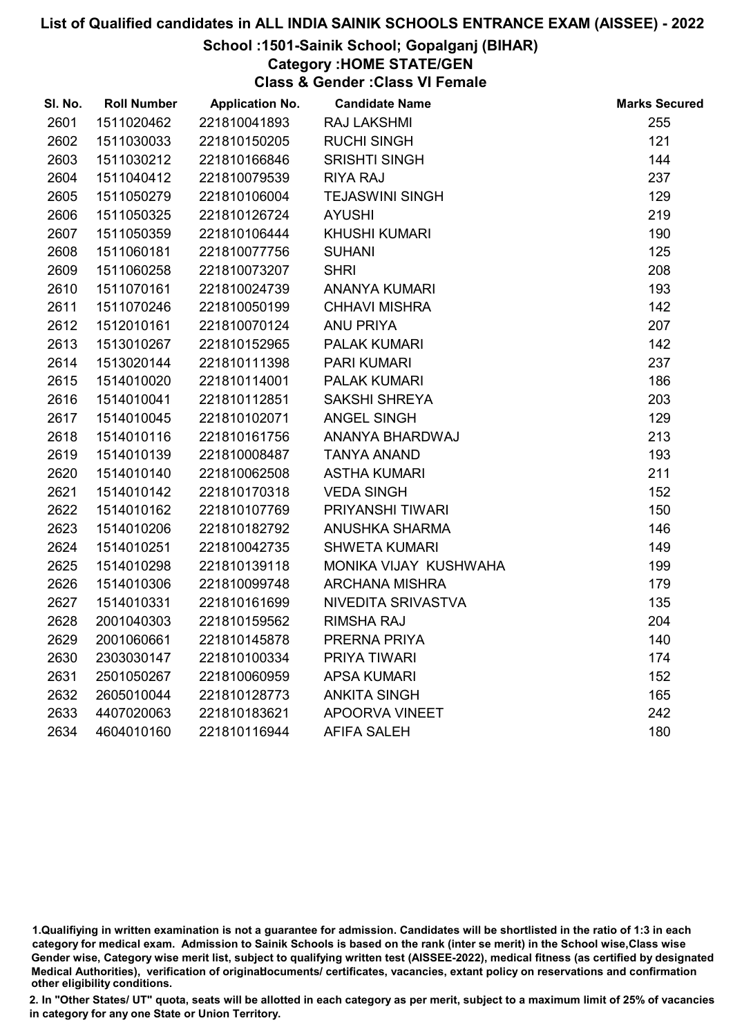# School :1501-Sainik School; Gopalganj (BIHAR)

Category :HOME STATE/GEN

Class & Gender :Class VI Female

| SI. No. | <b>Roll Number</b> | <b>Application No.</b> | <b>Candidate Name</b>  | <b>Marks Secured</b> |
|---------|--------------------|------------------------|------------------------|----------------------|
| 2601    | 1511020462         | 221810041893           | <b>RAJ LAKSHMI</b>     | 255                  |
| 2602    | 1511030033         | 221810150205           | <b>RUCHI SINGH</b>     | 121                  |
| 2603    | 1511030212         | 221810166846           | <b>SRISHTI SINGH</b>   | 144                  |
| 2604    | 1511040412         | 221810079539           | <b>RIYA RAJ</b>        | 237                  |
| 2605    | 1511050279         | 221810106004           | <b>TEJASWINI SINGH</b> | 129                  |
| 2606    | 1511050325         | 221810126724           | <b>AYUSHI</b>          | 219                  |
| 2607    | 1511050359         | 221810106444           | <b>KHUSHI KUMARI</b>   | 190                  |
| 2608    | 1511060181         | 221810077756           | <b>SUHANI</b>          | 125                  |
| 2609    | 1511060258         | 221810073207           | <b>SHRI</b>            | 208                  |
| 2610    | 1511070161         | 221810024739           | <b>ANANYA KUMARI</b>   | 193                  |
| 2611    | 1511070246         | 221810050199           | <b>CHHAVI MISHRA</b>   | 142                  |
| 2612    | 1512010161         | 221810070124           | <b>ANU PRIYA</b>       | 207                  |
| 2613    | 1513010267         | 221810152965           | <b>PALAK KUMARI</b>    | 142                  |
| 2614    | 1513020144         | 221810111398           | <b>PARI KUMARI</b>     | 237                  |
| 2615    | 1514010020         | 221810114001           | PALAK KUMARI           | 186                  |
| 2616    | 1514010041         | 221810112851           | <b>SAKSHI SHREYA</b>   | 203                  |
| 2617    | 1514010045         | 221810102071           | ANGEL SINGH            | 129                  |
| 2618    | 1514010116         | 221810161756           | ANANYA BHARDWAJ        | 213                  |
| 2619    | 1514010139         | 221810008487           | <b>TANYA ANAND</b>     | 193                  |
| 2620    | 1514010140         | 221810062508           | <b>ASTHA KUMARI</b>    | 211                  |
| 2621    | 1514010142         | 221810170318           | <b>VEDA SINGH</b>      | 152                  |
| 2622    | 1514010162         | 221810107769           | PRIYANSHI TIWARI       | 150                  |
| 2623    | 1514010206         | 221810182792           | ANUSHKA SHARMA         | 146                  |
| 2624    | 1514010251         | 221810042735           | <b>SHWETA KUMARI</b>   | 149                  |
| 2625    | 1514010298         | 221810139118           | MONIKA VIJAY KUSHWAHA  | 199                  |
| 2626    | 1514010306         | 221810099748           | <b>ARCHANA MISHRA</b>  | 179                  |
| 2627    | 1514010331         | 221810161699           | NIVEDITA SRIVASTVA     | 135                  |
| 2628    | 2001040303         | 221810159562           | <b>RIMSHA RAJ</b>      | 204                  |
| 2629    | 2001060661         | 221810145878           | PRERNA PRIYA           | 140                  |
| 2630    | 2303030147         | 221810100334           | PRIYA TIWARI           | 174                  |
| 2631    | 2501050267         | 221810060959           | <b>APSA KUMARI</b>     | 152                  |
| 2632    | 2605010044         | 221810128773           | <b>ANKITA SINGH</b>    | 165                  |
| 2633    | 4407020063         | 221810183621           | <b>APOORVA VINEET</b>  | 242                  |
| 2634    | 4604010160         | 221810116944           | <b>AFIFA SALEH</b>     | 180                  |

<sup>1.</sup>Qualifiying in written examination is not a guarantee for admission. Candidates will be shortlisted in the ratio of 1:3 in each category for medical exam. Admission to Sainik Schools is based on the rank (inter se merit) in the School wise,Class wise Gender wise, Category wise merit list, subject to qualifying written test (AISSEE-2022), medical fitness (as certified by designated Medical Authorities), verification of originablocuments/ certificates, vacancies, extant policy on reservations and confirmation other eligibility conditions.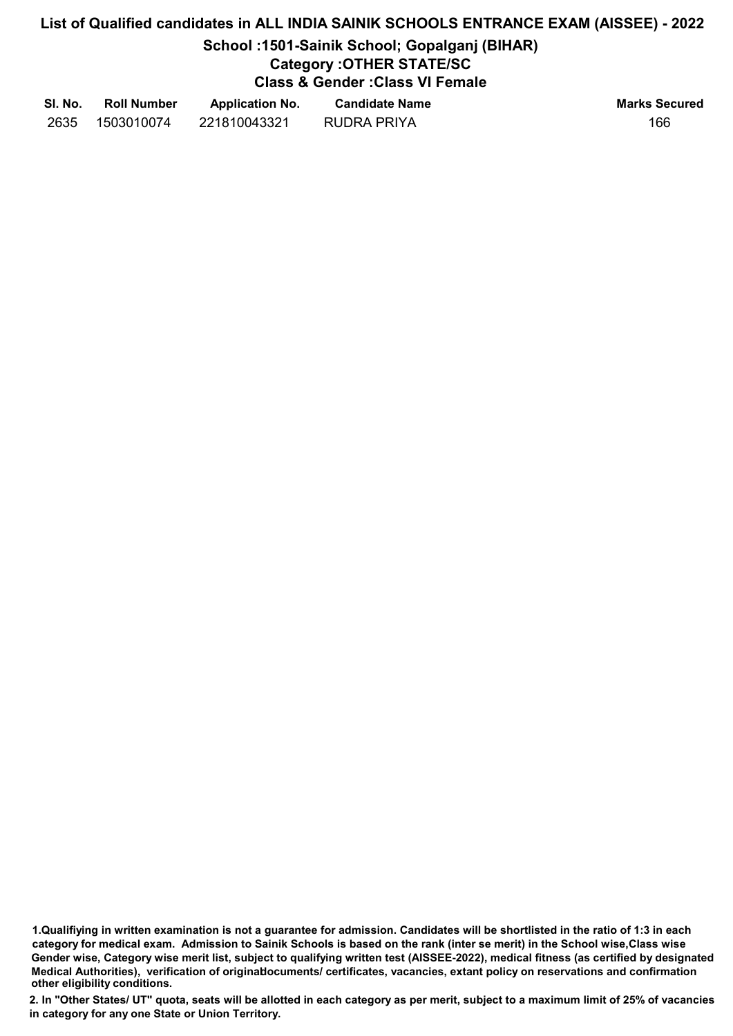# School :1501-Sainik School; Gopalganj (BIHAR)

# Category :OTHER STATE/SC

Class & Gender :Class VI Female

| SI. No. | <b>Roll Number</b> | <b>Application No.</b> | <b>Candidate Name</b> | <b>Marks Secured</b> |
|---------|--------------------|------------------------|-----------------------|----------------------|
| 2635    | 1503010074         | 221810043321           | RUDRA PRIYA           | 166                  |

1.Qualifiying in written examination is not a guarantee for admission. Candidates will be shortlisted in the ratio of 1:3 in each category for medical exam. Admission to Sainik Schools is based on the rank (inter se merit) in the School wise,Class wise Gender wise, Category wise merit list, subject to qualifying written test (AISSEE-2022), medical fitness (as certified by designated Medical Authorities), verification of originablocuments/ certificates, vacancies, extant policy on reservations and confirmation other eligibility conditions.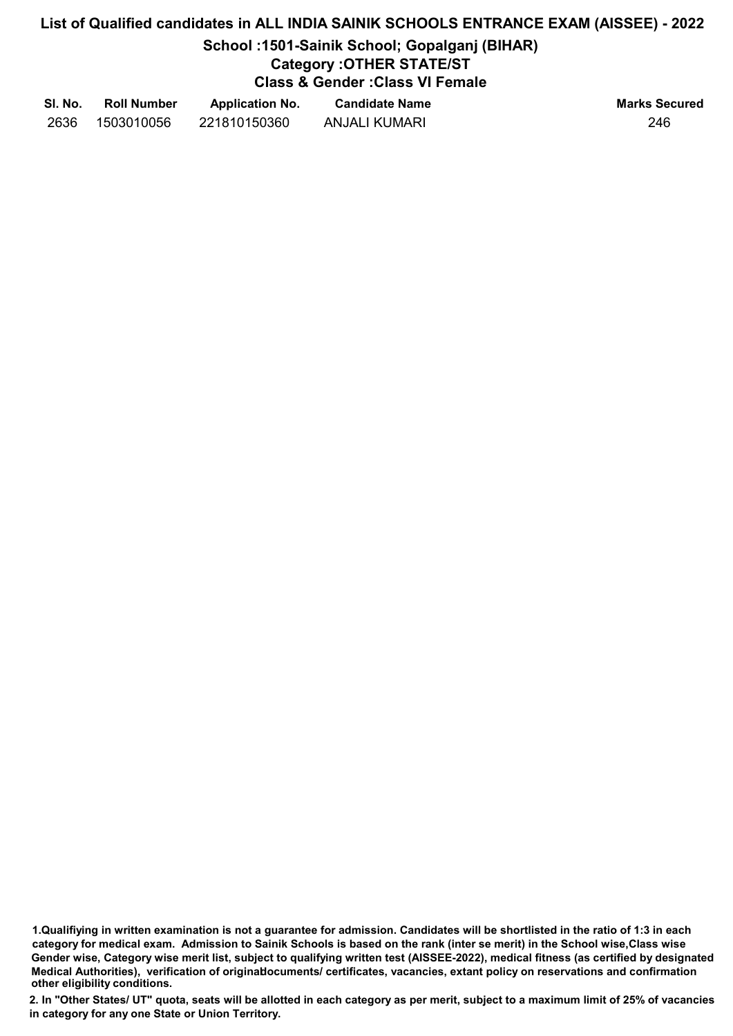# School :1501-Sainik School; Gopalganj (BIHAR)

# Category :OTHER STATE/ST

Class & Gender :Class VI Female

| SI. No. | <b>Roll Number</b> | <b>Application No.</b> | <b>Candidate Name</b> | <b>Marks Secured</b> |
|---------|--------------------|------------------------|-----------------------|----------------------|
| 2636    | 1503010056         | 221810150360           | ANJALI KUMARI         | 246                  |

1.Qualifiying in written examination is not a guarantee for admission. Candidates will be shortlisted in the ratio of 1:3 in each category for medical exam. Admission to Sainik Schools is based on the rank (inter se merit) in the School wise,Class wise Gender wise, Category wise merit list, subject to qualifying written test (AISSEE-2022), medical fitness (as certified by designated Medical Authorities), verification of originablocuments/ certificates, vacancies, extant policy on reservations and confirmation other eligibility conditions.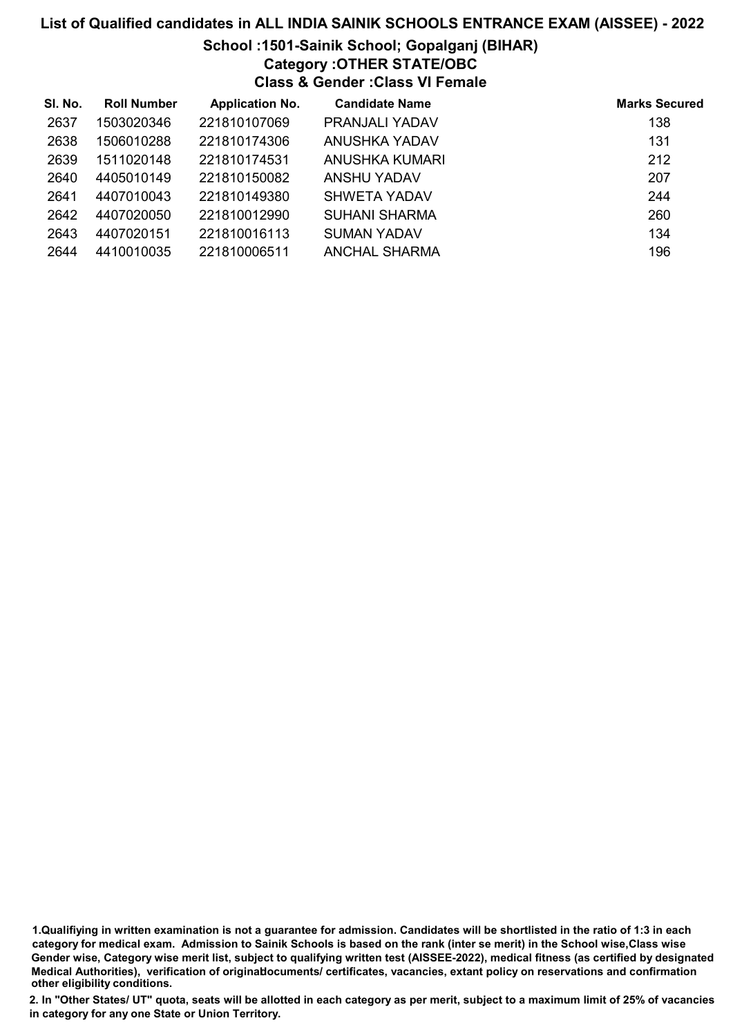# School :1501-Sainik School; Gopalganj (BIHAR) Category :OTHER STATE/OBC Class & Gender :Class VI Female

| SI. No. | <b>Roll Number</b> | <b>Application No.</b> | <b>Candidate Name</b> | <b>Marks Secured</b> |
|---------|--------------------|------------------------|-----------------------|----------------------|
| 2637    | 1503020346         | 221810107069           | PRANJALI YADAV        | 138                  |
| 2638    | 1506010288         | 221810174306           | ANUSHKA YADAV         | 131                  |
| 2639    | 1511020148         | 221810174531           | ANUSHKA KUMARI        | 212                  |
| 2640    | 4405010149         | 221810150082           | ANSHU YADAV           | 207                  |
| 2641    | 4407010043         | 221810149380           | SHWETA YADAV          | 244                  |
| 2642    | 4407020050         | 221810012990           | <b>SUHANI SHARMA</b>  | 260                  |
| 2643    | 4407020151         | 221810016113           | <b>SUMAN YADAV</b>    | 134                  |
| 2644    | 4410010035         | 221810006511           | ANCHAL SHARMA         | 196                  |

1.Qualifiying in written examination is not a guarantee for admission. Candidates will be shortlisted in the ratio of 1:3 in each category for medical exam. Admission to Sainik Schools is based on the rank (inter se merit) in the School wise,Class wise Gender wise, Category wise merit list, subject to qualifying written test (AISSEE-2022), medical fitness (as certified by designated Medical Authorities), verification of originablocuments/ certificates, vacancies, extant policy on reservations and confirmation other eligibility conditions.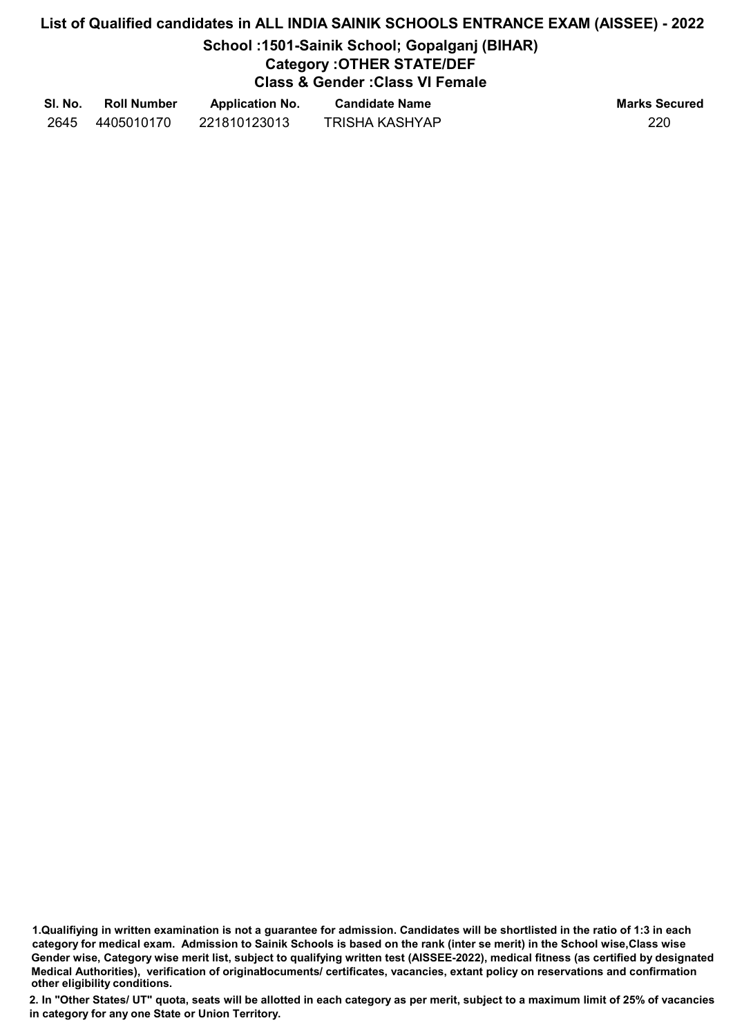## School :1501-Sainik School; Gopalganj (BIHAR) Category :OTHER STATE/DEF

Class & Gender :Class VI Female

| SI. No. | <b>Roll Number</b> | <b>Application No.</b> | <b>Candidate Name</b> | <b>Marks Secured</b> |
|---------|--------------------|------------------------|-----------------------|----------------------|
| 2645    | 4405010170         | 221810123013           | TRISHA KASHYAP        | 220                  |

1.Qualifiying in written examination is not a guarantee for admission. Candidates will be shortlisted in the ratio of 1:3 in each category for medical exam. Admission to Sainik Schools is based on the rank (inter se merit) in the School wise,Class wise Gender wise, Category wise merit list, subject to qualifying written test (AISSEE-2022), medical fitness (as certified by designated Medical Authorities), verification of originablocuments/ certificates, vacancies, extant policy on reservations and confirmation other eligibility conditions.